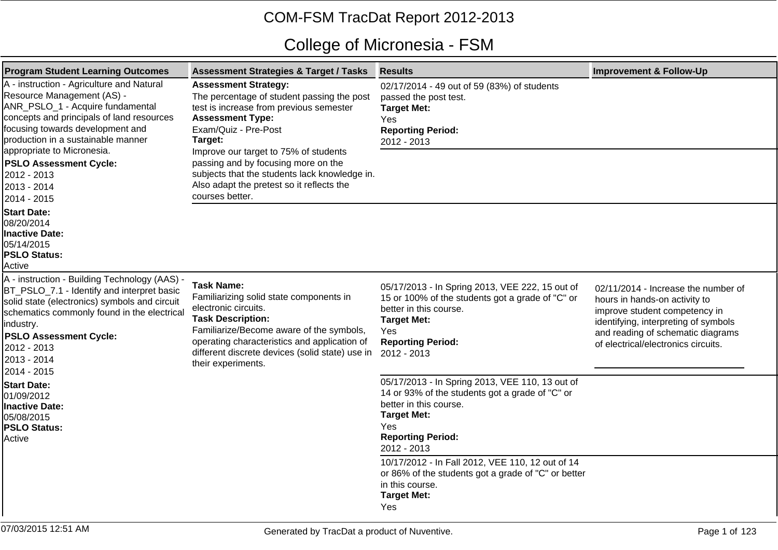## COM-FSM TracDat Report 2012-2013

## College of Micronesia - FSM

| <b>Program Student Learning Outcomes</b>                                                                                                                                                                                                                                               | <b>Assessment Strategies &amp; Target / Tasks</b>                                                                                                                                                                                                                                     | <b>Results</b>                                                                                                                                                                                        | <b>Improvement &amp; Follow-Up</b>                                                                                                                                                                                        |
|----------------------------------------------------------------------------------------------------------------------------------------------------------------------------------------------------------------------------------------------------------------------------------------|---------------------------------------------------------------------------------------------------------------------------------------------------------------------------------------------------------------------------------------------------------------------------------------|-------------------------------------------------------------------------------------------------------------------------------------------------------------------------------------------------------|---------------------------------------------------------------------------------------------------------------------------------------------------------------------------------------------------------------------------|
| A - instruction - Agriculture and Natural<br>Resource Management (AS) -<br>ANR_PSLO_1 - Acquire fundamental<br>concepts and principals of land resources<br>focusing towards development and<br>production in a sustainable manner                                                     | <b>Assessment Strategy:</b><br>The percentage of student passing the post<br>test is increase from previous semester<br><b>Assessment Type:</b><br>Exam/Quiz - Pre-Post<br>Target:                                                                                                    | 02/17/2014 - 49 out of 59 (83%) of students<br>passed the post test.<br><b>Target Met:</b><br>Yes<br><b>Reporting Period:</b><br>2012 - 2013                                                          |                                                                                                                                                                                                                           |
| appropriate to Micronesia.<br><b>PSLO Assessment Cycle:</b><br>2012 - 2013<br>2013 - 2014<br>2014 - 2015                                                                                                                                                                               | Improve our target to 75% of students<br>passing and by focusing more on the<br>subjects that the students lack knowledge in.<br>Also adapt the pretest so it reflects the<br>courses better.                                                                                         |                                                                                                                                                                                                       |                                                                                                                                                                                                                           |
| <b>Start Date:</b><br>08/20/2014<br>Inactive Date:<br>05/14/2015<br><b>PSLO Status:</b><br>Active                                                                                                                                                                                      |                                                                                                                                                                                                                                                                                       |                                                                                                                                                                                                       |                                                                                                                                                                                                                           |
| A - instruction - Building Technology (AAS) ·<br>BT_PSLO_7.1 - Identify and interpret basic<br>solid state (electronics) symbols and circuit<br>schematics commonly found in the electrical<br>industry.<br><b>PSLO Assessment Cycle:</b><br>2012 - 2013<br>2013 - 2014<br>2014 - 2015 | <b>Task Name:</b><br>Familiarizing solid state components in<br>electronic circuits.<br><b>Task Description:</b><br>Familiarize/Become aware of the symbols,<br>operating characteristics and application of<br>different discrete devices (solid state) use in<br>their experiments. | 05/17/2013 - In Spring 2013, VEE 222, 15 out of<br>15 or 100% of the students got a grade of "C" or<br>better in this course.<br><b>Target Met:</b><br>Yes<br><b>Reporting Period:</b><br>2012 - 2013 | 02/11/2014 - Increase the number of<br>hours in hands-on activity to<br>improve student competency in<br>identifying, interpreting of symbols<br>and reading of schematic diagrams<br>of electrical/electronics circuits. |
| <b>Start Date:</b><br>01/09/2012<br>Inactive Date:<br>05/08/2015<br><b>PSLO Status:</b><br>Active                                                                                                                                                                                      |                                                                                                                                                                                                                                                                                       | 05/17/2013 - In Spring 2013, VEE 110, 13 out of<br>14 or 93% of the students got a grade of "C" or<br>better in this course.<br><b>Target Met:</b><br>Yes<br><b>Reporting Period:</b><br>2012 - 2013  |                                                                                                                                                                                                                           |
|                                                                                                                                                                                                                                                                                        |                                                                                                                                                                                                                                                                                       | 10/17/2012 - In Fall 2012, VEE 110, 12 out of 14<br>or 86% of the students got a grade of "C" or better<br>in this course.<br><b>Target Met:</b><br>Yes                                               |                                                                                                                                                                                                                           |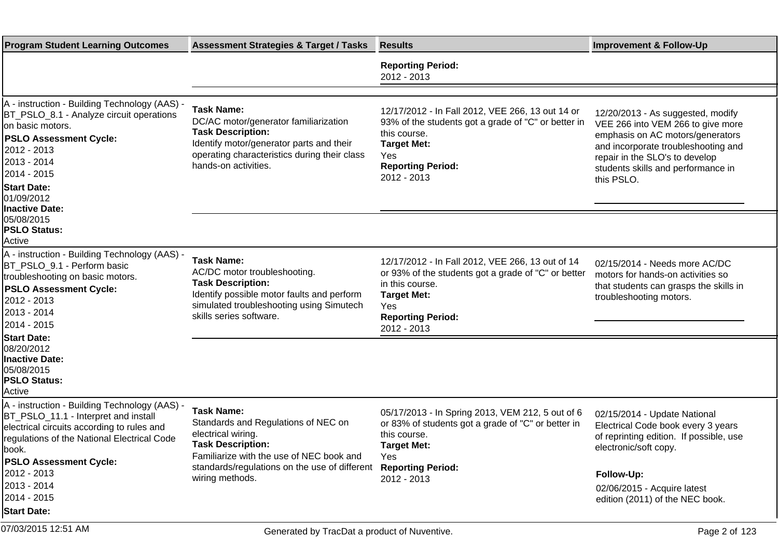| <b>Program Student Learning Outcomes</b>                                                                                                                                                                                     | <b>Assessment Strategies &amp; Target / Tasks</b>                                                                                                                                                  | <b>Results</b>                                                                                                                                                                                     | <b>Improvement &amp; Follow-Up</b>                                                                                                                                                                                                      |
|------------------------------------------------------------------------------------------------------------------------------------------------------------------------------------------------------------------------------|----------------------------------------------------------------------------------------------------------------------------------------------------------------------------------------------------|----------------------------------------------------------------------------------------------------------------------------------------------------------------------------------------------------|-----------------------------------------------------------------------------------------------------------------------------------------------------------------------------------------------------------------------------------------|
|                                                                                                                                                                                                                              |                                                                                                                                                                                                    | <b>Reporting Period:</b><br>2012 - 2013                                                                                                                                                            |                                                                                                                                                                                                                                         |
| A - instruction - Building Technology (AAS) -                                                                                                                                                                                | <b>Task Name:</b>                                                                                                                                                                                  | 12/17/2012 - In Fall 2012, VEE 266, 13 out 14 or                                                                                                                                                   |                                                                                                                                                                                                                                         |
| BT_PSLO_8.1 - Analyze circuit operations<br>on basic motors.<br><b>PSLO Assessment Cycle:</b><br>2012 - 2013<br>2013 - 2014<br>2014 - 2015<br><b>Start Date:</b>                                                             | DC/AC motor/generator familiarization<br><b>Task Description:</b><br>Identify motor/generator parts and their<br>operating characteristics during their class<br>hands-on activities.              | 93% of the students got a grade of "C" or better in<br>this course.<br><b>Target Met:</b><br>Yes<br><b>Reporting Period:</b><br>2012 - 2013                                                        | 12/20/2013 - As suggested, modify<br>VEE 266 into VEM 266 to give more<br>emphasis on AC motors/generators<br>and incorporate troubleshooting and<br>repair in the SLO's to develop<br>students skills and performance in<br>this PSLO. |
| 01/09/2012<br>Inactive Date:                                                                                                                                                                                                 |                                                                                                                                                                                                    |                                                                                                                                                                                                    |                                                                                                                                                                                                                                         |
| 05/08/2015<br><b>PSLO Status:</b><br>Active                                                                                                                                                                                  |                                                                                                                                                                                                    |                                                                                                                                                                                                    |                                                                                                                                                                                                                                         |
| A - instruction - Building Technology (AAS) -<br>BT PSLO 9.1 - Perform basic<br>troubleshooting on basic motors.<br><b>PSLO Assessment Cycle:</b><br>2012 - 2013<br>2013 - 2014<br>2014 - 2015                               | <b>Task Name:</b><br>AC/DC motor troubleshooting.<br><b>Task Description:</b><br>Identify possible motor faults and perform<br>simulated troubleshooting using Simutech<br>skills series software. | 12/17/2012 - In Fall 2012, VEE 266, 13 out of 14<br>or 93% of the students got a grade of "C" or better<br>in this course.<br><b>Target Met:</b><br>Yes<br><b>Reporting Period:</b><br>2012 - 2013 | 02/15/2014 - Needs more AC/DC<br>motors for hands-on activities so<br>that students can grasps the skills in<br>troubleshooting motors.                                                                                                 |
| <b>Start Date:</b><br>08/20/2012<br>Inactive Date:<br>05/08/2015<br><b>PSLO Status:</b><br>Active                                                                                                                            |                                                                                                                                                                                                    |                                                                                                                                                                                                    |                                                                                                                                                                                                                                         |
| A - instruction - Building Technology (AAS) -<br>BT_PSLO_11.1 - Interpret and install<br>electrical circuits according to rules and<br>regulations of the National Electrical Code<br>book.<br><b>PSLO Assessment Cycle:</b> | <b>Task Name:</b><br>Standards and Regulations of NEC on<br>electrical wiring.<br><b>Task Description:</b><br>Familiarize with the use of NEC book and                                             | 05/17/2013 - In Spring 2013, VEM 212, 5 out of 6<br>or 83% of students got a grade of "C" or better in<br>this course.<br><b>Target Met:</b><br>Yes                                                | 02/15/2014 - Update National<br>Electrical Code book every 3 years<br>of reprinting edition. If possible, use<br>electronic/soft copy.                                                                                                  |
| 2012 - 2013<br>2013 - 2014<br>2014 - 2015<br><b>Start Date:</b>                                                                                                                                                              | standards/regulations on the use of different Reporting Period:<br>wiring methods.                                                                                                                 | 2012 - 2013                                                                                                                                                                                        | Follow-Up:<br>02/06/2015 - Acquire latest<br>edition (2011) of the NEC book.                                                                                                                                                            |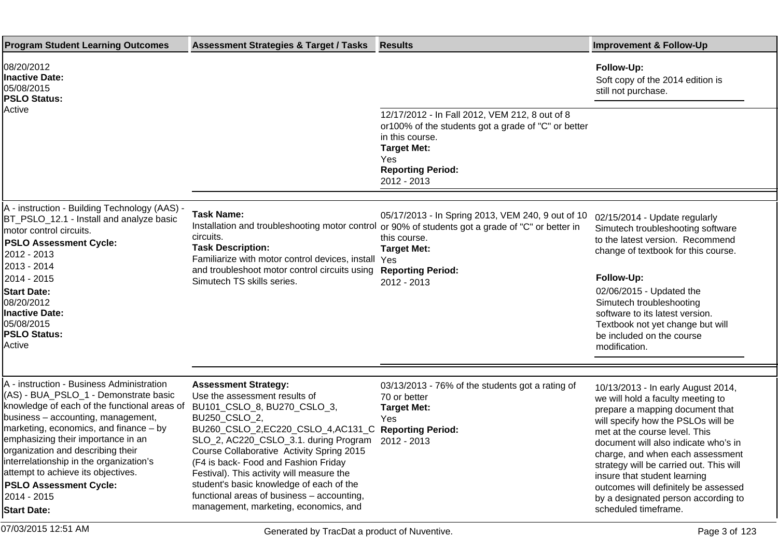| <b>Program Student Learning Outcomes</b>                                                                                                                                                                                                                                                                                                                                                                                                             | <b>Assessment Strategies &amp; Target / Tasks</b>                                                                                                                                                                                                                                                                                                                                                                                                               | <b>Results</b>                                                                                                                                                                                                                          | <b>Improvement &amp; Follow-Up</b>                                                                                                                                                                                                                                                                                                                                                                                                              |
|------------------------------------------------------------------------------------------------------------------------------------------------------------------------------------------------------------------------------------------------------------------------------------------------------------------------------------------------------------------------------------------------------------------------------------------------------|-----------------------------------------------------------------------------------------------------------------------------------------------------------------------------------------------------------------------------------------------------------------------------------------------------------------------------------------------------------------------------------------------------------------------------------------------------------------|-----------------------------------------------------------------------------------------------------------------------------------------------------------------------------------------------------------------------------------------|-------------------------------------------------------------------------------------------------------------------------------------------------------------------------------------------------------------------------------------------------------------------------------------------------------------------------------------------------------------------------------------------------------------------------------------------------|
| 08/20/2012<br><b>Inactive Date:</b><br>05/08/2015<br><b>PSLO Status:</b>                                                                                                                                                                                                                                                                                                                                                                             |                                                                                                                                                                                                                                                                                                                                                                                                                                                                 |                                                                                                                                                                                                                                         | Follow-Up:<br>Soft copy of the 2014 edition is<br>still not purchase.                                                                                                                                                                                                                                                                                                                                                                           |
| Active                                                                                                                                                                                                                                                                                                                                                                                                                                               |                                                                                                                                                                                                                                                                                                                                                                                                                                                                 | 12/17/2012 - In Fall 2012, VEM 212, 8 out of 8<br>or100% of the students got a grade of "C" or better<br>in this course.<br><b>Target Met:</b><br>Yes<br><b>Reporting Period:</b><br>2012 - 2013                                        |                                                                                                                                                                                                                                                                                                                                                                                                                                                 |
| A - instruction - Building Technology (AAS) -<br>BT_PSLO_12.1 - Install and analyze basic<br>motor control circuits.<br><b>PSLO Assessment Cycle:</b><br>2012 - 2013<br>2013 - 2014<br>2014 - 2015<br><b>Start Date:</b><br>08/20/2012<br><b>Inactive Date:</b><br>05/08/2015<br><b>PSLO Status:</b><br>Active                                                                                                                                       | <b>Task Name:</b><br>circuits.<br><b>Task Description:</b><br>Familiarize with motor control devices, install Yes<br>and troubleshoot motor control circuits using<br>Simutech TS skills series.                                                                                                                                                                                                                                                                | 05/17/2013 - In Spring 2013, VEM 240, 9 out of 10<br>Installation and troubleshooting motor control or 90% of students got a grade of "C" or better in<br>this course.<br><b>Target Met:</b><br><b>Reporting Period:</b><br>2012 - 2013 | 02/15/2014 - Update regularly<br>Simutech troubleshooting software<br>to the latest version. Recommend<br>change of textbook for this course.<br>Follow-Up:<br>02/06/2015 - Updated the<br>Simutech troubleshooting<br>software to its latest version.<br>Textbook not yet change but will<br>be included on the course<br>modification.                                                                                                        |
| A - instruction - Business Administration<br>(AS) - BUA_PSLO_1 - Demonstrate basic<br>knowledge of each of the functional areas of<br>business - accounting, management,<br>marketing, economics, and finance - by<br>emphasizing their importance in an<br>organization and describing their<br>interrelationship in the organization's<br>attempt to achieve its objectives.<br><b>PSLO Assessment Cycle:</b><br>2014 - 2015<br><b>Start Date:</b> | <b>Assessment Strategy:</b><br>Use the assessment results of<br>BU101_CSLO_8, BU270_CSLO_3,<br>BU250_CSLO_2,<br>BU260_CSLO_2,EC220_CSLO_4,AC131_C<br>SLO_2, AC220_CSLO_3.1. during Program<br>Course Collaborative Activity Spring 2015<br>(F4 is back- Food and Fashion Friday<br>Festival). This activity will measure the<br>student's basic knowledge of each of the<br>functional areas of business - accounting,<br>management, marketing, economics, and | 03/13/2013 - 76% of the students got a rating of<br>70 or better<br><b>Target Met:</b><br><b>Yes</b><br><b>Reporting Period:</b><br>2012 - 2013                                                                                         | 10/13/2013 - In early August 2014,<br>we will hold a faculty meeting to<br>prepare a mapping document that<br>will specify how the PSLOs will be<br>met at the course level. This<br>document will also indicate who's in<br>charge, and when each assessment<br>strategy will be carried out. This will<br>insure that student learning<br>outcomes will definitely be assessed<br>by a designated person according to<br>scheduled timeframe. |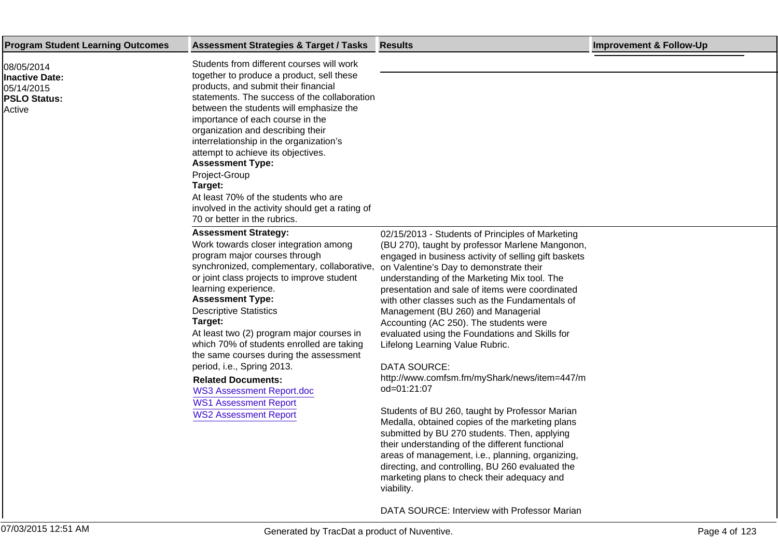| <b>Program Student Learning Outcomes</b><br>08/05/2014<br><b>Inactive Date:</b> | <b>Assessment Strategies &amp; Target / Tasks</b><br>Students from different courses will work<br>together to produce a product, sell these<br>products, and submit their financial                                                                                                                                                                                                                                                                                                                                                                                                                  | <b>Results</b>                                                                                                                                                                                                                                                                                                                                                                                                                                                                                                                                                                                                                                                                                                                                                                                                                                                                                                                                                                                                                                      | <b>Improvement &amp; Follow-Up</b> |
|---------------------------------------------------------------------------------|------------------------------------------------------------------------------------------------------------------------------------------------------------------------------------------------------------------------------------------------------------------------------------------------------------------------------------------------------------------------------------------------------------------------------------------------------------------------------------------------------------------------------------------------------------------------------------------------------|-----------------------------------------------------------------------------------------------------------------------------------------------------------------------------------------------------------------------------------------------------------------------------------------------------------------------------------------------------------------------------------------------------------------------------------------------------------------------------------------------------------------------------------------------------------------------------------------------------------------------------------------------------------------------------------------------------------------------------------------------------------------------------------------------------------------------------------------------------------------------------------------------------------------------------------------------------------------------------------------------------------------------------------------------------|------------------------------------|
|                                                                                 |                                                                                                                                                                                                                                                                                                                                                                                                                                                                                                                                                                                                      |                                                                                                                                                                                                                                                                                                                                                                                                                                                                                                                                                                                                                                                                                                                                                                                                                                                                                                                                                                                                                                                     |                                    |
| 05/14/2015<br><b>PSLO Status:</b><br>Active                                     | statements. The success of the collaboration<br>between the students will emphasize the<br>importance of each course in the<br>organization and describing their<br>interrelationship in the organization's<br>attempt to achieve its objectives.<br><b>Assessment Type:</b><br>Project-Group<br>Target:<br>At least 70% of the students who are<br>involved in the activity should get a rating of<br>70 or better in the rubrics.                                                                                                                                                                  |                                                                                                                                                                                                                                                                                                                                                                                                                                                                                                                                                                                                                                                                                                                                                                                                                                                                                                                                                                                                                                                     |                                    |
|                                                                                 | <b>Assessment Strategy:</b><br>Work towards closer integration among<br>program major courses through<br>synchronized, complementary, collaborative,<br>or joint class projects to improve student<br>learning experience.<br><b>Assessment Type:</b><br><b>Descriptive Statistics</b><br>Target:<br>At least two (2) program major courses in<br>which 70% of students enrolled are taking<br>the same courses during the assessment<br>period, i.e., Spring 2013.<br><b>Related Documents:</b><br><b>WS3 Assessment Report.doc</b><br><b>WS1 Assessment Report</b><br><b>WS2 Assessment Report</b> | 02/15/2013 - Students of Principles of Marketing<br>(BU 270), taught by professor Marlene Mangonon,<br>engaged in business activity of selling gift baskets<br>on Valentine's Day to demonstrate their<br>understanding of the Marketing Mix tool. The<br>presentation and sale of items were coordinated<br>with other classes such as the Fundamentals of<br>Management (BU 260) and Managerial<br>Accounting (AC 250). The students were<br>evaluated using the Foundations and Skills for<br>Lifelong Learning Value Rubric.<br><b>DATA SOURCE:</b><br>http://www.comfsm.fm/myShark/news/item=447/m<br>od=01:21:07<br>Students of BU 260, taught by Professor Marian<br>Medalla, obtained copies of the marketing plans<br>submitted by BU 270 students. Then, applying<br>their understanding of the different functional<br>areas of management, i.e., planning, organizing,<br>directing, and controlling, BU 260 evaluated the<br>marketing plans to check their adequacy and<br>viability.<br>DATA SOURCE: Interview with Professor Marian |                                    |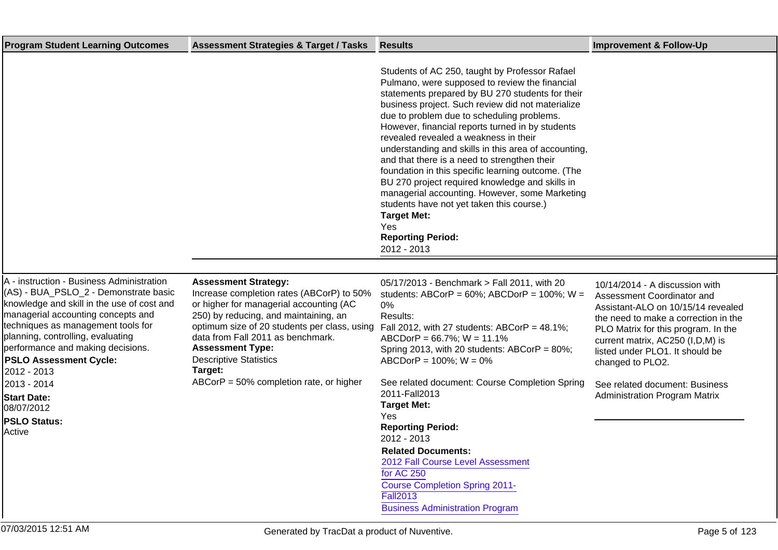| <b>Program Student Learning Outcomes</b>                                                                                                                                                                                                                                                                                                                                                                                   | <b>Assessment Strategies &amp; Target / Tasks</b>                                                                                                                                                                                                                                                                                                                      | <b>Results</b>                                                                                                                                                                                                                                                                                                                                                                                                                                                                                                                                                                                                                                                                                                                                      | <b>Improvement &amp; Follow-Up</b>                                                                                                                                                                                                                                                                                                                     |
|----------------------------------------------------------------------------------------------------------------------------------------------------------------------------------------------------------------------------------------------------------------------------------------------------------------------------------------------------------------------------------------------------------------------------|------------------------------------------------------------------------------------------------------------------------------------------------------------------------------------------------------------------------------------------------------------------------------------------------------------------------------------------------------------------------|-----------------------------------------------------------------------------------------------------------------------------------------------------------------------------------------------------------------------------------------------------------------------------------------------------------------------------------------------------------------------------------------------------------------------------------------------------------------------------------------------------------------------------------------------------------------------------------------------------------------------------------------------------------------------------------------------------------------------------------------------------|--------------------------------------------------------------------------------------------------------------------------------------------------------------------------------------------------------------------------------------------------------------------------------------------------------------------------------------------------------|
|                                                                                                                                                                                                                                                                                                                                                                                                                            |                                                                                                                                                                                                                                                                                                                                                                        | Students of AC 250, taught by Professor Rafael<br>Pulmano, were supposed to review the financial<br>statements prepared by BU 270 students for their<br>business project. Such review did not materialize<br>due to problem due to scheduling problems.<br>However, financial reports turned in by students<br>revealed revealed a weakness in their<br>understanding and skills in this area of accounting,<br>and that there is a need to strengthen their<br>foundation in this specific learning outcome. (The<br>BU 270 project required knowledge and skills in<br>managerial accounting. However, some Marketing<br>students have not yet taken this course.)<br><b>Target Met:</b><br><b>Yes</b><br><b>Reporting Period:</b><br>2012 - 2013 |                                                                                                                                                                                                                                                                                                                                                        |
|                                                                                                                                                                                                                                                                                                                                                                                                                            |                                                                                                                                                                                                                                                                                                                                                                        |                                                                                                                                                                                                                                                                                                                                                                                                                                                                                                                                                                                                                                                                                                                                                     |                                                                                                                                                                                                                                                                                                                                                        |
| A - instruction - Business Administration<br>(AS) - BUA_PSLO_2 - Demonstrate basic<br>knowledge and skill in the use of cost and<br>managerial accounting concepts and<br>techniques as management tools for<br>planning, controlling, evaluating<br>performance and making decisions.<br><b>PSLO Assessment Cycle:</b><br>2012 - 2013<br>2013 - 2014<br><b>Start Date:</b><br>08/07/2012<br><b>PSLO Status:</b><br>Active | <b>Assessment Strategy:</b><br>Increase completion rates (ABCorP) to 50%<br>or higher for managerial accounting (AC<br>250) by reducing, and maintaining, an<br>optimum size of 20 students per class, using<br>data from Fall 2011 as benchmark.<br><b>Assessment Type:</b><br><b>Descriptive Statistics</b><br>Target:<br>$ABCorP = 50\%$ completion rate, or higher | 05/17/2013 - Benchmark > Fall 2011, with 20<br>students: ABCorP = $60\%$ ; ABCDorP = $100\%$ ; W =<br>0%<br>Results:<br>Fall 2012, with 27 students: ABCorP = $48.1\%$ ;<br>ABCDorP = $66.7\%$ ; W = $11.1\%$<br>Spring 2013, with 20 students: ABCorP = 80%;<br>$ABCDorP = 100\%; W = 0\%$<br>See related document: Course Completion Spring<br>2011-Fall2013<br><b>Target Met:</b><br>Yes<br><b>Reporting Period:</b><br>2012 - 2013<br><b>Related Documents:</b><br>2012 Fall Course Level Assessment<br>for AC 250<br><b>Course Completion Spring 2011-</b><br><b>Fall2013</b><br><b>Business Administration Program</b>                                                                                                                        | 10/14/2014 - A discussion with<br>Assessment Coordinator and<br>Assistant-ALO on 10/15/14 revealed<br>the need to make a correction in the<br>PLO Matrix for this program. In the<br>current matrix, AC250 (I,D,M) is<br>listed under PLO1. It should be<br>changed to PLO2.<br>See related document: Business<br><b>Administration Program Matrix</b> |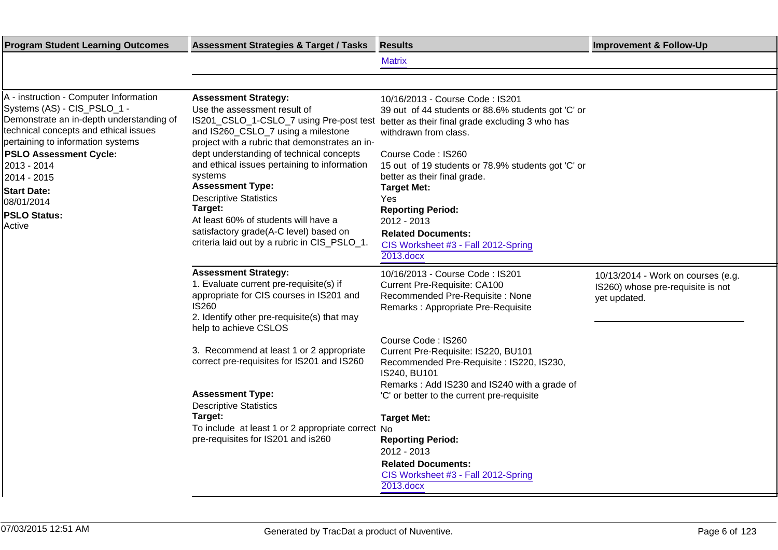| <b>Program Student Learning Outcomes</b>                                                                                                                                                                                                                                                                                            | <b>Assessment Strategies &amp; Target / Tasks</b>                                                                                                                                                                                                                                                                                                                                                                                                                   | <b>Results</b>                                                                                                                                                                                                                                                                                                                                                                                                                                                                 | <b>Improvement &amp; Follow-Up</b>                                                      |
|-------------------------------------------------------------------------------------------------------------------------------------------------------------------------------------------------------------------------------------------------------------------------------------------------------------------------------------|---------------------------------------------------------------------------------------------------------------------------------------------------------------------------------------------------------------------------------------------------------------------------------------------------------------------------------------------------------------------------------------------------------------------------------------------------------------------|--------------------------------------------------------------------------------------------------------------------------------------------------------------------------------------------------------------------------------------------------------------------------------------------------------------------------------------------------------------------------------------------------------------------------------------------------------------------------------|-----------------------------------------------------------------------------------------|
|                                                                                                                                                                                                                                                                                                                                     |                                                                                                                                                                                                                                                                                                                                                                                                                                                                     | <b>Matrix</b>                                                                                                                                                                                                                                                                                                                                                                                                                                                                  |                                                                                         |
|                                                                                                                                                                                                                                                                                                                                     |                                                                                                                                                                                                                                                                                                                                                                                                                                                                     |                                                                                                                                                                                                                                                                                                                                                                                                                                                                                |                                                                                         |
| A - instruction - Computer Information<br>Systems (AS) - CIS_PSLO_1 -<br>Demonstrate an in-depth understanding of<br>technical concepts and ethical issues<br>pertaining to information systems<br><b>PSLO Assessment Cycle:</b><br>2013 - 2014<br>2014 - 2015<br><b>Start Date:</b><br>08/01/2014<br><b>PSLO Status:</b><br>Active | <b>Assessment Strategy:</b><br>Use the assessment result of<br>and IS260_CSLO_7 using a milestone<br>project with a rubric that demonstrates an in-<br>dept understanding of technical concepts<br>and ethical issues pertaining to information<br>systems<br><b>Assessment Type:</b><br><b>Descriptive Statistics</b><br>Target:<br>At least 60% of students will have a<br>satisfactory grade(A-C level) based on<br>criteria laid out by a rubric in CIS_PSLO_1. | 10/16/2013 - Course Code: IS201<br>39 out of 44 students or 88.6% students got 'C' or<br>IS201_CSLO_1-CSLO_7 using Pre-post test better as their final grade excluding 3 who has<br>withdrawn from class.<br>Course Code: IS260<br>15 out of 19 students or 78.9% students got 'C' or<br>better as their final grade.<br><b>Target Met:</b><br>Yes<br><b>Reporting Period:</b><br>2012 - 2013<br><b>Related Documents:</b><br>CIS Worksheet #3 - Fall 2012-Spring<br>2013.docx |                                                                                         |
|                                                                                                                                                                                                                                                                                                                                     | <b>Assessment Strategy:</b><br>1. Evaluate current pre-requisite(s) if<br>appropriate for CIS courses in IS201 and<br><b>IS260</b><br>2. Identify other pre-requisite(s) that may<br>help to achieve CSLOS                                                                                                                                                                                                                                                          | 10/16/2013 - Course Code: IS201<br><b>Current Pre-Requisite: CA100</b><br>Recommended Pre-Requisite: None<br>Remarks: Appropriate Pre-Requisite                                                                                                                                                                                                                                                                                                                                | 10/13/2014 - Work on courses (e.g.<br>IS260) whose pre-requisite is not<br>yet updated. |
|                                                                                                                                                                                                                                                                                                                                     | 3. Recommend at least 1 or 2 appropriate<br>correct pre-requisites for IS201 and IS260<br><b>Assessment Type:</b><br><b>Descriptive Statistics</b>                                                                                                                                                                                                                                                                                                                  | Course Code: IS260<br>Current Pre-Requisite: IS220, BU101<br>Recommended Pre-Requisite : IS220, IS230,<br>IS240, BU101<br>Remarks: Add IS230 and IS240 with a grade of<br>'C' or better to the current pre-requisite                                                                                                                                                                                                                                                           |                                                                                         |
|                                                                                                                                                                                                                                                                                                                                     | Target:<br>To include at least 1 or 2 appropriate correct No<br>pre-requisites for IS201 and is260                                                                                                                                                                                                                                                                                                                                                                  | <b>Target Met:</b><br><b>Reporting Period:</b><br>2012 - 2013<br><b>Related Documents:</b><br>CIS Worksheet #3 - Fall 2012-Spring<br>2013.docx                                                                                                                                                                                                                                                                                                                                 |                                                                                         |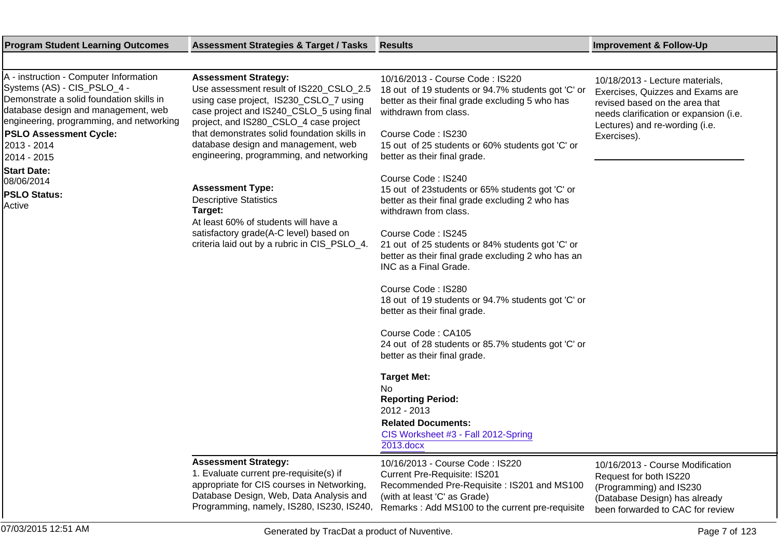| <b>Program Student Learning Outcomes</b>                                                                                                                                                                                                                            | <b>Assessment Strategies &amp; Target / Tasks</b>                                                                                                                                                                                                                                                                                          | Results                                                                                                                                                                                                                                                                     | <b>Improvement &amp; Follow-Up</b>                                                                                                                                                               |
|---------------------------------------------------------------------------------------------------------------------------------------------------------------------------------------------------------------------------------------------------------------------|--------------------------------------------------------------------------------------------------------------------------------------------------------------------------------------------------------------------------------------------------------------------------------------------------------------------------------------------|-----------------------------------------------------------------------------------------------------------------------------------------------------------------------------------------------------------------------------------------------------------------------------|--------------------------------------------------------------------------------------------------------------------------------------------------------------------------------------------------|
|                                                                                                                                                                                                                                                                     |                                                                                                                                                                                                                                                                                                                                            |                                                                                                                                                                                                                                                                             |                                                                                                                                                                                                  |
| A - instruction - Computer Information<br>Systems (AS) - CIS_PSLO_4 -<br>Demonstrate a solid foundation skills in<br>database design and management, web<br>engineering, programming, and networking<br><b>PSLO Assessment Cycle:</b><br>2013 - 2014<br>2014 - 2015 | <b>Assessment Strategy:</b><br>Use assessment result of IS220_CSLO_2.5<br>using case project, IS230_CSLO_7 using<br>case project and IS240_CSLO_5 using final<br>project, and IS280_CSLO_4 case project<br>that demonstrates solid foundation skills in<br>database design and management, web<br>engineering, programming, and networking | 10/16/2013 - Course Code: IS220<br>18 out of 19 students or 94.7% students got 'C' or<br>better as their final grade excluding 5 who has<br>withdrawn from class.<br>Course Code: IS230<br>15 out of 25 students or 60% students got 'C' or<br>better as their final grade. | 10/18/2013 - Lecture materials,<br>Exercises, Quizzes and Exams are<br>revised based on the area that<br>needs clarification or expansion (i.e.<br>Lectures) and re-wording (i.e.<br>Exercises). |
| <b>Start Date:</b><br>08/06/2014<br><b>PSLO Status:</b><br>Active                                                                                                                                                                                                   | <b>Assessment Type:</b><br><b>Descriptive Statistics</b><br>Target:<br>At least 60% of students will have a                                                                                                                                                                                                                                | Course Code: IS240<br>15 out of 23students or 65% students got 'C' or<br>better as their final grade excluding 2 who has<br>withdrawn from class.                                                                                                                           |                                                                                                                                                                                                  |
|                                                                                                                                                                                                                                                                     | satisfactory grade(A-C level) based on<br>criteria laid out by a rubric in CIS_PSLO_4.                                                                                                                                                                                                                                                     | Course Code: IS245<br>21 out of 25 students or 84% students got 'C' or<br>better as their final grade excluding 2 who has an<br>INC as a Final Grade.                                                                                                                       |                                                                                                                                                                                                  |
|                                                                                                                                                                                                                                                                     |                                                                                                                                                                                                                                                                                                                                            | Course Code: IS280<br>18 out of 19 students or 94.7% students got 'C' or<br>better as their final grade.                                                                                                                                                                    |                                                                                                                                                                                                  |
|                                                                                                                                                                                                                                                                     |                                                                                                                                                                                                                                                                                                                                            | Course Code: CA105<br>24 out of 28 students or 85.7% students got 'C' or<br>better as their final grade.                                                                                                                                                                    |                                                                                                                                                                                                  |
|                                                                                                                                                                                                                                                                     |                                                                                                                                                                                                                                                                                                                                            | <b>Target Met:</b><br>No<br><b>Reporting Period:</b><br>2012 - 2013<br><b>Related Documents:</b><br>CIS Worksheet #3 - Fall 2012-Spring<br>2013.docx                                                                                                                        |                                                                                                                                                                                                  |
|                                                                                                                                                                                                                                                                     | <b>Assessment Strategy:</b><br>1. Evaluate current pre-requisite(s) if<br>appropriate for CIS courses in Networking,<br>Database Design, Web, Data Analysis and<br>Programming, namely, IS280, IS230, IS240,                                                                                                                               | 10/16/2013 - Course Code: IS220<br><b>Current Pre-Requisite: IS201</b><br>Recommended Pre-Requisite: IS201 and MS100<br>(with at least 'C' as Grade)<br>Remarks: Add MS100 to the current pre-requisite                                                                     | 10/16/2013 - Course Modification<br>Request for both IS220<br>(Programming) and IS230<br>(Database Design) has already<br>been forwarded to CAC for review                                       |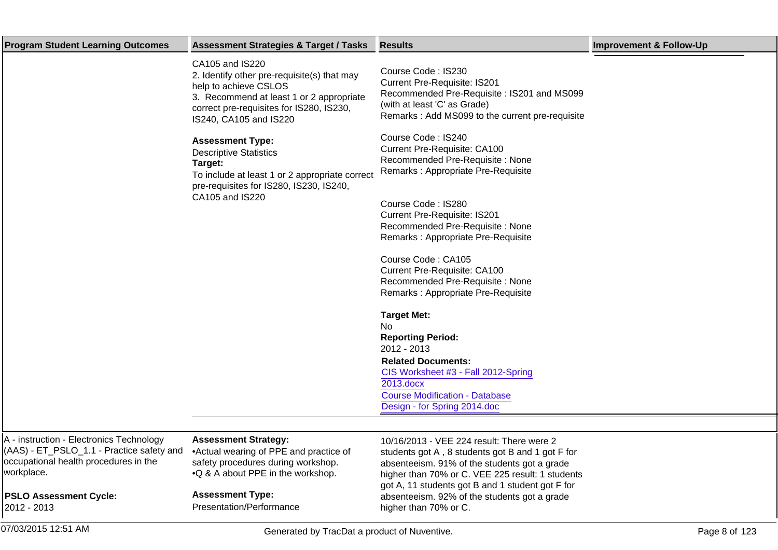| <b>Program Student Learning Outcomes</b>                                                                                                     | <b>Assessment Strategies &amp; Target / Tasks</b>                                                                                                                                                         | <b>Results</b>                                                                                                                                                                                                                                        | <b>Improvement &amp; Follow-Up</b> |
|----------------------------------------------------------------------------------------------------------------------------------------------|-----------------------------------------------------------------------------------------------------------------------------------------------------------------------------------------------------------|-------------------------------------------------------------------------------------------------------------------------------------------------------------------------------------------------------------------------------------------------------|------------------------------------|
|                                                                                                                                              | CA105 and IS220<br>2. Identify other pre-requisite(s) that may<br>help to achieve CSLOS<br>3. Recommend at least 1 or 2 appropriate<br>correct pre-requisites for IS280, IS230,<br>IS240, CA105 and IS220 | Course Code: IS230<br><b>Current Pre-Requisite: IS201</b><br>Recommended Pre-Requisite: IS201 and MS099<br>(with at least 'C' as Grade)<br>Remarks: Add MS099 to the current pre-requisite                                                            |                                    |
|                                                                                                                                              | <b>Assessment Type:</b><br><b>Descriptive Statistics</b><br>Target:<br>To include at least 1 or 2 appropriate correct<br>pre-requisites for IS280, IS230, IS240,                                          | Course Code: IS240<br><b>Current Pre-Requisite: CA100</b><br>Recommended Pre-Requisite: None<br>Remarks: Appropriate Pre-Requisite                                                                                                                    |                                    |
|                                                                                                                                              | CA105 and IS220                                                                                                                                                                                           | Course Code: IS280<br><b>Current Pre-Requisite: IS201</b><br>Recommended Pre-Requisite: None<br>Remarks: Appropriate Pre-Requisite                                                                                                                    |                                    |
|                                                                                                                                              |                                                                                                                                                                                                           | Course Code: CA105<br><b>Current Pre-Requisite: CA100</b><br>Recommended Pre-Requisite: None<br>Remarks: Appropriate Pre-Requisite                                                                                                                    |                                    |
|                                                                                                                                              |                                                                                                                                                                                                           | <b>Target Met:</b><br>No<br><b>Reporting Period:</b><br>2012 - 2013                                                                                                                                                                                   |                                    |
|                                                                                                                                              |                                                                                                                                                                                                           | <b>Related Documents:</b><br>CIS Worksheet #3 - Fall 2012-Spring<br>2013.docx<br>Course Modification - Database<br>Design - for Spring 2014.doc                                                                                                       |                                    |
|                                                                                                                                              |                                                                                                                                                                                                           |                                                                                                                                                                                                                                                       |                                    |
| A - instruction - Electronics Technology<br>(AAS) - ET_PSLO_1.1 - Practice safety and<br>occupational health procedures in the<br>workplace. | <b>Assessment Strategy:</b><br>• Actual wearing of PPE and practice of<br>safety procedures during workshop.<br>• Q & A about PPE in the workshop.                                                        | 10/16/2013 - VEE 224 result: There were 2<br>students got A, 8 students got B and 1 got F for<br>absenteeism. 91% of the students got a grade<br>higher than 70% or C. VEE 225 result: 1 students<br>got A, 11 students got B and 1 student got F for |                                    |
| <b>PSLO Assessment Cycle:</b><br>2012 - 2013                                                                                                 | <b>Assessment Type:</b><br>Presentation/Performance                                                                                                                                                       | absenteeism. 92% of the students got a grade<br>higher than 70% or C.                                                                                                                                                                                 |                                    |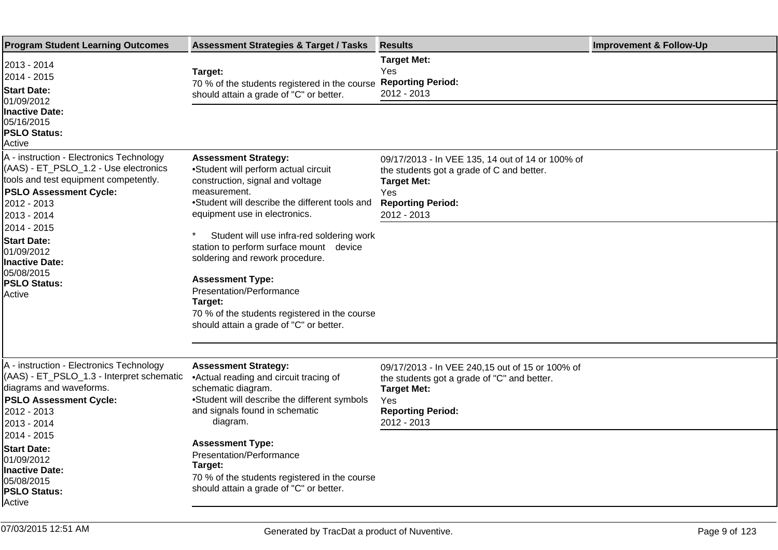| <b>Program Student Learning Outcomes</b>                                                                                                                                                  | <b>Assessment Strategies &amp; Target / Tasks</b>                                                                                                                                                                                                                                               | <b>Results</b>                                                                                                                                                                | <b>Improvement &amp; Follow-Up</b> |
|-------------------------------------------------------------------------------------------------------------------------------------------------------------------------------------------|-------------------------------------------------------------------------------------------------------------------------------------------------------------------------------------------------------------------------------------------------------------------------------------------------|-------------------------------------------------------------------------------------------------------------------------------------------------------------------------------|------------------------------------|
| 2013 - 2014<br>2014 - 2015<br><b>Start Date:</b><br>01/09/2012<br><b>Inactive Date:</b><br>05/16/2015<br><b>PSLO Status:</b><br>Active                                                    | Target:<br>70 % of the students registered in the course<br>should attain a grade of "C" or better.                                                                                                                                                                                             | <b>Target Met:</b><br>Yes<br><b>Reporting Period:</b><br>2012 - 2013                                                                                                          |                                    |
| A - instruction - Electronics Technology<br>(AAS) - ET_PSLO_1.2 - Use electronics<br>tools and test equipment competently.<br><b>PSLO Assessment Cycle:</b><br>2012 - 2013<br>2013 - 2014 | <b>Assessment Strategy:</b><br>• Student will perform actual circuit<br>construction, signal and voltage<br>measurement.<br>• Student will describe the different tools and<br>equipment use in electronics.                                                                                    | 09/17/2013 - In VEE 135, 14 out of 14 or 100% of<br>the students got a grade of C and better.<br><b>Target Met:</b><br>Yes<br><b>Reporting Period:</b><br>2012 - 2013         |                                    |
| 2014 - 2015<br><b>Start Date:</b><br>01/09/2012<br>Inactive Date:<br>105/08/2015<br><b>PSLO Status:</b><br>lActive                                                                        | $\ast$<br>Student will use infra-red soldering work<br>station to perform surface mount device<br>soldering and rework procedure.<br><b>Assessment Type:</b><br>Presentation/Performance<br>Target:<br>70 % of the students registered in the course<br>should attain a grade of "C" or better. |                                                                                                                                                                               |                                    |
| A - instruction - Electronics Technology<br>(AAS) - ET_PSLO_1.3 - Interpret schematic<br>diagrams and waveforms.<br><b>PSLO Assessment Cycle:</b><br>2012 - 2013<br>2013 - 2014           | <b>Assessment Strategy:</b><br>• Actual reading and circuit tracing of<br>schematic diagram.<br>• Student will describe the different symbols<br>and signals found in schematic<br>diagram.                                                                                                     | 09/17/2013 - In VEE 240,15 out of 15 or 100% of<br>the students got a grade of "C" and better.<br><b>Target Met:</b><br><b>Yes</b><br><b>Reporting Period:</b><br>2012 - 2013 |                                    |
| 2014 - 2015<br><b>Start Date:</b><br>01/09/2012<br>Inactive Date:<br>05/08/2015<br><b>PSLO Status:</b><br>lActive                                                                         | <b>Assessment Type:</b><br>Presentation/Performance<br>Target:<br>70 % of the students registered in the course<br>should attain a grade of "C" or better.                                                                                                                                      |                                                                                                                                                                               |                                    |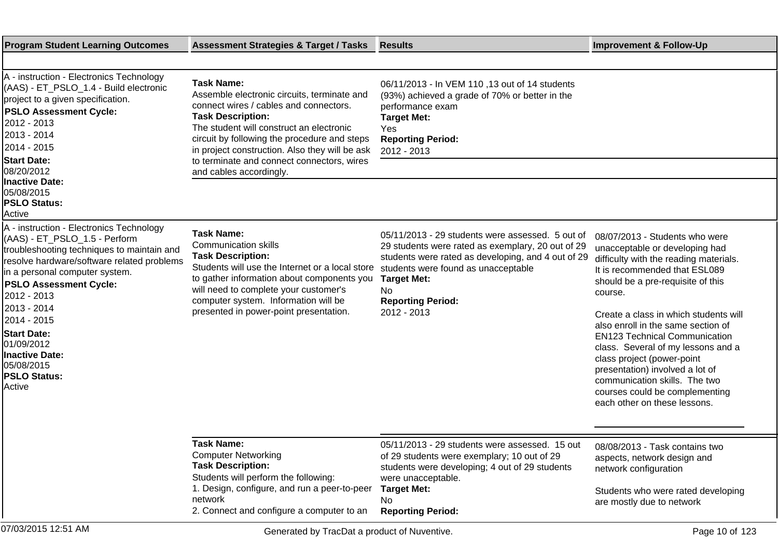| <b>Program Student Learning Outcomes</b>                                                                                                                                                                                                                                                                                                                                                          | <b>Assessment Strategies &amp; Target / Tasks</b>                                                                                                                                                                                                                                                                                  | <b>Results</b>                                                                                                                                                                                                                                                            | <b>Improvement &amp; Follow-Up</b>                                                                                                                                                                                                                                                                                                                                                                                                                                                                                           |
|---------------------------------------------------------------------------------------------------------------------------------------------------------------------------------------------------------------------------------------------------------------------------------------------------------------------------------------------------------------------------------------------------|------------------------------------------------------------------------------------------------------------------------------------------------------------------------------------------------------------------------------------------------------------------------------------------------------------------------------------|---------------------------------------------------------------------------------------------------------------------------------------------------------------------------------------------------------------------------------------------------------------------------|------------------------------------------------------------------------------------------------------------------------------------------------------------------------------------------------------------------------------------------------------------------------------------------------------------------------------------------------------------------------------------------------------------------------------------------------------------------------------------------------------------------------------|
|                                                                                                                                                                                                                                                                                                                                                                                                   |                                                                                                                                                                                                                                                                                                                                    |                                                                                                                                                                                                                                                                           |                                                                                                                                                                                                                                                                                                                                                                                                                                                                                                                              |
| A - instruction - Electronics Technology<br>(AAS) - ET_PSLO_1.4 - Build electronic<br>project to a given specification.<br><b>PSLO Assessment Cycle:</b><br>2012 - 2013<br>2013 - 2014<br>2014 - 2015 <br><b>Start Date:</b>                                                                                                                                                                      | <b>Task Name:</b><br>Assemble electronic circuits, terminate and<br>connect wires / cables and connectors.<br><b>Task Description:</b><br>The student will construct an electronic<br>circuit by following the procedure and steps<br>in project construction. Also they will be ask<br>to terminate and connect connectors, wires | 06/11/2013 - In VEM 110, 13 out of 14 students<br>(93%) achieved a grade of 70% or better in the<br>performance exam<br><b>Target Met:</b><br>Yes<br><b>Reporting Period:</b><br>2012 - 2013                                                                              |                                                                                                                                                                                                                                                                                                                                                                                                                                                                                                                              |
| 08/20/2012<br><b>Inactive Date:</b><br>05/08/2015<br><b>PSLO Status:</b><br>Active                                                                                                                                                                                                                                                                                                                | and cables accordingly.                                                                                                                                                                                                                                                                                                            |                                                                                                                                                                                                                                                                           |                                                                                                                                                                                                                                                                                                                                                                                                                                                                                                                              |
| A - instruction - Electronics Technology<br>(AAS) - ET_PSLO_1.5 - Perform<br>troubleshooting techniques to maintain and<br>resolve hardware/software related problems<br>in a personal computer system.<br><b>PSLO Assessment Cycle:</b><br>2012 - 2013<br>2013 - 2014<br>2014 - 2015<br><b>Start Date:</b><br>01/09/2012<br><b>Inactive Date:</b><br>05/08/2015<br><b>PSLO Status:</b><br>Active | <b>Task Name:</b><br><b>Communication skills</b><br><b>Task Description:</b><br>Students will use the Internet or a local store<br>to gather information about components you<br>will need to complete your customer's<br>computer system. Information will be<br>presented in power-point presentation.                           | 05/11/2013 - 29 students were assessed. 5 out of<br>29 students were rated as exemplary, 20 out of 29<br>students were rated as developing, and 4 out of 29<br>students were found as unacceptable<br><b>Target Met:</b><br>No<br><b>Reporting Period:</b><br>2012 - 2013 | 08/07/2013 - Students who were<br>unacceptable or developing had<br>difficulty with the reading materials.<br>It is recommended that ESL089<br>should be a pre-requisite of this<br>course.<br>Create a class in which students will<br>also enroll in the same section of<br><b>EN123 Technical Communication</b><br>class. Several of my lessons and a<br>class project (power-point<br>presentation) involved a lot of<br>communication skills. The two<br>courses could be complementing<br>each other on these lessons. |
|                                                                                                                                                                                                                                                                                                                                                                                                   | <b>Task Name:</b><br><b>Computer Networking</b><br><b>Task Description:</b><br>Students will perform the following:<br>1. Design, configure, and run a peer-to-peer<br>network<br>2. Connect and configure a computer to an                                                                                                        | 05/11/2013 - 29 students were assessed. 15 out<br>of 29 students were exemplary; 10 out of 29<br>students were developing; 4 out of 29 students<br>were unacceptable.<br><b>Target Met:</b><br>No.<br><b>Reporting Period:</b>                                            | 08/08/2013 - Task contains two<br>aspects, network design and<br>network configuration<br>Students who were rated developing<br>are mostly due to network                                                                                                                                                                                                                                                                                                                                                                    |
| 07/03/2015 12:51 AM                                                                                                                                                                                                                                                                                                                                                                               | Generated by TracDat a product of Nuventive.                                                                                                                                                                                                                                                                                       |                                                                                                                                                                                                                                                                           | Page 10 of 123                                                                                                                                                                                                                                                                                                                                                                                                                                                                                                               |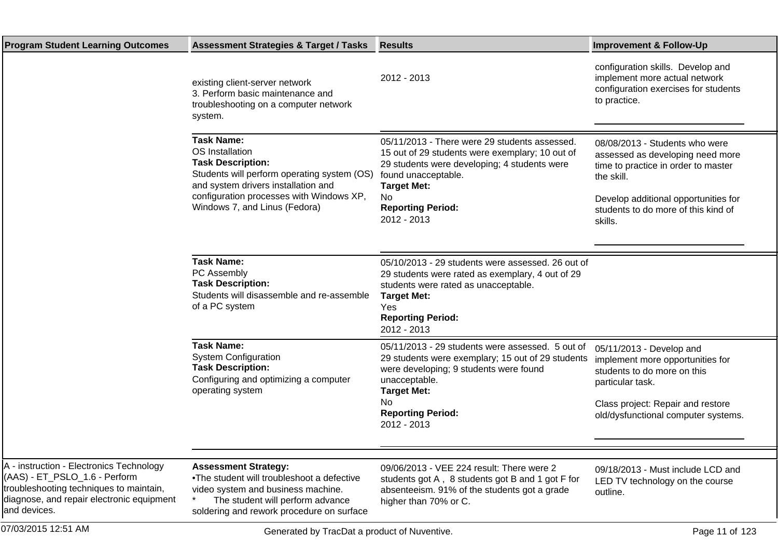| <b>Program Student Learning Outcomes</b>                                                                                                                                          | <b>Assessment Strategies &amp; Target / Tasks</b>                                                                                                                                                                                   | <b>Results</b>                                                                                                                                                                                                                                  | <b>Improvement &amp; Follow-Up</b>                                                                                                                                                                                |
|-----------------------------------------------------------------------------------------------------------------------------------------------------------------------------------|-------------------------------------------------------------------------------------------------------------------------------------------------------------------------------------------------------------------------------------|-------------------------------------------------------------------------------------------------------------------------------------------------------------------------------------------------------------------------------------------------|-------------------------------------------------------------------------------------------------------------------------------------------------------------------------------------------------------------------|
|                                                                                                                                                                                   | existing client-server network<br>3. Perform basic maintenance and<br>troubleshooting on a computer network<br>system.                                                                                                              | 2012 - 2013                                                                                                                                                                                                                                     | configuration skills. Develop and<br>implement more actual network<br>configuration exercises for students<br>to practice.                                                                                        |
|                                                                                                                                                                                   | <b>Task Name:</b><br>OS Installation<br><b>Task Description:</b><br>Students will perform operating system (OS)<br>and system drivers installation and<br>configuration processes with Windows XP,<br>Windows 7, and Linus (Fedora) | 05/11/2013 - There were 29 students assessed.<br>15 out of 29 students were exemplary; 10 out of<br>29 students were developing; 4 students were<br>found unacceptable.<br><b>Target Met:</b><br>No.<br><b>Reporting Period:</b><br>2012 - 2013 | 08/08/2013 - Students who were<br>assessed as developing need more<br>time to practice in order to master<br>the skill.<br>Develop additional opportunities for<br>students to do more of this kind of<br>skills. |
|                                                                                                                                                                                   | <b>Task Name:</b><br>PC Assembly<br><b>Task Description:</b><br>Students will disassemble and re-assemble<br>of a PC system                                                                                                         | 05/10/2013 - 29 students were assessed. 26 out of<br>29 students were rated as exemplary, 4 out of 29<br>students were rated as unacceptable.<br><b>Target Met:</b><br>Yes<br><b>Reporting Period:</b><br>2012 - 2013                           |                                                                                                                                                                                                                   |
|                                                                                                                                                                                   | <b>Task Name:</b><br><b>System Configuration</b><br><b>Task Description:</b><br>Configuring and optimizing a computer<br>operating system                                                                                           | 05/11/2013 - 29 students were assessed. 5 out of<br>29 students were exemplary; 15 out of 29 students<br>were developing; 9 students were found<br>unacceptable.<br><b>Target Met:</b><br>No.<br><b>Reporting Period:</b><br>2012 - 2013        | 05/11/2013 - Develop and<br>implement more opportunities for<br>students to do more on this<br>particular task.<br>Class project: Repair and restore<br>old/dysfunctional computer systems.                       |
|                                                                                                                                                                                   |                                                                                                                                                                                                                                     |                                                                                                                                                                                                                                                 |                                                                                                                                                                                                                   |
| A - instruction - Electronics Technology<br>(AAS) - ET_PSLO_1.6 - Perform<br>troubleshooting techniques to maintain,<br>diagnose, and repair electronic equipment<br>and devices. | <b>Assessment Strategy:</b><br>• The student will troubleshoot a defective<br>video system and business machine.<br>The student will perform advance<br>soldering and rework procedure on surface                                   | 09/06/2013 - VEE 224 result: There were 2<br>students got A, 8 students got B and 1 got F for<br>absenteeism. 91% of the students got a grade<br>higher than 70% or C.                                                                          | 09/18/2013 - Must include LCD and<br>LED TV technology on the course<br>outline.                                                                                                                                  |
| 07/03/2015 12:51 AM                                                                                                                                                               | Generated by TracDat a product of Nuventive.                                                                                                                                                                                        |                                                                                                                                                                                                                                                 | Page 11 of 123                                                                                                                                                                                                    |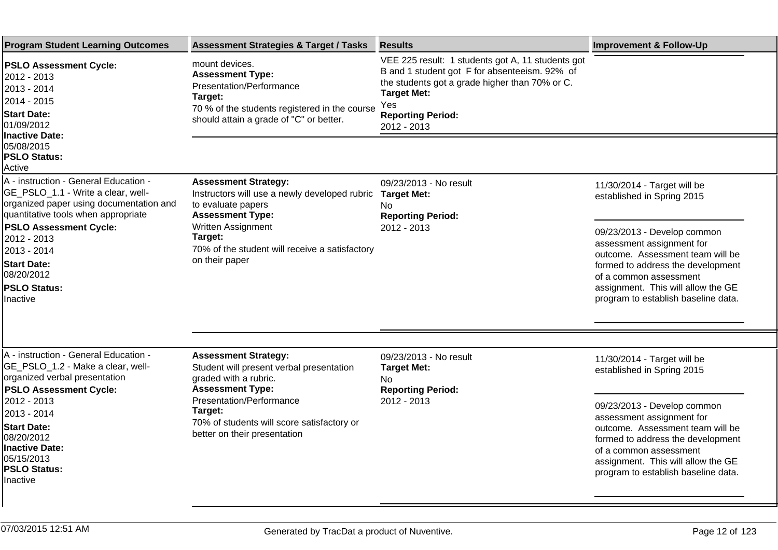| <b>Program Student Learning Outcomes</b>                                                                                                                                                                                                                                                            | <b>Assessment Strategies &amp; Target / Tasks</b>                                                                                                                                                                                                       | <b>Results</b>                                                                                                                                                                                                               | <b>Improvement &amp; Follow-Up</b>                                                                                                                                                                                                                                                                    |
|-----------------------------------------------------------------------------------------------------------------------------------------------------------------------------------------------------------------------------------------------------------------------------------------------------|---------------------------------------------------------------------------------------------------------------------------------------------------------------------------------------------------------------------------------------------------------|------------------------------------------------------------------------------------------------------------------------------------------------------------------------------------------------------------------------------|-------------------------------------------------------------------------------------------------------------------------------------------------------------------------------------------------------------------------------------------------------------------------------------------------------|
| <b>PSLO Assessment Cycle:</b><br>2012 - 2013<br>12013 - 2014<br>l2014 - 2015<br><b>Start Date:</b><br>101/09/2012<br>Inactive Date:                                                                                                                                                                 | mount devices.<br><b>Assessment Type:</b><br>Presentation/Performance<br>Target:<br>70 % of the students registered in the course<br>should attain a grade of "C" or better.                                                                            | VEE 225 result: 1 students got A, 11 students got<br>B and 1 student got F for absenteeism. 92% of<br>the students got a grade higher than 70% or C.<br><b>Target Met:</b><br>Yes<br><b>Reporting Period:</b><br>2012 - 2013 |                                                                                                                                                                                                                                                                                                       |
| 05/08/2015<br><b>PSLO Status:</b><br>Active                                                                                                                                                                                                                                                         |                                                                                                                                                                                                                                                         |                                                                                                                                                                                                                              |                                                                                                                                                                                                                                                                                                       |
| A - instruction - General Education -<br>GE_PSLO_1.1 - Write a clear, well-<br>organized paper using documentation and<br>quantitative tools when appropriate<br><b>PSLO Assessment Cycle:</b><br>2012 - 2013<br>2013 - 2014<br><b>Start Date:</b><br>08/20/2012<br><b>PSLO Status:</b><br>Inactive | <b>Assessment Strategy:</b><br>Instructors will use a newly developed rubric<br>to evaluate papers<br><b>Assessment Type:</b><br>Written Assignment<br>Target:<br>70% of the student will receive a satisfactory<br>on their paper                      | 09/23/2013 - No result<br><b>Target Met:</b><br>No.<br><b>Reporting Period:</b><br>2012 - 2013                                                                                                                               | 11/30/2014 - Target will be<br>established in Spring 2015<br>09/23/2013 - Develop common<br>assessment assignment for<br>outcome. Assessment team will be<br>formed to address the development<br>of a common assessment<br>assignment. This will allow the GE<br>program to establish baseline data. |
| A - instruction - General Education -<br>GE_PSLO_1.2 - Make a clear, well-<br>organized verbal presentation<br><b>PSLO Assessment Cycle:</b><br>2012 - 2013<br>2013 - 2014<br><b>Start Date:</b><br>08/20/2012<br><b>Inactive Date:</b><br>05/15/2013<br>PSLO Status:<br>llnactive                  | <b>Assessment Strategy:</b><br>Student will present verbal presentation<br>graded with a rubric.<br><b>Assessment Type:</b><br><b>Presentation/Performance</b><br>Target:<br>70% of students will score satisfactory or<br>better on their presentation | 09/23/2013 - No result<br><b>Target Met:</b><br><b>No</b><br><b>Reporting Period:</b><br>2012 - 2013                                                                                                                         | 11/30/2014 - Target will be<br>established in Spring 2015<br>09/23/2013 - Develop common<br>assessment assignment for<br>outcome. Assessment team will be<br>formed to address the development<br>of a common assessment<br>assignment. This will allow the GE<br>program to establish baseline data. |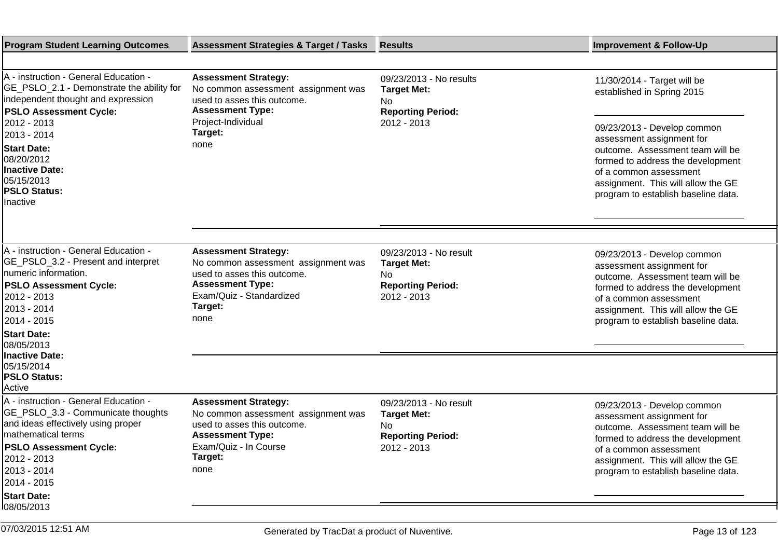| <b>Program Student Learning Outcomes</b>                                                                                                                                                                              | <b>Assessment Strategies &amp; Target / Tasks</b>                                                                                                                           | <b>Results</b>                                                                                  | <b>Improvement &amp; Follow-Up</b>                                                                                                                                                                                                       |
|-----------------------------------------------------------------------------------------------------------------------------------------------------------------------------------------------------------------------|-----------------------------------------------------------------------------------------------------------------------------------------------------------------------------|-------------------------------------------------------------------------------------------------|------------------------------------------------------------------------------------------------------------------------------------------------------------------------------------------------------------------------------------------|
|                                                                                                                                                                                                                       |                                                                                                                                                                             |                                                                                                 |                                                                                                                                                                                                                                          |
| A - instruction - General Education -<br>GE_PSLO_2.1 - Demonstrate the ability for<br>independent thought and expression<br><b>PSLO Assessment Cycle:</b><br>2012 - 2013<br>2013 - 2014                               | <b>Assessment Strategy:</b><br>No common assessment assignment was<br>used to asses this outcome.<br><b>Assessment Type:</b><br>Project-Individual<br>Target:               | 09/23/2013 - No results<br><b>Target Met:</b><br>No.<br><b>Reporting Period:</b><br>2012 - 2013 | 11/30/2014 - Target will be<br>established in Spring 2015<br>09/23/2013 - Develop common<br>assessment assignment for                                                                                                                    |
| <b>Start Date:</b><br>08/20/2012<br><b>Inactive Date:</b><br>05/15/2013<br><b>PSLO Status:</b><br>Inactive                                                                                                            | none                                                                                                                                                                        |                                                                                                 | outcome. Assessment team will be<br>formed to address the development<br>of a common assessment<br>assignment. This will allow the GE<br>program to establish baseline data.                                                             |
|                                                                                                                                                                                                                       |                                                                                                                                                                             |                                                                                                 |                                                                                                                                                                                                                                          |
| A - instruction - General Education -<br>GE_PSLO_3.2 - Present and interpret<br>Inumeric information.<br><b>PSLO Assessment Cycle:</b><br>2012 - 2013<br>2013 - 2014<br>2014 - 2015                                   | <b>Assessment Strategy:</b><br>No common assessment assignment was<br>used to asses this outcome.<br><b>Assessment Type:</b><br>Exam/Quiz - Standardized<br>Target:<br>none | 09/23/2013 - No result<br><b>Target Met:</b><br>No.<br><b>Reporting Period:</b><br>2012 - 2013  | 09/23/2013 - Develop common<br>assessment assignment for<br>outcome. Assessment team will be<br>formed to address the development<br>of a common assessment<br>assignment. This will allow the GE<br>program to establish baseline data. |
| <b>Start Date:</b><br>08/05/2013                                                                                                                                                                                      |                                                                                                                                                                             |                                                                                                 |                                                                                                                                                                                                                                          |
| Inactive Date:<br>05/15/2014<br><b>PSLO Status:</b><br>Active                                                                                                                                                         |                                                                                                                                                                             |                                                                                                 |                                                                                                                                                                                                                                          |
| A - instruction - General Education -<br>GE_PSLO_3.3 - Communicate thoughts<br>and ideas effectively using proper<br>mathematical terms<br><b>PSLO Assessment Cycle:</b><br>2012 - 2013<br>2013 - 2014<br>2014 - 2015 | <b>Assessment Strategy:</b><br>No common assessment assignment was<br>used to asses this outcome.<br><b>Assessment Type:</b><br>Exam/Quiz - In Course<br>Target:<br>none    | 09/23/2013 - No result<br><b>Target Met:</b><br>No<br><b>Reporting Period:</b><br>2012 - 2013   | 09/23/2013 - Develop common<br>assessment assignment for<br>outcome. Assessment team will be<br>formed to address the development<br>of a common assessment<br>assignment. This will allow the GE<br>program to establish baseline data. |
| <b>Start Date:</b><br>08/05/2013                                                                                                                                                                                      |                                                                                                                                                                             |                                                                                                 |                                                                                                                                                                                                                                          |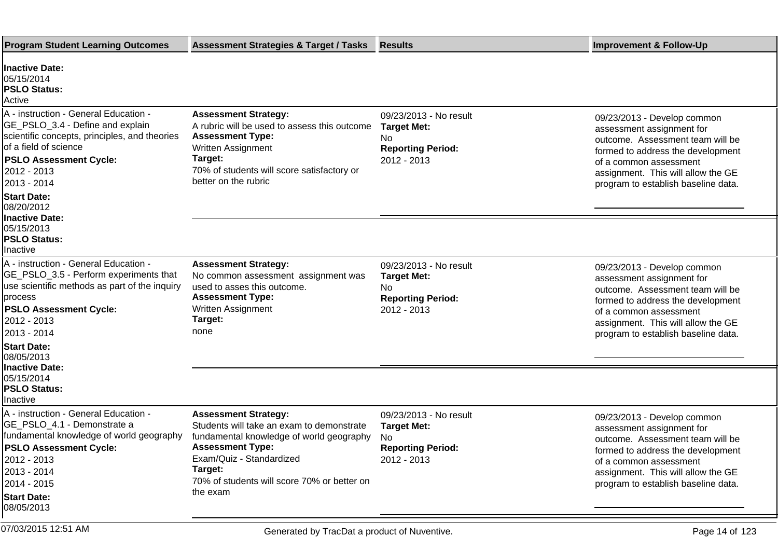| <b>Program Student Learning Outcomes</b>                                                                                                                                                                                                               | <b>Assessment Strategies &amp; Target / Tasks</b>                                                                                                                                                                                                 | <b>Results</b>                                                                                 | <b>Improvement &amp; Follow-Up</b>                                                                                                                                                                                                       |
|--------------------------------------------------------------------------------------------------------------------------------------------------------------------------------------------------------------------------------------------------------|---------------------------------------------------------------------------------------------------------------------------------------------------------------------------------------------------------------------------------------------------|------------------------------------------------------------------------------------------------|------------------------------------------------------------------------------------------------------------------------------------------------------------------------------------------------------------------------------------------|
| <b>Inactive Date:</b><br>05/15/2014<br><b>PSLO Status:</b><br>Active                                                                                                                                                                                   |                                                                                                                                                                                                                                                   |                                                                                                |                                                                                                                                                                                                                                          |
| A - instruction - General Education -<br>GE_PSLO_3.4 - Define and explain<br>scientific concepts, principles, and theories<br>of a field of science<br><b>PSLO Assessment Cycle:</b><br>2012 - 2013<br>2013 - 2014<br><b>Start Date:</b><br>08/20/2012 | <b>Assessment Strategy:</b><br>A rubric will be used to assess this outcome<br><b>Assessment Type:</b><br>Written Assignment<br>Target:<br>70% of students will score satisfactory or<br>better on the rubric                                     | 09/23/2013 - No result<br><b>Target Met:</b><br>No<br><b>Reporting Period:</b><br>2012 - 2013  | 09/23/2013 - Develop common<br>assessment assignment for<br>outcome. Assessment team will be<br>formed to address the development<br>of a common assessment<br>assignment. This will allow the GE<br>program to establish baseline data. |
| Inactive Date:<br>05/15/2013<br><b>PSLO Status:</b><br>Inactive                                                                                                                                                                                        |                                                                                                                                                                                                                                                   |                                                                                                |                                                                                                                                                                                                                                          |
| A - instruction - General Education -<br>GE_PSLO_3.5 - Perform experiments that<br>use scientific methods as part of the inquiry<br>process<br><b>PSLO Assessment Cycle:</b><br>2012 - 2013<br>2013 - 2014                                             | <b>Assessment Strategy:</b><br>No common assessment assignment was<br>used to asses this outcome.<br><b>Assessment Type:</b><br>Written Assignment<br>Target:<br>none                                                                             | 09/23/2013 - No result<br><b>Target Met:</b><br>No.<br><b>Reporting Period:</b><br>2012 - 2013 | 09/23/2013 - Develop common<br>assessment assignment for<br>outcome. Assessment team will be<br>formed to address the development<br>of a common assessment<br>assignment. This will allow the GE<br>program to establish baseline data. |
| <b>Start Date:</b><br>08/05/2013                                                                                                                                                                                                                       |                                                                                                                                                                                                                                                   |                                                                                                |                                                                                                                                                                                                                                          |
| <b>Inactive Date:</b><br>05/15/2014<br><b>PSLO Status:</b><br>Inactive                                                                                                                                                                                 |                                                                                                                                                                                                                                                   |                                                                                                |                                                                                                                                                                                                                                          |
| A - instruction - General Education -<br>GE_PSLO_4.1 - Demonstrate a<br>fundamental knowledge of world geography<br><b>PSLO Assessment Cycle:</b><br>2012 - 2013<br>2013 - 2014<br>2014 - 2015 <br><b>Start Date:</b>                                  | <b>Assessment Strategy:</b><br>Students will take an exam to demonstrate<br>fundamental knowledge of world geography<br><b>Assessment Type:</b><br>Exam/Quiz - Standardized<br>Target:<br>70% of students will score 70% or better on<br>the exam | 09/23/2013 - No result<br><b>Target Met:</b><br>No.<br><b>Reporting Period:</b><br>2012 - 2013 | 09/23/2013 - Develop common<br>assessment assignment for<br>outcome. Assessment team will be<br>formed to address the development<br>of a common assessment<br>assignment. This will allow the GE<br>program to establish baseline data. |
| 08/05/2013<br>07/03/2015 12:51 AM                                                                                                                                                                                                                      | Generated by TracDat a product of Nuventive.                                                                                                                                                                                                      |                                                                                                | Page 14 of 123                                                                                                                                                                                                                           |
|                                                                                                                                                                                                                                                        |                                                                                                                                                                                                                                                   |                                                                                                |                                                                                                                                                                                                                                          |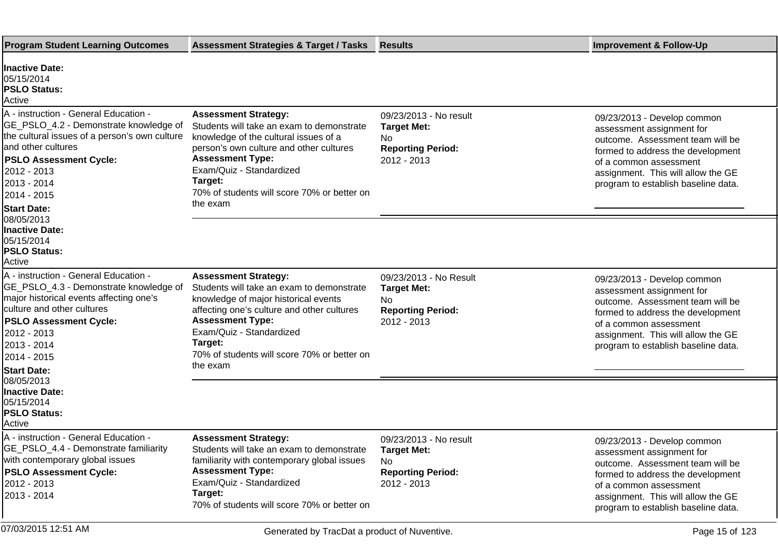| <b>Program Student Learning Outcomes</b>                                                                                                                                                                                                                     | <b>Assessment Strategies &amp; Target / Tasks</b>                                                                                                                                                                                                                                           | <b>Results</b>                                                                                 | <b>Improvement &amp; Follow-Up</b>                                                                                                                                                                                                       |
|--------------------------------------------------------------------------------------------------------------------------------------------------------------------------------------------------------------------------------------------------------------|---------------------------------------------------------------------------------------------------------------------------------------------------------------------------------------------------------------------------------------------------------------------------------------------|------------------------------------------------------------------------------------------------|------------------------------------------------------------------------------------------------------------------------------------------------------------------------------------------------------------------------------------------|
| Inactive Date:<br>05/15/2014<br><b>PSLO Status:</b><br>Active                                                                                                                                                                                                |                                                                                                                                                                                                                                                                                             |                                                                                                |                                                                                                                                                                                                                                          |
| A - instruction - General Education -<br>GE_PSLO_4.2 - Demonstrate knowledge of<br>the cultural issues of a person's own culture<br>land other cultures<br><b>PSLO Assessment Cycle:</b><br>2012 - 2013<br>2013 - 2014<br>2014 - 2015<br><b>Start Date:</b>  | <b>Assessment Strategy:</b><br>Students will take an exam to demonstrate<br>knowledge of the cultural issues of a<br>person's own culture and other cultures<br><b>Assessment Type:</b><br>Exam/Quiz - Standardized<br>Target:<br>70% of students will score 70% or better on<br>the exam   | 09/23/2013 - No result<br><b>Target Met:</b><br>No<br><b>Reporting Period:</b><br>2012 - 2013  | 09/23/2013 - Develop common<br>assessment assignment for<br>outcome. Assessment team will be<br>formed to address the development<br>of a common assessment<br>assignment. This will allow the GE<br>program to establish baseline data. |
| 08/05/2013<br>Inactive Date:<br>05/15/2014<br><b>PSLO Status:</b><br>Active                                                                                                                                                                                  |                                                                                                                                                                                                                                                                                             |                                                                                                |                                                                                                                                                                                                                                          |
| A - instruction - General Education -<br>GE_PSLO_4.3 - Demonstrate knowledge of<br>major historical events affecting one's<br>culture and other cultures<br><b>PSLO Assessment Cycle:</b><br>2012 - 2013<br>2013 - 2014<br>2014 - 2015<br><b>Start Date:</b> | <b>Assessment Strategy:</b><br>Students will take an exam to demonstrate<br>knowledge of major historical events<br>affecting one's culture and other cultures<br><b>Assessment Type:</b><br>Exam/Quiz - Standardized<br>Target:<br>70% of students will score 70% or better on<br>the exam | 09/23/2013 - No Result<br><b>Target Met:</b><br>No<br><b>Reporting Period:</b><br>2012 - 2013  | 09/23/2013 - Develop common<br>assessment assignment for<br>outcome. Assessment team will be<br>formed to address the development<br>of a common assessment<br>assignment. This will allow the GE<br>program to establish baseline data. |
| 08/05/2013<br>Inactive Date:<br>05/15/2014<br><b>PSLO Status:</b><br>IActive                                                                                                                                                                                 |                                                                                                                                                                                                                                                                                             |                                                                                                |                                                                                                                                                                                                                                          |
| A - instruction - General Education -<br>GE_PSLO_4.4 - Demonstrate familiarity<br>with contemporary global issues<br><b>PSLO Assessment Cycle:</b><br>2012 - 2013<br>2013 - 2014                                                                             | <b>Assessment Strategy:</b><br>Students will take an exam to demonstrate<br>familiarity with contemporary global issues<br><b>Assessment Type:</b><br>Exam/Quiz - Standardized<br>Target:<br>70% of students will score 70% or better on                                                    | 09/23/2013 - No result<br><b>Target Met:</b><br>No.<br><b>Reporting Period:</b><br>2012 - 2013 | 09/23/2013 - Develop common<br>assessment assignment for<br>outcome. Assessment team will be<br>formed to address the development<br>of a common assessment<br>assignment. This will allow the GE<br>program to establish baseline data. |
| 07/03/2015 12:51 AM                                                                                                                                                                                                                                          | Generated by TracDat a product of Nuventive.                                                                                                                                                                                                                                                |                                                                                                | Page 15 of 123                                                                                                                                                                                                                           |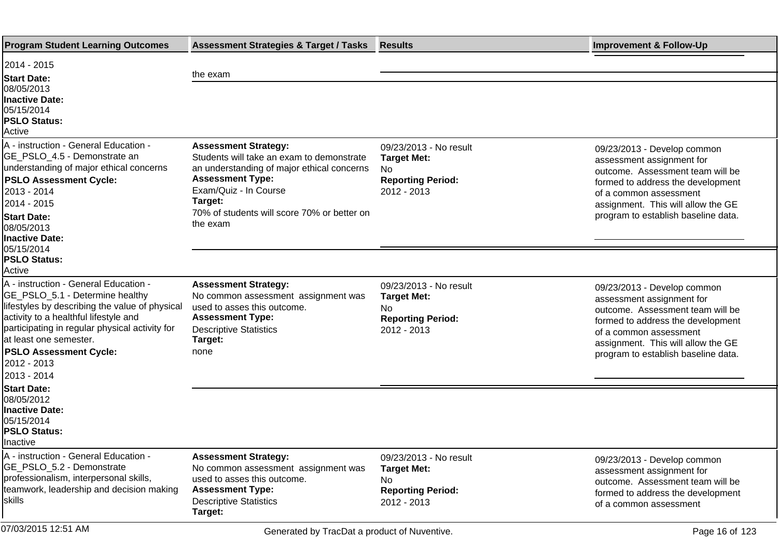| <b>Program Student Learning Outcomes</b>                                                                                                                                                                                                                                                                       | <b>Assessment Strategies &amp; Target / Tasks</b>                                                                                                                                                                                                | <b>Results</b>                                                                                 | <b>Improvement &amp; Follow-Up</b>                                                                                                                                                                                                       |
|----------------------------------------------------------------------------------------------------------------------------------------------------------------------------------------------------------------------------------------------------------------------------------------------------------------|--------------------------------------------------------------------------------------------------------------------------------------------------------------------------------------------------------------------------------------------------|------------------------------------------------------------------------------------------------|------------------------------------------------------------------------------------------------------------------------------------------------------------------------------------------------------------------------------------------|
| 2014 - 2015<br><b>Start Date:</b><br>08/05/2013<br><b>Inactive Date:</b><br>05/15/2014<br><b>PSLO Status:</b><br>Active                                                                                                                                                                                        | the exam                                                                                                                                                                                                                                         |                                                                                                |                                                                                                                                                                                                                                          |
| A - instruction - General Education -<br>GE_PSLO_4.5 - Demonstrate an<br>understanding of major ethical concerns<br><b>PSLO Assessment Cycle:</b><br>2013 - 2014<br>2014 - 2015<br><b>Start Date:</b><br>08/05/2013<br>Inactive Date:<br>05/15/2014                                                            | <b>Assessment Strategy:</b><br>Students will take an exam to demonstrate<br>an understanding of major ethical concerns<br><b>Assessment Type:</b><br>Exam/Quiz - In Course<br>Target:<br>70% of students will score 70% or better on<br>the exam | 09/23/2013 - No result<br><b>Target Met:</b><br>No.<br><b>Reporting Period:</b><br>2012 - 2013 | 09/23/2013 - Develop common<br>assessment assignment for<br>outcome. Assessment team will be<br>formed to address the development<br>of a common assessment<br>assignment. This will allow the GE<br>program to establish baseline data. |
| <b>PSLO Status:</b><br>Active                                                                                                                                                                                                                                                                                  |                                                                                                                                                                                                                                                  |                                                                                                |                                                                                                                                                                                                                                          |
| A - instruction - General Education -<br>GE_PSLO_5.1 - Determine healthy<br>lifestyles by describing the value of physical<br>activity to a healthful lifestyle and<br>participating in regular physical activity for<br>at least one semester.<br><b>PSLO Assessment Cycle:</b><br>2012 - 2013<br>2013 - 2014 | <b>Assessment Strategy:</b><br>No common assessment assignment was<br>used to asses this outcome.<br><b>Assessment Type:</b><br><b>Descriptive Statistics</b><br>Target:<br>none                                                                 | 09/23/2013 - No result<br><b>Target Met:</b><br>No.<br><b>Reporting Period:</b><br>2012 - 2013 | 09/23/2013 - Develop common<br>assessment assignment for<br>outcome. Assessment team will be<br>formed to address the development<br>of a common assessment<br>assignment. This will allow the GE<br>program to establish baseline data. |
| <b>Start Date:</b><br>08/05/2012<br><b>Inactive Date:</b><br>05/15/2014<br><b>PSLO Status:</b><br><b>Inactive</b>                                                                                                                                                                                              |                                                                                                                                                                                                                                                  |                                                                                                |                                                                                                                                                                                                                                          |
| A - instruction - General Education -<br>GE_PSLO_5.2 - Demonstrate<br>professionalism, interpersonal skills,<br>teamwork, leadership and decision making<br> skills                                                                                                                                            | <b>Assessment Strategy:</b><br>No common assessment assignment was<br>used to asses this outcome.<br><b>Assessment Type:</b><br><b>Descriptive Statistics</b><br>Target:                                                                         | 09/23/2013 - No result<br><b>Target Met:</b><br>No.<br><b>Reporting Period:</b><br>2012 - 2013 | 09/23/2013 - Develop common<br>assessment assignment for<br>outcome. Assessment team will be<br>formed to address the development<br>of a common assessment                                                                              |
| 07/03/2015 12:51 AM                                                                                                                                                                                                                                                                                            | Generated by TracDat a product of Nuventive.                                                                                                                                                                                                     |                                                                                                | Page 16 of 123                                                                                                                                                                                                                           |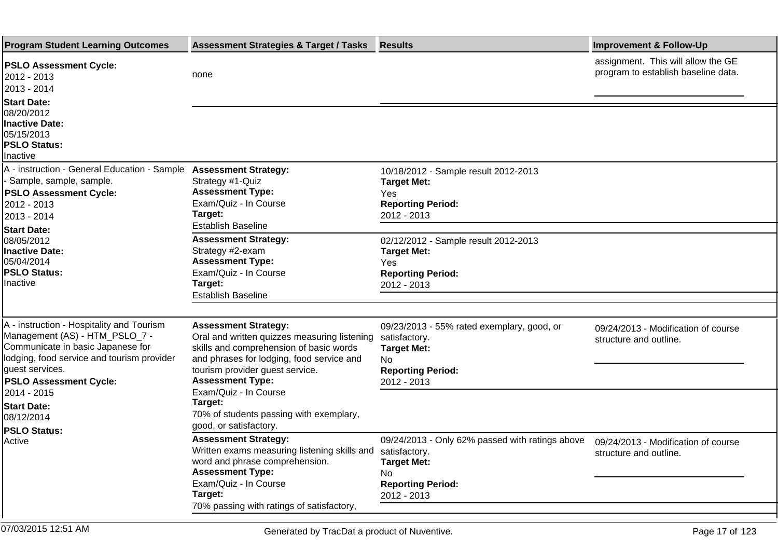| <b>Program Student Learning Outcomes</b>                                                                                                                                                                                                                              | <b>Assessment Strategies &amp; Target / Tasks</b>                                                                                                                                                                                                                                                                                          | <b>Results</b>                                                                                                                          | <b>Improvement &amp; Follow-Up</b>                                        |
|-----------------------------------------------------------------------------------------------------------------------------------------------------------------------------------------------------------------------------------------------------------------------|--------------------------------------------------------------------------------------------------------------------------------------------------------------------------------------------------------------------------------------------------------------------------------------------------------------------------------------------|-----------------------------------------------------------------------------------------------------------------------------------------|---------------------------------------------------------------------------|
| <b>PSLO Assessment Cycle:</b><br>2012 - 2013<br>2013 - 2014                                                                                                                                                                                                           | none                                                                                                                                                                                                                                                                                                                                       |                                                                                                                                         | assignment. This will allow the GE<br>program to establish baseline data. |
| <b>Start Date:</b><br>08/20/2012<br><b>Inactive Date:</b><br>05/15/2013<br><b>PSLO Status:</b><br>Inactive                                                                                                                                                            |                                                                                                                                                                                                                                                                                                                                            |                                                                                                                                         |                                                                           |
| A - instruction - General Education - Sample Assessment Strategy:<br>- Sample, sample, sample.<br><b>PSLO Assessment Cycle:</b><br>2012 - 2013<br>2013 - 2014                                                                                                         | Strategy #1-Quiz<br><b>Assessment Type:</b><br>Exam/Quiz - In Course<br>Target:<br>Establish Baseline                                                                                                                                                                                                                                      | 10/18/2012 - Sample result 2012-2013<br><b>Target Met:</b><br>Yes<br><b>Reporting Period:</b><br>2012 - 2013                            |                                                                           |
| <b>Start Date:</b><br>08/05/2012<br><b>Inactive Date:</b><br>05/04/2014<br><b>PSLO Status:</b><br>Inactive                                                                                                                                                            | <b>Assessment Strategy:</b><br>Strategy #2-exam<br><b>Assessment Type:</b><br>Exam/Quiz - In Course<br>Target:<br><b>Establish Baseline</b>                                                                                                                                                                                                | 02/12/2012 - Sample result 2012-2013<br><b>Target Met:</b><br>Yes<br><b>Reporting Period:</b><br>2012 - 2013                            |                                                                           |
| A - instruction - Hospitality and Tourism<br>Management (AS) - HTM_PSLO_7 -<br>Communicate in basic Japanese for<br>lodging, food service and tourism provider<br>quest services.<br><b>PSLO Assessment Cycle:</b><br>2014 - 2015<br><b>Start Date:</b><br>08/12/2014 | <b>Assessment Strategy:</b><br>Oral and written quizzes measuring listening<br>skills and comprehension of basic words<br>and phrases for lodging, food service and<br>tourism provider guest service.<br><b>Assessment Type:</b><br>Exam/Quiz - In Course<br>Target:<br>70% of students passing with exemplary,<br>good, or satisfactory. | 09/23/2013 - 55% rated exemplary, good, or<br>satisfactory.<br><b>Target Met:</b><br>No.<br><b>Reporting Period:</b><br>2012 - 2013     | 09/24/2013 - Modification of course<br>structure and outline.             |
| <b>PSLO Status:</b><br>Active                                                                                                                                                                                                                                         | <b>Assessment Strategy:</b><br>Written exams measuring listening skills and<br>word and phrase comprehension.<br><b>Assessment Type:</b><br>Exam/Quiz - In Course<br>Target:<br>70% passing with ratings of satisfactory,                                                                                                                  | 09/24/2013 - Only 62% passed with ratings above<br>satisfactory.<br><b>Target Met:</b><br>No<br><b>Reporting Period:</b><br>2012 - 2013 | 09/24/2013 - Modification of course<br>structure and outline.             |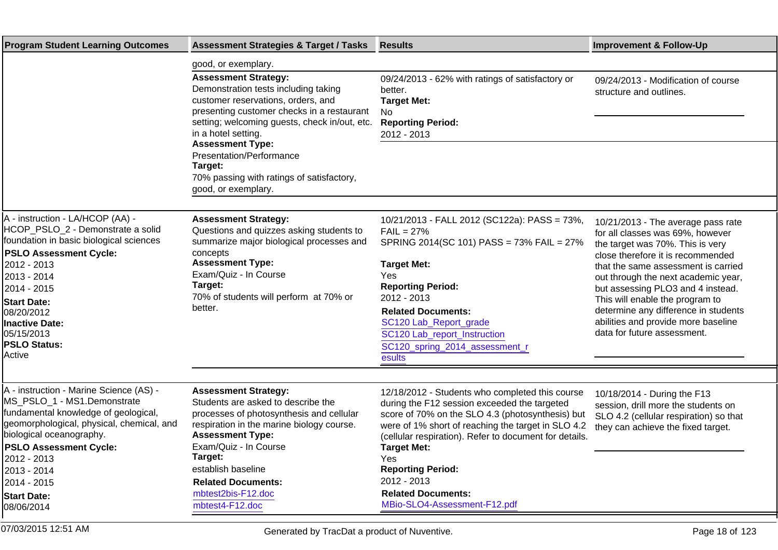| <b>Program Student Learning Outcomes</b>                                                                                                                                                                                                                                                                   | <b>Assessment Strategies &amp; Target / Tasks</b>                                                                                                                                                                                                   | <b>Results</b>                                                                                                                                                                                                                                                                                                       | <b>Improvement &amp; Follow-Up</b>                                                                                                                                                                                                                                                                                                                                                                                  |
|------------------------------------------------------------------------------------------------------------------------------------------------------------------------------------------------------------------------------------------------------------------------------------------------------------|-----------------------------------------------------------------------------------------------------------------------------------------------------------------------------------------------------------------------------------------------------|----------------------------------------------------------------------------------------------------------------------------------------------------------------------------------------------------------------------------------------------------------------------------------------------------------------------|---------------------------------------------------------------------------------------------------------------------------------------------------------------------------------------------------------------------------------------------------------------------------------------------------------------------------------------------------------------------------------------------------------------------|
|                                                                                                                                                                                                                                                                                                            | good, or exemplary.                                                                                                                                                                                                                                 |                                                                                                                                                                                                                                                                                                                      |                                                                                                                                                                                                                                                                                                                                                                                                                     |
|                                                                                                                                                                                                                                                                                                            | <b>Assessment Strategy:</b><br>Demonstration tests including taking<br>customer reservations, orders, and<br>presenting customer checks in a restaurant<br>setting; welcoming guests, check in/out, etc.<br>in a hotel setting.                     | 09/24/2013 - 62% with ratings of satisfactory or<br>better.<br><b>Target Met:</b><br>No<br><b>Reporting Period:</b><br>2012 - 2013                                                                                                                                                                                   | 09/24/2013 - Modification of course<br>structure and outlines.                                                                                                                                                                                                                                                                                                                                                      |
|                                                                                                                                                                                                                                                                                                            | <b>Assessment Type:</b><br>Presentation/Performance<br>Target:<br>70% passing with ratings of satisfactory,<br>good, or exemplary.                                                                                                                  |                                                                                                                                                                                                                                                                                                                      |                                                                                                                                                                                                                                                                                                                                                                                                                     |
|                                                                                                                                                                                                                                                                                                            |                                                                                                                                                                                                                                                     |                                                                                                                                                                                                                                                                                                                      |                                                                                                                                                                                                                                                                                                                                                                                                                     |
| A - instruction - LA/HCOP (AA) -<br>HCOP_PSLO_2 - Demonstrate a solid<br>foundation in basic biological sciences<br><b>PSLO Assessment Cycle:</b><br>2012 - 2013<br>2013 - 2014<br>2014 - 2015<br><b>Start Date:</b><br>08/20/2012<br><b>Inactive Date:</b><br>05/15/2013<br><b>PSLO Status:</b><br>Active | <b>Assessment Strategy:</b><br>Questions and quizzes asking students to<br>summarize major biological processes and<br>concepts<br><b>Assessment Type:</b><br>Exam/Quiz - In Course<br>Target:<br>70% of students will perform at 70% or<br>better. | 10/21/2013 - FALL 2012 (SC122a): PASS = 73%,<br>$FAIL = 27%$<br>SPRING 2014(SC 101) PASS = 73% FAIL = 27%<br><b>Target Met:</b><br>Yes<br><b>Reporting Period:</b><br>2012 - 2013<br><b>Related Documents:</b><br>SC120 Lab_Report_grade<br>SC120 Lab_report_Instruction<br>SC120_spring_2014_assessment_r<br>esults | 10/21/2013 - The average pass rate<br>for all classes was 69%, however<br>the target was 70%. This is very<br>close therefore it is recommended<br>that the same assessment is carried<br>out through the next academic year,<br>but assessing PLO3 and 4 instead.<br>This will enable the program to<br>determine any difference in students<br>abilities and provide more baseline<br>data for future assessment. |
|                                                                                                                                                                                                                                                                                                            |                                                                                                                                                                                                                                                     |                                                                                                                                                                                                                                                                                                                      |                                                                                                                                                                                                                                                                                                                                                                                                                     |
| A - instruction - Marine Science (AS) -<br>MS PSLO 1 - MS1. Demonstrate<br>fundamental knowledge of geological,<br>geomorphological, physical, chemical, and<br>biological oceanography.<br><b>PSLO Assessment Cycle:</b><br>2012 - 2013                                                                   | <b>Assessment Strategy:</b><br>Students are asked to describe the<br>processes of photosynthesis and cellular<br>respiration in the marine biology course.<br><b>Assessment Type:</b><br>Exam/Quiz - In Course<br>Target:                           | 12/18/2012 - Students who completed this course<br>during the F12 session exceeded the targeted<br>score of 70% on the SLO 4.3 (photosynthesis) but<br>were of 1% short of reaching the target in SLO 4.2<br>(cellular respiration). Refer to document for details.<br><b>Target Met:</b><br>Yes                     | 10/18/2014 - During the F13<br>session, drill more the students on<br>SLO 4.2 (cellular respiration) so that<br>they can achieve the fixed target.                                                                                                                                                                                                                                                                  |
| 2013 - 2014                                                                                                                                                                                                                                                                                                | establish baseline                                                                                                                                                                                                                                  | <b>Reporting Period:</b>                                                                                                                                                                                                                                                                                             |                                                                                                                                                                                                                                                                                                                                                                                                                     |
| 2014 - 2015<br><b>Start Date:</b><br>08/06/2014                                                                                                                                                                                                                                                            | <b>Related Documents:</b><br>mbtest2bis-F12.doc<br>mbtest4-F12.doc                                                                                                                                                                                  | 2012 - 2013<br><b>Related Documents:</b><br>MBio-SLO4-Assessment-F12.pdf                                                                                                                                                                                                                                             |                                                                                                                                                                                                                                                                                                                                                                                                                     |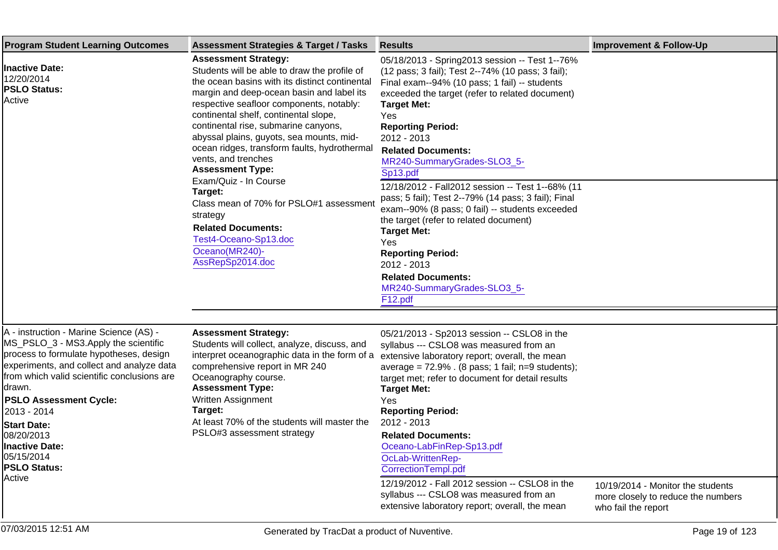| <b>Program Student Learning Outcomes</b>                                                                                                                                                                                                                                                                                                                                                      | <b>Assessment Strategies &amp; Target / Tasks</b>                                                                                                                                                                                                                                                                                                                                                                                                                                                                                                                                                                                            | <b>Results</b>                                                                                                                                                                                                                                                                                                                                                                                                                                                                                                                                                                                                                                                                                                 | <b>Improvement &amp; Follow-Up</b>                                                             |
|-----------------------------------------------------------------------------------------------------------------------------------------------------------------------------------------------------------------------------------------------------------------------------------------------------------------------------------------------------------------------------------------------|----------------------------------------------------------------------------------------------------------------------------------------------------------------------------------------------------------------------------------------------------------------------------------------------------------------------------------------------------------------------------------------------------------------------------------------------------------------------------------------------------------------------------------------------------------------------------------------------------------------------------------------------|----------------------------------------------------------------------------------------------------------------------------------------------------------------------------------------------------------------------------------------------------------------------------------------------------------------------------------------------------------------------------------------------------------------------------------------------------------------------------------------------------------------------------------------------------------------------------------------------------------------------------------------------------------------------------------------------------------------|------------------------------------------------------------------------------------------------|
| <b>Inactive Date:</b><br>12/20/2014<br><b>PSLO Status:</b><br>Active                                                                                                                                                                                                                                                                                                                          | <b>Assessment Strategy:</b><br>Students will be able to draw the profile of<br>the ocean basins with its distinct continental<br>margin and deep-ocean basin and label its<br>respective seafloor components, notably:<br>continental shelf, continental slope,<br>continental rise, submarine canyons,<br>abyssal plains, guyots, sea mounts, mid-<br>ocean ridges, transform faults, hydrothermal<br>vents, and trenches<br><b>Assessment Type:</b><br>Exam/Quiz - In Course<br>Target:<br>Class mean of 70% for PSLO#1 assessment<br>strategy<br><b>Related Documents:</b><br>Test4-Oceano-Sp13.doc<br>Oceano(MR240)-<br>AssRepSp2014.doc | 05/18/2013 - Spring2013 session -- Test 1--76%<br>(12 pass; 3 fail); Test 2--74% (10 pass; 3 fail);<br>Final exam--94% (10 pass; 1 fail) -- students<br>exceeded the target (refer to related document)<br><b>Target Met:</b><br>Yes<br><b>Reporting Period:</b><br>2012 - 2013<br><b>Related Documents:</b><br>MR240-SummaryGrades-SLO3_5-<br>Sp13.pdf<br>12/18/2012 - Fall2012 session -- Test 1--68% (11<br>pass; 5 fail); Test 2--79% (14 pass; 3 fail); Final<br>exam--90% (8 pass; 0 fail) -- students exceeded<br>the target (refer to related document)<br><b>Target Met:</b><br>Yes<br><b>Reporting Period:</b><br>2012 - 2013<br><b>Related Documents:</b><br>MR240-SummaryGrades-SLO3_5-<br>F12.pdf |                                                                                                |
| A - instruction - Marine Science (AS) -<br>MS_PSLO_3 - MS3. Apply the scientific<br>process to formulate hypotheses, design<br>experiments, and collect and analyze data<br>from which valid scientific conclusions are<br>drawn.<br><b>PSLO Assessment Cycle:</b><br>2013 - 2014<br><b>Start Date:</b><br>08/20/2013<br><b>Inactive Date:</b><br>05/15/2014<br><b>PSLO Status:</b><br>Active | <b>Assessment Strategy:</b><br>Students will collect, analyze, discuss, and<br>interpret oceanographic data in the form of a<br>comprehensive report in MR 240<br>Oceanography course.<br><b>Assessment Type:</b><br>Written Assignment<br>Target:<br>At least 70% of the students will master the<br>PSLO#3 assessment strategy                                                                                                                                                                                                                                                                                                             | 05/21/2013 - Sp2013 session -- CSLO8 in the<br>syllabus --- CSLO8 was measured from an<br>extensive laboratory report; overall, the mean<br>average = $72.9\%$ . (8 pass; 1 fail; n=9 students);<br>target met; refer to document for detail results<br><b>Target Met:</b><br>Yes<br><b>Reporting Period:</b><br>2012 - 2013<br><b>Related Documents:</b><br>Oceano-LabFinRep-Sp13.pdf<br>OcLab-WrittenRep-<br>CorrectionTempl.pdf<br>12/19/2012 - Fall 2012 session -- CSLO8 in the<br>syllabus --- CSLO8 was measured from an<br>extensive laboratory report; overall, the mean                                                                                                                              | 10/19/2014 - Monitor the students<br>more closely to reduce the numbers<br>who fail the report |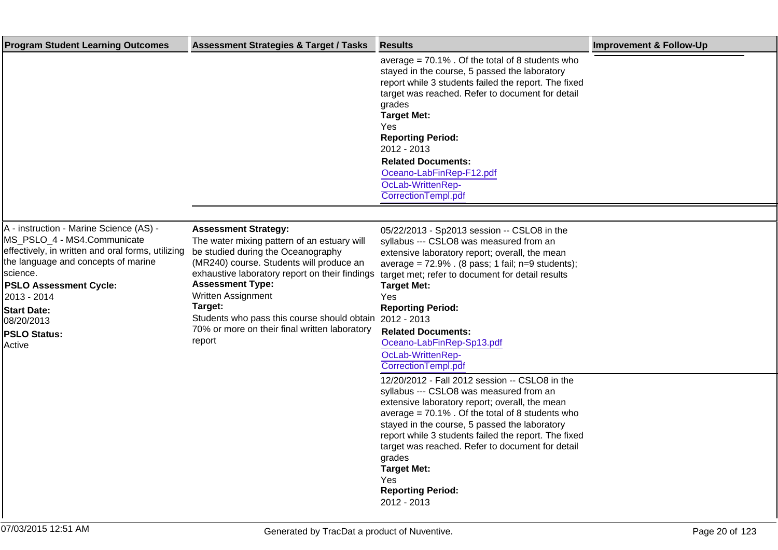| <b>Program Student Learning Outcomes</b>                                                                                                                                                                                                                                                             | <b>Assessment Strategies &amp; Target / Tasks</b>                                                                                                                                                                                                                                                                                                                                                | <b>Results</b>                                                                                                                                                                                                                                                                                                                                                                                                                                    | <b>Improvement &amp; Follow-Up</b> |
|------------------------------------------------------------------------------------------------------------------------------------------------------------------------------------------------------------------------------------------------------------------------------------------------------|--------------------------------------------------------------------------------------------------------------------------------------------------------------------------------------------------------------------------------------------------------------------------------------------------------------------------------------------------------------------------------------------------|---------------------------------------------------------------------------------------------------------------------------------------------------------------------------------------------------------------------------------------------------------------------------------------------------------------------------------------------------------------------------------------------------------------------------------------------------|------------------------------------|
|                                                                                                                                                                                                                                                                                                      |                                                                                                                                                                                                                                                                                                                                                                                                  | average = $70.1\%$ . Of the total of 8 students who<br>stayed in the course, 5 passed the laboratory<br>report while 3 students failed the report. The fixed<br>target was reached. Refer to document for detail<br>grades<br><b>Target Met:</b><br>Yes<br><b>Reporting Period:</b><br>2012 - 2013<br><b>Related Documents:</b><br>Oceano-LabFinRep-F12.pdf<br>OcLab-WrittenRep-<br>CorrectionTempl.pdf                                           |                                    |
|                                                                                                                                                                                                                                                                                                      |                                                                                                                                                                                                                                                                                                                                                                                                  |                                                                                                                                                                                                                                                                                                                                                                                                                                                   |                                    |
| A - instruction - Marine Science (AS) -<br>MS_PSLO_4 - MS4. Communicate<br>effectively, in written and oral forms, utilizing<br>the language and concepts of marine<br>science.<br><b>PSLO Assessment Cycle:</b><br>2013 - 2014<br><b>Start Date:</b><br>08/20/2013<br><b>PSLO Status:</b><br>Active | <b>Assessment Strategy:</b><br>The water mixing pattern of an estuary will<br>be studied during the Oceanography<br>(MR240) course. Students will produce an<br>exhaustive laboratory report on their findings<br><b>Assessment Type:</b><br>Written Assignment<br>Target:<br>Students who pass this course should obtain 2012 - 2013<br>70% or more on their final written laboratory<br>report | 05/22/2013 - Sp2013 session -- CSLO8 in the<br>syllabus --- CSLO8 was measured from an<br>extensive laboratory report; overall, the mean<br>average = $72.9\%$ . (8 pass; 1 fail; n=9 students);<br>target met; refer to document for detail results<br><b>Target Met:</b><br>Yes<br><b>Reporting Period:</b><br><b>Related Documents:</b><br>Oceano-LabFinRep-Sp13.pdf<br>OcLab-WrittenRep-<br>Correction Templ.pdf                              |                                    |
|                                                                                                                                                                                                                                                                                                      |                                                                                                                                                                                                                                                                                                                                                                                                  | 12/20/2012 - Fall 2012 session -- CSLO8 in the<br>syllabus --- CSLO8 was measured from an<br>extensive laboratory report; overall, the mean<br>average = $70.1\%$ . Of the total of 8 students who<br>stayed in the course, 5 passed the laboratory<br>report while 3 students failed the report. The fixed<br>target was reached. Refer to document for detail<br>grades<br><b>Target Met:</b><br>Yes<br><b>Reporting Period:</b><br>2012 - 2013 |                                    |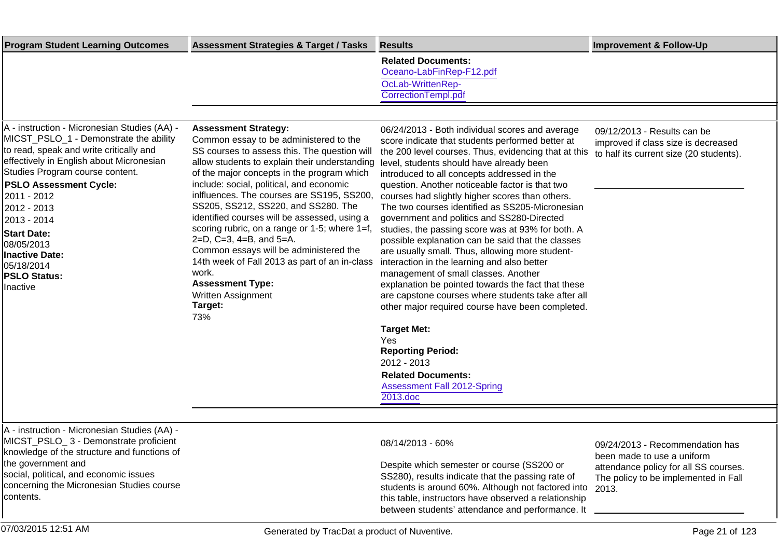| <b>Program Student Learning Outcomes</b>                                                                                                                                                                                                                                                                                                                                                                     | <b>Assessment Strategies &amp; Target / Tasks</b>                                                                                                                                                                                                                                                                                                                                                                                                                                                                                                                                                                                                        | <b>Results</b>                                                                                                                                                                                                                                                                                                                                                                                                                                                                                                                                                                                                                                                                                                                                                                                                                                                                                                                                                                                                                           | <b>Improvement &amp; Follow-Up</b>                                                                                                             |
|--------------------------------------------------------------------------------------------------------------------------------------------------------------------------------------------------------------------------------------------------------------------------------------------------------------------------------------------------------------------------------------------------------------|----------------------------------------------------------------------------------------------------------------------------------------------------------------------------------------------------------------------------------------------------------------------------------------------------------------------------------------------------------------------------------------------------------------------------------------------------------------------------------------------------------------------------------------------------------------------------------------------------------------------------------------------------------|------------------------------------------------------------------------------------------------------------------------------------------------------------------------------------------------------------------------------------------------------------------------------------------------------------------------------------------------------------------------------------------------------------------------------------------------------------------------------------------------------------------------------------------------------------------------------------------------------------------------------------------------------------------------------------------------------------------------------------------------------------------------------------------------------------------------------------------------------------------------------------------------------------------------------------------------------------------------------------------------------------------------------------------|------------------------------------------------------------------------------------------------------------------------------------------------|
|                                                                                                                                                                                                                                                                                                                                                                                                              |                                                                                                                                                                                                                                                                                                                                                                                                                                                                                                                                                                                                                                                          | <b>Related Documents:</b><br>Oceano-LabFinRep-F12.pdf<br>OcLab-WrittenRep-<br>CorrectionTempl.pdf                                                                                                                                                                                                                                                                                                                                                                                                                                                                                                                                                                                                                                                                                                                                                                                                                                                                                                                                        |                                                                                                                                                |
|                                                                                                                                                                                                                                                                                                                                                                                                              |                                                                                                                                                                                                                                                                                                                                                                                                                                                                                                                                                                                                                                                          |                                                                                                                                                                                                                                                                                                                                                                                                                                                                                                                                                                                                                                                                                                                                                                                                                                                                                                                                                                                                                                          |                                                                                                                                                |
| A - instruction - Micronesian Studies (AA) -<br>MICST_PSLO_1 - Demonstrate the ability<br>to read, speak and write critically and<br>effectively in English about Micronesian<br>Studies Program course content.<br><b>PSLO Assessment Cycle:</b><br>2011 - 2012<br>2012 - 2013<br>2013 - 2014<br><b>Start Date:</b><br>08/05/2013<br><b>Inactive Date:</b><br>05/18/2014<br><b>PSLO Status:</b><br>Inactive | <b>Assessment Strategy:</b><br>Common essay to be administered to the<br>SS courses to assess this. The question will<br>allow students to explain their understanding<br>of the major concepts in the program which<br>include: social, political, and economic<br>inlfluences. The courses are SS195, SS200,<br>SS205, SS212, SS220, and SS280. The<br>identified courses will be assessed, using a<br>scoring rubric, on a range or 1-5; where 1=f,<br>2=D, C=3, 4=B, and 5=A.<br>Common essays will be administered the<br>14th week of Fall 2013 as part of an in-class<br>work.<br><b>Assessment Type:</b><br>Written Assignment<br>Target:<br>73% | 06/24/2013 - Both individual scores and average<br>score indicate that students performed better at<br>the 200 level courses. Thus, evidencing that at this<br>level, students should have already been<br>introduced to all concepts addressed in the<br>question. Another noticeable factor is that two<br>courses had slightly higher scores than others.<br>The two courses identified as SS205-Micronesian<br>government and politics and SS280-Directed<br>studies, the passing score was at 93% for both. A<br>possible explanation can be said that the classes<br>are usually small. Thus, allowing more student-<br>interaction in the learning and also better<br>management of small classes. Another<br>explanation be pointed towards the fact that these<br>are capstone courses where students take after all<br>other major required course have been completed.<br><b>Target Met:</b><br>Yes<br><b>Reporting Period:</b><br>2012 - 2013<br><b>Related Documents:</b><br><b>Assessment Fall 2012-Spring</b><br>2013.doc | 09/12/2013 - Results can be<br>improved if class size is decreased<br>to half its current size (20 students).                                  |
|                                                                                                                                                                                                                                                                                                                                                                                                              |                                                                                                                                                                                                                                                                                                                                                                                                                                                                                                                                                                                                                                                          |                                                                                                                                                                                                                                                                                                                                                                                                                                                                                                                                                                                                                                                                                                                                                                                                                                                                                                                                                                                                                                          |                                                                                                                                                |
| A - instruction - Micronesian Studies (AA) -<br>MICST_PSLO_3 - Demonstrate proficient<br>knowledge of the structure and functions of<br>the government and<br>social, political, and economic issues<br>concerning the Micronesian Studies course<br>contents.                                                                                                                                               |                                                                                                                                                                                                                                                                                                                                                                                                                                                                                                                                                                                                                                                          | 08/14/2013 - 60%<br>Despite which semester or course (SS200 or<br>SS280), results indicate that the passing rate of<br>students is around 60%. Although not factored into 2013.<br>this table, instructors have observed a relationship<br>between students' attendance and performance. It                                                                                                                                                                                                                                                                                                                                                                                                                                                                                                                                                                                                                                                                                                                                              | 09/24/2013 - Recommendation has<br>been made to use a uniform<br>attendance policy for all SS courses.<br>The policy to be implemented in Fall |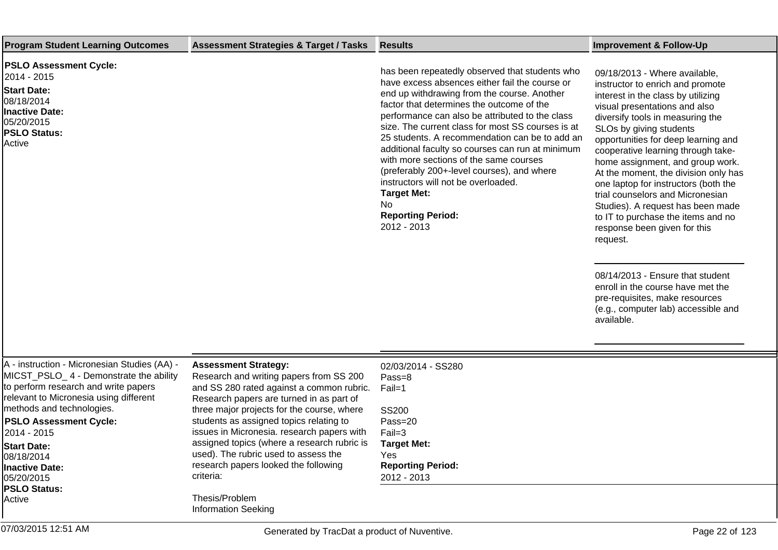| <b>Program Student Learning Outcomes</b>                                                                                                                                                              | <b>Assessment Strategies &amp; Target / Tasks</b>                                                                                                                                                             | <b>Results</b>                                                                                                                                                                                                                                                                                                                                                                                                                                                                                                                                                                                                    | <b>Improvement &amp; Follow-Up</b>                                                                                                                                                                                                                                                                                                                                                                                                                                                                                                                                                                                                                                                                                                  |
|-------------------------------------------------------------------------------------------------------------------------------------------------------------------------------------------------------|---------------------------------------------------------------------------------------------------------------------------------------------------------------------------------------------------------------|-------------------------------------------------------------------------------------------------------------------------------------------------------------------------------------------------------------------------------------------------------------------------------------------------------------------------------------------------------------------------------------------------------------------------------------------------------------------------------------------------------------------------------------------------------------------------------------------------------------------|-------------------------------------------------------------------------------------------------------------------------------------------------------------------------------------------------------------------------------------------------------------------------------------------------------------------------------------------------------------------------------------------------------------------------------------------------------------------------------------------------------------------------------------------------------------------------------------------------------------------------------------------------------------------------------------------------------------------------------------|
| <b>PSLO Assessment Cycle:</b><br>2014 - 2015<br><b>Start Date:</b><br>08/18/2014<br><b>Inactive Date:</b><br>05/20/2015<br><b>PSLO Status:</b><br>Active                                              |                                                                                                                                                                                                               | has been repeatedly observed that students who<br>have excess absences either fail the course or<br>end up withdrawing from the course. Another<br>factor that determines the outcome of the<br>performance can also be attributed to the class<br>size. The current class for most SS courses is at<br>25 students. A recommendation can be to add an<br>additional faculty so courses can run at minimum<br>with more sections of the same courses<br>(preferably 200+-level courses), and where<br>instructors will not be overloaded.<br><b>Target Met:</b><br>No.<br><b>Reporting Period:</b><br>2012 - 2013 | 09/18/2013 - Where available,<br>instructor to enrich and promote<br>interest in the class by utilizing<br>visual presentations and also<br>diversify tools in measuring the<br>SLOs by giving students<br>opportunities for deep learning and<br>cooperative learning through take-<br>home assignment, and group work.<br>At the moment, the division only has<br>one laptop for instructors (both the<br>trial counselors and Micronesian<br>Studies). A request has been made<br>to IT to purchase the items and no<br>response been given for this<br>request.<br>08/14/2013 - Ensure that student<br>enroll in the course have met the<br>pre-requisites, make resources<br>(e.g., computer lab) accessible and<br>available. |
| A - instruction - Micronesian Studies (AA) -<br>MICST_PSLO_4 - Demonstrate the ability<br>to perform research and write papers<br>relevant to Micronesia using different<br>methods and technologies. | <b>Assessment Strategy:</b><br>Research and writing papers from SS 200<br>and SS 280 rated against a common rubric.<br>Research papers are turned in as part of<br>three major projects for the course, where | 02/03/2014 - SS280<br>Pass=8<br>Fail=1<br><b>SS200</b>                                                                                                                                                                                                                                                                                                                                                                                                                                                                                                                                                            |                                                                                                                                                                                                                                                                                                                                                                                                                                                                                                                                                                                                                                                                                                                                     |
| <b>PSLO Assessment Cycle:</b><br>2014 - 2015                                                                                                                                                          | students as assigned topics relating to<br>issues in Micronesia. research papers with                                                                                                                         | Pass=20<br>$Fail=3$                                                                                                                                                                                                                                                                                                                                                                                                                                                                                                                                                                                               |                                                                                                                                                                                                                                                                                                                                                                                                                                                                                                                                                                                                                                                                                                                                     |
| <b>Start Date:</b>                                                                                                                                                                                    | assigned topics (where a research rubric is                                                                                                                                                                   | <b>Target Met:</b>                                                                                                                                                                                                                                                                                                                                                                                                                                                                                                                                                                                                |                                                                                                                                                                                                                                                                                                                                                                                                                                                                                                                                                                                                                                                                                                                                     |
| 08/18/2014                                                                                                                                                                                            | used). The rubric used to assess the<br>research papers looked the following                                                                                                                                  | Yes<br><b>Reporting Period:</b>                                                                                                                                                                                                                                                                                                                                                                                                                                                                                                                                                                                   |                                                                                                                                                                                                                                                                                                                                                                                                                                                                                                                                                                                                                                                                                                                                     |
| Inactive Date:<br>05/20/2015                                                                                                                                                                          | criteria:                                                                                                                                                                                                     | 2012 - 2013                                                                                                                                                                                                                                                                                                                                                                                                                                                                                                                                                                                                       |                                                                                                                                                                                                                                                                                                                                                                                                                                                                                                                                                                                                                                                                                                                                     |
| <b>PSLO Status:</b>                                                                                                                                                                                   |                                                                                                                                                                                                               |                                                                                                                                                                                                                                                                                                                                                                                                                                                                                                                                                                                                                   |                                                                                                                                                                                                                                                                                                                                                                                                                                                                                                                                                                                                                                                                                                                                     |
| Active                                                                                                                                                                                                | Thesis/Problem<br><b>Information Seeking</b>                                                                                                                                                                  |                                                                                                                                                                                                                                                                                                                                                                                                                                                                                                                                                                                                                   |                                                                                                                                                                                                                                                                                                                                                                                                                                                                                                                                                                                                                                                                                                                                     |
| 07/03/2015 12:51 AM                                                                                                                                                                                   | Generated by TracDat a product of Nuventive.                                                                                                                                                                  |                                                                                                                                                                                                                                                                                                                                                                                                                                                                                                                                                                                                                   | Page 22 of 123                                                                                                                                                                                                                                                                                                                                                                                                                                                                                                                                                                                                                                                                                                                      |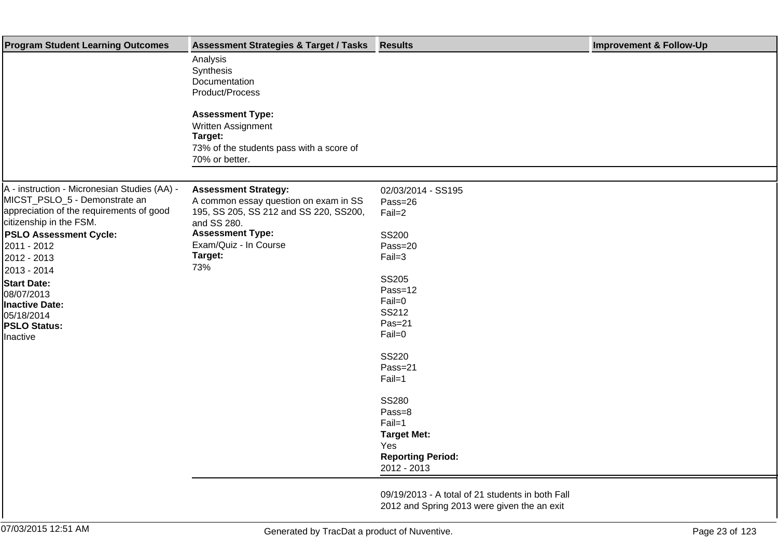| <b>Program Student Learning Outcomes</b>                                      | <b>Assessment Strategies &amp; Target / Tasks</b>                               | <b>Results</b>                                   | <b>Improvement &amp; Follow-Up</b> |
|-------------------------------------------------------------------------------|---------------------------------------------------------------------------------|--------------------------------------------------|------------------------------------|
|                                                                               | Analysis<br>Synthesis<br>Documentation<br>Product/Process                       |                                                  |                                    |
|                                                                               | <b>Assessment Type:</b>                                                         |                                                  |                                    |
|                                                                               | Written Assignment                                                              |                                                  |                                    |
|                                                                               | Target:                                                                         |                                                  |                                    |
|                                                                               | 73% of the students pass with a score of                                        |                                                  |                                    |
|                                                                               | 70% or better.                                                                  |                                                  |                                    |
|                                                                               |                                                                                 |                                                  |                                    |
| A - instruction - Micronesian Studies (AA) -<br>MICST_PSLO_5 - Demonstrate an | <b>Assessment Strategy:</b>                                                     | 02/03/2014 - SS195                               |                                    |
| appreciation of the requirements of good                                      | A common essay question on exam in SS<br>195, SS 205, SS 212 and SS 220, SS200, | Pass=26<br>Fail=2                                |                                    |
| citizenship in the FSM.                                                       | and SS 280.                                                                     |                                                  |                                    |
| <b>PSLO Assessment Cycle:</b>                                                 | <b>Assessment Type:</b>                                                         | <b>SS200</b>                                     |                                    |
| 2011 - 2012                                                                   | Exam/Quiz - In Course                                                           | Pass=20                                          |                                    |
| 2012 - 2013                                                                   | Target:                                                                         | $Fail=3$                                         |                                    |
| 2013 - 2014                                                                   | 73%                                                                             |                                                  |                                    |
| <b>Start Date:</b>                                                            |                                                                                 | <b>SS205</b>                                     |                                    |
| 08/07/2013                                                                    |                                                                                 | Pass=12                                          |                                    |
| <b>Inactive Date:</b>                                                         |                                                                                 | Fail=0                                           |                                    |
| 05/18/2014                                                                    |                                                                                 | SS212                                            |                                    |
| <b>PSLO Status:</b>                                                           |                                                                                 | $Pas=21$                                         |                                    |
| Inactive                                                                      |                                                                                 | Fail=0                                           |                                    |
|                                                                               |                                                                                 | <b>SS220</b>                                     |                                    |
|                                                                               |                                                                                 | Pass=21                                          |                                    |
|                                                                               |                                                                                 | Fail=1                                           |                                    |
|                                                                               |                                                                                 | <b>SS280</b>                                     |                                    |
|                                                                               |                                                                                 | Pass=8                                           |                                    |
|                                                                               |                                                                                 | Fail=1                                           |                                    |
|                                                                               |                                                                                 | <b>Target Met:</b>                               |                                    |
|                                                                               |                                                                                 | Yes                                              |                                    |
|                                                                               |                                                                                 | <b>Reporting Period:</b>                         |                                    |
|                                                                               |                                                                                 | 2012 - 2013                                      |                                    |
|                                                                               |                                                                                 | 09/19/2013 - A total of 21 students in both Fall |                                    |
|                                                                               |                                                                                 | 2012 and Spring 2013 were given the an exit      |                                    |
|                                                                               |                                                                                 |                                                  |                                    |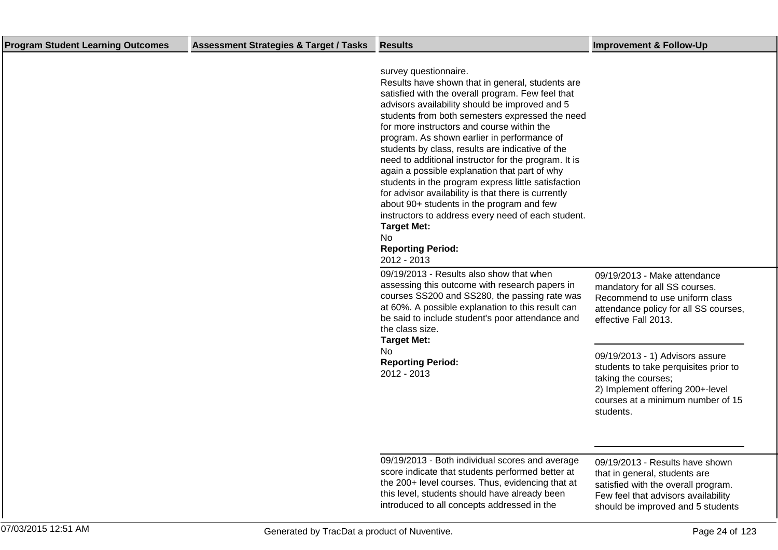| <b>Program Student Learning Outcomes</b> | <b>Assessment Strategies &amp; Target / Tasks</b> | <b>Results</b>                                                                                                                                                                                                                                                                                                                                                                                                                                                                                                                                                                                                                                                                                                                                                                         | <b>Improvement &amp; Follow-Up</b>                                                                                                                                                    |
|------------------------------------------|---------------------------------------------------|----------------------------------------------------------------------------------------------------------------------------------------------------------------------------------------------------------------------------------------------------------------------------------------------------------------------------------------------------------------------------------------------------------------------------------------------------------------------------------------------------------------------------------------------------------------------------------------------------------------------------------------------------------------------------------------------------------------------------------------------------------------------------------------|---------------------------------------------------------------------------------------------------------------------------------------------------------------------------------------|
|                                          |                                                   | survey questionnaire.<br>Results have shown that in general, students are<br>satisfied with the overall program. Few feel that<br>advisors availability should be improved and 5<br>students from both semesters expressed the need<br>for more instructors and course within the<br>program. As shown earlier in performance of<br>students by class, results are indicative of the<br>need to additional instructor for the program. It is<br>again a possible explanation that part of why<br>students in the program express little satisfaction<br>for advisor availability is that there is currently<br>about 90+ students in the program and few<br>instructors to address every need of each student.<br><b>Target Met:</b><br>No.<br><b>Reporting Period:</b><br>2012 - 2013 |                                                                                                                                                                                       |
|                                          |                                                   | 09/19/2013 - Results also show that when<br>assessing this outcome with research papers in<br>courses SS200 and SS280, the passing rate was<br>at 60%. A possible explanation to this result can<br>be said to include student's poor attendance and<br>the class size.<br><b>Target Met:</b>                                                                                                                                                                                                                                                                                                                                                                                                                                                                                          | 09/19/2013 - Make attendance<br>mandatory for all SS courses.<br>Recommend to use uniform class<br>attendance policy for all SS courses,<br>effective Fall 2013.                      |
|                                          |                                                   | No.<br><b>Reporting Period:</b><br>2012 - 2013                                                                                                                                                                                                                                                                                                                                                                                                                                                                                                                                                                                                                                                                                                                                         | 09/19/2013 - 1) Advisors assure<br>students to take perquisites prior to<br>taking the courses;<br>2) Implement offering 200+-level<br>courses at a minimum number of 15<br>students. |
|                                          |                                                   | 09/19/2013 - Both individual scores and average<br>score indicate that students performed better at<br>the 200+ level courses. Thus, evidencing that at<br>this level, students should have already been                                                                                                                                                                                                                                                                                                                                                                                                                                                                                                                                                                               | 09/19/2013 - Results have shown<br>that in general, students are<br>satisfied with the overall program.<br>Few feel that advisors availability                                        |

introduced to all concepts addressed in the

should be improved and 5 students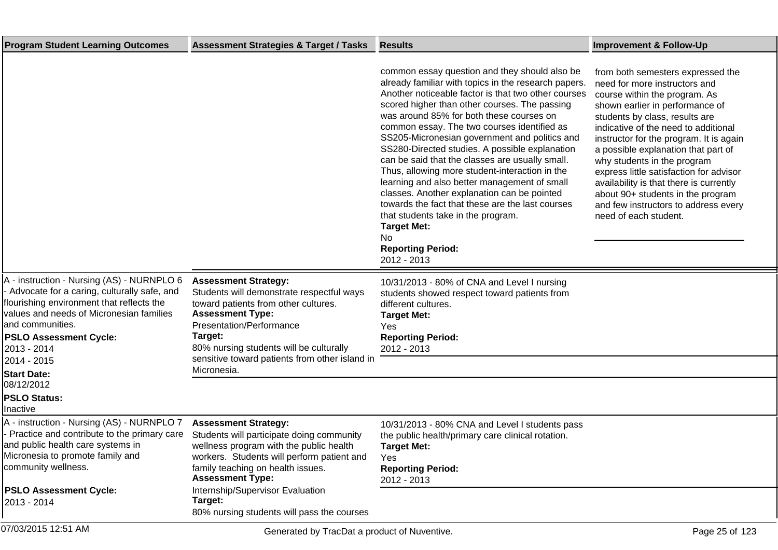| <b>Program Student Learning Outcomes</b>                                                                                                                                                                                                                                                                  | <b>Assessment Strategies &amp; Target / Tasks</b>                                                                                                                                                                                                                                              | <b>Results</b>                                                                                                                                                                                                                                                                                                                                                                                                                                                                                                                                                                                                                                                                                                                                                                   | <b>Improvement &amp; Follow-Up</b>                                                                                                                                                                                                                                                                                                                                                                                                                                                                                            |
|-----------------------------------------------------------------------------------------------------------------------------------------------------------------------------------------------------------------------------------------------------------------------------------------------------------|------------------------------------------------------------------------------------------------------------------------------------------------------------------------------------------------------------------------------------------------------------------------------------------------|----------------------------------------------------------------------------------------------------------------------------------------------------------------------------------------------------------------------------------------------------------------------------------------------------------------------------------------------------------------------------------------------------------------------------------------------------------------------------------------------------------------------------------------------------------------------------------------------------------------------------------------------------------------------------------------------------------------------------------------------------------------------------------|-------------------------------------------------------------------------------------------------------------------------------------------------------------------------------------------------------------------------------------------------------------------------------------------------------------------------------------------------------------------------------------------------------------------------------------------------------------------------------------------------------------------------------|
|                                                                                                                                                                                                                                                                                                           |                                                                                                                                                                                                                                                                                                | common essay question and they should also be<br>already familiar with topics in the research papers.<br>Another noticeable factor is that two other courses<br>scored higher than other courses. The passing<br>was around 85% for both these courses on<br>common essay. The two courses identified as<br>SS205-Micronesian government and politics and<br>SS280-Directed studies. A possible explanation<br>can be said that the classes are usually small.<br>Thus, allowing more student-interaction in the<br>learning and also better management of small<br>classes. Another explanation can be pointed<br>towards the fact that these are the last courses<br>that students take in the program.<br><b>Target Met:</b><br>No<br><b>Reporting Period:</b><br>2012 - 2013 | from both semesters expressed the<br>need for more instructors and<br>course within the program. As<br>shown earlier in performance of<br>students by class, results are<br>indicative of the need to additional<br>instructor for the program. It is again<br>a possible explanation that part of<br>why students in the program<br>express little satisfaction for advisor<br>availability is that there is currently<br>about 90+ students in the program<br>and few instructors to address every<br>need of each student. |
| A - instruction - Nursing (AS) - NURNPLO 6<br>Advocate for a caring, culturally safe, and<br>flourishing environment that reflects the<br>values and needs of Micronesian families<br>and communities.<br><b>PSLO Assessment Cycle:</b><br>2013 - 2014<br>2014 - 2015<br><b>Start Date:</b><br>08/12/2012 | <b>Assessment Strategy:</b><br>Students will demonstrate respectful ways<br>toward patients from other cultures.<br><b>Assessment Type:</b><br>Presentation/Performance<br>Target:<br>80% nursing students will be culturally<br>sensitive toward patients from other island in<br>Micronesia. | 10/31/2013 - 80% of CNA and Level I nursing<br>students showed respect toward patients from<br>different cultures.<br><b>Target Met:</b><br>Yes<br><b>Reporting Period:</b><br>2012 - 2013                                                                                                                                                                                                                                                                                                                                                                                                                                                                                                                                                                                       |                                                                                                                                                                                                                                                                                                                                                                                                                                                                                                                               |
| <b>PSLO Status:</b><br>Inactive                                                                                                                                                                                                                                                                           |                                                                                                                                                                                                                                                                                                |                                                                                                                                                                                                                                                                                                                                                                                                                                                                                                                                                                                                                                                                                                                                                                                  |                                                                                                                                                                                                                                                                                                                                                                                                                                                                                                                               |
| A - instruction - Nursing (AS) - NURNPLO 7<br>Practice and contribute to the primary care Students will participate doing community<br>and public health care systems in<br>Micronesia to promote family and<br>community wellness.                                                                       | <b>Assessment Strategy:</b><br>wellness program with the public health<br>workers. Students will perform patient and<br>family teaching on health issues.<br><b>Assessment Type:</b>                                                                                                           | 10/31/2013 - 80% CNA and Level I students pass<br>the public health/primary care clinical rotation.<br><b>Target Met:</b><br>Yes.<br><b>Reporting Period:</b><br>2012 - 2013                                                                                                                                                                                                                                                                                                                                                                                                                                                                                                                                                                                                     |                                                                                                                                                                                                                                                                                                                                                                                                                                                                                                                               |
| <b>PSLO Assessment Cycle:</b><br>2013 - 2014                                                                                                                                                                                                                                                              | Internship/Supervisor Evaluation<br>Target:<br>80% nursing students will pass the courses                                                                                                                                                                                                      |                                                                                                                                                                                                                                                                                                                                                                                                                                                                                                                                                                                                                                                                                                                                                                                  |                                                                                                                                                                                                                                                                                                                                                                                                                                                                                                                               |
| 07/03/2015 12:51 AM                                                                                                                                                                                                                                                                                       | Generated by TracDat a product of Nuventive.                                                                                                                                                                                                                                                   |                                                                                                                                                                                                                                                                                                                                                                                                                                                                                                                                                                                                                                                                                                                                                                                  | Page 25 of 123                                                                                                                                                                                                                                                                                                                                                                                                                                                                                                                |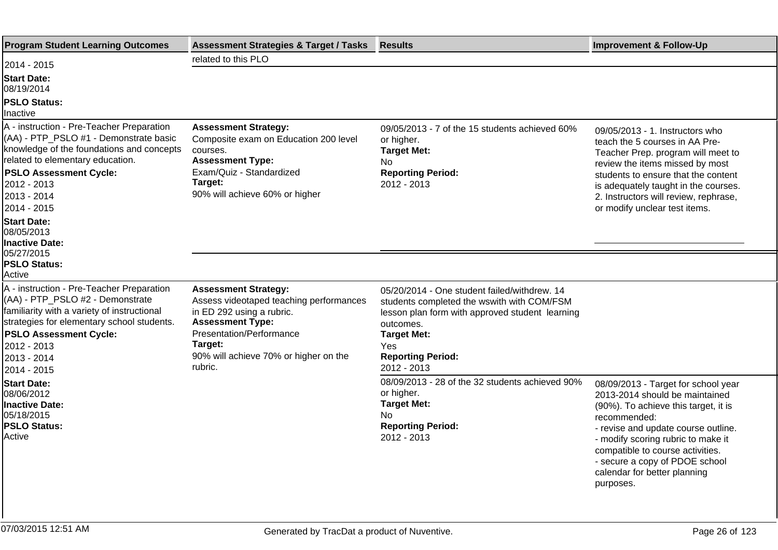| <b>Program Student Learning Outcomes</b>                                                                                                                                                                                                                           | <b>Assessment Strategies &amp; Target / Tasks</b>                                                                                                                                                                         | <b>Results</b>                                                                                                                                                                                                                     | <b>Improvement &amp; Follow-Up</b>                                                                                                                                                                                                                                                                                            |
|--------------------------------------------------------------------------------------------------------------------------------------------------------------------------------------------------------------------------------------------------------------------|---------------------------------------------------------------------------------------------------------------------------------------------------------------------------------------------------------------------------|------------------------------------------------------------------------------------------------------------------------------------------------------------------------------------------------------------------------------------|-------------------------------------------------------------------------------------------------------------------------------------------------------------------------------------------------------------------------------------------------------------------------------------------------------------------------------|
| 2014 - 2015                                                                                                                                                                                                                                                        | related to this PLO                                                                                                                                                                                                       |                                                                                                                                                                                                                                    |                                                                                                                                                                                                                                                                                                                               |
| <b>Start Date:</b><br>08/19/2014<br><b>PSLO Status:</b><br>Inactive                                                                                                                                                                                                |                                                                                                                                                                                                                           |                                                                                                                                                                                                                                    |                                                                                                                                                                                                                                                                                                                               |
| A - instruction - Pre-Teacher Preparation<br>(AA) - PTP_PSLO #1 - Demonstrate basic<br>knowledge of the foundations and concepts<br>related to elementary education.<br><b>PSLO Assessment Cycle:</b><br>2012 - 2013<br>2013 - 2014<br>2014 - 2015                 | <b>Assessment Strategy:</b><br>Composite exam on Education 200 level<br>courses.<br><b>Assessment Type:</b><br>Exam/Quiz - Standardized<br>Target:<br>90% will achieve 60% or higher                                      | 09/05/2013 - 7 of the 15 students achieved 60%<br>or higher.<br><b>Target Met:</b><br>No.<br><b>Reporting Period:</b><br>2012 - 2013                                                                                               | 09/05/2013 - 1. Instructors who<br>teach the 5 courses in AA Pre-<br>Teacher Prep. program will meet to<br>review the items missed by most<br>students to ensure that the content<br>is adequately taught in the courses.<br>2. Instructors will review, rephrase,<br>or modify unclear test items.                           |
| <b>Start Date:</b><br>08/05/2013<br>Inactive Date:<br>05/27/2015<br><b>PSLO Status:</b>                                                                                                                                                                            |                                                                                                                                                                                                                           |                                                                                                                                                                                                                                    |                                                                                                                                                                                                                                                                                                                               |
| Active<br>A - instruction - Pre-Teacher Preparation<br>(AA) - PTP_PSLO #2 - Demonstrate<br>familiarity with a variety of instructional<br>strategies for elementary school students.<br><b>PSLO Assessment Cycle:</b><br>2012 - 2013<br>2013 - 2014<br>2014 - 2015 | <b>Assessment Strategy:</b><br>Assess videotaped teaching performances<br>in ED 292 using a rubric.<br><b>Assessment Type:</b><br>Presentation/Performance<br>Target:<br>90% will achieve 70% or higher on the<br>rubric. | 05/20/2014 - One student failed/withdrew. 14<br>students completed the wswith with COM/FSM<br>lesson plan form with approved student learning<br>outcomes.<br><b>Target Met:</b><br>Yes<br><b>Reporting Period:</b><br>2012 - 2013 |                                                                                                                                                                                                                                                                                                                               |
| <b>Start Date:</b><br>08/06/2012<br>Inactive Date:<br>05/18/2015<br><b>PSLO Status:</b><br>Active                                                                                                                                                                  |                                                                                                                                                                                                                           | 08/09/2013 - 28 of the 32 students achieved 90%<br>or higher.<br><b>Target Met:</b><br>No.<br><b>Reporting Period:</b><br>2012 - 2013                                                                                              | 08/09/2013 - Target for school year<br>2013-2014 should be maintained<br>(90%). To achieve this target, it is<br>recommended:<br>- revise and update course outline.<br>- modify scoring rubric to make it<br>compatible to course activities.<br>- secure a copy of PDOE school<br>calendar for better planning<br>purposes. |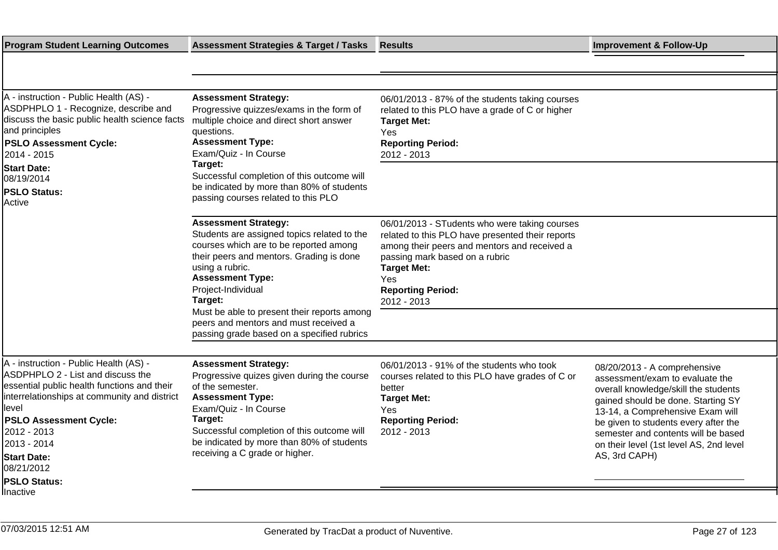|                                                                                                                                                                                                                                                                                                                                                                                       | <b>Results</b>                                                                                                                                                                                                                                              | <b>Improvement &amp; Follow-Up</b>                                                                                                                                                                                                                                                                                           |
|---------------------------------------------------------------------------------------------------------------------------------------------------------------------------------------------------------------------------------------------------------------------------------------------------------------------------------------------------------------------------------------|-------------------------------------------------------------------------------------------------------------------------------------------------------------------------------------------------------------------------------------------------------------|------------------------------------------------------------------------------------------------------------------------------------------------------------------------------------------------------------------------------------------------------------------------------------------------------------------------------|
|                                                                                                                                                                                                                                                                                                                                                                                       |                                                                                                                                                                                                                                                             |                                                                                                                                                                                                                                                                                                                              |
|                                                                                                                                                                                                                                                                                                                                                                                       |                                                                                                                                                                                                                                                             |                                                                                                                                                                                                                                                                                                                              |
| <b>Assessment Strategy:</b><br>Progressive quizzes/exams in the form of<br>discuss the basic public health science facts<br>multiple choice and direct short answer<br>questions.<br><b>Assessment Type:</b><br>Exam/Quiz - In Course                                                                                                                                                 | 06/01/2013 - 87% of the students taking courses<br>related to this PLO have a grade of C or higher<br><b>Target Met:</b><br>Yes<br><b>Reporting Period:</b><br>2012 - 2013                                                                                  |                                                                                                                                                                                                                                                                                                                              |
| Successful completion of this outcome will                                                                                                                                                                                                                                                                                                                                            |                                                                                                                                                                                                                                                             |                                                                                                                                                                                                                                                                                                                              |
| passing courses related to this PLO                                                                                                                                                                                                                                                                                                                                                   |                                                                                                                                                                                                                                                             |                                                                                                                                                                                                                                                                                                                              |
| <b>Assessment Strategy:</b><br>Students are assigned topics related to the<br>courses which are to be reported among<br>their peers and mentors. Grading is done<br>using a rubric.<br><b>Assessment Type:</b><br>Project-Individual<br>Target:<br>Must be able to present their reports among<br>peers and mentors and must received a<br>passing grade based on a specified rubrics | 06/01/2013 - STudents who were taking courses<br>related to this PLO have presented their reports<br>among their peers and mentors and received a<br>passing mark based on a rubric<br><b>Target Met:</b><br>Yes<br><b>Reporting Period:</b><br>2012 - 2013 |                                                                                                                                                                                                                                                                                                                              |
|                                                                                                                                                                                                                                                                                                                                                                                       |                                                                                                                                                                                                                                                             |                                                                                                                                                                                                                                                                                                                              |
| <b>Assessment Strategy:</b><br>Progressive quizes given during the course<br>of the semester.<br><b>Assessment Type:</b><br>Exam/Quiz - In Course<br>Target:<br>Successful completion of this outcome will<br>be indicated by more than 80% of students<br>receiving a C grade or higher.                                                                                             | 06/01/2013 - 91% of the students who took<br>courses related to this PLO have grades of C or<br>better<br><b>Target Met:</b><br>Yes.<br><b>Reporting Period:</b><br>2012 - 2013                                                                             | 08/20/2013 - A comprehensive<br>assessment/exam to evaluate the<br>overall knowledge/skill the students<br>gained should be done. Starting SY<br>13-14, a Comprehensive Exam will<br>be given to students every after the<br>semester and contents will be based<br>on their level (1st level AS, 2nd level<br>AS, 3rd CAPH) |
|                                                                                                                                                                                                                                                                                                                                                                                       | Target:<br>be indicated by more than 80% of students                                                                                                                                                                                                        |                                                                                                                                                                                                                                                                                                                              |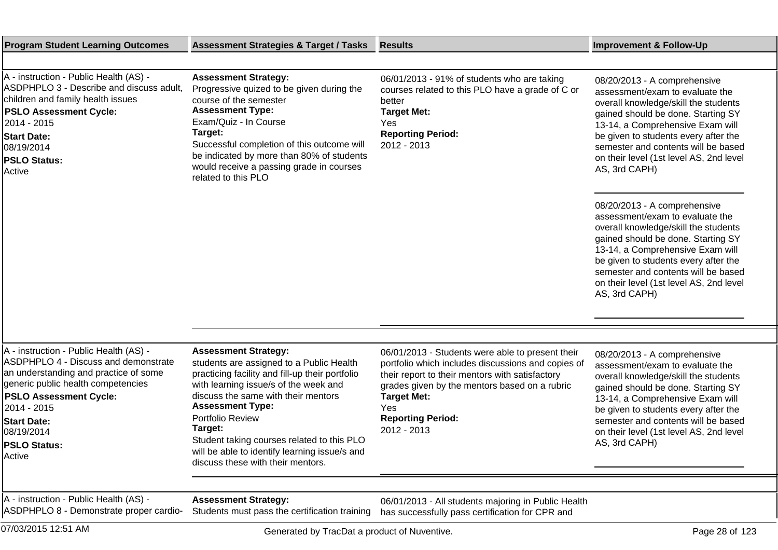| <b>Program Student Learning Outcomes</b>                                                                                                                                                                                                                                           | <b>Assessment Strategies &amp; Target / Tasks</b>                                                                                                                                                                                                                                                                                                                                                        | <b>Results</b>                                                                                                                                                                                                                                                                     | <b>Improvement &amp; Follow-Up</b>                                                                                                                                                                                                                                                                                           |
|------------------------------------------------------------------------------------------------------------------------------------------------------------------------------------------------------------------------------------------------------------------------------------|----------------------------------------------------------------------------------------------------------------------------------------------------------------------------------------------------------------------------------------------------------------------------------------------------------------------------------------------------------------------------------------------------------|------------------------------------------------------------------------------------------------------------------------------------------------------------------------------------------------------------------------------------------------------------------------------------|------------------------------------------------------------------------------------------------------------------------------------------------------------------------------------------------------------------------------------------------------------------------------------------------------------------------------|
|                                                                                                                                                                                                                                                                                    |                                                                                                                                                                                                                                                                                                                                                                                                          |                                                                                                                                                                                                                                                                                    |                                                                                                                                                                                                                                                                                                                              |
| A - instruction - Public Health (AS) -<br>ASDPHPLO 3 - Describe and discuss adult,<br>children and family health issues<br><b>PSLO Assessment Cycle:</b><br>2014 - 2015<br><b>Start Date:</b><br>08/19/2014<br><b>PSLO Status:</b><br>Active                                       | <b>Assessment Strategy:</b><br>Progressive quized to be given during the<br>course of the semester<br><b>Assessment Type:</b><br>Exam/Quiz - In Course<br>Target:<br>Successful completion of this outcome will<br>be indicated by more than 80% of students<br>would receive a passing grade in courses<br>related to this PLO                                                                          | 06/01/2013 - 91% of students who are taking<br>courses related to this PLO have a grade of C or<br>better<br><b>Target Met:</b><br>Yes<br><b>Reporting Period:</b><br>2012 - 2013                                                                                                  | 08/20/2013 - A comprehensive<br>assessment/exam to evaluate the<br>overall knowledge/skill the students<br>gained should be done. Starting SY<br>13-14, a Comprehensive Exam will<br>be given to students every after the<br>semester and contents will be based<br>on their level (1st level AS, 2nd level<br>AS, 3rd CAPH) |
|                                                                                                                                                                                                                                                                                    |                                                                                                                                                                                                                                                                                                                                                                                                          |                                                                                                                                                                                                                                                                                    | 08/20/2013 - A comprehensive<br>assessment/exam to evaluate the<br>overall knowledge/skill the students<br>gained should be done. Starting SY<br>13-14, a Comprehensive Exam will<br>be given to students every after the<br>semester and contents will be based<br>on their level (1st level AS, 2nd level<br>AS, 3rd CAPH) |
|                                                                                                                                                                                                                                                                                    |                                                                                                                                                                                                                                                                                                                                                                                                          |                                                                                                                                                                                                                                                                                    |                                                                                                                                                                                                                                                                                                                              |
|                                                                                                                                                                                                                                                                                    |                                                                                                                                                                                                                                                                                                                                                                                                          |                                                                                                                                                                                                                                                                                    |                                                                                                                                                                                                                                                                                                                              |
| A - instruction - Public Health (AS) -<br>ASDPHPLO 4 - Discuss and demonstrate<br>an understanding and practice of some<br>generic public health competencies<br><b>PSLO Assessment Cycle:</b><br>2014 - 2015<br><b>Start Date:</b><br>08/19/2014<br><b>PSLO Status:</b><br>Active | <b>Assessment Strategy:</b><br>students are assigned to a Public Health<br>practicing facility and fill-up their portfolio<br>with learning issue/s of the week and<br>discuss the same with their mentors<br><b>Assessment Type:</b><br>Portfolio Review<br>Target:<br>Student taking courses related to this PLO<br>will be able to identify learning issue/s and<br>discuss these with their mentors. | 06/01/2013 - Students were able to present their<br>portfolio which includes discussions and copies of<br>their report to their mentors with satisfactory<br>grades given by the mentors based on a rubric<br><b>Target Met:</b><br>Yes<br><b>Reporting Period:</b><br>2012 - 2013 | 08/20/2013 - A comprehensive<br>assessment/exam to evaluate the<br>overall knowledge/skill the students<br>gained should be done. Starting SY<br>13-14, a Comprehensive Exam will<br>be given to students every after the<br>semester and contents will be based<br>on their level (1st level AS, 2nd level<br>AS, 3rd CAPH) |
| A - instruction - Public Health (AS) -<br>ASDPHPLO 8 - Demonstrate proper cardio-                                                                                                                                                                                                  | <b>Assessment Strategy:</b><br>Students must pass the certification training                                                                                                                                                                                                                                                                                                                             | 06/01/2013 - All students majoring in Public Health<br>has successfully pass certification for CPR and                                                                                                                                                                             |                                                                                                                                                                                                                                                                                                                              |
| 07/03/2015 12:51 AM                                                                                                                                                                                                                                                                | Generated by TracDat a product of Nuventive.                                                                                                                                                                                                                                                                                                                                                             |                                                                                                                                                                                                                                                                                    | Page 28 of 123                                                                                                                                                                                                                                                                                                               |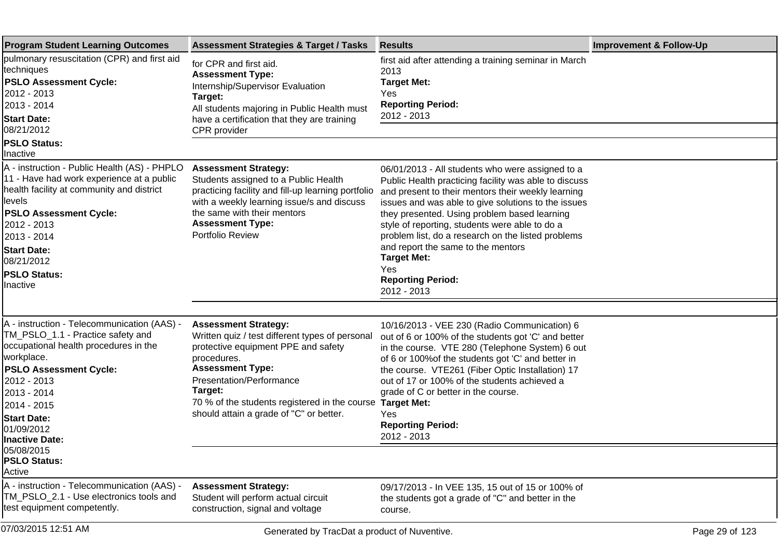| <b>Program Student Learning Outcomes</b>                                                                                                                                                                                                                                                | <b>Assessment Strategies &amp; Target / Tasks</b>                                                                                                                                                                                                                                                  | <b>Results</b>                                                                                                                                                                                                                                                                                                                                                                                                                                                                               | <b>Improvement &amp; Follow-Up</b> |
|-----------------------------------------------------------------------------------------------------------------------------------------------------------------------------------------------------------------------------------------------------------------------------------------|----------------------------------------------------------------------------------------------------------------------------------------------------------------------------------------------------------------------------------------------------------------------------------------------------|----------------------------------------------------------------------------------------------------------------------------------------------------------------------------------------------------------------------------------------------------------------------------------------------------------------------------------------------------------------------------------------------------------------------------------------------------------------------------------------------|------------------------------------|
| pulmonary resuscitation (CPR) and first aid<br>techniques<br><b>PSLO Assessment Cycle:</b><br>2012 - 2013<br>2013 - 2014<br><b>Start Date:</b><br>08/21/2012<br><b>PSLO Status:</b>                                                                                                     | for CPR and first aid.<br><b>Assessment Type:</b><br>Internship/Supervisor Evaluation<br>Target:<br>All students majoring in Public Health must<br>have a certification that they are training<br>CPR provider                                                                                     | first aid after attending a training seminar in March<br>2013<br><b>Target Met:</b><br>Yes<br><b>Reporting Period:</b><br>2012 - 2013                                                                                                                                                                                                                                                                                                                                                        |                                    |
| Inactive                                                                                                                                                                                                                                                                                |                                                                                                                                                                                                                                                                                                    |                                                                                                                                                                                                                                                                                                                                                                                                                                                                                              |                                    |
| A - instruction - Public Health (AS) - PHPLO<br>11 - Have had work experience at a public<br>health facility at community and district<br>llevels<br><b>PSLO Assessment Cycle:</b><br>2012 - 2013<br>2013 - 2014<br><b>Start Date:</b><br>08/21/2012<br><b>PSLO Status:</b><br>Inactive | <b>Assessment Strategy:</b><br>Students assigned to a Public Health<br>practicing facility and fill-up learning portfolio<br>with a weekly learning issue/s and discuss<br>the same with their mentors<br><b>Assessment Type:</b><br>Portfolio Review                                              | 06/01/2013 - All students who were assigned to a<br>Public Health practicing facility was able to discuss<br>and present to their mentors their weekly learning<br>issues and was able to give solutions to the issues<br>they presented. Using problem based learning<br>style of reporting, students were able to do a<br>problem list, do a research on the listed problems<br>and report the same to the mentors<br><b>Target Met:</b><br>Yes<br><b>Reporting Period:</b><br>2012 - 2013 |                                    |
|                                                                                                                                                                                                                                                                                         |                                                                                                                                                                                                                                                                                                    |                                                                                                                                                                                                                                                                                                                                                                                                                                                                                              |                                    |
| A - instruction - Telecommunication (AAS) -<br>TM_PSLO_1.1 - Practice safety and<br>occupational health procedures in the<br>workplace.<br><b>PSLO Assessment Cycle:</b><br>2012 - 2013<br>2013 - 2014<br>2014 - 2015<br><b>Start Date:</b><br>01/09/2012<br><b>Inactive Date:</b>      | <b>Assessment Strategy:</b><br>Written quiz / test different types of personal<br>protective equipment PPE and safety<br>procedures.<br><b>Assessment Type:</b><br>Presentation/Performance<br>Target:<br>70 % of the students registered in the course<br>should attain a grade of "C" or better. | 10/16/2013 - VEE 230 (Radio Communication) 6<br>out of 6 or 100% of the students got 'C' and better<br>in the course. VTE 280 (Telephone System) 6 out<br>of 6 or 100% of the students got 'C' and better in<br>the course. VTE261 (Fiber Optic Installation) 17<br>out of 17 or 100% of the students achieved a<br>grade of C or better in the course.<br><b>Target Met:</b><br>Yes<br><b>Reporting Period:</b><br>2012 - 2013                                                              |                                    |
| 05/08/2015<br><b>PSLO Status:</b><br>Active                                                                                                                                                                                                                                             |                                                                                                                                                                                                                                                                                                    |                                                                                                                                                                                                                                                                                                                                                                                                                                                                                              |                                    |
| A - instruction - Telecommunication (AAS) -<br>TM_PSLO_2.1 - Use electronics tools and<br>test equipment competently.                                                                                                                                                                   | <b>Assessment Strategy:</b><br>Student will perform actual circuit<br>construction, signal and voltage                                                                                                                                                                                             | 09/17/2013 - In VEE 135, 15 out of 15 or 100% of<br>the students got a grade of "C" and better in the<br>course.                                                                                                                                                                                                                                                                                                                                                                             |                                    |
| 07/03/2015 12:51 AM                                                                                                                                                                                                                                                                     | Generated by TracDat a product of Nuventive.                                                                                                                                                                                                                                                       |                                                                                                                                                                                                                                                                                                                                                                                                                                                                                              | Page 29 of 123                     |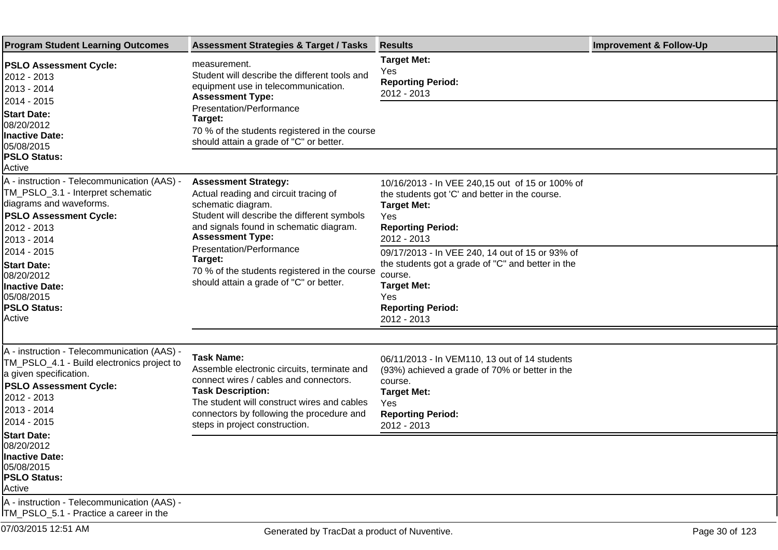| <b>Program Student Learning Outcomes</b>                                                                                                                                                                                                                                                                      | <b>Assessment Strategies &amp; Target / Tasks</b>                                                                                                                                                                                                                                                                                                         | <b>Results</b>                                                                                                                                                                                                                                                                                                                                                       | <b>Improvement &amp; Follow-Up</b> |
|---------------------------------------------------------------------------------------------------------------------------------------------------------------------------------------------------------------------------------------------------------------------------------------------------------------|-----------------------------------------------------------------------------------------------------------------------------------------------------------------------------------------------------------------------------------------------------------------------------------------------------------------------------------------------------------|----------------------------------------------------------------------------------------------------------------------------------------------------------------------------------------------------------------------------------------------------------------------------------------------------------------------------------------------------------------------|------------------------------------|
| <b>PSLO Assessment Cycle:</b><br>2012 - 2013<br>2013 - 2014<br>2014 - 2015<br><b>Start Date:</b><br>08/20/2012<br><b>Inactive Date:</b><br>05/08/2015<br><b>PSLO Status:</b><br>Active                                                                                                                        | measurement.<br>Student will describe the different tools and<br>equipment use in telecommunication.<br><b>Assessment Type:</b><br>Presentation/Performance<br>Target:<br>70 % of the students registered in the course<br>should attain a grade of "C" or better.                                                                                        | <b>Target Met:</b><br>Yes<br><b>Reporting Period:</b><br>2012 - 2013                                                                                                                                                                                                                                                                                                 |                                    |
| A - instruction - Telecommunication (AAS) -<br>TM_PSLO_3.1 - Interpret schematic<br>diagrams and waveforms.<br><b>PSLO Assessment Cycle:</b><br>2012 - 2013<br>2013 - 2014<br>2014 - 2015<br><b>Start Date:</b><br>08/20/2012<br><b>Inactive Date:</b><br>05/08/2015<br><b>PSLO Status:</b><br>Active         | <b>Assessment Strategy:</b><br>Actual reading and circuit tracing of<br>schematic diagram.<br>Student will describe the different symbols<br>and signals found in schematic diagram.<br><b>Assessment Type:</b><br><b>Presentation/Performance</b><br>Target:<br>70 % of the students registered in the course<br>should attain a grade of "C" or better. | 10/16/2013 - In VEE 240,15 out of 15 or 100% of<br>the students got 'C' and better in the course.<br><b>Target Met:</b><br>Yes<br><b>Reporting Period:</b><br>2012 - 2013<br>09/17/2013 - In VEE 240, 14 out of 15 or 93% of<br>the students got a grade of "C" and better in the<br>course.<br><b>Target Met:</b><br>Yes<br><b>Reporting Period:</b><br>2012 - 2013 |                                    |
| A - instruction - Telecommunication (AAS) -<br>TM_PSLO_4.1 - Build electronics project to<br>a given specification.<br><b>PSLO Assessment Cycle:</b><br>2012 - 2013<br>2013 - 2014<br>2014 - 2015<br><b>Start Date:</b><br>08/20/2012<br><b>Inactive Date:</b><br>05/08/2015<br><b>PSLO Status:</b><br>Active | <b>Task Name:</b><br>Assemble electronic circuits, terminate and<br>connect wires / cables and connectors.<br><b>Task Description:</b><br>The student will construct wires and cables<br>connectors by following the procedure and<br>steps in project construction.                                                                                      | 06/11/2013 - In VEM110, 13 out of 14 students<br>(93%) achieved a grade of 70% or better in the<br>course.<br><b>Target Met:</b><br>Yes<br><b>Reporting Period:</b><br>2012 - 2013                                                                                                                                                                                   |                                    |
| A - instruction - Telecommunication (AAS) -<br>ITM_PSLO_5.1 - Practice a career in the                                                                                                                                                                                                                        |                                                                                                                                                                                                                                                                                                                                                           |                                                                                                                                                                                                                                                                                                                                                                      |                                    |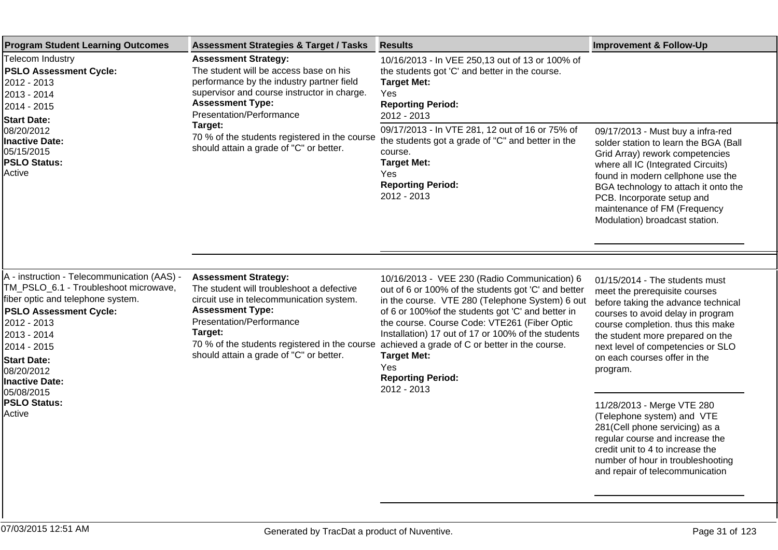| <b>Program Student Learning Outcomes</b>                                                                                                                                                                                                                                                                            | <b>Assessment Strategies &amp; Target / Tasks</b>                                                                                                                                                                                                                                                                               | <b>Results</b>                                                                                                                                                                                                                                                                                                                                                                                                                               | <b>Improvement &amp; Follow-Up</b>                                                                                                                                                                                                                                                                                               |
|---------------------------------------------------------------------------------------------------------------------------------------------------------------------------------------------------------------------------------------------------------------------------------------------------------------------|---------------------------------------------------------------------------------------------------------------------------------------------------------------------------------------------------------------------------------------------------------------------------------------------------------------------------------|----------------------------------------------------------------------------------------------------------------------------------------------------------------------------------------------------------------------------------------------------------------------------------------------------------------------------------------------------------------------------------------------------------------------------------------------|----------------------------------------------------------------------------------------------------------------------------------------------------------------------------------------------------------------------------------------------------------------------------------------------------------------------------------|
| <b>Telecom Industry</b><br><b>PSLO Assessment Cycle:</b><br>2012 - 2013<br>2013 - 2014<br>2014 - 2015<br><b>Start Date:</b><br>08/20/2012<br><b>Inactive Date:</b><br>05/15/2015<br><b>PSLO Status:</b><br>Active                                                                                                   | <b>Assessment Strategy:</b><br>The student will be access base on his<br>performance by the industry partner field<br>supervisor and course instructor in charge.<br><b>Assessment Type:</b><br>Presentation/Performance<br>Target:<br>70 % of the students registered in the course<br>should attain a grade of "C" or better. | 10/16/2013 - In VEE 250,13 out of 13 or 100% of<br>the students got 'C' and better in the course.<br><b>Target Met:</b><br><b>Yes</b><br><b>Reporting Period:</b><br>2012 - 2013                                                                                                                                                                                                                                                             |                                                                                                                                                                                                                                                                                                                                  |
|                                                                                                                                                                                                                                                                                                                     |                                                                                                                                                                                                                                                                                                                                 | 09/17/2013 - In VTE 281, 12 out of 16 or 75% of<br>the students got a grade of "C" and better in the<br>course.<br><b>Target Met:</b><br>Yes<br><b>Reporting Period:</b><br>2012 - 2013                                                                                                                                                                                                                                                      | 09/17/2013 - Must buy a infra-red<br>solder station to learn the BGA (Ball<br>Grid Array) rework competencies<br>where all IC (Integrated Circuits)<br>found in modern cellphone use the<br>BGA technology to attach it onto the<br>PCB. Incorporate setup and<br>maintenance of FM (Frequency<br>Modulation) broadcast station. |
|                                                                                                                                                                                                                                                                                                                     |                                                                                                                                                                                                                                                                                                                                 |                                                                                                                                                                                                                                                                                                                                                                                                                                              |                                                                                                                                                                                                                                                                                                                                  |
| A - instruction - Telecommunication (AAS) -<br>TM PSLO_6.1 - Troubleshoot microwave,<br>fiber optic and telephone system.<br><b>PSLO Assessment Cycle:</b><br>2012 - 2013<br>2013 - 2014<br>2014 - 2015<br><b>Start Date:</b><br>08/20/2012<br><b>Inactive Date:</b><br>05/08/2015<br><b>PSLO Status:</b><br>Active | <b>Assessment Strategy:</b><br>The student will troubleshoot a defective<br>circuit use in telecommunication system.<br><b>Assessment Type:</b><br>Presentation/Performance<br>Target:<br>70 % of the students registered in the course<br>should attain a grade of "C" or better.                                              | 10/16/2013 - VEE 230 (Radio Communication) 6<br>out of 6 or 100% of the students got 'C' and better<br>in the course. VTE 280 (Telephone System) 6 out<br>of 6 or 100% of the students got 'C' and better in<br>the course. Course Code: VTE261 (Fiber Optic<br>Installation) 17 out of 17 or 100% of the students<br>achieved a grade of C or better in the course.<br><b>Target Met:</b><br>Yes<br><b>Reporting Period:</b><br>2012 - 2013 | 01/15/2014 - The students must<br>meet the prerequisite courses<br>before taking the advance technical<br>courses to avoid delay in program<br>course completion. thus this make<br>the student more prepared on the<br>next level of competencies or SLO<br>on each courses offer in the<br>program.                            |
|                                                                                                                                                                                                                                                                                                                     |                                                                                                                                                                                                                                                                                                                                 |                                                                                                                                                                                                                                                                                                                                                                                                                                              | 11/28/2013 - Merge VTE 280<br>(Telephone system) and VTE<br>281(Cell phone servicing) as a<br>regular course and increase the<br>credit unit to 4 to increase the<br>number of hour in troubleshooting<br>and repair of telecommunication                                                                                        |
|                                                                                                                                                                                                                                                                                                                     |                                                                                                                                                                                                                                                                                                                                 |                                                                                                                                                                                                                                                                                                                                                                                                                                              |                                                                                                                                                                                                                                                                                                                                  |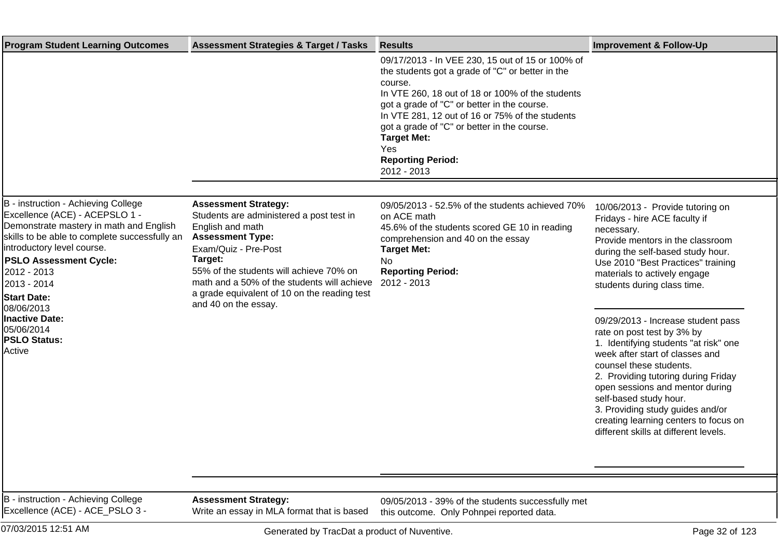| <b>Program Student Learning Outcomes</b>                                                                                                                                                                                                                                                                                                                                   | <b>Assessment Strategies &amp; Target / Tasks</b>                                                                                                                                                                                                                                                                           | <b>Results</b>                                                                                                                                                                                                                                                                                                                                                                               | <b>Improvement &amp; Follow-Up</b>                                                                                                                                                                                                                                                                                                                                                                                                                                                                                                                                                                                                                                 |
|----------------------------------------------------------------------------------------------------------------------------------------------------------------------------------------------------------------------------------------------------------------------------------------------------------------------------------------------------------------------------|-----------------------------------------------------------------------------------------------------------------------------------------------------------------------------------------------------------------------------------------------------------------------------------------------------------------------------|----------------------------------------------------------------------------------------------------------------------------------------------------------------------------------------------------------------------------------------------------------------------------------------------------------------------------------------------------------------------------------------------|--------------------------------------------------------------------------------------------------------------------------------------------------------------------------------------------------------------------------------------------------------------------------------------------------------------------------------------------------------------------------------------------------------------------------------------------------------------------------------------------------------------------------------------------------------------------------------------------------------------------------------------------------------------------|
|                                                                                                                                                                                                                                                                                                                                                                            |                                                                                                                                                                                                                                                                                                                             | 09/17/2013 - In VEE 230, 15 out of 15 or 100% of<br>the students got a grade of "C" or better in the<br>course.<br>In VTE 260, 18 out of 18 or 100% of the students<br>got a grade of "C" or better in the course.<br>In VTE 281, 12 out of 16 or 75% of the students<br>got a grade of "C" or better in the course.<br><b>Target Met:</b><br>Yes<br><b>Reporting Period:</b><br>2012 - 2013 |                                                                                                                                                                                                                                                                                                                                                                                                                                                                                                                                                                                                                                                                    |
|                                                                                                                                                                                                                                                                                                                                                                            |                                                                                                                                                                                                                                                                                                                             |                                                                                                                                                                                                                                                                                                                                                                                              |                                                                                                                                                                                                                                                                                                                                                                                                                                                                                                                                                                                                                                                                    |
| B - instruction - Achieving College<br>Excellence (ACE) - ACEPSLO 1 -<br>Demonstrate mastery in math and English<br>skills to be able to complete successfully an<br>introductory level course.<br><b>PSLO Assessment Cycle:</b><br>2012 - 2013<br>2013 - 2014<br><b>Start Date:</b><br>08/06/2013<br><b>Inactive Date:</b><br>05/06/2014<br><b>PSLO Status:</b><br>Active | <b>Assessment Strategy:</b><br>Students are administered a post test in<br>English and math<br><b>Assessment Type:</b><br>Exam/Quiz - Pre-Post<br>Target:<br>55% of the students will achieve 70% on<br>math and a 50% of the students will achieve<br>a grade equivalent of 10 on the reading test<br>and 40 on the essay. | 09/05/2013 - 52.5% of the students achieved 70%<br>on ACE math<br>45.6% of the students scored GE 10 in reading<br>comprehension and 40 on the essay<br><b>Target Met:</b><br>No<br><b>Reporting Period:</b><br>2012 - 2013                                                                                                                                                                  | 10/06/2013 - Provide tutoring on<br>Fridays - hire ACE faculty if<br>necessary.<br>Provide mentors in the classroom<br>during the self-based study hour.<br>Use 2010 "Best Practices" training<br>materials to actively engage<br>students during class time.<br>09/29/2013 - Increase student pass<br>rate on post test by 3% by<br>1. Identifying students "at risk" one<br>week after start of classes and<br>counsel these students.<br>2. Providing tutoring during Friday<br>open sessions and mentor during<br>self-based study hour.<br>3. Providing study guides and/or<br>creating learning centers to focus on<br>different skills at different levels. |
| B - instruction - Achieving College<br>Excellence (ACE) - ACE_PSLO 3 -                                                                                                                                                                                                                                                                                                     | <b>Assessment Strategy:</b><br>Write an essay in MLA format that is based                                                                                                                                                                                                                                                   | 09/05/2013 - 39% of the students successfully met<br>this outcome. Only Pohnpei reported data.                                                                                                                                                                                                                                                                                               |                                                                                                                                                                                                                                                                                                                                                                                                                                                                                                                                                                                                                                                                    |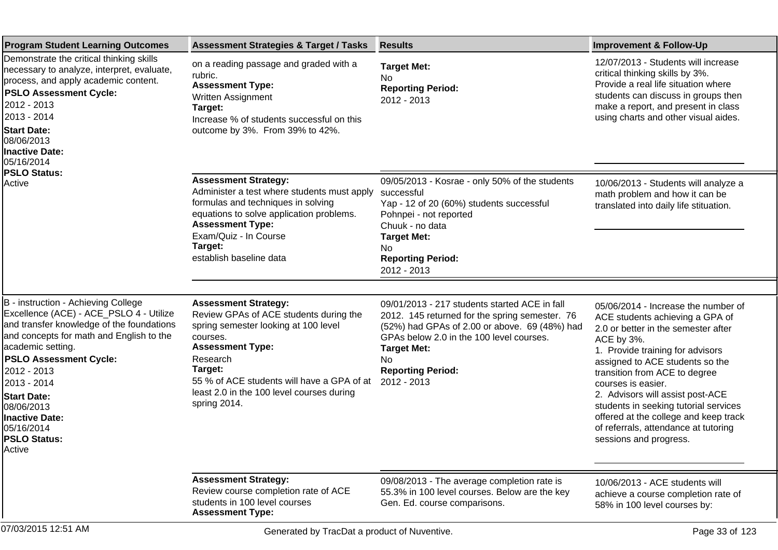| <b>Program Student Learning Outcomes</b>                                                                                                                                                                                                                                                                                                                                | <b>Assessment Strategies &amp; Target / Tasks</b>                                                                                                                                                                                                                                      | <b>Results</b>                                                                                                                                                                                                                                                                  | <b>Improvement &amp; Follow-Up</b>                                                                                                                                                                                                                                                                                                                                                                                                                |
|-------------------------------------------------------------------------------------------------------------------------------------------------------------------------------------------------------------------------------------------------------------------------------------------------------------------------------------------------------------------------|----------------------------------------------------------------------------------------------------------------------------------------------------------------------------------------------------------------------------------------------------------------------------------------|---------------------------------------------------------------------------------------------------------------------------------------------------------------------------------------------------------------------------------------------------------------------------------|---------------------------------------------------------------------------------------------------------------------------------------------------------------------------------------------------------------------------------------------------------------------------------------------------------------------------------------------------------------------------------------------------------------------------------------------------|
| Demonstrate the critical thinking skills<br>necessary to analyze, interpret, evaluate,<br>process, and apply academic content.<br><b>PSLO Assessment Cycle:</b><br>2012 - 2013<br>2013 - 2014<br><b>Start Date:</b><br>08/06/2013<br><b>Inactive Date:</b><br>05/16/2014<br><b>PSLO Status:</b><br>Active                                                               | on a reading passage and graded with a<br>rubric.<br><b>Assessment Type:</b><br>Written Assignment<br>Target:<br>Increase % of students successful on this<br>outcome by 3%. From 39% to 42%.                                                                                          | <b>Target Met:</b><br>No.<br><b>Reporting Period:</b><br>2012 - 2013                                                                                                                                                                                                            | 12/07/2013 - Students will increase<br>critical thinking skills by 3%.<br>Provide a real life situation where<br>students can discuss in groups then<br>make a report, and present in class<br>using charts and other visual aides.                                                                                                                                                                                                               |
|                                                                                                                                                                                                                                                                                                                                                                         | <b>Assessment Strategy:</b><br>Administer a test where students must apply<br>formulas and techniques in solving<br>equations to solve application problems.<br><b>Assessment Type:</b><br>Exam/Quiz - In Course<br>Target:<br>establish baseline data                                 | 09/05/2013 - Kosrae - only 50% of the students<br>successful<br>Yap - 12 of 20 (60%) students successful<br>Pohnpei - not reported<br>Chuuk - no data<br><b>Target Met:</b><br>No.<br><b>Reporting Period:</b><br>2012 - 2013                                                   | 10/06/2013 - Students will analyze a<br>math problem and how it can be<br>translated into daily life stituation.                                                                                                                                                                                                                                                                                                                                  |
|                                                                                                                                                                                                                                                                                                                                                                         |                                                                                                                                                                                                                                                                                        |                                                                                                                                                                                                                                                                                 |                                                                                                                                                                                                                                                                                                                                                                                                                                                   |
| B - instruction - Achieving College<br>Excellence (ACE) - ACE_PSLO 4 - Utilize<br>and transfer knowledge of the foundations<br>and concepts for math and English to the<br>academic setting.<br><b>PSLO Assessment Cycle:</b><br>2012 - 2013<br>2013 - 2014<br><b>Start Date:</b><br>08/06/2013<br><b>Inactive Date:</b><br>05/16/2014<br><b>PSLO Status:</b><br>Active | <b>Assessment Strategy:</b><br>Review GPAs of ACE students during the<br>spring semester looking at 100 level<br>courses.<br><b>Assessment Type:</b><br>Research<br>Target:<br>55 % of ACE students will have a GPA of at<br>least 2.0 in the 100 level courses during<br>spring 2014. | 09/01/2013 - 217 students started ACE in fall<br>2012. 145 returned for the spring semester. 76<br>(52%) had GPAs of 2.00 or above. 69 (48%) had<br>GPAs below 2.0 in the 100 level courses.<br><b>Target Met:</b><br>N <sub>o</sub><br><b>Reporting Period:</b><br>2012 - 2013 | 05/06/2014 - Increase the number of<br>ACE students achieving a GPA of<br>2.0 or better in the semester after<br>ACE by 3%.<br>1. Provide training for advisors<br>assigned to ACE students so the<br>transition from ACE to degree<br>courses is easier.<br>2. Advisors will assist post-ACE<br>students in seeking tutorial services<br>offered at the college and keep track<br>of referrals, attendance at tutoring<br>sessions and progress. |
|                                                                                                                                                                                                                                                                                                                                                                         | <b>Assessment Strategy:</b><br>Review course completion rate of ACE<br>students in 100 level courses<br><b>Assessment Type:</b>                                                                                                                                                        | 09/08/2013 - The average completion rate is<br>55.3% in 100 level courses. Below are the key<br>Gen. Ed. course comparisons.                                                                                                                                                    | 10/06/2013 - ACE students will<br>achieve a course completion rate of<br>58% in 100 level courses by:                                                                                                                                                                                                                                                                                                                                             |
| 07/03/2015 12:51 AM                                                                                                                                                                                                                                                                                                                                                     | Generated by TracDat a product of Nuventive.                                                                                                                                                                                                                                           |                                                                                                                                                                                                                                                                                 | Page 33 of 123                                                                                                                                                                                                                                                                                                                                                                                                                                    |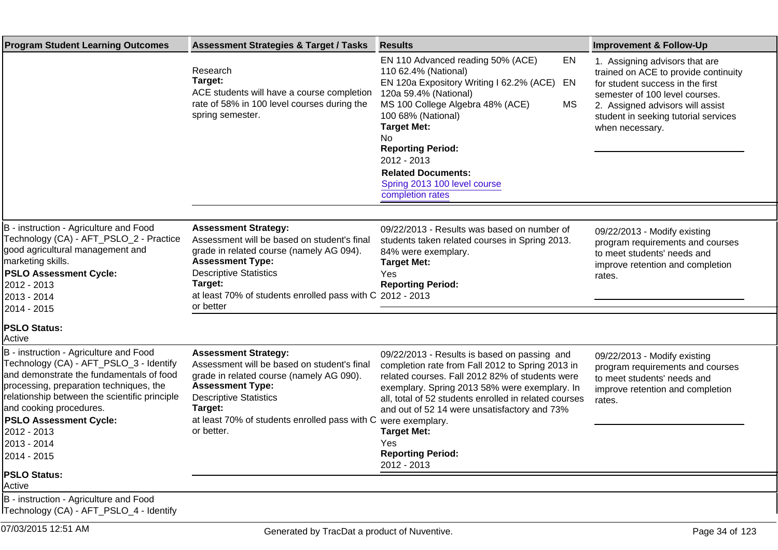| <b>Program Student Learning Outcomes</b>                                                                                                                                                                                                                                                                                                                            | <b>Assessment Strategies &amp; Target / Tasks</b>                                                                                                                                                                                                                       | <b>Results</b>                                                                                                                                                                                                                                                                                                                                                                                           | <b>Improvement &amp; Follow-Up</b>                                                                                                                                                                                                          |
|---------------------------------------------------------------------------------------------------------------------------------------------------------------------------------------------------------------------------------------------------------------------------------------------------------------------------------------------------------------------|-------------------------------------------------------------------------------------------------------------------------------------------------------------------------------------------------------------------------------------------------------------------------|----------------------------------------------------------------------------------------------------------------------------------------------------------------------------------------------------------------------------------------------------------------------------------------------------------------------------------------------------------------------------------------------------------|---------------------------------------------------------------------------------------------------------------------------------------------------------------------------------------------------------------------------------------------|
|                                                                                                                                                                                                                                                                                                                                                                     | Research<br>Target:<br>ACE students will have a course completion<br>rate of 58% in 100 level courses during the<br>spring semester.                                                                                                                                    | EN 110 Advanced reading 50% (ACE)<br>EN<br>110 62.4% (National)<br>EN 120a Expository Writing I 62.2% (ACE)<br>EN<br>120a 59.4% (National)<br>MS 100 College Algebra 48% (ACE)<br><b>MS</b><br>100 68% (National)<br><b>Target Met:</b><br>No<br><b>Reporting Period:</b><br>2012 - 2013<br><b>Related Documents:</b><br>Spring 2013 100 level course<br>completion rates                                | 1. Assigning advisors that are<br>trained on ACE to provide continuity<br>for student success in the first<br>semester of 100 level courses.<br>2. Assigned advisors will assist<br>student in seeking tutorial services<br>when necessary. |
|                                                                                                                                                                                                                                                                                                                                                                     |                                                                                                                                                                                                                                                                         |                                                                                                                                                                                                                                                                                                                                                                                                          |                                                                                                                                                                                                                                             |
| B - instruction - Agriculture and Food<br>Technology (CA) - AFT_PSLO_2 - Practice<br>good agricultural management and<br>marketing skills.<br><b>PSLO Assessment Cycle:</b><br>2012 - 2013<br>2013 - 2014<br>2014 - 2015                                                                                                                                            | <b>Assessment Strategy:</b><br>Assessment will be based on student's final<br>grade in related course (namely AG 094).<br><b>Assessment Type:</b><br><b>Descriptive Statistics</b><br>Target:<br>at least 70% of students enrolled pass with C 2012 - 2013<br>or better | 09/22/2013 - Results was based on number of<br>students taken related courses in Spring 2013.<br>84% were exemplary.<br><b>Target Met:</b><br>Yes<br><b>Reporting Period:</b>                                                                                                                                                                                                                            | 09/22/2013 - Modify existing<br>program requirements and courses<br>to meet students' needs and<br>improve retention and completion<br>rates.                                                                                               |
| <b>PSLO Status:</b><br>lActive                                                                                                                                                                                                                                                                                                                                      |                                                                                                                                                                                                                                                                         |                                                                                                                                                                                                                                                                                                                                                                                                          |                                                                                                                                                                                                                                             |
| B - instruction - Agriculture and Food<br>Technology (CA) - AFT_PSLO_3 - Identify<br>and demonstrate the fundamentals of food<br>processing, preparation techniques, the<br>relationship between the scientific principle<br>and cooking procedures.<br><b>PSLO Assessment Cycle:</b><br>2012 - 2013<br>2013 - 2014<br>2014 - 2015<br><b>PSLO Status:</b><br>Active | <b>Assessment Strategy:</b><br>Assessment will be based on student's final<br>grade in related course (namely AG 090).<br><b>Assessment Type:</b><br><b>Descriptive Statistics</b><br>Target:<br>at least 70% of students enrolled pass with C<br>or better.            | 09/22/2013 - Results is based on passing and<br>completion rate from Fall 2012 to Spring 2013 in<br>related courses. Fall 2012 82% of students were<br>exemplary. Spring 2013 58% were exemplary. In<br>all, total of 52 students enrolled in related courses<br>and out of 52 14 were unsatisfactory and 73%<br>were exemplary.<br><b>Target Met:</b><br>Yes<br><b>Reporting Period:</b><br>2012 - 2013 | 09/22/2013 - Modify existing<br>program requirements and courses<br>to meet students' needs and<br>improve retention and completion<br>rates.                                                                                               |
| B - instruction - Agriculture and Food<br>ITechnology (CA) - AFT_PSLO_4 - Identify                                                                                                                                                                                                                                                                                  |                                                                                                                                                                                                                                                                         |                                                                                                                                                                                                                                                                                                                                                                                                          |                                                                                                                                                                                                                                             |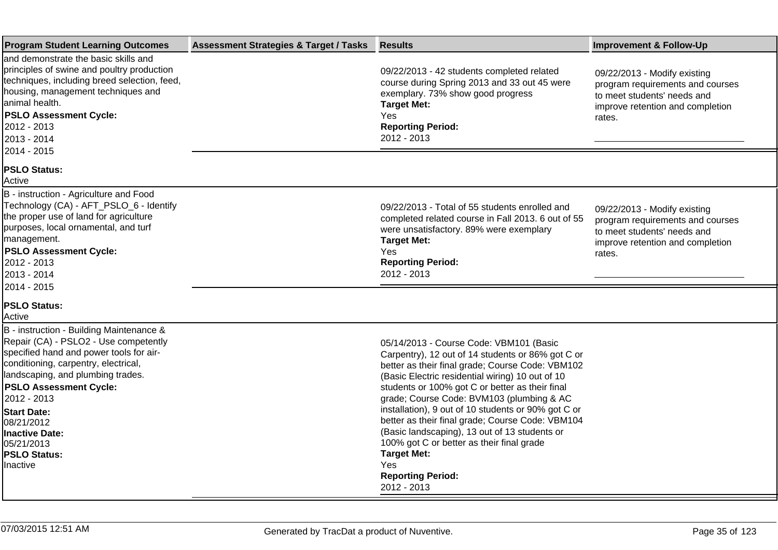| <b>Program Student Learning Outcomes</b>                                                                                                                                                                                                                                                                                                                         | <b>Assessment Strategies &amp; Target / Tasks</b> | <b>Results</b>                                                                                                                                                                                                                                                                                                                                                                                                                                                                                                                                                                        | <b>Improvement &amp; Follow-Up</b>                                                                                                            |
|------------------------------------------------------------------------------------------------------------------------------------------------------------------------------------------------------------------------------------------------------------------------------------------------------------------------------------------------------------------|---------------------------------------------------|---------------------------------------------------------------------------------------------------------------------------------------------------------------------------------------------------------------------------------------------------------------------------------------------------------------------------------------------------------------------------------------------------------------------------------------------------------------------------------------------------------------------------------------------------------------------------------------|-----------------------------------------------------------------------------------------------------------------------------------------------|
| and demonstrate the basic skills and<br>principles of swine and poultry production<br>techniques, including breed selection, feed,<br>housing, management techniques and<br>animal health.<br><b>PSLO Assessment Cycle:</b><br>2012 - 2013<br>2013 - 2014<br>2014 - 2015                                                                                         |                                                   | 09/22/2013 - 42 students completed related<br>course during Spring 2013 and 33 out 45 were<br>exemplary. 73% show good progress<br><b>Target Met:</b><br>Yes<br><b>Reporting Period:</b><br>2012 - 2013                                                                                                                                                                                                                                                                                                                                                                               | 09/22/2013 - Modify existing<br>program requirements and courses<br>to meet students' needs and<br>improve retention and completion<br>rates. |
| <b>PSLO Status:</b><br>Active                                                                                                                                                                                                                                                                                                                                    |                                                   |                                                                                                                                                                                                                                                                                                                                                                                                                                                                                                                                                                                       |                                                                                                                                               |
| B - instruction - Agriculture and Food<br>Technology (CA) - AFT_PSLO_6 - Identify<br>the proper use of land for agriculture<br>purposes, local ornamental, and turf<br>management.<br><b>PSLO Assessment Cycle:</b><br>2012 - 2013<br>2013 - 2014                                                                                                                |                                                   | 09/22/2013 - Total of 55 students enrolled and<br>completed related course in Fall 2013. 6 out of 55<br>were unsatisfactory. 89% were exemplary<br><b>Target Met:</b><br>Yes<br><b>Reporting Period:</b><br>2012 - 2013                                                                                                                                                                                                                                                                                                                                                               | 09/22/2013 - Modify existing<br>program requirements and courses<br>to meet students' needs and<br>improve retention and completion<br>rates. |
| 2014 - 2015<br><b>PSLO Status:</b><br>Active                                                                                                                                                                                                                                                                                                                     |                                                   |                                                                                                                                                                                                                                                                                                                                                                                                                                                                                                                                                                                       |                                                                                                                                               |
| B - instruction - Building Maintenance &<br>Repair (CA) - PSLO2 - Use competently<br>specified hand and power tools for air-<br>conditioning, carpentry, electrical,<br>landscaping, and plumbing trades.<br><b>PSLO Assessment Cycle:</b><br>2012 - 2013<br><b>Start Date:</b><br>08/21/2012<br>Inactive Date:<br>05/21/2013<br><b>PSLO Status:</b><br>Inactive |                                                   | 05/14/2013 - Course Code: VBM101 (Basic<br>Carpentry), 12 out of 14 students or 86% got C or<br>better as their final grade; Course Code: VBM102<br>(Basic Electric residential wiring) 10 out of 10<br>students or 100% got C or better as their final<br>grade; Course Code: BVM103 (plumbing & AC<br>installation), 9 out of 10 students or 90% got C or<br>better as their final grade; Course Code: VBM104<br>(Basic landscaping), 13 out of 13 students or<br>100% got C or better as their final grade<br><b>Target Met:</b><br>Yes<br><b>Reporting Period:</b><br>2012 - 2013 |                                                                                                                                               |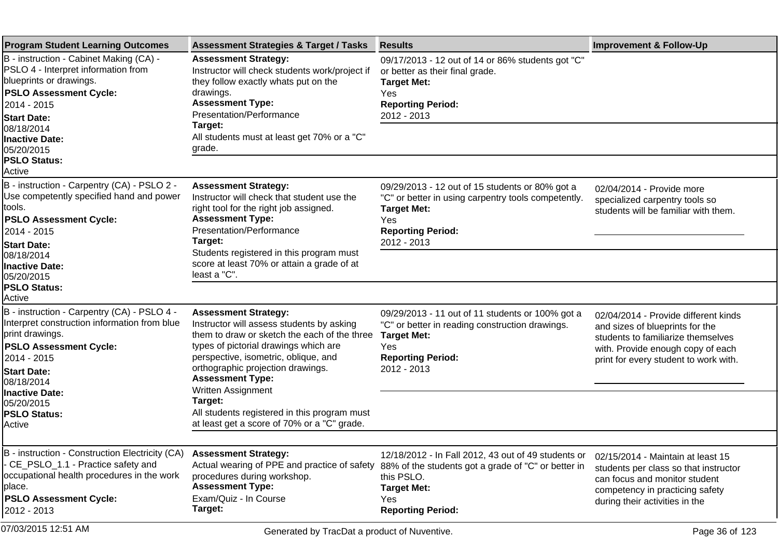| <b>Program Student Learning Outcomes</b>                                                                                                                                        | <b>Assessment Strategies &amp; Target / Tasks</b>                                                                                                                                                                                              | <b>Results</b>                                                                                                                                                              | <b>Improvement &amp; Follow-Up</b>                                                                                                                                                          |
|---------------------------------------------------------------------------------------------------------------------------------------------------------------------------------|------------------------------------------------------------------------------------------------------------------------------------------------------------------------------------------------------------------------------------------------|-----------------------------------------------------------------------------------------------------------------------------------------------------------------------------|---------------------------------------------------------------------------------------------------------------------------------------------------------------------------------------------|
| B - instruction - Cabinet Making (CA) -<br>PSLO 4 - Interpret information from<br>blueprints or drawings.<br><b>PSLO Assessment Cycle:</b><br>2014 - 2015<br><b>Start Date:</b> | <b>Assessment Strategy:</b><br>Instructor will check students work/project if<br>they follow exactly whats put on the<br>drawings.<br><b>Assessment Type:</b><br>Presentation/Performance                                                      | 09/17/2013 - 12 out of 14 or 86% students got "C"<br>or better as their final grade.<br><b>Target Met:</b><br>Yes<br><b>Reporting Period:</b><br>2012 - 2013                |                                                                                                                                                                                             |
| 08/18/2014<br><b>Inactive Date:</b><br>05/20/2015<br><b>PSLO Status:</b>                                                                                                        | Target:<br>All students must at least get 70% or a "C"<br>grade.                                                                                                                                                                               |                                                                                                                                                                             |                                                                                                                                                                                             |
| Active                                                                                                                                                                          |                                                                                                                                                                                                                                                |                                                                                                                                                                             |                                                                                                                                                                                             |
| B - instruction - Carpentry (CA) - PSLO 2 -<br>Use competently specified hand and power<br>tools.<br><b>PSLO Assessment Cycle:</b><br>2014 - 2015                               | <b>Assessment Strategy:</b><br>Instructor will check that student use the<br>right tool for the right job assigned.<br><b>Assessment Type:</b><br>Presentation/Performance                                                                     | 09/29/2013 - 12 out of 15 students or 80% got a<br>"C" or better in using carpentry tools competently.<br><b>Target Met:</b><br><b>Yes</b><br><b>Reporting Period:</b>      | 02/04/2014 - Provide more<br>specialized carpentry tools so<br>students will be familiar with them.                                                                                         |
| <b>Start Date:</b><br>08/18/2014<br><b>Inactive Date:</b><br>05/20/2015                                                                                                         | Target:<br>Students registered in this program must<br>score at least 70% or attain a grade of at<br>least a "C".                                                                                                                              | 2012 - 2013                                                                                                                                                                 |                                                                                                                                                                                             |
| <b>PSLO Status:</b><br>Active                                                                                                                                                   |                                                                                                                                                                                                                                                |                                                                                                                                                                             |                                                                                                                                                                                             |
| B - instruction - Carpentry (CA) - PSLO 4 -<br>Interpret construction information from blue<br>print drawings.<br><b>PSLO Assessment Cycle:</b><br>2014 - 2015                  | <b>Assessment Strategy:</b><br>Instructor will assess students by asking<br>them to draw or sketch the each of the three<br>types of pictorial drawings which are<br>perspective, isometric, oblique, and<br>orthographic projection drawings. | 09/29/2013 - 11 out of 11 students or 100% got a<br>"C" or better in reading construction drawings.<br><b>Target Met:</b><br>Yes<br><b>Reporting Period:</b><br>2012 - 2013 | 02/04/2014 - Provide different kinds<br>and sizes of blueprints for the<br>students to familiarize themselves<br>with. Provide enough copy of each<br>print for every student to work with. |
| <b>Start Date:</b><br>08/18/2014                                                                                                                                                | <b>Assessment Type:</b>                                                                                                                                                                                                                        |                                                                                                                                                                             |                                                                                                                                                                                             |
| Inactive Date:<br>05/20/2015<br><b>PSLO Status:</b><br><b>Active</b>                                                                                                            | Written Assignment<br>Target:<br>All students registered in this program must<br>at least get a score of 70% or a "C" grade.                                                                                                                   |                                                                                                                                                                             |                                                                                                                                                                                             |
|                                                                                                                                                                                 |                                                                                                                                                                                                                                                |                                                                                                                                                                             |                                                                                                                                                                                             |
| B - instruction - Construction Electricity (CA)<br>- CE_PSLO_1.1 - Practice safety and<br>occupational health procedures in the work<br>place.                                  | <b>Assessment Strategy:</b><br>Actual wearing of PPE and practice of safety<br>procedures during workshop.<br><b>Assessment Type:</b>                                                                                                          | 12/18/2012 - In Fall 2012, 43 out of 49 students or<br>88% of the students got a grade of "C" or better in<br>this PSLO.<br><b>Target Met:</b>                              | 02/15/2014 - Maintain at least 15<br>students per class so that instructor<br>can focus and monitor student<br>competency in practicing safety                                              |
| <b>PSLO Assessment Cycle:</b><br>2012 - 2013                                                                                                                                    | Exam/Quiz - In Course<br>Target:                                                                                                                                                                                                               | Yes<br><b>Reporting Period:</b>                                                                                                                                             | during their activities in the                                                                                                                                                              |
| 07/03/2015 12:51 AM                                                                                                                                                             | Generated by TracDat a product of Nuventive.                                                                                                                                                                                                   |                                                                                                                                                                             | Page 36 of 123                                                                                                                                                                              |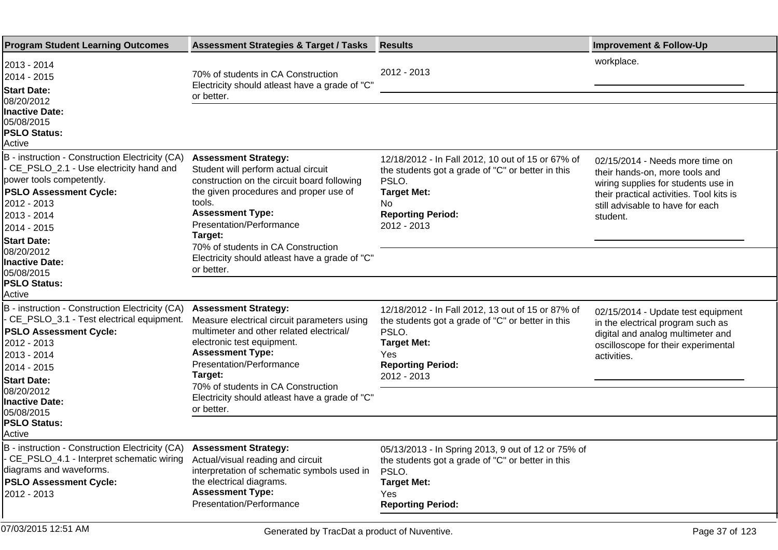| <b>Program Student Learning Outcomes</b>                                                                                                                                                                                                                                                                | <b>Assessment Strategies &amp; Target / Tasks</b>                                                                                                                                                                                                                                                                                             | <b>Results</b>                                                                                                                                                                                 | <b>Improvement &amp; Follow-Up</b>                                                                                                                                                                   |
|---------------------------------------------------------------------------------------------------------------------------------------------------------------------------------------------------------------------------------------------------------------------------------------------------------|-----------------------------------------------------------------------------------------------------------------------------------------------------------------------------------------------------------------------------------------------------------------------------------------------------------------------------------------------|------------------------------------------------------------------------------------------------------------------------------------------------------------------------------------------------|------------------------------------------------------------------------------------------------------------------------------------------------------------------------------------------------------|
| 2013 - 2014<br>2014 - 2015<br><b>Start Date:</b>                                                                                                                                                                                                                                                        | 70% of students in CA Construction<br>Electricity should atleast have a grade of "C"<br>or better.                                                                                                                                                                                                                                            | 2012 - 2013                                                                                                                                                                                    | workplace.                                                                                                                                                                                           |
| 08/20/2012<br><b>Inactive Date:</b><br>05/08/2015<br><b>PSLO Status:</b><br>Active                                                                                                                                                                                                                      |                                                                                                                                                                                                                                                                                                                                               |                                                                                                                                                                                                |                                                                                                                                                                                                      |
| B - instruction - Construction Electricity (CA)<br>- CE_PSLO_2.1 - Use electricity hand and<br>power tools competently.<br><b>PSLO Assessment Cycle:</b><br>2012 - 2013<br>2013 - 2014<br>2014 - 2015<br><b>Start Date:</b><br>08/20/2012<br><b>Inactive Date:</b><br>05/08/2015<br><b>PSLO Status:</b> | <b>Assessment Strategy:</b><br>Student will perform actual circuit<br>construction on the circuit board following<br>the given procedures and proper use of<br>tools.<br><b>Assessment Type:</b><br>Presentation/Performance<br>Target:<br>70% of students in CA Construction<br>Electricity should atleast have a grade of "C"<br>or better. | 12/18/2012 - In Fall 2012, 10 out of 15 or 67% of<br>the students got a grade of "C" or better in this<br>PSLO.<br><b>Target Met:</b><br>No.<br><b>Reporting Period:</b><br>2012 - 2013        | 02/15/2014 - Needs more time on<br>their hands-on, more tools and<br>wiring supplies for students use in<br>their practical activities. Tool kits is<br>still advisable to have for each<br>student. |
| Active<br>B - instruction - Construction Electricity (CA)<br>- CE_PSLO_3.1 - Test electrical equipment.<br><b>PSLO Assessment Cycle:</b><br>2012 - 2013<br>2013 - 2014<br>2014 - 2015<br><b>Start Date:</b><br>08/20/2012<br><b>Inactive Date:</b><br>05/08/2015<br><b>PSLO Status:</b>                 | <b>Assessment Strategy:</b><br>Measure electrical circuit parameters using<br>multimeter and other related electrical/<br>electronic test equipment.<br><b>Assessment Type:</b><br>Presentation/Performance<br>Target:<br>70% of students in CA Construction<br>Electricity should atleast have a grade of "C"<br>or better.                  | 12/18/2012 - In Fall 2012, 13 out of 15 or 87% of<br>the students got a grade of "C" or better in this<br>PSLO.<br><b>Target Met:</b><br><b>Yes</b><br><b>Reporting Period:</b><br>2012 - 2013 | 02/15/2014 - Update test equipment<br>in the electrical program such as<br>digital and analog multimeter and<br>oscilloscope for their experimental<br>activities.                                   |
| Active                                                                                                                                                                                                                                                                                                  |                                                                                                                                                                                                                                                                                                                                               |                                                                                                                                                                                                |                                                                                                                                                                                                      |
| B - instruction - Construction Electricity (CA) Assessment Strategy:<br>- CE_PSLO_4.1 - Interpret schematic wiring Actual/visual reading and circuit<br>diagrams and waveforms.<br><b>PSLO Assessment Cycle:</b><br>2012 - 2013                                                                         | interpretation of schematic symbols used in<br>the electrical diagrams.<br><b>Assessment Type:</b><br>Presentation/Performance                                                                                                                                                                                                                | 05/13/2013 - In Spring 2013, 9 out of 12 or 75% of<br>the students got a grade of "C" or better in this<br>PSLO.<br><b>Target Met:</b><br>Yes<br><b>Reporting Period:</b>                      |                                                                                                                                                                                                      |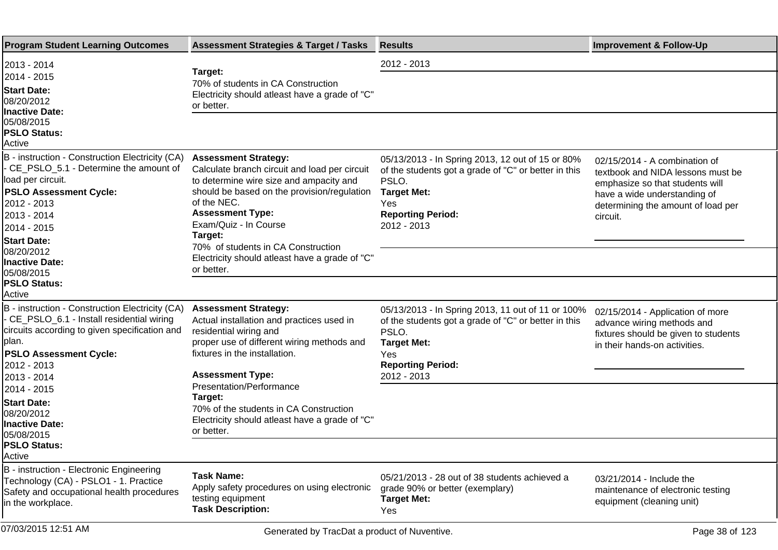| <b>Program Student Learning Outcomes</b>                                                                                                                                                                            | <b>Assessment Strategies &amp; Target / Tasks</b>                                                                                                                                                                                                                                          | <b>Results</b>                                                                                                                                                                            | <b>Improvement &amp; Follow-Up</b>                                                                                                                                                      |
|---------------------------------------------------------------------------------------------------------------------------------------------------------------------------------------------------------------------|--------------------------------------------------------------------------------------------------------------------------------------------------------------------------------------------------------------------------------------------------------------------------------------------|-------------------------------------------------------------------------------------------------------------------------------------------------------------------------------------------|-----------------------------------------------------------------------------------------------------------------------------------------------------------------------------------------|
| 2013 - 2014                                                                                                                                                                                                         |                                                                                                                                                                                                                                                                                            | 2012 - 2013                                                                                                                                                                               |                                                                                                                                                                                         |
| 2014 - 2015<br><b>Start Date:</b><br>08/20/2012<br><b>Inactive Date:</b>                                                                                                                                            | Target:<br>70% of students in CA Construction<br>Electricity should atleast have a grade of "C"<br>or better.                                                                                                                                                                              |                                                                                                                                                                                           |                                                                                                                                                                                         |
| 05/08/2015<br><b>PSLO Status:</b><br>Active                                                                                                                                                                         |                                                                                                                                                                                                                                                                                            |                                                                                                                                                                                           |                                                                                                                                                                                         |
| B - instruction - Construction Electricity (CA)<br>- CE_PSLO_5.1 - Determine the amount of<br>load per circuit.<br><b>PSLO Assessment Cycle:</b><br>2012 - 2013<br>2013 - 2014<br>2014 - 2015<br><b>Start Date:</b> | <b>Assessment Strategy:</b><br>Calculate branch circuit and load per circuit<br>to determine wire size and ampacity and<br>should be based on the provision/regulation<br>of the NEC.<br><b>Assessment Type:</b><br>Exam/Quiz - In Course<br>Target:<br>70% of students in CA Construction | 05/13/2013 - In Spring 2013, 12 out of 15 or 80%<br>of the students got a grade of "C" or better in this<br>PSLO.<br><b>Target Met:</b><br>Yes<br><b>Reporting Period:</b><br>2012 - 2013 | 02/15/2014 - A combination of<br>textbook and NIDA lessons must be<br>emphasize so that students will<br>have a wide understanding of<br>determining the amount of load per<br>circuit. |
| 08/20/2012<br><b>Inactive Date:</b><br>05/08/2015                                                                                                                                                                   | Electricity should atleast have a grade of "C"<br>or better.                                                                                                                                                                                                                               |                                                                                                                                                                                           |                                                                                                                                                                                         |
| <b>PSLO Status:</b><br>Active                                                                                                                                                                                       |                                                                                                                                                                                                                                                                                            |                                                                                                                                                                                           |                                                                                                                                                                                         |
| B - instruction - Construction Electricity (CA)<br>- CE_PSLO_6.1 - Install residential wiring<br>circuits according to given specification and<br>lplan.<br><b>PSLO Assessment Cycle:</b><br>2012 - 2013            | <b>Assessment Strategy:</b><br>Actual installation and practices used in<br>residential wiring and<br>proper use of different wiring methods and<br>fixtures in the installation.                                                                                                          | 05/13/2013 - In Spring 2013, 11 out of 11 or 100%<br>of the students got a grade of "C" or better in this<br>PSLO.<br><b>Target Met:</b><br>Yes<br><b>Reporting Period:</b>               | 02/15/2014 - Application of more<br>advance wiring methods and<br>fixtures should be given to students<br>in their hands-on activities.                                                 |
| 2013 - 2014<br>2014 - 2015                                                                                                                                                                                          | <b>Assessment Type:</b><br>Presentation/Performance                                                                                                                                                                                                                                        | 2012 - 2013                                                                                                                                                                               |                                                                                                                                                                                         |
| <b>Start Date:</b><br>08/20/2012<br><b>Inactive Date:</b><br>05/08/2015                                                                                                                                             | Target:<br>70% of the students in CA Construction<br>Electricity should atleast have a grade of "C"<br>or better.                                                                                                                                                                          |                                                                                                                                                                                           |                                                                                                                                                                                         |
| <b>PSLO Status:</b><br>Active                                                                                                                                                                                       |                                                                                                                                                                                                                                                                                            |                                                                                                                                                                                           |                                                                                                                                                                                         |
| B - instruction - Electronic Engineering<br>Technology (CA) - PSLO1 - 1. Practice<br>Safety and occupational health procedures<br>in the workplace.                                                                 | <b>Task Name:</b><br>Apply safety procedures on using electronic<br>testing equipment<br><b>Task Description:</b>                                                                                                                                                                          | 05/21/2013 - 28 out of 38 students achieved a<br>grade 90% or better (exemplary)<br><b>Target Met:</b><br>Yes                                                                             | 03/21/2014 - Include the<br>maintenance of electronic testing<br>equipment (cleaning unit)                                                                                              |
| 07/03/2015 12:51 AM                                                                                                                                                                                                 | Generated by TracDat a product of Nuventive.                                                                                                                                                                                                                                               |                                                                                                                                                                                           | Page 38 of 123                                                                                                                                                                          |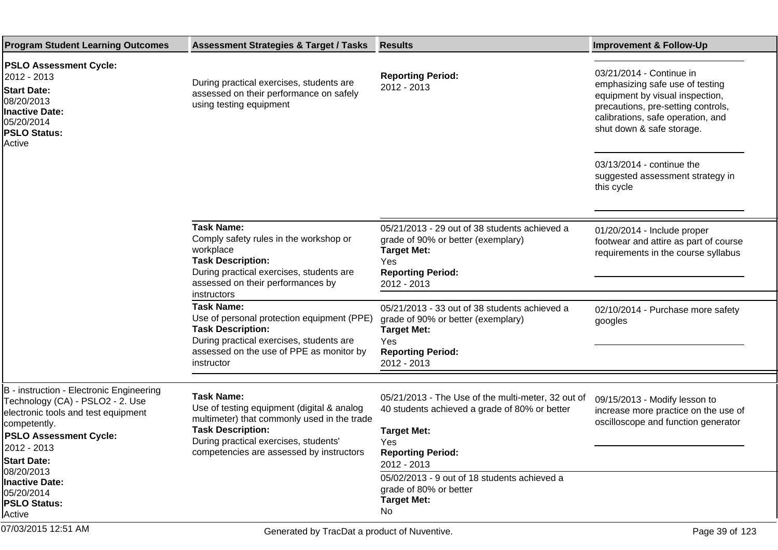| <b>Program Student Learning Outcomes</b>                                                                                                                                                                                                                                                        | <b>Assessment Strategies &amp; Target / Tasks</b>                                                                                                                                                                               | <b>Results</b>                                                                                                                                                                                                                                                                           | <b>Improvement &amp; Follow-Up</b>                                                                                                                                                                     |
|-------------------------------------------------------------------------------------------------------------------------------------------------------------------------------------------------------------------------------------------------------------------------------------------------|---------------------------------------------------------------------------------------------------------------------------------------------------------------------------------------------------------------------------------|------------------------------------------------------------------------------------------------------------------------------------------------------------------------------------------------------------------------------------------------------------------------------------------|--------------------------------------------------------------------------------------------------------------------------------------------------------------------------------------------------------|
| <b>PSLO Assessment Cycle:</b><br>2012 - 2013<br><b>Start Date:</b><br>08/20/2013<br>Inactive Date:<br>05/20/2014<br><b>PSLO Status:</b><br>Active                                                                                                                                               | During practical exercises, students are<br>assessed on their performance on safely<br>using testing equipment                                                                                                                  | <b>Reporting Period:</b><br>2012 - 2013                                                                                                                                                                                                                                                  | 03/21/2014 - Continue in<br>emphasizing safe use of testing<br>equipment by visual inspection,<br>precautions, pre-setting controls,<br>calibrations, safe operation, and<br>shut down & safe storage. |
|                                                                                                                                                                                                                                                                                                 |                                                                                                                                                                                                                                 |                                                                                                                                                                                                                                                                                          | 03/13/2014 - continue the<br>suggested assessment strategy in<br>this cycle                                                                                                                            |
|                                                                                                                                                                                                                                                                                                 | <b>Task Name:</b><br>Comply safety rules in the workshop or<br>workplace<br><b>Task Description:</b><br>During practical exercises, students are<br>assessed on their performances by<br>instructors                            | 05/21/2013 - 29 out of 38 students achieved a<br>grade of 90% or better (exemplary)<br><b>Target Met:</b><br>Yes<br><b>Reporting Period:</b><br>2012 - 2013                                                                                                                              | 01/20/2014 - Include proper<br>footwear and attire as part of course<br>requirements in the course syllabus                                                                                            |
|                                                                                                                                                                                                                                                                                                 | <b>Task Name:</b><br>Use of personal protection equipment (PPE)<br><b>Task Description:</b><br>During practical exercises, students are<br>assessed on the use of PPE as monitor by<br>instructor                               | 05/21/2013 - 33 out of 38 students achieved a<br>grade of 90% or better (exemplary)<br><b>Target Met:</b><br>Yes<br><b>Reporting Period:</b><br>2012 - 2013                                                                                                                              | 02/10/2014 - Purchase more safety<br>googles                                                                                                                                                           |
| B - instruction - Electronic Engineering<br>Technology (CA) - PSLO2 - 2. Use<br>electronic tools and test equipment<br>competently.<br><b>PSLO Assessment Cycle:</b><br>2012 - 2013<br><b>Start Date:</b><br>08/20/2013<br><b>Inactive Date:</b><br>05/20/2014<br><b>PSLO Status:</b><br>Active | <b>Task Name:</b><br>Use of testing equipment (digital & analog<br>multimeter) that commonly used in the trade<br><b>Task Description:</b><br>During practical exercises, students'<br>competencies are assessed by instructors | 05/21/2013 - The Use of the multi-meter, 32 out of<br>40 students achieved a grade of 80% or better<br><b>Target Met:</b><br><b>Yes</b><br><b>Reporting Period:</b><br>2012 - 2013<br>05/02/2013 - 9 out of 18 students achieved a<br>grade of 80% or better<br><b>Target Met:</b><br>No | 09/15/2013 - Modify lesson to<br>increase more practice on the use of<br>oscilloscope and function generator                                                                                           |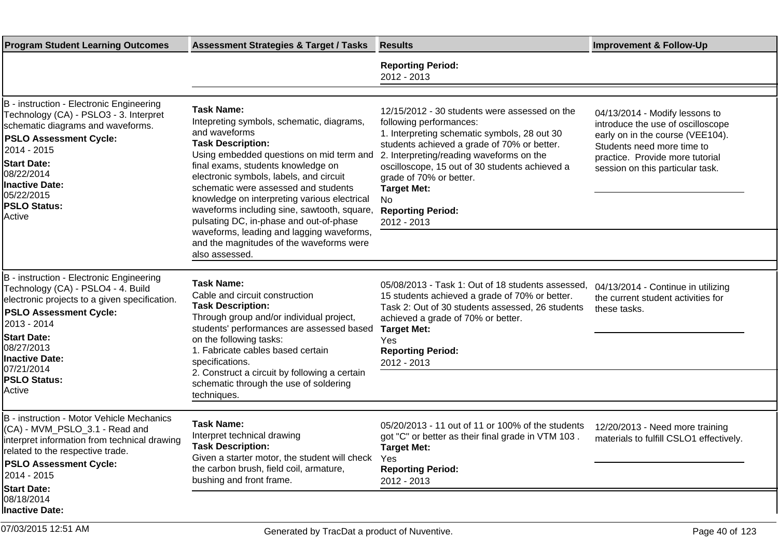| <b>Program Student Learning Outcomes</b>                                                                                                                                                                                                                                             | <b>Assessment Strategies &amp; Target / Tasks</b>                                                                                                                                                                                                                                                                                                                                                                                                                                                                                     | <b>Results</b>                                                                                                                                                                                                                                                                                                                                                          | <b>Improvement &amp; Follow-Up</b>                                                                                                                                                                           |
|--------------------------------------------------------------------------------------------------------------------------------------------------------------------------------------------------------------------------------------------------------------------------------------|---------------------------------------------------------------------------------------------------------------------------------------------------------------------------------------------------------------------------------------------------------------------------------------------------------------------------------------------------------------------------------------------------------------------------------------------------------------------------------------------------------------------------------------|-------------------------------------------------------------------------------------------------------------------------------------------------------------------------------------------------------------------------------------------------------------------------------------------------------------------------------------------------------------------------|--------------------------------------------------------------------------------------------------------------------------------------------------------------------------------------------------------------|
|                                                                                                                                                                                                                                                                                      |                                                                                                                                                                                                                                                                                                                                                                                                                                                                                                                                       | <b>Reporting Period:</b><br>2012 - 2013                                                                                                                                                                                                                                                                                                                                 |                                                                                                                                                                                                              |
| B - instruction - Electronic Engineering<br>Technology (CA) - PSLO3 - 3. Interpret<br>schematic diagrams and waveforms.<br><b>PSLO Assessment Cycle:</b><br>2014 - 2015<br><b>Start Date:</b><br>08/22/2014<br><b>Inactive Date:</b><br>05/22/2015<br><b>PSLO Status:</b><br>Active  | <b>Task Name:</b><br>Intepreting symbols, schematic, diagrams,<br>and waveforms<br><b>Task Description:</b><br>Using embedded questions on mid term and<br>final exams, students knowledge on<br>electronic symbols, labels, and circuit<br>schematic were assessed and students<br>knowledge on interpreting various electrical<br>waveforms including sine, sawtooth, square,<br>pulsating DC, in-phase and out-of-phase<br>waveforms, leading and lagging waveforms,<br>and the magnitudes of the waveforms were<br>also assessed. | 12/15/2012 - 30 students were assessed on the<br>following performances:<br>1. Interpreting schematic symbols, 28 out 30<br>students achieved a grade of 70% or better.<br>2. Interpreting/reading waveforms on the<br>oscilloscope, 15 out of 30 students achieved a<br>grade of 70% or better.<br><b>Target Met:</b><br>No<br><b>Reporting Period:</b><br>2012 - 2013 | 04/13/2014 - Modify lessons to<br>introduce the use of oscilloscope<br>early on in the course (VEE104).<br>Students need more time to<br>practice. Provide more tutorial<br>session on this particular task. |
| B - instruction - Electronic Engineering<br>Technology (CA) - PSLO4 - 4. Build<br>electronic projects to a given specification.<br><b>PSLO Assessment Cycle:</b><br>2013 - 2014<br><b>Start Date:</b><br>08/27/2013<br>Inactive Date:<br>07/21/2014<br><b>PSLO Status:</b><br>Active | <b>Task Name:</b><br>Cable and circuit construction<br><b>Task Description:</b><br>Through group and/or individual project,<br>students' performances are assessed based<br>on the following tasks:<br>1. Fabricate cables based certain<br>specifications.<br>2. Construct a circuit by following a certain<br>schematic through the use of soldering<br>techniques.                                                                                                                                                                 | 05/08/2013 - Task 1: Out of 18 students assessed,<br>15 students achieved a grade of 70% or better.<br>Task 2: Out of 30 students assessed, 26 students<br>achieved a grade of 70% or better.<br><b>Target Met:</b><br>Yes<br><b>Reporting Period:</b><br>2012 - 2013                                                                                                   | 04/13/2014 - Continue in utilizing<br>the current student activities for<br>these tasks.                                                                                                                     |
| B - instruction - Motor Vehicle Mechanics<br>(CA) - MVM_PSLO_3.1 - Read and<br>interpret information from technical drawing<br>related to the respective trade.<br><b>PSLO Assessment Cycle:</b><br>2014 - 2015<br><b>Start Date:</b><br>08/18/2014<br><b>Inactive Date:</b>         | <b>Task Name:</b><br>Interpret technical drawing<br><b>Task Description:</b><br>Given a starter motor, the student will check<br>the carbon brush, field coil, armature,<br>bushing and front frame.                                                                                                                                                                                                                                                                                                                                  | 05/20/2013 - 11 out of 11 or 100% of the students<br>got "C" or better as their final grade in VTM 103.<br><b>Target Met:</b><br>Yes<br><b>Reporting Period:</b><br>2012 - 2013                                                                                                                                                                                         | 12/20/2013 - Need more training<br>materials to fulfill CSLO1 effectively.                                                                                                                                   |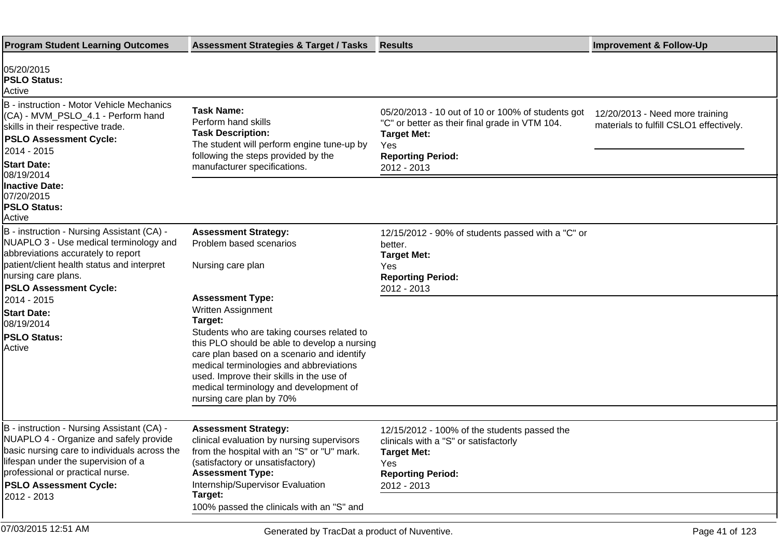| <b>Program Student Learning Outcomes</b>                                                                                                                                                                                                         | <b>Assessment Strategies &amp; Target / Tasks</b>                                                                                                                                                                                                                                                     | <b>Results</b>                                                                                                                                                              | <b>Improvement &amp; Follow-Up</b>                                         |
|--------------------------------------------------------------------------------------------------------------------------------------------------------------------------------------------------------------------------------------------------|-------------------------------------------------------------------------------------------------------------------------------------------------------------------------------------------------------------------------------------------------------------------------------------------------------|-----------------------------------------------------------------------------------------------------------------------------------------------------------------------------|----------------------------------------------------------------------------|
| 05/20/2015<br><b>PSLO Status:</b><br>Active                                                                                                                                                                                                      |                                                                                                                                                                                                                                                                                                       |                                                                                                                                                                             |                                                                            |
| B - instruction - Motor Vehicle Mechanics<br>(CA) - MVM_PSLO_4.1 - Perform hand<br>skills in their respective trade.<br><b>PSLO Assessment Cycle:</b><br>2014 - 2015<br><b>Start Date:</b><br>08/19/2014<br><b>Inactive Date:</b>                | <b>Task Name:</b><br>Perform hand skills<br><b>Task Description:</b><br>The student will perform engine tune-up by<br>following the steps provided by the<br>manufacturer specifications.                                                                                                             | 05/20/2013 - 10 out of 10 or 100% of students got<br>"C" or better as their final grade in VTM 104.<br><b>Target Met:</b><br>Yes<br><b>Reporting Period:</b><br>2012 - 2013 | 12/20/2013 - Need more training<br>materials to fulfill CSLO1 effectively. |
| 07/20/2015<br><b>PSLO Status:</b><br>Active                                                                                                                                                                                                      |                                                                                                                                                                                                                                                                                                       |                                                                                                                                                                             |                                                                            |
| B - instruction - Nursing Assistant (CA) -<br>NUAPLO 3 - Use medical terminology and<br>abbreviations accurately to report                                                                                                                       | <b>Assessment Strategy:</b><br>Problem based scenarios                                                                                                                                                                                                                                                | 12/15/2012 - 90% of students passed with a "C" or<br>better.<br><b>Target Met:</b>                                                                                          |                                                                            |
| patient/client health status and interpret<br>nursing care plans.<br><b>PSLO Assessment Cycle:</b>                                                                                                                                               | Nursing care plan                                                                                                                                                                                                                                                                                     | Yes<br><b>Reporting Period:</b><br>2012 - 2013                                                                                                                              |                                                                            |
| 2014 - 2015<br><b>Start Date:</b><br>08/19/2014                                                                                                                                                                                                  | <b>Assessment Type:</b><br>Written Assignment<br>Target:                                                                                                                                                                                                                                              |                                                                                                                                                                             |                                                                            |
| <b>PSLO Status:</b><br>Active                                                                                                                                                                                                                    | Students who are taking courses related to<br>this PLO should be able to develop a nursing<br>care plan based on a scenario and identify<br>medical terminologies and abbreviations<br>used. Improve their skills in the use of<br>medical terminology and development of<br>nursing care plan by 70% |                                                                                                                                                                             |                                                                            |
|                                                                                                                                                                                                                                                  |                                                                                                                                                                                                                                                                                                       |                                                                                                                                                                             |                                                                            |
| B - instruction - Nursing Assistant (CA) -<br>NUAPLO 4 - Organize and safely provide<br>basic nursing care to individuals across the<br>lifespan under the supervision of a<br>professional or practical nurse.<br><b>PSLO Assessment Cycle:</b> | <b>Assessment Strategy:</b><br>clinical evaluation by nursing supervisors<br>from the hospital with an "S" or "U" mark.<br>(satisfactory or unsatisfactory)<br><b>Assessment Type:</b><br>Internship/Supervisor Evaluation<br>Target:                                                                 | 12/15/2012 - 100% of the students passed the<br>clinicals with a "S" or satisfactorly<br>Target Met:<br>Yes<br><b>Reporting Period:</b><br>2012 - 2013                      |                                                                            |
| 2012 - 2013                                                                                                                                                                                                                                      | 100% passed the clinicals with an "S" and                                                                                                                                                                                                                                                             |                                                                                                                                                                             |                                                                            |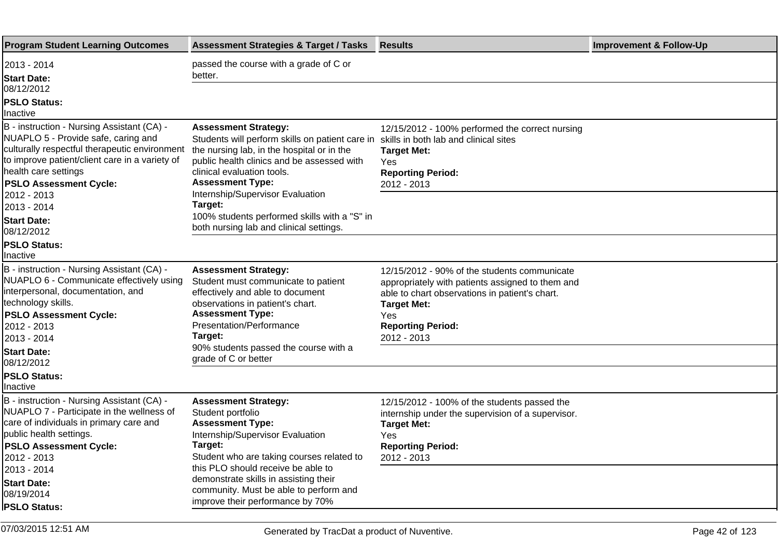| <b>Program Student Learning Outcomes</b>                                                                                                                                                                                                      | <b>Assessment Strategies &amp; Target / Tasks</b>                                                                                                                                                                                   | <b>Results</b>                                                                                                                                                                                                             | <b>Improvement &amp; Follow-Up</b> |
|-----------------------------------------------------------------------------------------------------------------------------------------------------------------------------------------------------------------------------------------------|-------------------------------------------------------------------------------------------------------------------------------------------------------------------------------------------------------------------------------------|----------------------------------------------------------------------------------------------------------------------------------------------------------------------------------------------------------------------------|------------------------------------|
| 2013 - 2014<br><b>Start Date:</b>                                                                                                                                                                                                             | passed the course with a grade of C or<br>better.                                                                                                                                                                                   |                                                                                                                                                                                                                            |                                    |
| 08/12/2012                                                                                                                                                                                                                                    |                                                                                                                                                                                                                                     |                                                                                                                                                                                                                            |                                    |
| <b>PSLO Status:</b><br>Inactive                                                                                                                                                                                                               |                                                                                                                                                                                                                                     |                                                                                                                                                                                                                            |                                    |
| B - instruction - Nursing Assistant (CA) -<br>NUAPLO 5 - Provide safe, caring and<br>culturally respectful therapeutic environment<br>to improve patient/client care in a variety of<br>health care settings<br><b>PSLO Assessment Cycle:</b> | <b>Assessment Strategy:</b><br>Students will perform skills on patient care in<br>the nursing lab, in the hospital or in the<br>public health clinics and be assessed with<br>clinical evaluation tools.<br><b>Assessment Type:</b> | 12/15/2012 - 100% performed the correct nursing<br>skills in both lab and clinical sites<br><b>Target Met:</b><br>Yes<br><b>Reporting Period:</b><br>2012 - 2013                                                           |                                    |
| 2012 - 2013<br>2013 - 2014<br><b>Start Date:</b><br>08/12/2012                                                                                                                                                                                | Internship/Supervisor Evaluation<br>Target:<br>100% students performed skills with a "S" in<br>both nursing lab and clinical settings.                                                                                              |                                                                                                                                                                                                                            |                                    |
| <b>PSLO Status:</b><br>Inactive                                                                                                                                                                                                               |                                                                                                                                                                                                                                     |                                                                                                                                                                                                                            |                                    |
| B - instruction - Nursing Assistant (CA) -<br>NUAPLO 6 - Communicate effectively using<br>interpersonal, documentation, and<br>technology skills.<br><b>PSLO Assessment Cycle:</b><br>2012 - 2013<br>2013 - 2014                              | <b>Assessment Strategy:</b><br>Student must communicate to patient<br>effectively and able to document<br>observations in patient's chart.<br><b>Assessment Type:</b><br><b>Presentation/Performance</b><br>Target:                 | 12/15/2012 - 90% of the students communicate<br>appropriately with patients assigned to them and<br>able to chart observations in patient's chart.<br><b>Target Met:</b><br>Yes<br><b>Reporting Period:</b><br>2012 - 2013 |                                    |
| <b>Start Date:</b><br>08/12/2012                                                                                                                                                                                                              | 90% students passed the course with a<br>grade of C or better                                                                                                                                                                       |                                                                                                                                                                                                                            |                                    |
| <b>PSLO Status:</b><br>Inactive                                                                                                                                                                                                               |                                                                                                                                                                                                                                     |                                                                                                                                                                                                                            |                                    |
| B - instruction - Nursing Assistant (CA) -<br>NUAPLO 7 - Participate in the wellness of<br>care of individuals in primary care and<br>public health settings.<br><b>PSLO Assessment Cycle:</b><br>2012 - 2013                                 | <b>Assessment Strategy:</b><br>Student portfolio<br><b>Assessment Type:</b><br>Internship/Supervisor Evaluation<br>Target:<br>Student who are taking courses related to                                                             | 12/15/2012 - 100% of the students passed the<br>internship under the supervision of a supervisor.<br><b>Target Met:</b><br>Yes<br><b>Reporting Period:</b><br>2012 - 2013                                                  |                                    |
| 2013 - 2014<br><b>Start Date:</b><br>08/19/2014<br><b>PSLO Status:</b>                                                                                                                                                                        | this PLO should receive be able to<br>demonstrate skills in assisting their<br>community. Must be able to perform and<br>improve their performance by 70%                                                                           |                                                                                                                                                                                                                            |                                    |
|                                                                                                                                                                                                                                               |                                                                                                                                                                                                                                     |                                                                                                                                                                                                                            |                                    |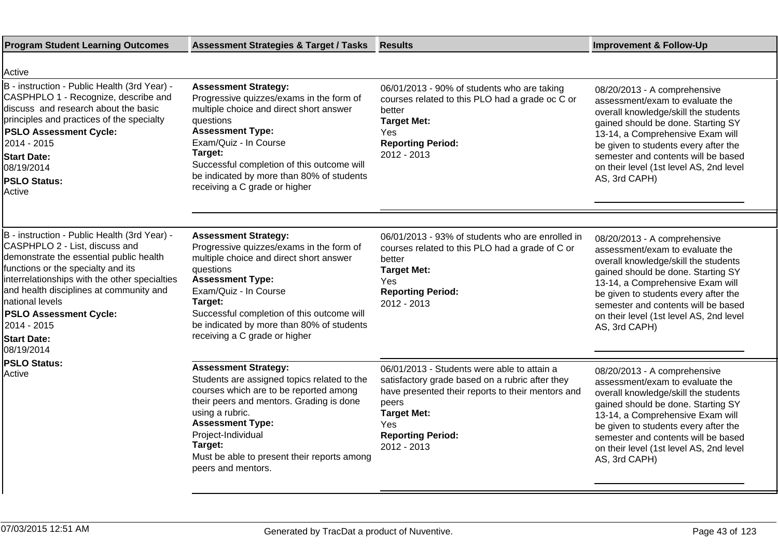| <b>Program Student Learning Outcomes</b>                                                                                                                                                                                                                                                                                                                           | <b>Assessment Strategies &amp; Target / Tasks</b>                                                                                                                                                                                                                                                                          | <b>Results</b>                                                                                                                                                                                                                       | <b>Improvement &amp; Follow-Up</b>                                                                                                                                                                                                                                                                                           |
|--------------------------------------------------------------------------------------------------------------------------------------------------------------------------------------------------------------------------------------------------------------------------------------------------------------------------------------------------------------------|----------------------------------------------------------------------------------------------------------------------------------------------------------------------------------------------------------------------------------------------------------------------------------------------------------------------------|--------------------------------------------------------------------------------------------------------------------------------------------------------------------------------------------------------------------------------------|------------------------------------------------------------------------------------------------------------------------------------------------------------------------------------------------------------------------------------------------------------------------------------------------------------------------------|
| Active                                                                                                                                                                                                                                                                                                                                                             |                                                                                                                                                                                                                                                                                                                            |                                                                                                                                                                                                                                      |                                                                                                                                                                                                                                                                                                                              |
| B - instruction - Public Health (3rd Year) -<br>CASPHPLO 1 - Recognize, describe and<br>discuss and research about the basic<br>principles and practices of the specialty<br><b>PSLO Assessment Cycle:</b><br>2014 - 2015<br><b>Start Date:</b><br>08/19/2014<br><b>PSLO Status:</b><br>Active                                                                     | <b>Assessment Strategy:</b><br>Progressive quizzes/exams in the form of<br>multiple choice and direct short answer<br>questions<br><b>Assessment Type:</b><br>Exam/Quiz - In Course<br>Target:<br>Successful completion of this outcome will<br>be indicated by more than 80% of students<br>receiving a C grade or higher | 06/01/2013 - 90% of students who are taking<br>courses related to this PLO had a grade oc C or<br>better<br><b>Target Met:</b><br>Yes<br><b>Reporting Period:</b><br>2012 - 2013                                                     | 08/20/2013 - A comprehensive<br>assessment/exam to evaluate the<br>overall knowledge/skill the students<br>gained should be done. Starting SY<br>13-14, a Comprehensive Exam will<br>be given to students every after the<br>semester and contents will be based<br>on their level (1st level AS, 2nd level<br>AS, 3rd CAPH) |
|                                                                                                                                                                                                                                                                                                                                                                    |                                                                                                                                                                                                                                                                                                                            |                                                                                                                                                                                                                                      |                                                                                                                                                                                                                                                                                                                              |
| B - instruction - Public Health (3rd Year) -<br>CASPHPLO 2 - List, discuss and<br>demonstrate the essential public health<br>functions or the specialty and its<br>interrelationships with the other specialties<br>and health disciplines at community and<br>national levels<br><b>PSLO Assessment Cycle:</b><br>2014 - 2015<br><b>Start Date:</b><br>08/19/2014 | <b>Assessment Strategy:</b><br>Progressive quizzes/exams in the form of<br>multiple choice and direct short answer<br>questions<br><b>Assessment Type:</b><br>Exam/Quiz - In Course<br>Target:<br>Successful completion of this outcome will<br>be indicated by more than 80% of students<br>receiving a C grade or higher | 06/01/2013 - 93% of students who are enrolled in<br>courses related to this PLO had a grade of C or<br>better<br><b>Target Met:</b><br>Yes<br><b>Reporting Period:</b><br>2012 - 2013                                                | 08/20/2013 - A comprehensive<br>assessment/exam to evaluate the<br>overall knowledge/skill the students<br>gained should be done. Starting SY<br>13-14, a Comprehensive Exam will<br>be given to students every after the<br>semester and contents will be based<br>on their level (1st level AS, 2nd level<br>AS, 3rd CAPH) |
| <b>PSLO Status:</b><br>Active                                                                                                                                                                                                                                                                                                                                      | <b>Assessment Strategy:</b><br>Students are assigned topics related to the<br>courses which are to be reported among<br>their peers and mentors. Grading is done<br>using a rubric.<br><b>Assessment Type:</b><br>Project-Individual<br>Target:<br>Must be able to present their reports among<br>peers and mentors.       | 06/01/2013 - Students were able to attain a<br>satisfactory grade based on a rubric after they<br>have presented their reports to their mentors and<br>peers<br><b>Target Met:</b><br>Yes<br><b>Reporting Period:</b><br>2012 - 2013 | 08/20/2013 - A comprehensive<br>assessment/exam to evaluate the<br>overall knowledge/skill the students<br>gained should be done. Starting SY<br>13-14, a Comprehensive Exam will<br>be given to students every after the<br>semester and contents will be based<br>on their level (1st level AS, 2nd level<br>AS, 3rd CAPH) |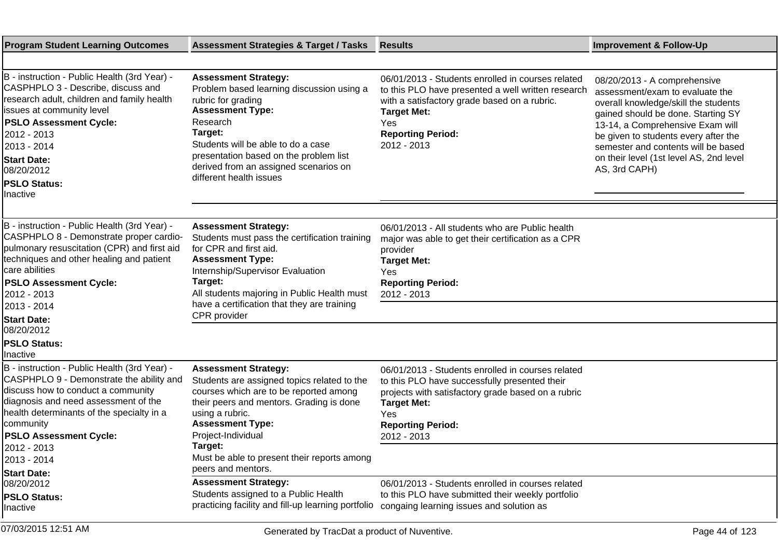| <b>Program Student Learning Outcomes</b>                                                                                                                                                                                                                                                                              | <b>Assessment Strategies &amp; Target / Tasks</b>                                                                                                                                                                                                                                                                    | <b>Results</b>                                                                                                                                                                                                                   | <b>Improvement &amp; Follow-Up</b>                                                                                                                                                                                                                                                                                           |
|-----------------------------------------------------------------------------------------------------------------------------------------------------------------------------------------------------------------------------------------------------------------------------------------------------------------------|----------------------------------------------------------------------------------------------------------------------------------------------------------------------------------------------------------------------------------------------------------------------------------------------------------------------|----------------------------------------------------------------------------------------------------------------------------------------------------------------------------------------------------------------------------------|------------------------------------------------------------------------------------------------------------------------------------------------------------------------------------------------------------------------------------------------------------------------------------------------------------------------------|
|                                                                                                                                                                                                                                                                                                                       |                                                                                                                                                                                                                                                                                                                      |                                                                                                                                                                                                                                  |                                                                                                                                                                                                                                                                                                                              |
| B - instruction - Public Health (3rd Year) -<br>CASPHPLO 3 - Describe, discuss and<br>research adult, children and family health<br>issues at community level<br><b>PSLO Assessment Cycle:</b><br>2012 - 2013<br>2013 - 2014<br><b>Start Date:</b><br>08/20/2012<br><b>PSLO Status:</b><br>Inactive                   | <b>Assessment Strategy:</b><br>Problem based learning discussion using a<br>rubric for grading<br><b>Assessment Type:</b><br>Research<br>Target:<br>Students will be able to do a case<br>presentation based on the problem list<br>derived from an assigned scenarios on<br>different health issues                 | 06/01/2013 - Students enrolled in courses related<br>to this PLO have presented a well written research<br>with a satisfactory grade based on a rubric.<br><b>Target Met:</b><br>Yes<br><b>Reporting Period:</b><br>2012 - 2013  | 08/20/2013 - A comprehensive<br>assessment/exam to evaluate the<br>overall knowledge/skill the students<br>gained should be done. Starting SY<br>13-14, a Comprehensive Exam will<br>be given to students every after the<br>semester and contents will be based<br>on their level (1st level AS, 2nd level<br>AS, 3rd CAPH) |
| B - instruction - Public Health (3rd Year) -<br>CASPHPLO 8 - Demonstrate proper cardio-<br>pulmonary resuscitation (CPR) and first aid<br>techniques and other healing and patient<br>care abilities<br><b>PSLO Assessment Cycle:</b><br>2012 - 2013<br>2013 - 2014<br><b>Start Date:</b>                             | <b>Assessment Strategy:</b><br>Students must pass the certification training<br>for CPR and first aid.<br><b>Assessment Type:</b><br>Internship/Supervisor Evaluation<br>Target:<br>All students majoring in Public Health must<br>have a certification that they are training<br>CPR provider                       | 06/01/2013 - All students who are Public health<br>major was able to get their certification as a CPR<br>provider<br><b>Target Met:</b><br>Yes<br><b>Reporting Period:</b><br>2012 - 2013                                        |                                                                                                                                                                                                                                                                                                                              |
| 08/20/2012<br><b>PSLO Status:</b><br>llnactive                                                                                                                                                                                                                                                                        |                                                                                                                                                                                                                                                                                                                      |                                                                                                                                                                                                                                  |                                                                                                                                                                                                                                                                                                                              |
| B - instruction - Public Health (3rd Year) -<br>CASPHPLO 9 - Demonstrate the ability and<br>discuss how to conduct a community<br>diagnosis and need assessment of the<br>health determinants of the specialty in a<br>community<br><b>PSLO Assessment Cycle:</b><br>2012 - 2013<br>2013 - 2014<br><b>Start Date:</b> | <b>Assessment Strategy:</b><br>Students are assigned topics related to the<br>courses which are to be reported among<br>their peers and mentors. Grading is done<br>using a rubric.<br><b>Assessment Type:</b><br>Project-Individual<br>Target:<br>Must be able to present their reports among<br>peers and mentors. | 06/01/2013 - Students enrolled in courses related<br>to this PLO have successfully presented their<br>projects with satisfactory grade based on a rubric<br><b>Target Met:</b><br>Yes<br><b>Reporting Period:</b><br>2012 - 2013 |                                                                                                                                                                                                                                                                                                                              |
| 08/20/2012<br><b>PSLO Status:</b><br>Inactive                                                                                                                                                                                                                                                                         | <b>Assessment Strategy:</b><br>Students assigned to a Public Health<br>practicing facility and fill-up learning portfolio                                                                                                                                                                                            | 06/01/2013 - Students enrolled in courses related<br>to this PLO have submitted their weekly portfolio<br>congaing learning issues and solution as                                                                               |                                                                                                                                                                                                                                                                                                                              |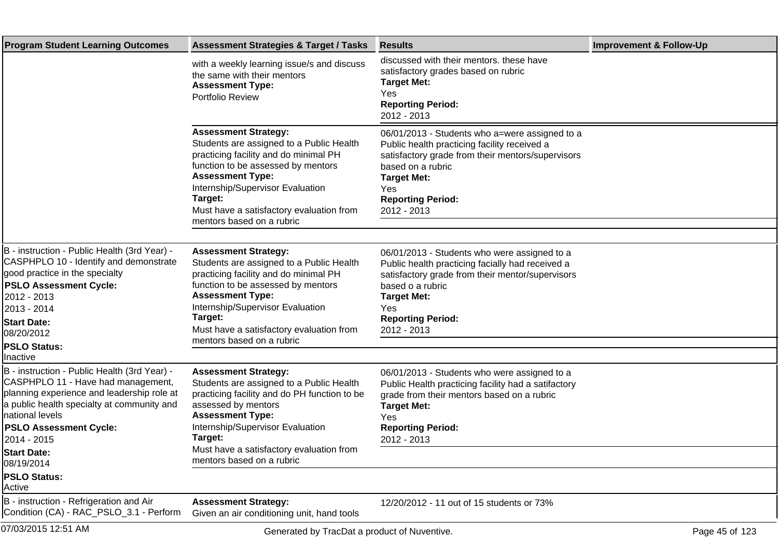| <b>Program Student Learning Outcomes</b>                                                                                                                                                                                                                                                          | <b>Assessment Strategies &amp; Target / Tasks</b>                                                                                                                                                                                                                                                         | <b>Results</b>                                                                                                                                                                                                                                   | <b>Improvement &amp; Follow-Up</b> |
|---------------------------------------------------------------------------------------------------------------------------------------------------------------------------------------------------------------------------------------------------------------------------------------------------|-----------------------------------------------------------------------------------------------------------------------------------------------------------------------------------------------------------------------------------------------------------------------------------------------------------|--------------------------------------------------------------------------------------------------------------------------------------------------------------------------------------------------------------------------------------------------|------------------------------------|
|                                                                                                                                                                                                                                                                                                   | with a weekly learning issue/s and discuss<br>the same with their mentors<br><b>Assessment Type:</b><br>Portfolio Review                                                                                                                                                                                  | discussed with their mentors. these have<br>satisfactory grades based on rubric<br><b>Target Met:</b><br>Yes<br><b>Reporting Period:</b><br>2012 - 2013                                                                                          |                                    |
|                                                                                                                                                                                                                                                                                                   | <b>Assessment Strategy:</b><br>Students are assigned to a Public Health<br>practicing facility and do minimal PH<br>function to be assessed by mentors<br><b>Assessment Type:</b><br>Internship/Supervisor Evaluation<br>Target:<br>Must have a satisfactory evaluation from<br>mentors based on a rubric | 06/01/2013 - Students who a=were assigned to a<br>Public health practicing facility received a<br>satisfactory grade from their mentors/supervisors<br>based on a rubric<br><b>Target Met:</b><br>Yes<br><b>Reporting Period:</b><br>2012 - 2013 |                                    |
| B - instruction - Public Health (3rd Year) -<br>CASPHPLO 10 - Identify and demonstrate<br>good practice in the specialty<br><b>PSLO Assessment Cycle:</b><br>2012 - 2013<br>2013 - 2014<br><b>Start Date:</b><br>08/20/2012<br><b>PSLO Status:</b>                                                | <b>Assessment Strategy:</b><br>Students are assigned to a Public Health<br>practicing facility and do minimal PH<br>function to be assessed by mentors<br><b>Assessment Type:</b><br>Internship/Supervisor Evaluation<br>Target:<br>Must have a satisfactory evaluation from<br>mentors based on a rubric | 06/01/2013 - Students who were assigned to a<br>Public health practicing facially had received a<br>satisfactory grade from their mentor/supervisors<br>based o a rubric<br><b>Target Met:</b><br>Yes<br><b>Reporting Period:</b><br>2012 - 2013 |                                    |
| Inactive<br>B - instruction - Public Health (3rd Year) -<br>CASPHPLO 11 - Have had management,<br>planning experience and leadership role at<br>a public health specialty at community and<br>national levels<br><b>PSLO Assessment Cycle:</b><br>2014 - 2015<br><b>Start Date:</b><br>08/19/2014 | <b>Assessment Strategy:</b><br>Students are assigned to a Public Health<br>practicing facility and do PH function to be<br>assessed by mentors<br><b>Assessment Type:</b><br>Internship/Supervisor Evaluation<br>Target:<br>Must have a satisfactory evaluation from<br>mentors based on a rubric         | 06/01/2013 - Students who were assigned to a<br>Public Health practicing facility had a satifactory<br>grade from their mentors based on a rubric<br><b>Target Met:</b><br>Yes<br><b>Reporting Period:</b><br>2012 - 2013                        |                                    |
| <b>PSLO Status:</b><br>Active                                                                                                                                                                                                                                                                     |                                                                                                                                                                                                                                                                                                           |                                                                                                                                                                                                                                                  |                                    |
| B - instruction - Refrigeration and Air<br>Condition (CA) - RAC_PSLO_3.1 - Perform                                                                                                                                                                                                                | <b>Assessment Strategy:</b><br>Given an air conditioning unit, hand tools                                                                                                                                                                                                                                 | 12/20/2012 - 11 out of 15 students or 73%                                                                                                                                                                                                        |                                    |
| 07/03/2015 12:51 AM                                                                                                                                                                                                                                                                               | Generated by TracDat a product of Nuventive.                                                                                                                                                                                                                                                              |                                                                                                                                                                                                                                                  | Page 45 of 123                     |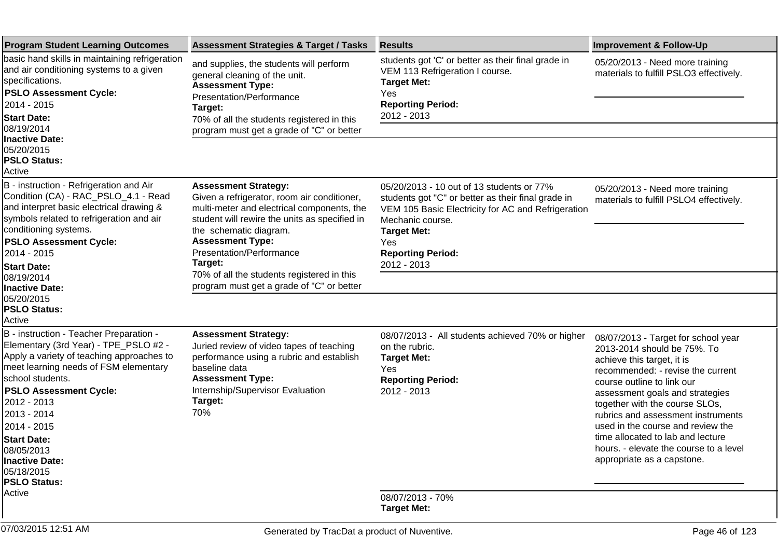| <b>Program Student Learning Outcomes</b>                                                                                                                                                                                                                                                       | <b>Assessment Strategies &amp; Target / Tasks</b>                                                                                                                                                                                                                                                                   | <b>Results</b>                                                                                                                                                                                                                                    | <b>Improvement &amp; Follow-Up</b>                                                                                                                                                                                                                                                                                                                                                                 |
|------------------------------------------------------------------------------------------------------------------------------------------------------------------------------------------------------------------------------------------------------------------------------------------------|---------------------------------------------------------------------------------------------------------------------------------------------------------------------------------------------------------------------------------------------------------------------------------------------------------------------|---------------------------------------------------------------------------------------------------------------------------------------------------------------------------------------------------------------------------------------------------|----------------------------------------------------------------------------------------------------------------------------------------------------------------------------------------------------------------------------------------------------------------------------------------------------------------------------------------------------------------------------------------------------|
| basic hand skills in maintaining refrigeration<br>and air conditioning systems to a given<br>specifications.<br><b>PSLO Assessment Cycle:</b><br>2014 - 2015<br><b>Start Date:</b>                                                                                                             | and supplies, the students will perform<br>general cleaning of the unit.<br><b>Assessment Type:</b><br>Presentation/Performance<br>Target:<br>70% of all the students registered in this                                                                                                                            | students got 'C' or better as their final grade in<br>VEM 113 Refrigeration I course.<br><b>Target Met:</b><br>Yes<br><b>Reporting Period:</b><br>2012 - 2013                                                                                     | 05/20/2013 - Need more training<br>materials to fulfill PSLO3 effectively.                                                                                                                                                                                                                                                                                                                         |
| 08/19/2014<br>Inactive Date:<br>05/20/2015<br><b>PSLO Status:</b><br>Active                                                                                                                                                                                                                    | program must get a grade of "C" or better                                                                                                                                                                                                                                                                           |                                                                                                                                                                                                                                                   |                                                                                                                                                                                                                                                                                                                                                                                                    |
| B - instruction - Refrigeration and Air<br>Condition (CA) - RAC_PSLO_4.1 - Read<br>and interpret basic electrical drawing &<br>symbols related to refrigeration and air<br>conditioning systems.<br><b>PSLO Assessment Cycle:</b><br>2014 - 2015<br><b>Start Date:</b>                         | <b>Assessment Strategy:</b><br>Given a refrigerator, room air conditioner,<br>multi-meter and electrical components, the<br>student will rewire the units as specified in<br>the schematic diagram.<br><b>Assessment Type:</b><br>Presentation/Performance<br>Target:<br>70% of all the students registered in this | 05/20/2013 - 10 out of 13 students or 77%<br>students got "C" or better as their final grade in<br>VEM 105 Basic Electricity for AC and Refrigeration<br>Mechanic course.<br><b>Target Met:</b><br>Yes<br><b>Reporting Period:</b><br>2012 - 2013 | 05/20/2013 - Need more training<br>materials to fulfill PSLO4 effectively.                                                                                                                                                                                                                                                                                                                         |
| 08/19/2014<br><b>Inactive Date:</b><br>05/20/2015<br><b>PSLO Status:</b><br>Active                                                                                                                                                                                                             | program must get a grade of "C" or better                                                                                                                                                                                                                                                                           |                                                                                                                                                                                                                                                   |                                                                                                                                                                                                                                                                                                                                                                                                    |
| B - instruction - Teacher Preparation -<br>Elementary (3rd Year) - TPE_PSLO #2 -<br>Apply a variety of teaching approaches to<br>meet learning needs of FSM elementary<br>school students.<br><b>PSLO Assessment Cycle:</b><br>2012 - 2013<br>2013 - 2014<br>2014 - 2015<br><b>Start Date:</b> | <b>Assessment Strategy:</b><br>Juried review of video tapes of teaching<br>performance using a rubric and establish<br>baseline data<br><b>Assessment Type:</b><br>Internship/Supervisor Evaluation<br>Target:<br>70%                                                                                               | 08/07/2013 - All students achieved 70% or higher<br>on the rubric.<br><b>Target Met:</b><br>Yes<br><b>Reporting Period:</b><br>2012 - 2013                                                                                                        | 08/07/2013 - Target for school year<br>2013-2014 should be 75%. To<br>achieve this target, it is<br>recommended: - revise the current<br>course outline to link our<br>assessment goals and strategies<br>together with the course SLOs,<br>rubrics and assessment instruments<br>used in the course and review the<br>time allocated to lab and lecture<br>hours. - elevate the course to a level |
| 08/05/2013<br><b>Inactive Date:</b><br>05/18/2015<br><b>PSLO Status:</b><br>Active                                                                                                                                                                                                             |                                                                                                                                                                                                                                                                                                                     | 08/07/2013 - 70%<br><b>Target Met:</b>                                                                                                                                                                                                            | appropriate as a capstone.                                                                                                                                                                                                                                                                                                                                                                         |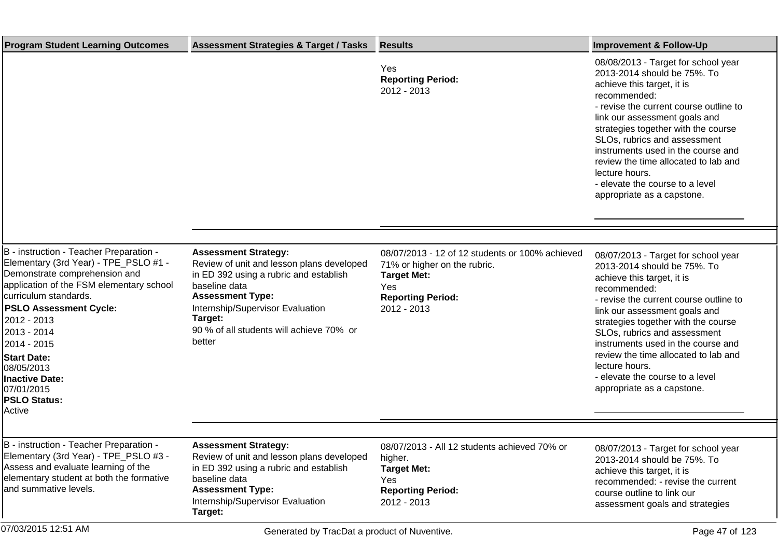| <b>Program Student Learning Outcomes</b>                                                                                                                                                                                                                                                                                                                                         | <b>Assessment Strategies &amp; Target / Tasks</b>                                                                                                                                                                                                                   | <b>Results</b>                                                                                                                                          | <b>Improvement &amp; Follow-Up</b>                                                                                                                                                                                                                                                                                                                                                                                                  |
|----------------------------------------------------------------------------------------------------------------------------------------------------------------------------------------------------------------------------------------------------------------------------------------------------------------------------------------------------------------------------------|---------------------------------------------------------------------------------------------------------------------------------------------------------------------------------------------------------------------------------------------------------------------|---------------------------------------------------------------------------------------------------------------------------------------------------------|-------------------------------------------------------------------------------------------------------------------------------------------------------------------------------------------------------------------------------------------------------------------------------------------------------------------------------------------------------------------------------------------------------------------------------------|
|                                                                                                                                                                                                                                                                                                                                                                                  |                                                                                                                                                                                                                                                                     | Yes<br><b>Reporting Period:</b><br>2012 - 2013                                                                                                          | 08/08/2013 - Target for school year<br>2013-2014 should be 75%. To<br>achieve this target, it is<br>recommended:<br>- revise the current course outline to<br>link our assessment goals and<br>strategies together with the course<br>SLOs, rubrics and assessment<br>instruments used in the course and<br>review the time allocated to lab and<br>lecture hours.<br>- elevate the course to a level<br>appropriate as a capstone. |
|                                                                                                                                                                                                                                                                                                                                                                                  |                                                                                                                                                                                                                                                                     |                                                                                                                                                         |                                                                                                                                                                                                                                                                                                                                                                                                                                     |
| B - instruction - Teacher Preparation -<br>Elementary (3rd Year) - TPE_PSLO #1 -<br>Demonstrate comprehension and<br>application of the FSM elementary school<br>curriculum standards.<br><b>PSLO Assessment Cycle:</b><br>2012 - 2013<br>2013 - 2014<br>2014 - 2015<br><b>Start Date:</b><br>08/05/2013<br><b>Inactive Date:</b><br>07/01/2015<br><b>PSLO Status:</b><br>Active | <b>Assessment Strategy:</b><br>Review of unit and lesson plans developed<br>in ED 392 using a rubric and establish<br>baseline data<br><b>Assessment Type:</b><br>Internship/Supervisor Evaluation<br>Target:<br>90 % of all students will achieve 70% or<br>better | 08/07/2013 - 12 of 12 students or 100% achieved<br>71% or higher on the rubric.<br><b>Target Met:</b><br>Yes<br><b>Reporting Period:</b><br>2012 - 2013 | 08/07/2013 - Target for school year<br>2013-2014 should be 75%. To<br>achieve this target, it is<br>recommended:<br>- revise the current course outline to<br>link our assessment goals and<br>strategies together with the course<br>SLOs, rubrics and assessment<br>instruments used in the course and<br>review the time allocated to lab and<br>lecture hours.<br>- elevate the course to a level<br>appropriate as a capstone. |
|                                                                                                                                                                                                                                                                                                                                                                                  |                                                                                                                                                                                                                                                                     |                                                                                                                                                         |                                                                                                                                                                                                                                                                                                                                                                                                                                     |
| B - instruction - Teacher Preparation -<br>Elementary (3rd Year) - TPE_PSLO #3 -<br>Assess and evaluate learning of the<br>elementary student at both the formative<br>and summative levels.                                                                                                                                                                                     | <b>Assessment Strategy:</b><br>Review of unit and lesson plans developed<br>in ED 392 using a rubric and establish<br>baseline data<br><b>Assessment Type:</b><br>Internship/Supervisor Evaluation<br>Target:                                                       | 08/07/2013 - All 12 students achieved 70% or<br>higher.<br><b>Target Met:</b><br>Yes<br><b>Reporting Period:</b><br>2012 - 2013                         | 08/07/2013 - Target for school year<br>2013-2014 should be 75%. To<br>achieve this target, it is<br>recommended: - revise the current<br>course outline to link our<br>assessment goals and strategies                                                                                                                                                                                                                              |
| 07/03/2015 12:51 AM                                                                                                                                                                                                                                                                                                                                                              | Generated by TracDat a product of Nuventive.                                                                                                                                                                                                                        |                                                                                                                                                         | Page 47 of 123                                                                                                                                                                                                                                                                                                                                                                                                                      |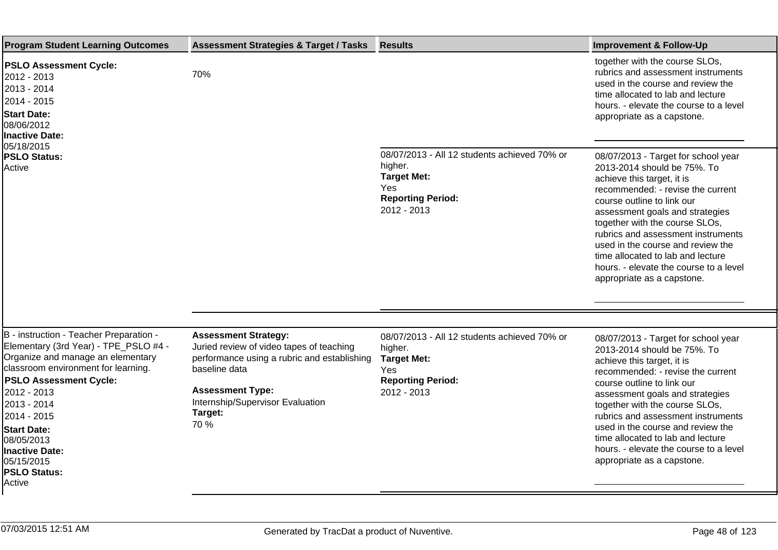| <b>Program Student Learning Outcomes</b>                                                                                                                                                                                                                                                                                                        | <b>Assessment Strategies &amp; Target / Tasks</b>                                                                                                                                                                         | <b>Results</b>                                                                                                                   | <b>Improvement &amp; Follow-Up</b>                                                                                                                                                                                                                                                                                                                                                                                               |
|-------------------------------------------------------------------------------------------------------------------------------------------------------------------------------------------------------------------------------------------------------------------------------------------------------------------------------------------------|---------------------------------------------------------------------------------------------------------------------------------------------------------------------------------------------------------------------------|----------------------------------------------------------------------------------------------------------------------------------|----------------------------------------------------------------------------------------------------------------------------------------------------------------------------------------------------------------------------------------------------------------------------------------------------------------------------------------------------------------------------------------------------------------------------------|
| <b>PSLO Assessment Cycle:</b><br>2012 - 2013<br>2013 - 2014<br>2014 - 2015<br><b>Start Date:</b><br>08/06/2012<br><b>Inactive Date:</b><br>05/18/2015                                                                                                                                                                                           | 70%                                                                                                                                                                                                                       |                                                                                                                                  | together with the course SLOs,<br>rubrics and assessment instruments<br>used in the course and review the<br>time allocated to lab and lecture<br>hours. - elevate the course to a level<br>appropriate as a capstone.                                                                                                                                                                                                           |
| <b>PSLO Status:</b><br>Active                                                                                                                                                                                                                                                                                                                   |                                                                                                                                                                                                                           | 08/07/2013 - All 12 students achieved 70% or<br>higher.<br><b>Target Met:</b><br>Yes<br><b>Reporting Period:</b><br>2012 - 2013  | 08/07/2013 - Target for school year<br>2013-2014 should be 75%. To<br>achieve this target, it is<br>recommended: - revise the current<br>course outline to link our<br>assessment goals and strategies<br>together with the course SLOs,<br>rubrics and assessment instruments<br>used in the course and review the<br>time allocated to lab and lecture<br>hours. - elevate the course to a level<br>appropriate as a capstone. |
| B - instruction - Teacher Preparation -<br>Elementary (3rd Year) - TPE_PSLO #4 -<br>Organize and manage an elementary<br>classroom environment for learning.<br><b>PSLO Assessment Cycle:</b><br>2012 - 2013<br>2013 - 2014<br>2014 - 2015<br><b>Start Date:</b><br>08/05/2013<br>Inactive Date:<br>05/15/2015<br><b>PSLO Status:</b><br>Active | <b>Assessment Strategy:</b><br>Juried review of video tapes of teaching<br>performance using a rubric and establishing<br>baseline data<br><b>Assessment Type:</b><br>Internship/Supervisor Evaluation<br>Target:<br>70 % | 08/07/2013 - All 12 students achieved 70% or<br>higher.<br><b>Target Met:</b><br>Yes.<br><b>Reporting Period:</b><br>2012 - 2013 | 08/07/2013 - Target for school year<br>2013-2014 should be 75%. To<br>achieve this target, it is<br>recommended: - revise the current<br>course outline to link our<br>assessment goals and strategies<br>together with the course SLOs,<br>rubrics and assessment instruments<br>used in the course and review the<br>time allocated to lab and lecture<br>hours. - elevate the course to a level<br>appropriate as a capstone. |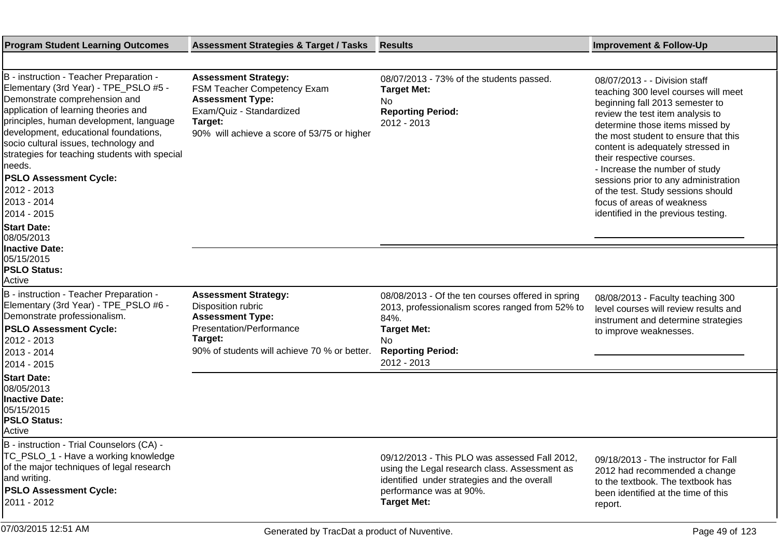| <b>Program Student Learning Outcomes</b>                                                                                                                                                                                                                                                                                                                                                                                                                             | <b>Assessment Strategies &amp; Target / Tasks</b>                                                                                                                           | <b>Results</b>                                                                                                                                                                                 | <b>Improvement &amp; Follow-Up</b>                                                                                                                                                                                                                                                                                                                                                                                                                                             |
|----------------------------------------------------------------------------------------------------------------------------------------------------------------------------------------------------------------------------------------------------------------------------------------------------------------------------------------------------------------------------------------------------------------------------------------------------------------------|-----------------------------------------------------------------------------------------------------------------------------------------------------------------------------|------------------------------------------------------------------------------------------------------------------------------------------------------------------------------------------------|--------------------------------------------------------------------------------------------------------------------------------------------------------------------------------------------------------------------------------------------------------------------------------------------------------------------------------------------------------------------------------------------------------------------------------------------------------------------------------|
|                                                                                                                                                                                                                                                                                                                                                                                                                                                                      |                                                                                                                                                                             |                                                                                                                                                                                                |                                                                                                                                                                                                                                                                                                                                                                                                                                                                                |
| B - instruction - Teacher Preparation -<br>Elementary (3rd Year) - TPE_PSLO #5 -<br>Demonstrate comprehension and<br>application of learning theories and<br>principles, human development, language<br>development, educational foundations,<br>socio cultural issues, technology and<br>strategies for teaching students with special<br> needs.<br><b>PSLO Assessment Cycle:</b><br>2012 - 2013<br>2013 - 2014<br>2014 - 2015<br><b>Start Date:</b><br>08/05/2013 | <b>Assessment Strategy:</b><br>FSM Teacher Competency Exam<br><b>Assessment Type:</b><br>Exam/Quiz - Standardized<br>Target:<br>90% will achieve a score of 53/75 or higher | 08/07/2013 - 73% of the students passed.<br><b>Target Met:</b><br>No.<br><b>Reporting Period:</b><br>2012 - 2013                                                                               | 08/07/2013 - - Division staff<br>teaching 300 level courses will meet<br>beginning fall 2013 semester to<br>review the test item analysis to<br>determine those items missed by<br>the most student to ensure that this<br>content is adequately stressed in<br>their respective courses.<br>- Increase the number of study<br>sessions prior to any administration<br>of the test. Study sessions should<br>focus of areas of weakness<br>identified in the previous testing. |
| <b>Inactive Date:</b><br>05/15/2015<br><b>PSLO Status:</b><br>Active                                                                                                                                                                                                                                                                                                                                                                                                 |                                                                                                                                                                             |                                                                                                                                                                                                |                                                                                                                                                                                                                                                                                                                                                                                                                                                                                |
| B - instruction - Teacher Preparation -<br>Elementary (3rd Year) - TPE_PSLO #6 -<br>Demonstrate professionalism.<br><b>PSLO Assessment Cycle:</b><br>2012 - 2013<br>2013 - 2014<br>2014 - 2015                                                                                                                                                                                                                                                                       | <b>Assessment Strategy:</b><br>Disposition rubric<br><b>Assessment Type:</b><br>Presentation/Performance<br>Target:<br>90% of students will achieve 70 % or better.         | 08/08/2013 - Of the ten courses offered in spring<br>2013, professionalism scores ranged from 52% to<br>84%.<br><b>Target Met:</b><br>No.<br><b>Reporting Period:</b><br>2012 - 2013           | 08/08/2013 - Faculty teaching 300<br>level courses will review results and<br>instrument and determine strategies<br>to improve weaknesses.                                                                                                                                                                                                                                                                                                                                    |
| <b>Start Date:</b><br>08/05/2013<br><b>Inactive Date:</b><br>05/15/2015<br><b>PSLO Status:</b><br>Active                                                                                                                                                                                                                                                                                                                                                             |                                                                                                                                                                             |                                                                                                                                                                                                |                                                                                                                                                                                                                                                                                                                                                                                                                                                                                |
| B - instruction - Trial Counselors (CA) -<br>TC_PSLO_1 - Have a working knowledge<br>of the major techniques of legal research<br>and writing.<br><b>PSLO Assessment Cycle:</b><br>2011 - 2012                                                                                                                                                                                                                                                                       |                                                                                                                                                                             | 09/12/2013 - This PLO was assessed Fall 2012,<br>using the Legal research class. Assessment as<br>identified under strategies and the overall<br>performance was at 90%.<br><b>Target Met:</b> | 09/18/2013 - The instructor for Fall<br>2012 had recommended a change<br>to the textbook. The textbook has<br>been identified at the time of this<br>report.                                                                                                                                                                                                                                                                                                                   |
| 07/03/2015 12:51 AM                                                                                                                                                                                                                                                                                                                                                                                                                                                  | Generated by TracDat a product of Nuventive.                                                                                                                                |                                                                                                                                                                                                | Page 49 of 123                                                                                                                                                                                                                                                                                                                                                                                                                                                                 |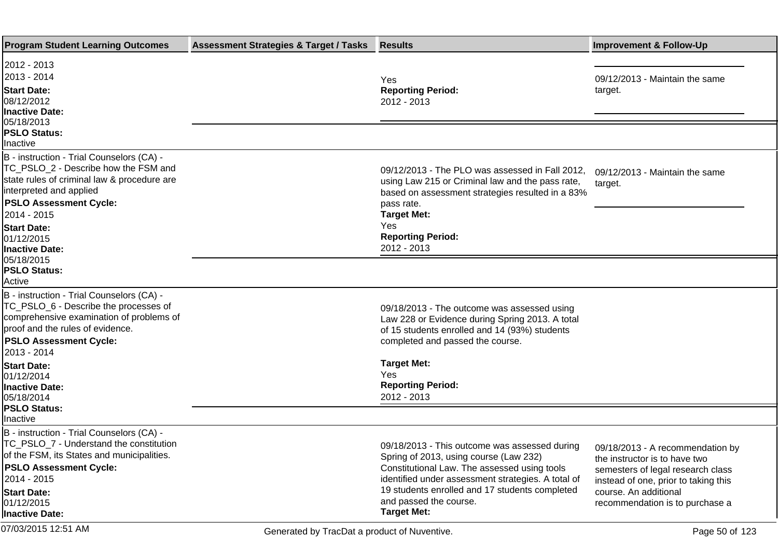| <b>Program Student Learning Outcomes</b>                                                                                                                                                                                          | <b>Assessment Strategies &amp; Target / Tasks</b> | <b>Results</b>                                                                                                                                                                                     | <b>Improvement &amp; Follow-Up</b>                                                                     |
|-----------------------------------------------------------------------------------------------------------------------------------------------------------------------------------------------------------------------------------|---------------------------------------------------|----------------------------------------------------------------------------------------------------------------------------------------------------------------------------------------------------|--------------------------------------------------------------------------------------------------------|
| 2012 - 2013<br>2013 - 2014<br><b>Start Date:</b><br>08/12/2012<br><b>Inactive Date:</b><br>05/18/2013                                                                                                                             |                                                   | Yes<br><b>Reporting Period:</b><br>2012 - 2013                                                                                                                                                     | 09/12/2013 - Maintain the same<br>target.                                                              |
| <b>PSLO Status:</b><br>Inactive                                                                                                                                                                                                   |                                                   |                                                                                                                                                                                                    |                                                                                                        |
| B - instruction - Trial Counselors (CA) -<br>TC_PSLO_2 - Describe how the FSM and<br>state rules of criminal law & procedure are<br>interpreted and applied<br><b>PSLO Assessment Cycle:</b><br>2014 - 2015<br><b>Start Date:</b> |                                                   | 09/12/2013 - The PLO was assessed in Fall 2012,<br>using Law 215 or Criminal law and the pass rate,<br>based on assessment strategies resulted in a 83%<br>pass rate.<br><b>Target Met:</b><br>Yes | 09/12/2013 - Maintain the same<br>target.                                                              |
| 01/12/2015<br><b>Inactive Date:</b>                                                                                                                                                                                               |                                                   | <b>Reporting Period:</b><br>2012 - 2013                                                                                                                                                            |                                                                                                        |
| 05/18/2015<br><b>PSLO Status:</b><br>Active                                                                                                                                                                                       |                                                   |                                                                                                                                                                                                    |                                                                                                        |
| B - instruction - Trial Counselors (CA) -<br>TC_PSLO_6 - Describe the processes of<br>comprehensive examination of problems of<br>proof and the rules of evidence.<br><b>PSLO Assessment Cycle:</b><br>2013 - 2014                |                                                   | 09/18/2013 - The outcome was assessed using<br>Law 228 or Evidence during Spring 2013. A total<br>of 15 students enrolled and 14 (93%) students<br>completed and passed the course.                |                                                                                                        |
| <b>Start Date:</b><br>01/12/2014<br><b>Inactive Date:</b><br>05/18/2014                                                                                                                                                           |                                                   | <b>Target Met:</b><br>Yes<br><b>Reporting Period:</b><br>2012 - 2013                                                                                                                               |                                                                                                        |
| <b>PSLO Status:</b><br>Inactive                                                                                                                                                                                                   |                                                   |                                                                                                                                                                                                    |                                                                                                        |
| B - instruction - Trial Counselors (CA) -<br>TC_PSLO_7 - Understand the constitution<br>of the FSM, its States and municipalities.<br><b>PSLO Assessment Cycle:</b>                                                               |                                                   | 09/18/2013 - This outcome was assessed during<br>Spring of 2013, using course (Law 232)<br>Constitutional Law. The assessed using tools                                                            | 09/18/2013 - A recommendation by<br>the instructor is to have two<br>semesters of legal research class |
| 2014 - 2015<br><b>Start Date:</b><br>01/12/2015<br>Inactive Date:                                                                                                                                                                 |                                                   | identified under assessment strategies. A total of<br>19 students enrolled and 17 students completed<br>and passed the course.<br><b>Target Met:</b>                                               | instead of one, prior to taking this<br>course. An additional<br>recommendation is to purchase a       |
| 07/03/2015 12:51 AM                                                                                                                                                                                                               | Generated by TracDat a product of Nuventive.      |                                                                                                                                                                                                    | Page 50 of 123                                                                                         |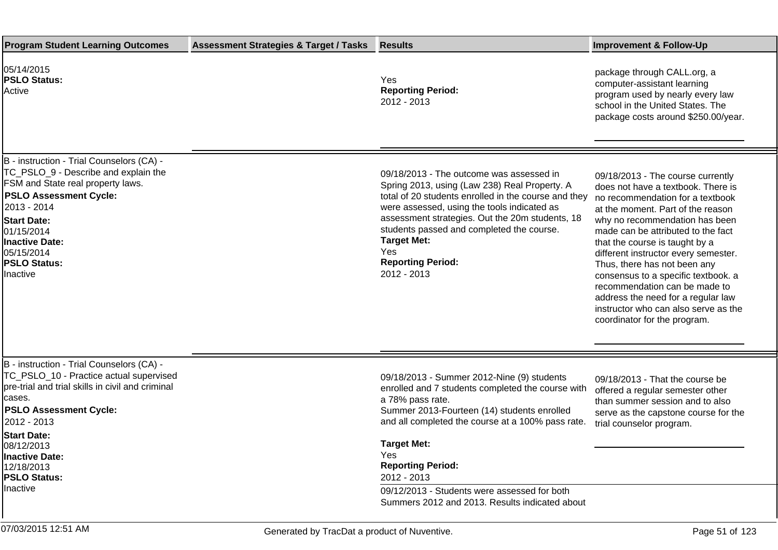| <b>Program Student Learning Outcomes</b>                                                                                                                                                                                                                                                                  | <b>Assessment Strategies &amp; Target / Tasks</b> | <b>Results</b>                                                                                                                                                                                                                                                                                                                                                                                    | <b>Improvement &amp; Follow-Up</b>                                                                                                                                                                                                                                                                                                                                                                                                                                                                                       |
|-----------------------------------------------------------------------------------------------------------------------------------------------------------------------------------------------------------------------------------------------------------------------------------------------------------|---------------------------------------------------|---------------------------------------------------------------------------------------------------------------------------------------------------------------------------------------------------------------------------------------------------------------------------------------------------------------------------------------------------------------------------------------------------|--------------------------------------------------------------------------------------------------------------------------------------------------------------------------------------------------------------------------------------------------------------------------------------------------------------------------------------------------------------------------------------------------------------------------------------------------------------------------------------------------------------------------|
| 05/14/2015<br><b>PSLO Status:</b><br>Active                                                                                                                                                                                                                                                               |                                                   | Yes<br><b>Reporting Period:</b><br>2012 - 2013                                                                                                                                                                                                                                                                                                                                                    | package through CALL.org, a<br>computer-assistant learning<br>program used by nearly every law<br>school in the United States. The<br>package costs around \$250.00/year.                                                                                                                                                                                                                                                                                                                                                |
| B - instruction - Trial Counselors (CA) -<br>TC_PSLO_9 - Describe and explain the<br><b>FSM and State real property laws.</b><br><b>PSLO Assessment Cycle:</b><br>2013 - 2014<br><b>Start Date:</b><br>01/15/2014<br>Inactive Date:<br>05/15/2014<br><b>PSLO Status:</b><br>Inactive                      |                                                   | 09/18/2013 - The outcome was assessed in<br>Spring 2013, using (Law 238) Real Property. A<br>total of 20 students enrolled in the course and they<br>were assessed, using the tools indicated as<br>assessment strategies. Out the 20m students, 18<br>students passed and completed the course.<br><b>Target Met:</b><br>Yes<br><b>Reporting Period:</b><br>2012 - 2013                          | 09/18/2013 - The course currently<br>does not have a textbook. There is<br>no recommendation for a textbook<br>at the moment. Part of the reason<br>why no recommendation has been<br>made can be attributed to the fact<br>that the course is taught by a<br>different instructor every semester.<br>Thus, there has not been any<br>consensus to a specific textbook. a<br>recommendation can be made to<br>address the need for a regular law<br>instructor who can also serve as the<br>coordinator for the program. |
| B - instruction - Trial Counselors (CA) -<br>TC_PSLO_10 - Practice actual supervised<br>pre-trial and trial skills in civil and criminal<br>cases.<br><b>PSLO Assessment Cycle:</b><br>2012 - 2013<br><b>Start Date:</b><br>08/12/2013<br>Inactive Date:<br>12/18/2013<br><b>PSLO Status:</b><br>Inactive |                                                   | 09/18/2013 - Summer 2012-Nine (9) students<br>enrolled and 7 students completed the course with<br>a 78% pass rate.<br>Summer 2013-Fourteen (14) students enrolled<br>and all completed the course at a 100% pass rate.<br><b>Target Met:</b><br>Yes<br><b>Reporting Period:</b><br>2012 - 2013<br>09/12/2013 - Students were assessed for both<br>Summers 2012 and 2013. Results indicated about | 09/18/2013 - That the course be<br>offered a regular semester other<br>than summer session and to also<br>serve as the capstone course for the<br>trial counselor program.                                                                                                                                                                                                                                                                                                                                               |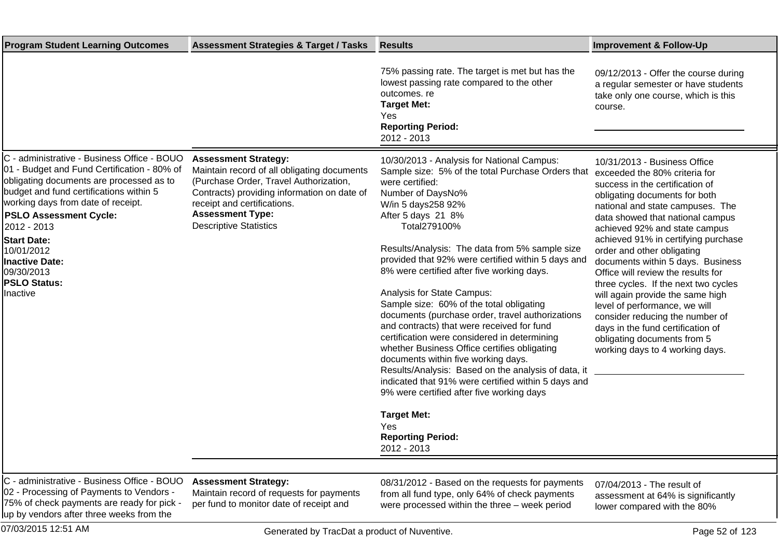| <b>Program Student Learning Outcomes</b>                                                                                                                                                                                                                                                                                                                                       | <b>Assessment Strategies &amp; Target / Tasks</b>                                                                                                                                                                                                              | <b>Results</b>                                                                                                                                                                                                                                                                                                                                                                                                                                                                                                                                                                                                                                                                                                                                                                                                                                                                                                       | <b>Improvement &amp; Follow-Up</b>                                                                                                                                                                                                                                                                                                                                                                                                                                                                                                                                                                                                                |
|--------------------------------------------------------------------------------------------------------------------------------------------------------------------------------------------------------------------------------------------------------------------------------------------------------------------------------------------------------------------------------|----------------------------------------------------------------------------------------------------------------------------------------------------------------------------------------------------------------------------------------------------------------|----------------------------------------------------------------------------------------------------------------------------------------------------------------------------------------------------------------------------------------------------------------------------------------------------------------------------------------------------------------------------------------------------------------------------------------------------------------------------------------------------------------------------------------------------------------------------------------------------------------------------------------------------------------------------------------------------------------------------------------------------------------------------------------------------------------------------------------------------------------------------------------------------------------------|---------------------------------------------------------------------------------------------------------------------------------------------------------------------------------------------------------------------------------------------------------------------------------------------------------------------------------------------------------------------------------------------------------------------------------------------------------------------------------------------------------------------------------------------------------------------------------------------------------------------------------------------------|
|                                                                                                                                                                                                                                                                                                                                                                                |                                                                                                                                                                                                                                                                | 75% passing rate. The target is met but has the<br>lowest passing rate compared to the other<br>outcomes, re<br><b>Target Met:</b><br>Yes<br><b>Reporting Period:</b><br>2012 - 2013                                                                                                                                                                                                                                                                                                                                                                                                                                                                                                                                                                                                                                                                                                                                 | 09/12/2013 - Offer the course during<br>a regular semester or have students<br>take only one course, which is this<br>course.                                                                                                                                                                                                                                                                                                                                                                                                                                                                                                                     |
| C - administrative - Business Office - BOUO<br>01 - Budget and Fund Certification - 80% of<br>obligating documents are processed as to<br>budget and fund certifications within 5<br>working days from date of receipt.<br><b>PSLO Assessment Cycle:</b><br>2012 - 2013<br><b>Start Date:</b><br>10/01/2012<br>Inactive Date:<br>09/30/2013<br><b>PSLO Status:</b><br>Inactive | <b>Assessment Strategy:</b><br>Maintain record of all obligating documents<br>(Purchase Order, Travel Authorization,<br>Contracts) providing information on date of<br>receipt and certifications.<br><b>Assessment Type:</b><br><b>Descriptive Statistics</b> | 10/30/2013 - Analysis for National Campus:<br>Sample size: 5% of the total Purchase Orders that<br>were certified:<br>Number of Days No %<br>W/in 5 days 258 92%<br>After 5 days 21 8%<br>Total 279 100%<br>Results/Analysis: The data from 5% sample size<br>provided that 92% were certified within 5 days and<br>8% were certified after five working days.<br>Analysis for State Campus:<br>Sample size: 60% of the total obligating<br>documents (purchase order, travel authorizations<br>and contracts) that were received for fund<br>certification were considered in determining<br>whether Business Office certifies obligating<br>documents within five working days.<br>Results/Analysis: Based on the analysis of data, it<br>indicated that 91% were certified within 5 days and<br>9% were certified after five working days<br><b>Target Met:</b><br>Yes<br><b>Reporting Period:</b><br>2012 - 2013 | 10/31/2013 - Business Office<br>exceeded the 80% criteria for<br>success in the certification of<br>obligating documents for both<br>national and state campuses. The<br>data showed that national campus<br>achieved 92% and state campus<br>achieved 91% in certifying purchase<br>order and other obligating<br>documents within 5 days. Business<br>Office will review the results for<br>three cycles. If the next two cycles<br>will again provide the same high<br>level of performance, we will<br>consider reducing the number of<br>days in the fund certification of<br>obligating documents from 5<br>working days to 4 working days. |
| C - administrative - Rusiness Office - ROUO Assessment Strategy:                                                                                                                                                                                                                                                                                                               |                                                                                                                                                                                                                                                                |                                                                                                                                                                                                                                                                                                                                                                                                                                                                                                                                                                                                                                                                                                                                                                                                                                                                                                                      |                                                                                                                                                                                                                                                                                                                                                                                                                                                                                                                                                                                                                                                   |

 $m$ ninistrative - Business Office - BOUO 02 - Processing of Payments to Vendors - 75% of check payments are ready for pick up by vendors after three weeks from the

**Assessment Strategy:**

Maintain record of requests for payments per fund to monitor date of receipt and

08/31/2012 - Based on the requests for payments from all fund type, only 64% of check payments were processed within the three – week period

07/04/2013 - The result of assessment at 64% is significantly lower compared with the 80%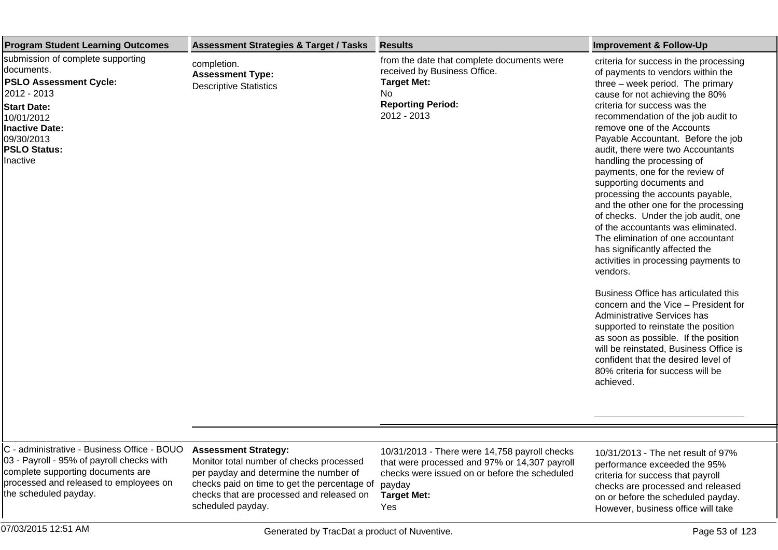| <b>Program Student Learning Outcomes</b>                                                                                                                                                               | <b>Assessment Strategies &amp; Target / Tasks</b>                                                                                                                                                                                   | <b>Results</b>                                                                                                                                                                         | <b>Improvement &amp; Follow-Up</b>                                                                                                                                                                                                                                                                                                                                                                                                                                                                                                                                                                                                                                                                                                                                                                                                                                                                                                                                                                                                                 |
|--------------------------------------------------------------------------------------------------------------------------------------------------------------------------------------------------------|-------------------------------------------------------------------------------------------------------------------------------------------------------------------------------------------------------------------------------------|----------------------------------------------------------------------------------------------------------------------------------------------------------------------------------------|----------------------------------------------------------------------------------------------------------------------------------------------------------------------------------------------------------------------------------------------------------------------------------------------------------------------------------------------------------------------------------------------------------------------------------------------------------------------------------------------------------------------------------------------------------------------------------------------------------------------------------------------------------------------------------------------------------------------------------------------------------------------------------------------------------------------------------------------------------------------------------------------------------------------------------------------------------------------------------------------------------------------------------------------------|
| submission of complete supporting<br>documents.<br><b>PSLO Assessment Cycle:</b><br>2012 - 2013<br><b>Start Date:</b><br>10/01/2012<br>Inactive Date:<br>09/30/2013<br><b>PSLO Status:</b><br>Inactive | completion.<br><b>Assessment Type:</b><br><b>Descriptive Statistics</b>                                                                                                                                                             | from the date that complete documents were<br>received by Business Office.<br><b>Target Met:</b><br>No<br><b>Reporting Period:</b><br>2012 - 2013                                      | criteria for success in the processing<br>of payments to vendors within the<br>three - week period. The primary<br>cause for not achieving the 80%<br>criteria for success was the<br>recommendation of the job audit to<br>remove one of the Accounts<br>Payable Accountant. Before the job<br>audit, there were two Accountants<br>handling the processing of<br>payments, one for the review of<br>supporting documents and<br>processing the accounts payable,<br>and the other one for the processing<br>of checks. Under the job audit, one<br>of the accountants was eliminated.<br>The elimination of one accountant<br>has significantly affected the<br>activities in processing payments to<br>vendors.<br>Business Office has articulated this<br>concern and the Vice - President for<br>Administrative Services has<br>supported to reinstate the position<br>as soon as possible. If the position<br>will be reinstated, Business Office is<br>confident that the desired level of<br>80% criteria for success will be<br>achieved. |
| C - administrative - Business Office - BOUO<br>03 - Payroll - 95% of payroll checks with<br>complete supporting documents are<br>processed and released to employees on<br>the scheduled payday.       | <b>Assessment Strategy:</b><br>Monitor total number of checks processed<br>per payday and determine the number of<br>checks paid on time to get the percentage of<br>checks that are processed and released on<br>scheduled payday. | 10/31/2013 - There were 14,758 payroll checks<br>that were processed and 97% or 14,307 payroll<br>checks were issued on or before the scheduled<br>payday<br><b>Target Met:</b><br>Yes | 10/31/2013 - The net result of 97%<br>performance exceeded the 95%<br>criteria for success that payroll<br>checks are processed and released<br>on or before the scheduled payday.<br>However, business office will take                                                                                                                                                                                                                                                                                                                                                                                                                                                                                                                                                                                                                                                                                                                                                                                                                           |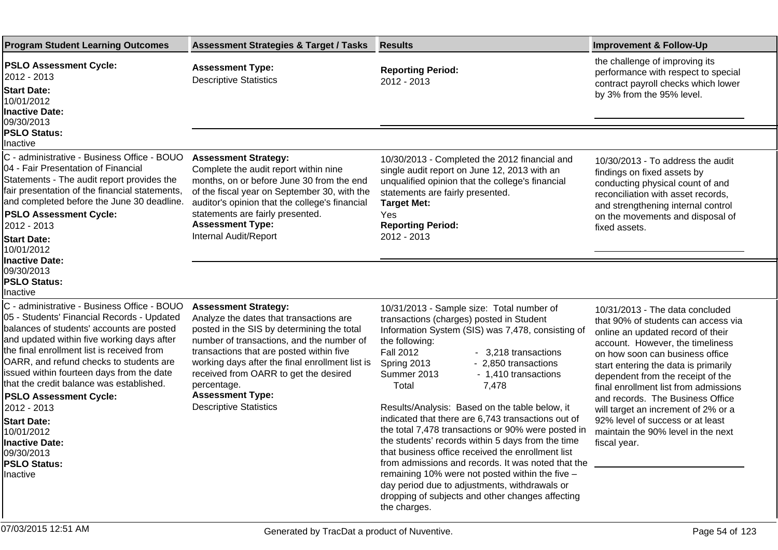| <b>Program Student Learning Outcomes</b>                                                                                                                                                                                                                                                                                                                                                                                                                                                                                             | <b>Assessment Strategies &amp; Target / Tasks</b>                                                                                                                                                                                                                                                                                                                                    | <b>Results</b>                                                                                                                                                                                                                                                                                                                                                                                                                                                                                                                                                                                                                                                                                                                                                                                                 | <b>Improvement &amp; Follow-Up</b>                                                                                                                                                                                                                                                                                                                                                                                                                                            |
|--------------------------------------------------------------------------------------------------------------------------------------------------------------------------------------------------------------------------------------------------------------------------------------------------------------------------------------------------------------------------------------------------------------------------------------------------------------------------------------------------------------------------------------|--------------------------------------------------------------------------------------------------------------------------------------------------------------------------------------------------------------------------------------------------------------------------------------------------------------------------------------------------------------------------------------|----------------------------------------------------------------------------------------------------------------------------------------------------------------------------------------------------------------------------------------------------------------------------------------------------------------------------------------------------------------------------------------------------------------------------------------------------------------------------------------------------------------------------------------------------------------------------------------------------------------------------------------------------------------------------------------------------------------------------------------------------------------------------------------------------------------|-------------------------------------------------------------------------------------------------------------------------------------------------------------------------------------------------------------------------------------------------------------------------------------------------------------------------------------------------------------------------------------------------------------------------------------------------------------------------------|
| <b>PSLO Assessment Cycle:</b><br>2012 - 2013<br><b>Start Date:</b><br>10/01/2012<br><b>Inactive Date:</b><br>09/30/2013                                                                                                                                                                                                                                                                                                                                                                                                              | <b>Assessment Type:</b><br><b>Descriptive Statistics</b>                                                                                                                                                                                                                                                                                                                             | <b>Reporting Period:</b><br>2012 - 2013                                                                                                                                                                                                                                                                                                                                                                                                                                                                                                                                                                                                                                                                                                                                                                        | the challenge of improving its<br>performance with respect to special<br>contract payroll checks which lower<br>by 3% from the 95% level.                                                                                                                                                                                                                                                                                                                                     |
| <b>PSLO Status:</b><br>Inactive                                                                                                                                                                                                                                                                                                                                                                                                                                                                                                      |                                                                                                                                                                                                                                                                                                                                                                                      |                                                                                                                                                                                                                                                                                                                                                                                                                                                                                                                                                                                                                                                                                                                                                                                                                |                                                                                                                                                                                                                                                                                                                                                                                                                                                                               |
| C - administrative - Business Office - BOUO<br>04 - Fair Presentation of Financial<br>Statements - The audit report provides the<br>fair presentation of the financial statements,<br>and completed before the June 30 deadline.<br><b>PSLO Assessment Cycle:</b><br>2012 - 2013<br><b>Start Date:</b><br>10/01/2012                                                                                                                                                                                                                 | <b>Assessment Strategy:</b><br>Complete the audit report within nine<br>months, on or before June 30 from the end<br>of the fiscal year on September 30, with the<br>auditor's opinion that the college's financial<br>statements are fairly presented.<br><b>Assessment Type:</b><br>Internal Audit/Report                                                                          | 10/30/2013 - Completed the 2012 financial and<br>single audit report on June 12, 2013 with an<br>unqualified opinion that the college's financial<br>statements are fairly presented.<br><b>Target Met:</b><br>Yes<br><b>Reporting Period:</b><br>2012 - 2013                                                                                                                                                                                                                                                                                                                                                                                                                                                                                                                                                  | 10/30/2013 - To address the audit<br>findings on fixed assets by<br>conducting physical count of and<br>reconciliation with asset records,<br>and strengthening internal control<br>on the movements and disposal of<br>fixed assets.                                                                                                                                                                                                                                         |
| <b>Inactive Date:</b><br>09/30/2013<br><b>PSLO Status:</b><br>Inactive                                                                                                                                                                                                                                                                                                                                                                                                                                                               |                                                                                                                                                                                                                                                                                                                                                                                      |                                                                                                                                                                                                                                                                                                                                                                                                                                                                                                                                                                                                                                                                                                                                                                                                                |                                                                                                                                                                                                                                                                                                                                                                                                                                                                               |
| C - administrative - Business Office - BOUO<br>05 - Students' Financial Records - Updated<br>balances of students' accounts are posted<br>and updated within five working days after<br>the final enrollment list is received from<br>OARR, and refund checks to students are<br>issued within fourteen days from the date<br>that the credit balance was established.<br><b>PSLO Assessment Cycle:</b><br>2012 - 2013<br><b>Start Date:</b><br>10/01/2012<br><b>Inactive Date:</b><br>09/30/2013<br><b>PSLO Status:</b><br>Inactive | <b>Assessment Strategy:</b><br>Analyze the dates that transactions are<br>posted in the SIS by determining the total<br>number of transactions, and the number of<br>transactions that are posted within five<br>working days after the final enrollment list is<br>received from OARR to get the desired<br>percentage.<br><b>Assessment Type:</b><br><b>Descriptive Statistics</b> | 10/31/2013 - Sample size: Total number of<br>transactions (charges) posted in Student<br>Information System (SIS) was 7,478, consisting of<br>the following:<br><b>Fall 2012</b><br>- 3,218 transactions<br>- 2,850 transactions<br>Spring 2013<br>Summer 2013<br>- 1,410 transactions<br>Total<br>7,478<br>Results/Analysis: Based on the table below, it<br>indicated that there are 6,743 transactions out of<br>the total 7,478 transactions or 90% were posted in<br>the students' records within 5 days from the time<br>that business office received the enrollment list<br>from admissions and records. It was noted that the<br>remaining 10% were not posted within the five -<br>day period due to adjustments, withdrawals or<br>dropping of subjects and other changes affecting<br>the charges. | 10/31/2013 - The data concluded<br>that 90% of students can access via<br>online an updated record of their<br>account. However, the timeliness<br>on how soon can business office<br>start entering the data is primarily<br>dependent from the receipt of the<br>final enrollment list from admissions<br>and records. The Business Office<br>will target an increment of 2% or a<br>92% level of success or at least<br>maintain the 90% level in the next<br>fiscal year. |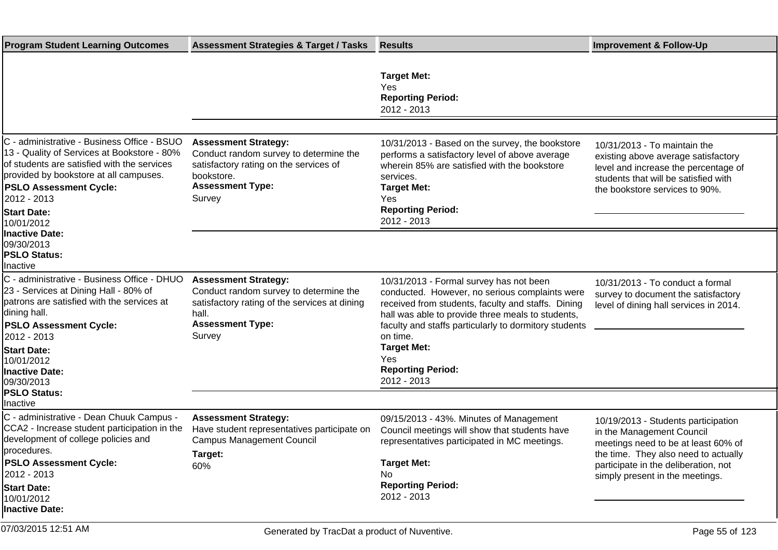| <b>Program Student Learning Outcomes</b>                                                                                                                                                                                                                               | <b>Assessment Strategies &amp; Target / Tasks</b>                                                                                                                    | <b>Results</b>                                                                                                                                                                                                                                                                                                                                    | <b>Improvement &amp; Follow-Up</b>                                                                                                                                                                                         |
|------------------------------------------------------------------------------------------------------------------------------------------------------------------------------------------------------------------------------------------------------------------------|----------------------------------------------------------------------------------------------------------------------------------------------------------------------|---------------------------------------------------------------------------------------------------------------------------------------------------------------------------------------------------------------------------------------------------------------------------------------------------------------------------------------------------|----------------------------------------------------------------------------------------------------------------------------------------------------------------------------------------------------------------------------|
|                                                                                                                                                                                                                                                                        |                                                                                                                                                                      | <b>Target Met:</b><br>Yes<br><b>Reporting Period:</b><br>2012 - 2013                                                                                                                                                                                                                                                                              |                                                                                                                                                                                                                            |
|                                                                                                                                                                                                                                                                        |                                                                                                                                                                      |                                                                                                                                                                                                                                                                                                                                                   |                                                                                                                                                                                                                            |
| C - administrative - Business Office - BSUO<br>13 - Quality of Services at Bookstore - 80%<br>of students are satisfied with the services<br>provided by bookstore at all campuses.<br><b>PSLO Assessment Cycle:</b><br>2012 - 2013<br><b>Start Date:</b>              | <b>Assessment Strategy:</b><br>Conduct random survey to determine the<br>satisfactory rating on the services of<br>bookstore.<br><b>Assessment Type:</b><br>Survey   | 10/31/2013 - Based on the survey, the bookstore<br>performs a satisfactory level of above average<br>wherein 85% are satisfied with the bookstore<br>services.<br><b>Target Met:</b><br>Yes<br><b>Reporting Period:</b><br>2012 - 2013                                                                                                            | 10/31/2013 - To maintain the<br>existing above average satisfactory<br>level and increase the percentage of<br>students that will be satisfied with<br>the bookstore services to 90%.                                      |
| 10/01/2012<br><b>Inactive Date:</b><br>09/30/2013<br><b>PSLO Status:</b><br>Inactive                                                                                                                                                                                   |                                                                                                                                                                      |                                                                                                                                                                                                                                                                                                                                                   |                                                                                                                                                                                                                            |
| C - administrative - Business Office - DHUO<br>23 - Services at Dining Hall - 80% of<br>patrons are satisfied with the services at<br>dining hall.<br><b>PSLO Assessment Cycle:</b><br>2012 - 2013<br><b>Start Date:</b><br>10/01/2012<br>Inactive Date:<br>09/30/2013 | <b>Assessment Strategy:</b><br>Conduct random survey to determine the<br>satisfactory rating of the services at dining<br>hall.<br><b>Assessment Type:</b><br>Survey | 10/31/2013 - Formal survey has not been<br>conducted. However, no serious complaints were<br>received from students, faculty and staffs. Dining<br>hall was able to provide three meals to students,<br>faculty and staffs particularly to dormitory students<br>on time.<br><b>Target Met:</b><br>Yes<br><b>Reporting Period:</b><br>2012 - 2013 | 10/31/2013 - To conduct a formal<br>survey to document the satisfactory<br>level of dining hall services in 2014.                                                                                                          |
| <b>PSLO Status:</b><br>Inactive                                                                                                                                                                                                                                        |                                                                                                                                                                      |                                                                                                                                                                                                                                                                                                                                                   |                                                                                                                                                                                                                            |
| C - administrative - Dean Chuuk Campus -<br>CCA2 - Increase student participation in the<br>development of college policies and<br>procedures.<br><b>PSLO Assessment Cycle:</b><br>2012 - 2013<br><b>Start Date:</b><br>10/01/2012<br><b>Inactive Date:</b>            | <b>Assessment Strategy:</b><br>Have student representatives participate on<br><b>Campus Management Council</b><br>Target:<br>60%                                     | 09/15/2013 - 43%. Minutes of Management<br>Council meetings will show that students have<br>representatives participated in MC meetings.<br><b>Target Met:</b><br>No.<br><b>Reporting Period:</b><br>2012 - 2013                                                                                                                                  | 10/19/2013 - Students participation<br>in the Management Council<br>meetings need to be at least 60% of<br>the time. They also need to actually<br>participate in the deliberation, not<br>simply present in the meetings. |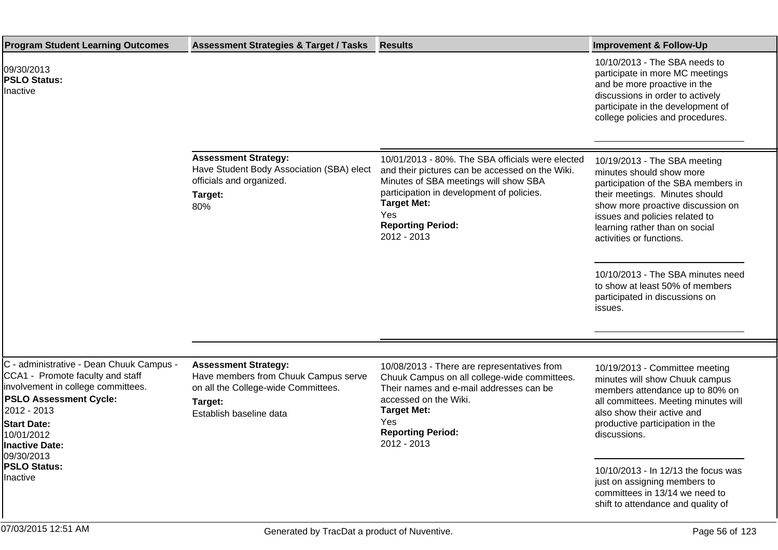| <b>Program Student Learning Outcomes</b>                                                                                                                                                                                                                                  | <b>Assessment Strategies &amp; Target / Tasks</b>                                                                                                | <b>Results</b>                                                                                                                                                                                                                                                    | <b>Improvement &amp; Follow-Up</b>                                                                                                                                                                                                                                                                                                                                                          |
|---------------------------------------------------------------------------------------------------------------------------------------------------------------------------------------------------------------------------------------------------------------------------|--------------------------------------------------------------------------------------------------------------------------------------------------|-------------------------------------------------------------------------------------------------------------------------------------------------------------------------------------------------------------------------------------------------------------------|---------------------------------------------------------------------------------------------------------------------------------------------------------------------------------------------------------------------------------------------------------------------------------------------------------------------------------------------------------------------------------------------|
| 09/30/2013<br><b>PSLO Status:</b><br>Inactive                                                                                                                                                                                                                             |                                                                                                                                                  |                                                                                                                                                                                                                                                                   | 10/10/2013 - The SBA needs to<br>participate in more MC meetings<br>and be more proactive in the<br>discussions in order to actively<br>participate in the development of<br>college policies and procedures.                                                                                                                                                                               |
|                                                                                                                                                                                                                                                                           | <b>Assessment Strategy:</b><br>Have Student Body Association (SBA) elect<br>officials and organized.<br>Target:<br>80%                           | 10/01/2013 - 80%. The SBA officials were elected<br>and their pictures can be accessed on the Wiki.<br>Minutes of SBA meetings will show SBA<br>participation in development of policies.<br><b>Target Met:</b><br>Yes<br><b>Reporting Period:</b><br>2012 - 2013 | 10/19/2013 - The SBA meeting<br>minutes should show more<br>participation of the SBA members in<br>their meetings. Minutes should<br>show more proactive discussion on<br>issues and policies related to<br>learning rather than on social<br>activities or functions.<br>10/10/2013 - The SBA minutes need<br>to show at least 50% of members<br>participated in discussions on<br>issues. |
|                                                                                                                                                                                                                                                                           |                                                                                                                                                  |                                                                                                                                                                                                                                                                   |                                                                                                                                                                                                                                                                                                                                                                                             |
| C - administrative - Dean Chuuk Campus -<br>CCA1 - Promote faculty and staff<br>involvement in college committees.<br><b>PSLO Assessment Cycle:</b><br>2012 - 2013<br><b>Start Date:</b><br>10/01/2012<br>Inactive Date:<br>09/30/2013<br><b>PSLO Status:</b><br>Inactive | <b>Assessment Strategy:</b><br>Have members from Chuuk Campus serve<br>on all the College-wide Committees.<br>Target:<br>Establish baseline data | 10/08/2013 - There are representatives from<br>Chuuk Campus on all college-wide committees.<br>Their names and e-mail addresses can be<br>accessed on the Wiki.<br><b>Target Met:</b><br>Yes<br><b>Reporting Period:</b><br>2012 - 2013                           | 10/19/2013 - Committee meeting<br>minutes will show Chuuk campus<br>members attendance up to 80% on<br>all committees. Meeting minutes will<br>also show their active and<br>productive participation in the<br>discussions.<br>10/10/2013 - In 12/13 the focus was<br>just on assigning members to<br>committees in 13/14 we need to<br>shift to attendance and quality of                 |
| 07/03/2015 12:51 AM                                                                                                                                                                                                                                                       | Generated by TracDat a product of Nuventive.                                                                                                     |                                                                                                                                                                                                                                                                   | Page 56 of 123                                                                                                                                                                                                                                                                                                                                                                              |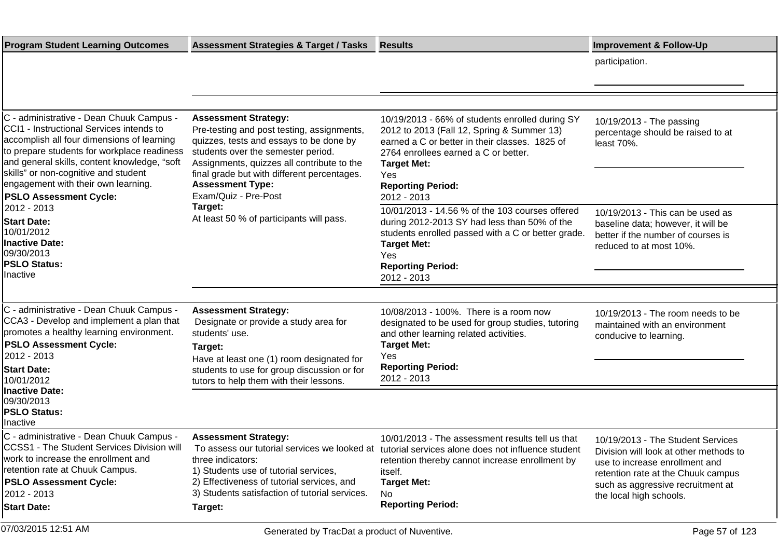| <b>Program Student Learning Outcomes</b>                                                                                                                                                                                                                                                                                                                         | <b>Assessment Strategies &amp; Target / Tasks</b>                                                                                                                                                                                                                                                                     | <b>Results</b>                                                                                                                                                                                                                                                                                                     | <b>Improvement &amp; Follow-Up</b>                                                                                                                                                                                  |
|------------------------------------------------------------------------------------------------------------------------------------------------------------------------------------------------------------------------------------------------------------------------------------------------------------------------------------------------------------------|-----------------------------------------------------------------------------------------------------------------------------------------------------------------------------------------------------------------------------------------------------------------------------------------------------------------------|--------------------------------------------------------------------------------------------------------------------------------------------------------------------------------------------------------------------------------------------------------------------------------------------------------------------|---------------------------------------------------------------------------------------------------------------------------------------------------------------------------------------------------------------------|
|                                                                                                                                                                                                                                                                                                                                                                  |                                                                                                                                                                                                                                                                                                                       |                                                                                                                                                                                                                                                                                                                    | participation.                                                                                                                                                                                                      |
|                                                                                                                                                                                                                                                                                                                                                                  |                                                                                                                                                                                                                                                                                                                       |                                                                                                                                                                                                                                                                                                                    |                                                                                                                                                                                                                     |
|                                                                                                                                                                                                                                                                                                                                                                  |                                                                                                                                                                                                                                                                                                                       |                                                                                                                                                                                                                                                                                                                    |                                                                                                                                                                                                                     |
| C - administrative - Dean Chuuk Campus -<br>CCI1 - Instructional Services intends to<br>accomplish all four dimensions of learning<br>to prepare students for workplace readiness<br>and general skills, content knowledge, "soft<br>skills" or non-cognitive and student<br>engagement with their own learning.<br><b>PSLO Assessment Cycle:</b><br>2012 - 2013 | <b>Assessment Strategy:</b><br>Pre-testing and post testing, assignments,<br>quizzes, tests and essays to be done by<br>students over the semester period.<br>Assignments, quizzes all contribute to the<br>final grade but with different percentages.<br><b>Assessment Type:</b><br>Exam/Quiz - Pre-Post<br>Target: | 10/19/2013 - 66% of students enrolled during SY<br>2012 to 2013 (Fall 12, Spring & Summer 13)<br>earned a C or better in their classes. 1825 of<br>2764 enrollees earned a C or better.<br><b>Target Met:</b><br>Yes<br><b>Reporting Period:</b><br>2012 - 2013<br>10/01/2013 - 14.56 % of the 103 courses offered | 10/19/2013 - The passing<br>percentage should be raised to at<br>least 70%.<br>10/19/2013 - This can be used as                                                                                                     |
| <b>Start Date:</b><br>10/01/2012<br>Inactive Date:<br>09/30/2013<br><b>PSLO Status:</b><br>Inactive                                                                                                                                                                                                                                                              | At least 50 % of participants will pass.                                                                                                                                                                                                                                                                              | during 2012-2013 SY had less than 50% of the<br>students enrolled passed with a C or better grade.<br><b>Target Met:</b><br>Yes<br><b>Reporting Period:</b><br>2012 - 2013                                                                                                                                         | baseline data; however, it will be<br>better if the number of courses is<br>reduced to at most 10%.                                                                                                                 |
|                                                                                                                                                                                                                                                                                                                                                                  |                                                                                                                                                                                                                                                                                                                       |                                                                                                                                                                                                                                                                                                                    |                                                                                                                                                                                                                     |
| C - administrative - Dean Chuuk Campus -<br>CCA3 - Develop and implement a plan that<br>promotes a healthy learning environment.                                                                                                                                                                                                                                 | <b>Assessment Strategy:</b><br>Designate or provide a study area for<br>students' use.                                                                                                                                                                                                                                | 10/08/2013 - 100%. There is a room now<br>designated to be used for group studies, tutoring<br>and other learning related activities.                                                                                                                                                                              | 10/19/2013 - The room needs to be<br>maintained with an environment<br>conducive to learning.                                                                                                                       |
| <b>PSLO Assessment Cycle:</b><br>2012 - 2013                                                                                                                                                                                                                                                                                                                     | Target:<br>Have at least one (1) room designated for                                                                                                                                                                                                                                                                  | <b>Target Met:</b><br>Yes                                                                                                                                                                                                                                                                                          |                                                                                                                                                                                                                     |
| <b>Start Date:</b><br>10/01/2012                                                                                                                                                                                                                                                                                                                                 | students to use for group discussion or for<br>tutors to help them with their lessons.                                                                                                                                                                                                                                | <b>Reporting Period:</b><br>2012 - 2013                                                                                                                                                                                                                                                                            |                                                                                                                                                                                                                     |
| <b>Inactive Date:</b><br>09/30/2013<br><b>PSLO Status:</b><br>Inactive                                                                                                                                                                                                                                                                                           |                                                                                                                                                                                                                                                                                                                       |                                                                                                                                                                                                                                                                                                                    |                                                                                                                                                                                                                     |
| C - administrative - Dean Chuuk Campus -<br>CCSS1 - The Student Services Division will<br>work to increase the enrollment and<br>retention rate at Chuuk Campus.<br><b>PSLO Assessment Cycle:</b><br>2012 - 2013<br><b>Start Date:</b>                                                                                                                           | <b>Assessment Strategy:</b><br>three indicators:<br>1) Students use of tutorial services,<br>2) Effectiveness of tutorial services, and<br>3) Students satisfaction of tutorial services.<br>Target:                                                                                                                  | 10/01/2013 - The assessment results tell us that<br>To assess our tutorial services we looked at tutorial services alone does not influence student<br>retention thereby cannot increase enrollment by<br>itself.<br><b>Target Met:</b><br>No.<br><b>Reporting Period:</b>                                         | 10/19/2013 - The Student Services<br>Division will look at other methods to<br>use to increase enrollment and<br>retention rate at the Chuuk campus<br>such as aggressive recruitment at<br>the local high schools. |
| 07/03/2015 12:51 AM                                                                                                                                                                                                                                                                                                                                              | Generated by TracDat a product of Nuventive.                                                                                                                                                                                                                                                                          |                                                                                                                                                                                                                                                                                                                    | Page 57 of 123                                                                                                                                                                                                      |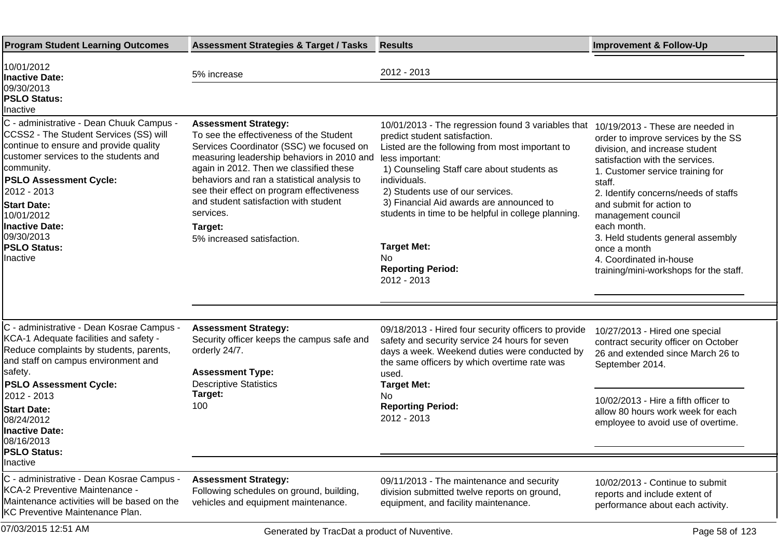| <b>Program Student Learning Outcomes</b>                                                                                                                                                                                                                                                                                                   | <b>Assessment Strategies &amp; Target / Tasks</b>                                                                                                                                                                                                                                                                                                                                                      | <b>Results</b>                                                                                                                                                                                                                                                                                                                                                                                                                               | <b>Improvement &amp; Follow-Up</b>                                                                                                                                                                                                                                                                                                                                                                                            |
|--------------------------------------------------------------------------------------------------------------------------------------------------------------------------------------------------------------------------------------------------------------------------------------------------------------------------------------------|--------------------------------------------------------------------------------------------------------------------------------------------------------------------------------------------------------------------------------------------------------------------------------------------------------------------------------------------------------------------------------------------------------|----------------------------------------------------------------------------------------------------------------------------------------------------------------------------------------------------------------------------------------------------------------------------------------------------------------------------------------------------------------------------------------------------------------------------------------------|-------------------------------------------------------------------------------------------------------------------------------------------------------------------------------------------------------------------------------------------------------------------------------------------------------------------------------------------------------------------------------------------------------------------------------|
| 10/01/2012<br><b>Inactive Date:</b>                                                                                                                                                                                                                                                                                                        | 5% increase                                                                                                                                                                                                                                                                                                                                                                                            | 2012 - 2013                                                                                                                                                                                                                                                                                                                                                                                                                                  |                                                                                                                                                                                                                                                                                                                                                                                                                               |
| 09/30/2013<br><b>PSLO Status:</b><br>Inactive                                                                                                                                                                                                                                                                                              |                                                                                                                                                                                                                                                                                                                                                                                                        |                                                                                                                                                                                                                                                                                                                                                                                                                                              |                                                                                                                                                                                                                                                                                                                                                                                                                               |
| C - administrative - Dean Chuuk Campus -<br>CCSS2 - The Student Services (SS) will<br>continue to ensure and provide quality<br>customer services to the students and<br>community.<br><b>PSLO Assessment Cycle:</b><br>2012 - 2013<br><b>Start Date:</b><br>10/01/2012<br>Inactive Date:<br>09/30/2013<br><b>PSLO Status:</b><br>Inactive | <b>Assessment Strategy:</b><br>To see the effectiveness of the Student<br>Services Coordinator (SSC) we focused on<br>measuring leadership behaviors in 2010 and<br>again in 2012. Then we classified these<br>behaviors and ran a statistical analysis to<br>see their effect on program effectiveness<br>and student satisfaction with student<br>services.<br>Target:<br>5% increased satisfaction. | 10/01/2013 - The regression found 3 variables that<br>predict student satisfaction.<br>Listed are the following from most important to<br>less important:<br>1) Counseling Staff care about students as<br>individuals.<br>2) Students use of our services.<br>3) Financial Aid awards are announced to<br>students in time to be helpful in college planning.<br><b>Target Met:</b><br><b>No</b><br><b>Reporting Period:</b><br>2012 - 2013 | 10/19/2013 - These are needed in<br>order to improve services by the SS<br>division, and increase student<br>satisfaction with the services.<br>1. Customer service training for<br>staff.<br>2. Identify concerns/needs of staffs<br>and submit for action to<br>management council<br>each month.<br>3. Held students general assembly<br>once a month<br>4. Coordinated in-house<br>training/mini-workshops for the staff. |
|                                                                                                                                                                                                                                                                                                                                            |                                                                                                                                                                                                                                                                                                                                                                                                        |                                                                                                                                                                                                                                                                                                                                                                                                                                              |                                                                                                                                                                                                                                                                                                                                                                                                                               |
| C - administrative - Dean Kosrae Campus -<br>KCA-1 Adequate facilities and safety -<br>Reduce complaints by students, parents,<br>and staff on campus environment and<br>safety.<br><b>PSLO Assessment Cycle:</b><br>2012 - 2013                                                                                                           | <b>Assessment Strategy:</b><br>Security officer keeps the campus safe and<br>orderly 24/7.<br><b>Assessment Type:</b><br><b>Descriptive Statistics</b><br>Target:                                                                                                                                                                                                                                      | 09/18/2013 - Hired four security officers to provide<br>safety and security service 24 hours for seven<br>days a week. Weekend duties were conducted by<br>the same officers by which overtime rate was<br>used.<br><b>Target Met:</b><br>No                                                                                                                                                                                                 | 10/27/2013 - Hired one special<br>contract security officer on October<br>26 and extended since March 26 to<br>September 2014.                                                                                                                                                                                                                                                                                                |
| <b>Start Date:</b><br>08/24/2012<br><b>Inactive Date:</b><br>08/16/2013<br> PSLO Status:<br>Inactive                                                                                                                                                                                                                                       | 100                                                                                                                                                                                                                                                                                                                                                                                                    | <b>Reporting Period:</b><br>2012 - 2013                                                                                                                                                                                                                                                                                                                                                                                                      | 10/02/2013 - Hire a fifth officer to<br>allow 80 hours work week for each<br>employee to avoid use of overtime.                                                                                                                                                                                                                                                                                                               |
| C - administrative - Dean Kosrae Campus -                                                                                                                                                                                                                                                                                                  | <b>Assessment Strategy:</b>                                                                                                                                                                                                                                                                                                                                                                            | 09/11/2013 - The maintenance and security                                                                                                                                                                                                                                                                                                                                                                                                    | 10/02/2013 - Continue to submit                                                                                                                                                                                                                                                                                                                                                                                               |
| KCA-2 Preventive Maintenance -<br>Maintenance activities will be based on the<br>KC Preventive Maintenance Plan.                                                                                                                                                                                                                           | Following schedules on ground, building,<br>vehicles and equipment maintenance.                                                                                                                                                                                                                                                                                                                        | division submitted twelve reports on ground,<br>equipment, and facility maintenance.                                                                                                                                                                                                                                                                                                                                                         | reports and include extent of<br>performance about each activity.                                                                                                                                                                                                                                                                                                                                                             |
| 07/03/2015 12:51 AM                                                                                                                                                                                                                                                                                                                        | Generated by TracDat a product of Nuventive.                                                                                                                                                                                                                                                                                                                                                           |                                                                                                                                                                                                                                                                                                                                                                                                                                              | Page 58 of 123                                                                                                                                                                                                                                                                                                                                                                                                                |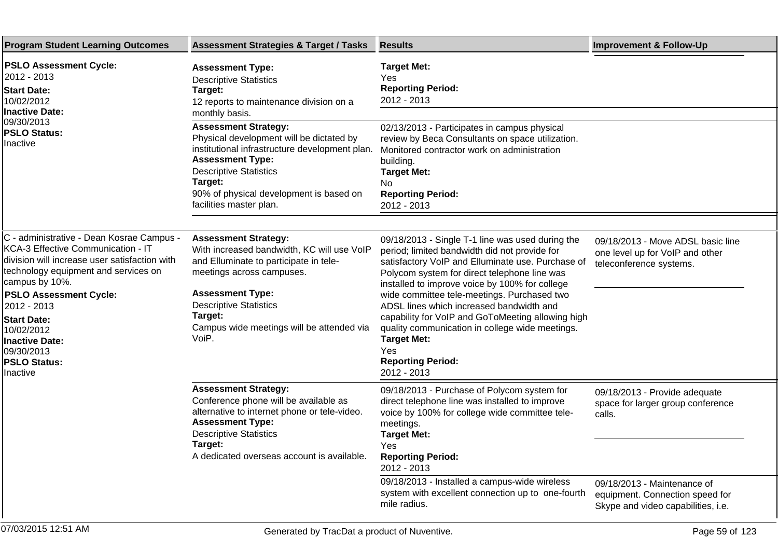| <b>Program Student Learning Outcomes</b>                                                                                                                                                                                                                                                                                                                 | <b>Assessment Strategies &amp; Target / Tasks</b>                                                                                                                                                                                                                             | <b>Results</b>                                                                                                                                                                                                                                                                                                                                                                                                                                                                                                                      | <b>Improvement &amp; Follow-Up</b>                                                                   |
|----------------------------------------------------------------------------------------------------------------------------------------------------------------------------------------------------------------------------------------------------------------------------------------------------------------------------------------------------------|-------------------------------------------------------------------------------------------------------------------------------------------------------------------------------------------------------------------------------------------------------------------------------|-------------------------------------------------------------------------------------------------------------------------------------------------------------------------------------------------------------------------------------------------------------------------------------------------------------------------------------------------------------------------------------------------------------------------------------------------------------------------------------------------------------------------------------|------------------------------------------------------------------------------------------------------|
| <b>PSLO Assessment Cycle:</b><br>2012 - 2013 <br><b>Start Date:</b><br>10/02/2012<br><b>Inactive Date:</b><br>09/30/2013<br><b>PSLO Status:</b><br>Inactive                                                                                                                                                                                              | <b>Assessment Type:</b><br><b>Descriptive Statistics</b><br>Target:<br>12 reports to maintenance division on a<br>monthly basis.                                                                                                                                              | <b>Target Met:</b><br>Yes<br><b>Reporting Period:</b><br>2012 - 2013                                                                                                                                                                                                                                                                                                                                                                                                                                                                |                                                                                                      |
|                                                                                                                                                                                                                                                                                                                                                          | <b>Assessment Strategy:</b><br>Physical development will be dictated by<br>institutional infrastructure development plan.<br><b>Assessment Type:</b><br><b>Descriptive Statistics</b><br>Target:<br>90% of physical development is based on<br>facilities master plan.        | 02/13/2013 - Participates in campus physical<br>review by Beca Consultants on space utilization.<br>Monitored contractor work on administration<br>building.<br><b>Target Met:</b><br>No.<br><b>Reporting Period:</b><br>2012 - 2013                                                                                                                                                                                                                                                                                                |                                                                                                      |
| C - administrative - Dean Kosrae Campus -<br>KCA-3 Effective Communication - IT<br>division will increase user satisfaction with<br>technology equipment and services on<br>campus by 10%.<br><b>PSLO Assessment Cycle:</b><br>2012 - 2013<br><b>Start Date:</b><br>10/02/2012<br><b>Inactive Date:</b><br>09/30/2013<br><b>PSLO Status:</b><br>Inactive | <b>Assessment Strategy:</b><br>With increased bandwidth, KC will use VoIP<br>and Elluminate to participate in tele-<br>meetings across campuses.<br><b>Assessment Type:</b><br><b>Descriptive Statistics</b><br>Target:<br>Campus wide meetings will be attended via<br>VoiP. | 09/18/2013 - Single T-1 line was used during the<br>period; limited bandwidth did not provide for<br>satisfactory VoIP and Elluminate use. Purchase of<br>Polycom system for direct telephone line was<br>installed to improve voice by 100% for college<br>wide committee tele-meetings. Purchased two<br>ADSL lines which increased bandwidth and<br>capability for VoIP and GoToMeeting allowing high<br>quality communication in college wide meetings.<br><b>Target Met:</b><br>Yes<br><b>Reporting Period:</b><br>2012 - 2013 | 09/18/2013 - Move ADSL basic line<br>one level up for VoIP and other<br>teleconference systems.      |
|                                                                                                                                                                                                                                                                                                                                                          | <b>Assessment Strategy:</b><br>Conference phone will be available as<br>alternative to internet phone or tele-video.<br><b>Assessment Type:</b><br><b>Descriptive Statistics</b><br>Target:<br>A dedicated overseas account is available.                                     | 09/18/2013 - Purchase of Polycom system for<br>direct telephone line was installed to improve<br>voice by 100% for college wide committee tele-<br>meetings.<br><b>Target Met:</b><br>Yes<br><b>Reporting Period:</b><br>2012 - 2013                                                                                                                                                                                                                                                                                                | 09/18/2013 - Provide adequate<br>space for larger group conference<br>calls.                         |
|                                                                                                                                                                                                                                                                                                                                                          |                                                                                                                                                                                                                                                                               | 09/18/2013 - Installed a campus-wide wireless<br>system with excellent connection up to one-fourth<br>mile radius.                                                                                                                                                                                                                                                                                                                                                                                                                  | 09/18/2013 - Maintenance of<br>equipment. Connection speed for<br>Skype and video capabilities, i.e. |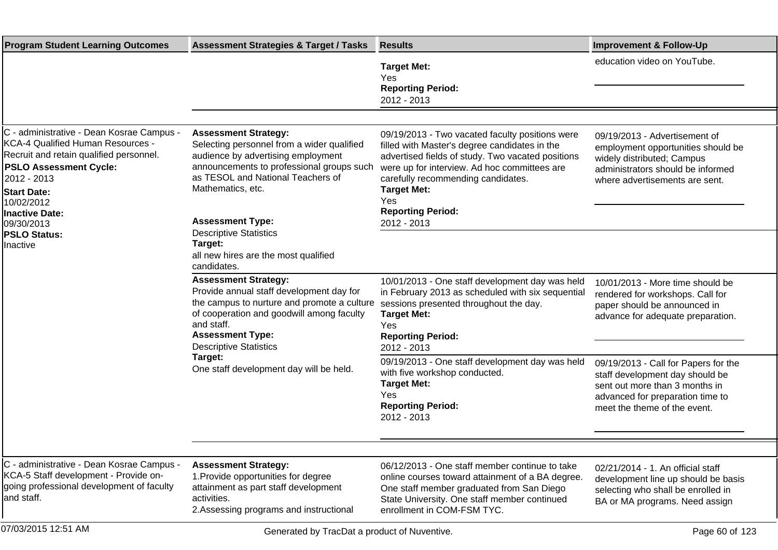| <b>Program Student Learning Outcomes</b>                                                                                                                                                                      | <b>Assessment Strategies &amp; Target / Tasks</b>                                                                                                                                                                                             | <b>Results</b>                                                                                                                                                                                                                                                           | <b>Improvement &amp; Follow-Up</b>                                                                                                                                            |
|---------------------------------------------------------------------------------------------------------------------------------------------------------------------------------------------------------------|-----------------------------------------------------------------------------------------------------------------------------------------------------------------------------------------------------------------------------------------------|--------------------------------------------------------------------------------------------------------------------------------------------------------------------------------------------------------------------------------------------------------------------------|-------------------------------------------------------------------------------------------------------------------------------------------------------------------------------|
|                                                                                                                                                                                                               |                                                                                                                                                                                                                                               | <b>Target Met:</b><br>Yes<br><b>Reporting Period:</b><br>2012 - 2013                                                                                                                                                                                                     | education video on YouTube.                                                                                                                                                   |
|                                                                                                                                                                                                               |                                                                                                                                                                                                                                               |                                                                                                                                                                                                                                                                          |                                                                                                                                                                               |
| C - administrative - Dean Kosrae Campus -<br>KCA-4 Qualified Human Resources -<br>Recruit and retain qualified personnel.<br><b>PSLO Assessment Cycle:</b><br>2012 - 2013<br><b>Start Date:</b><br>10/02/2012 | <b>Assessment Strategy:</b><br>Selecting personnel from a wider qualified<br>audience by advertising employment<br>announcements to professional groups such<br>as TESOL and National Teachers of<br>Mathematics, etc.                        | 09/19/2013 - Two vacated faculty positions were<br>filled with Master's degree candidates in the<br>advertised fields of study. Two vacated positions<br>were up for interview. Ad hoc committees are<br>carefully recommending candidates.<br><b>Target Met:</b><br>Yes | 09/19/2013 - Advertisement of<br>employment opportunities should be<br>widely distributed; Campus<br>administrators should be informed<br>where advertisements are sent.      |
| <b>Inactive Date:</b><br>09/30/2013                                                                                                                                                                           | <b>Assessment Type:</b>                                                                                                                                                                                                                       | <b>Reporting Period:</b><br>2012 - 2013                                                                                                                                                                                                                                  |                                                                                                                                                                               |
| <b>PSLO Status:</b><br>Inactive                                                                                                                                                                               | <b>Descriptive Statistics</b><br>Target:<br>all new hires are the most qualified<br>candidates.                                                                                                                                               |                                                                                                                                                                                                                                                                          |                                                                                                                                                                               |
|                                                                                                                                                                                                               | <b>Assessment Strategy:</b><br>Provide annual staff development day for<br>the campus to nurture and promote a culture<br>of cooperation and goodwill among faculty<br>and staff.<br><b>Assessment Type:</b><br><b>Descriptive Statistics</b> | 10/01/2013 - One staff development day was held<br>in February 2013 as scheduled with six sequential<br>sessions presented throughout the day.<br><b>Target Met:</b><br>Yes<br><b>Reporting Period:</b><br>2012 - 2013                                                   | 10/01/2013 - More time should be<br>rendered for workshops. Call for<br>paper should be announced in<br>advance for adequate preparation.                                     |
|                                                                                                                                                                                                               | Target:<br>One staff development day will be held.                                                                                                                                                                                            | 09/19/2013 - One staff development day was held<br>with five workshop conducted.<br><b>Target Met:</b><br>Yes<br><b>Reporting Period:</b><br>2012 - 2013                                                                                                                 | 09/19/2013 - Call for Papers for the<br>staff development day should be<br>sent out more than 3 months in<br>advanced for preparation time to<br>meet the theme of the event. |
|                                                                                                                                                                                                               |                                                                                                                                                                                                                                               |                                                                                                                                                                                                                                                                          |                                                                                                                                                                               |
| C - administrative - Dean Kosrae Campus -<br>KCA-5 Staff development - Provide on-<br>going professional development of faculty<br>and staff.                                                                 | <b>Assessment Strategy:</b><br>1. Provide opportunities for degree<br>attainment as part staff development<br>activities.<br>2. Assessing programs and instructional                                                                          | 06/12/2013 - One staff member continue to take<br>online courses toward attainment of a BA degree.<br>One staff member graduated from San Diego<br>State University. One staff member continued<br>enrollment in COM-FSM TYC.                                            | 02/21/2014 - 1. An official staff<br>development line up should be basis<br>selecting who shall be enrolled in<br>BA or MA programs. Need assign                              |
| 07/03/2015 12:51 AM                                                                                                                                                                                           | Generated by TracDat a product of Nuventive.                                                                                                                                                                                                  |                                                                                                                                                                                                                                                                          | Page 60 of 123                                                                                                                                                                |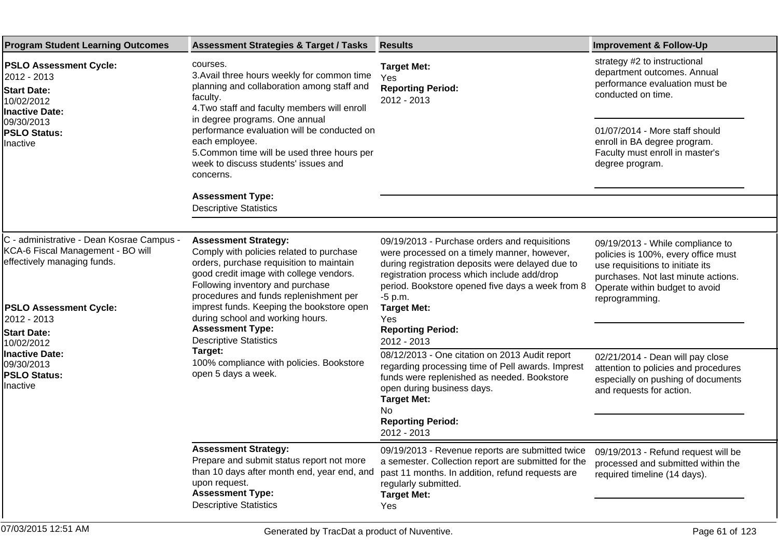| <b>Program Student Learning Outcomes</b>                                                                                                                  | <b>Assessment Strategies &amp; Target / Tasks</b>                                                                                                                                                                                                                                                                                                                        | <b>Results</b>                                                                                                                                                                                                                                                   | <b>Improvement &amp; Follow-Up</b>                                                                                                                                                                     |
|-----------------------------------------------------------------------------------------------------------------------------------------------------------|--------------------------------------------------------------------------------------------------------------------------------------------------------------------------------------------------------------------------------------------------------------------------------------------------------------------------------------------------------------------------|------------------------------------------------------------------------------------------------------------------------------------------------------------------------------------------------------------------------------------------------------------------|--------------------------------------------------------------------------------------------------------------------------------------------------------------------------------------------------------|
| <b>PSLO Assessment Cycle:</b><br>2012 - 2013<br><b>Start Date:</b><br>10/02/2012<br><b>Inactive Date:</b><br>09/30/2013<br><b>PSLO Status:</b><br>nactive | courses.<br>3. Avail three hours weekly for common time<br>planning and collaboration among staff and<br>faculty.<br>4. Two staff and faculty members will enroll<br>in degree programs. One annual<br>performance evaluation will be conducted on<br>each employee.<br>5. Common time will be used three hours per<br>week to discuss students' issues and<br>concerns. | <b>Target Met:</b><br>Yes<br><b>Reporting Period:</b><br>2012 - 2013                                                                                                                                                                                             | strategy #2 to instructional<br>department outcomes. Annual<br>performance evaluation must be<br>conducted on time.                                                                                    |
|                                                                                                                                                           |                                                                                                                                                                                                                                                                                                                                                                          |                                                                                                                                                                                                                                                                  | 01/07/2014 - More staff should<br>enroll in BA degree program.<br>Faculty must enroll in master's<br>degree program.                                                                                   |
|                                                                                                                                                           | <b>Assessment Type:</b><br><b>Descriptive Statistics</b>                                                                                                                                                                                                                                                                                                                 |                                                                                                                                                                                                                                                                  |                                                                                                                                                                                                        |
|                                                                                                                                                           |                                                                                                                                                                                                                                                                                                                                                                          |                                                                                                                                                                                                                                                                  |                                                                                                                                                                                                        |
| C - administrative - Dean Kosrae Campus -<br>KCA-6 Fiscal Management - BO will<br>effectively managing funds.                                             | <b>Assessment Strategy:</b><br>Comply with policies related to purchase<br>orders, purchase requisition to maintain<br>good credit image with college vendors.<br>Following inventory and purchase<br>procedures and funds replenishment per                                                                                                                             | 09/19/2013 - Purchase orders and requisitions<br>were processed on a timely manner, however,<br>during registration deposits were delayed due to<br>registration process which include add/drop<br>period. Bookstore opened five days a week from 8<br>$-5$ p.m. | 09/19/2013 - While compliance to<br>policies is 100%, every office must<br>use requisitions to initiate its<br>purchases. Not last minute actions.<br>Operate within budget to avoid<br>reprogramming. |
| <b>PSLO Assessment Cycle:</b><br>2012 - 2013<br><b>Start Date:</b><br>10/02/2012                                                                          | imprest funds. Keeping the bookstore open<br>during school and working hours.<br><b>Assessment Type:</b><br><b>Descriptive Statistics</b><br>Target:<br>100% compliance with policies. Bookstore<br>open 5 days a week.                                                                                                                                                  | <b>Target Met:</b><br>Yes<br><b>Reporting Period:</b><br>2012 - 2013                                                                                                                                                                                             |                                                                                                                                                                                                        |
| <b>Inactive Date:</b><br>09/30/2013<br><b>PSLO Status:</b><br>nactive                                                                                     |                                                                                                                                                                                                                                                                                                                                                                          | 08/12/2013 - One citation on 2013 Audit report<br>regarding processing time of Pell awards. Imprest<br>funds were replenished as needed. Bookstore<br>open during business days.<br><b>Target Met:</b><br>No                                                     | 02/21/2014 - Dean will pay close<br>attention to policies and procedures<br>especially on pushing of documents<br>and requests for action.                                                             |
|                                                                                                                                                           |                                                                                                                                                                                                                                                                                                                                                                          | <b>Reporting Period:</b><br>2012 - 2013                                                                                                                                                                                                                          |                                                                                                                                                                                                        |
|                                                                                                                                                           | <b>Assessment Strategy:</b><br>Prepare and submit status report not more<br>than 10 days after month end, year end, and<br>upon request.<br><b>Assessment Type:</b><br><b>Descriptive Statistics</b>                                                                                                                                                                     | 09/19/2013 - Revenue reports are submitted twice<br>a semester. Collection report are submitted for the<br>past 11 months. In addition, refund requests are<br>regularly submitted.<br><b>Target Met:</b>                                                        | 09/19/2013 - Refund request will be<br>processed and submitted within the<br>required timeline (14 days).                                                                                              |
|                                                                                                                                                           |                                                                                                                                                                                                                                                                                                                                                                          | Yes                                                                                                                                                                                                                                                              |                                                                                                                                                                                                        |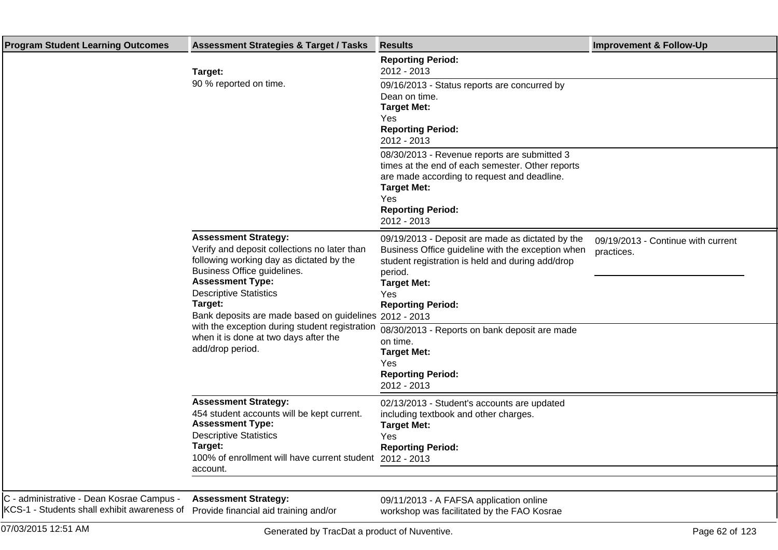| <b>Program Student Learning Outcomes</b>                                                                                       | <b>Assessment Strategies &amp; Target / Tasks</b>                                                                                                                                                                                                                                       | <b>Results</b>                                                                                                                                                                                                                | <b>Improvement &amp; Follow-Up</b>               |
|--------------------------------------------------------------------------------------------------------------------------------|-----------------------------------------------------------------------------------------------------------------------------------------------------------------------------------------------------------------------------------------------------------------------------------------|-------------------------------------------------------------------------------------------------------------------------------------------------------------------------------------------------------------------------------|--------------------------------------------------|
|                                                                                                                                | Target:                                                                                                                                                                                                                                                                                 | <b>Reporting Period:</b><br>2012 - 2013                                                                                                                                                                                       |                                                  |
|                                                                                                                                | 90 % reported on time.                                                                                                                                                                                                                                                                  | 09/16/2013 - Status reports are concurred by<br>Dean on time.<br><b>Target Met:</b><br>Yes<br><b>Reporting Period:</b><br>2012 - 2013                                                                                         |                                                  |
|                                                                                                                                |                                                                                                                                                                                                                                                                                         | 08/30/2013 - Revenue reports are submitted 3<br>times at the end of each semester. Other reports<br>are made according to request and deadline.<br><b>Target Met:</b><br>Yes<br><b>Reporting Period:</b><br>2012 - 2013       |                                                  |
|                                                                                                                                | <b>Assessment Strategy:</b><br>Verify and deposit collections no later than<br>following working day as dictated by the<br>Business Office guidelines.<br><b>Assessment Type:</b><br><b>Descriptive Statistics</b><br>Target:<br>Bank deposits are made based on guidelines 2012 - 2013 | 09/19/2013 - Deposit are made as dictated by the<br>Business Office guideline with the exception when<br>student registration is held and during add/drop<br>period.<br><b>Target Met:</b><br>Yes<br><b>Reporting Period:</b> | 09/19/2013 - Continue with current<br>practices. |
|                                                                                                                                | with the exception during student registration<br>when it is done at two days after the<br>add/drop period.                                                                                                                                                                             | 08/30/2013 - Reports on bank deposit are made<br>on time.<br><b>Target Met:</b><br>Yes<br><b>Reporting Period:</b><br>2012 - 2013                                                                                             |                                                  |
|                                                                                                                                | <b>Assessment Strategy:</b><br>454 student accounts will be kept current.<br><b>Assessment Type:</b><br><b>Descriptive Statistics</b><br>Target:<br>100% of enrollment will have current student 2012 - 2013<br>account.                                                                | 02/13/2013 - Student's accounts are updated<br>including textbook and other charges.<br><b>Target Met:</b><br>Yes<br><b>Reporting Period:</b>                                                                                 |                                                  |
| C - administrative - Dean Kosrae Campus -<br>KCS-1 - Students shall exhibit awareness of Provide financial aid training and/or | <b>Assessment Strategy:</b>                                                                                                                                                                                                                                                             | 09/11/2013 - A FAFSA application online<br>workshop was facilitated by the FAO Kosrae                                                                                                                                         |                                                  |
| 07/03/2015 12:51 AM                                                                                                            | Generated by TracDat a product of Nuventive.                                                                                                                                                                                                                                            |                                                                                                                                                                                                                               | Page 62 of 123                                   |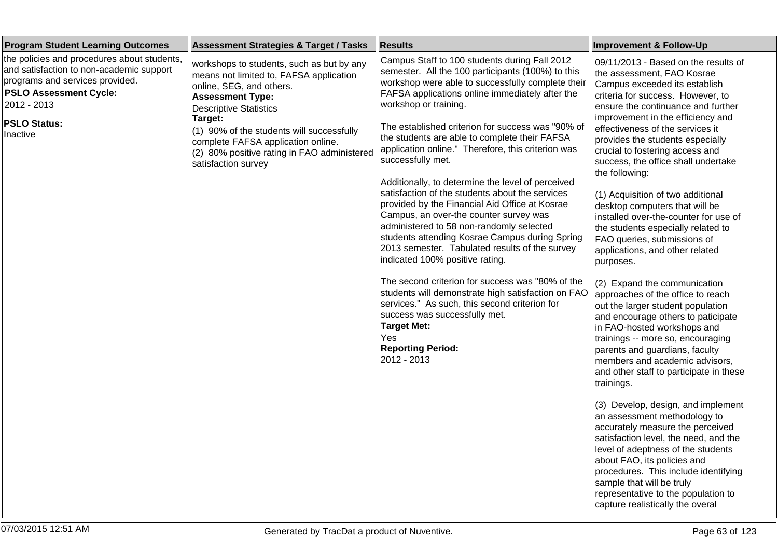| <b>Program Student Learning Outcomes</b>                                                                                                                                                                      | <b>Assessment Strategies &amp; Target / Tasks</b>                                                                                                                                                                                                                                                                                                | <b>Results</b>                                                                                                                                                                                                                                                                                                                                                                                                                                                                                                                                                                                                                                                                                                                                                                                              | <b>Improvement &amp; Follow-Up</b>                                                                                                                                                                                                                                                                                                                                                                                                                                                                                                                                                                                           |
|---------------------------------------------------------------------------------------------------------------------------------------------------------------------------------------------------------------|--------------------------------------------------------------------------------------------------------------------------------------------------------------------------------------------------------------------------------------------------------------------------------------------------------------------------------------------------|-------------------------------------------------------------------------------------------------------------------------------------------------------------------------------------------------------------------------------------------------------------------------------------------------------------------------------------------------------------------------------------------------------------------------------------------------------------------------------------------------------------------------------------------------------------------------------------------------------------------------------------------------------------------------------------------------------------------------------------------------------------------------------------------------------------|------------------------------------------------------------------------------------------------------------------------------------------------------------------------------------------------------------------------------------------------------------------------------------------------------------------------------------------------------------------------------------------------------------------------------------------------------------------------------------------------------------------------------------------------------------------------------------------------------------------------------|
| the policies and procedures about students,<br>and satisfaction to non-academic support<br>programs and services provided.<br><b>PSLO Assessment Cycle:</b><br>2012 - 2013<br><b>PSLO Status:</b><br>Inactive | workshops to students, such as but by any<br>means not limited to, FAFSA application<br>online, SEG, and others.<br><b>Assessment Type:</b><br><b>Descriptive Statistics</b><br>Target:<br>(1) 90% of the students will successfully<br>complete FAFSA application online.<br>(2) 80% positive rating in FAO administered<br>satisfaction survey | Campus Staff to 100 students during Fall 2012<br>semester. All the 100 participants (100%) to this<br>workshop were able to successfully complete their<br>FAFSA applications online immediately after the<br>workshop or training.<br>The established criterion for success was "90% of<br>the students are able to complete their FAFSA<br>application online." Therefore, this criterion was<br>successfully met.<br>Additionally, to determine the level of perceived<br>satisfaction of the students about the services<br>provided by the Financial Aid Office at Kosrae<br>Campus, an over-the counter survey was<br>administered to 58 non-randomly selected<br>students attending Kosrae Campus during Spring<br>2013 semester. Tabulated results of the survey<br>indicated 100% positive rating. | 09/11/2013 - Based on the results of<br>the assessment, FAO Kosrae<br>Campus exceeded its establish<br>criteria for success. However, to<br>ensure the continuance and further<br>improvement in the efficiency and<br>effectiveness of the services it<br>provides the students especially<br>crucial to fostering access and<br>success, the office shall undertake<br>the following:<br>(1) Acquisition of two additional<br>desktop computers that will be<br>installed over-the-counter for use of<br>the students especially related to<br>FAO queries, submissions of<br>applications, and other related<br>purposes. |
|                                                                                                                                                                                                               |                                                                                                                                                                                                                                                                                                                                                  | The second criterion for success was "80% of the<br>students will demonstrate high satisfaction on FAO<br>services." As such, this second criterion for<br>success was successfully met.<br><b>Target Met:</b><br>Yes<br><b>Reporting Period:</b><br>2012 - 2013                                                                                                                                                                                                                                                                                                                                                                                                                                                                                                                                            | (2) Expand the communication<br>approaches of the office to reach<br>out the larger student population<br>and encourage others to paticipate<br>in FAO-hosted workshops and<br>trainings -- more so, encouraging<br>parents and guardians, faculty<br>members and academic advisors,<br>and other staff to participate in these<br>trainings.                                                                                                                                                                                                                                                                                |
|                                                                                                                                                                                                               |                                                                                                                                                                                                                                                                                                                                                  |                                                                                                                                                                                                                                                                                                                                                                                                                                                                                                                                                                                                                                                                                                                                                                                                             | (3) Develop, design, and implement<br>an assessment methodology to<br>accurately measure the perceived<br>satisfaction level, the need, and the<br>level of adeptness of the students<br>about FAO, its policies and<br>procedures. This include identifying<br>sample that will be truly                                                                                                                                                                                                                                                                                                                                    |

representative to the population to capture realistically the overal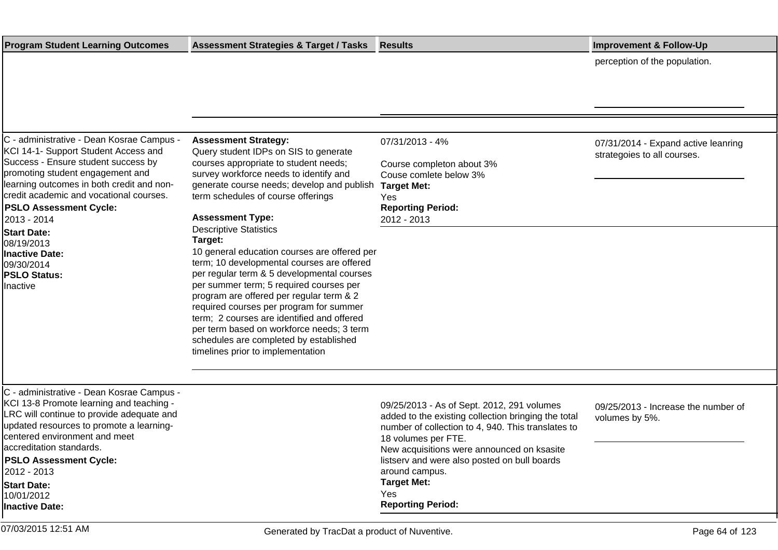| <b>Program Student Learning Outcomes</b>                                                                                                                                                                                                                                                                                                                   | <b>Assessment Strategies &amp; Target / Tasks</b>                                                                                                                                                                                                                                                                                                                                                    | <b>Results</b>                                                                                                                                                                                                               | <b>Improvement &amp; Follow-Up</b>                                 |
|------------------------------------------------------------------------------------------------------------------------------------------------------------------------------------------------------------------------------------------------------------------------------------------------------------------------------------------------------------|------------------------------------------------------------------------------------------------------------------------------------------------------------------------------------------------------------------------------------------------------------------------------------------------------------------------------------------------------------------------------------------------------|------------------------------------------------------------------------------------------------------------------------------------------------------------------------------------------------------------------------------|--------------------------------------------------------------------|
|                                                                                                                                                                                                                                                                                                                                                            |                                                                                                                                                                                                                                                                                                                                                                                                      |                                                                                                                                                                                                                              | perception of the population.                                      |
|                                                                                                                                                                                                                                                                                                                                                            |                                                                                                                                                                                                                                                                                                                                                                                                      |                                                                                                                                                                                                                              |                                                                    |
|                                                                                                                                                                                                                                                                                                                                                            |                                                                                                                                                                                                                                                                                                                                                                                                      |                                                                                                                                                                                                                              |                                                                    |
| C - administrative - Dean Kosrae Campus -<br>KCI 14-1- Support Student Access and<br>Success - Ensure student success by<br>promoting student engagement and<br>learning outcomes in both credit and non-<br>credit academic and vocational courses.<br><b>PSLO Assessment Cycle:</b><br>2013 - 2014<br><b>Start Date:</b><br>08/19/2013<br>Inactive Date: | <b>Assessment Strategy:</b><br>Query student IDPs on SIS to generate<br>courses appropriate to student needs;<br>survey workforce needs to identify and<br>generate course needs; develop and publish Target Met:<br>term schedules of course offerings<br><b>Assessment Type:</b><br><b>Descriptive Statistics</b><br>Target:<br>10 general education courses are offered per                       | 07/31/2013 - 4%<br>Course completon about 3%<br>Couse comlete below 3%<br>Yes<br><b>Reporting Period:</b><br>2012 - 2013                                                                                                     | 07/31/2014 - Expand active leanring<br>strategoies to all courses. |
| 09/30/2014<br><b>PSLO Status:</b><br>Inactive                                                                                                                                                                                                                                                                                                              | term; 10 developmental courses are offered<br>per regular term & 5 developmental courses<br>per summer term; 5 required courses per<br>program are offered per regular term & 2<br>required courses per program for summer<br>term; 2 courses are identified and offered<br>per term based on workforce needs; 3 term<br>schedules are completed by established<br>timelines prior to implementation |                                                                                                                                                                                                                              |                                                                    |
|                                                                                                                                                                                                                                                                                                                                                            |                                                                                                                                                                                                                                                                                                                                                                                                      |                                                                                                                                                                                                                              |                                                                    |
| C - administrative - Dean Kosrae Campus -<br>KCI 13-8 Promote learning and teaching -<br>LRC will continue to provide adequate and<br>updated resources to promote a learning-<br>centered environment and meet<br>accreditation standards.                                                                                                                |                                                                                                                                                                                                                                                                                                                                                                                                      | 09/25/2013 - As of Sept. 2012, 291 volumes<br>added to the existing collection bringing the total<br>number of collection to 4, 940. This translates to<br>18 volumes per FTE.<br>New acquisitions were announced on ksasite | 09/25/2013 - Increase the number of<br>volumes by 5%.              |
| <b>PSLO Assessment Cycle:</b><br>2012 - 2013<br><b>Start Date:</b>                                                                                                                                                                                                                                                                                         |                                                                                                                                                                                                                                                                                                                                                                                                      | listserv and were also posted on bull boards<br>around campus.<br><b>Target Met:</b>                                                                                                                                         |                                                                    |
| 10/01/2012<br>Inactive Date:                                                                                                                                                                                                                                                                                                                               |                                                                                                                                                                                                                                                                                                                                                                                                      | Yes<br><b>Reporting Period:</b>                                                                                                                                                                                              |                                                                    |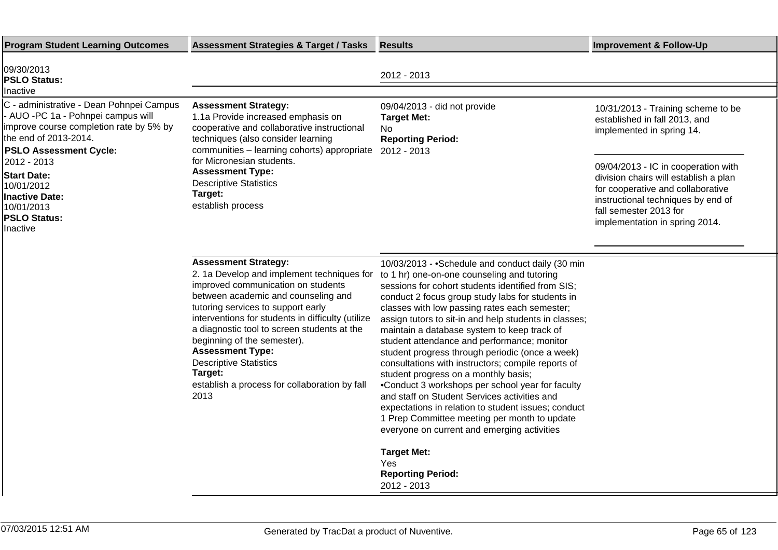| <b>Program Student Learning Outcomes</b>                                                                                                                                                                                                                                                                                     | <b>Assessment Strategies &amp; Target / Tasks</b>                                                                                                                                                                                                                                                                                                                                                                                                               | <b>Results</b>                                                                                                                                                                                                                                                                                                                                                                                                                                                                                                                                                                                                                                                                                                                                                                                                                                                                                        | <b>Improvement &amp; Follow-Up</b>                                                                                                                                                                                                                                                                                      |
|------------------------------------------------------------------------------------------------------------------------------------------------------------------------------------------------------------------------------------------------------------------------------------------------------------------------------|-----------------------------------------------------------------------------------------------------------------------------------------------------------------------------------------------------------------------------------------------------------------------------------------------------------------------------------------------------------------------------------------------------------------------------------------------------------------|-------------------------------------------------------------------------------------------------------------------------------------------------------------------------------------------------------------------------------------------------------------------------------------------------------------------------------------------------------------------------------------------------------------------------------------------------------------------------------------------------------------------------------------------------------------------------------------------------------------------------------------------------------------------------------------------------------------------------------------------------------------------------------------------------------------------------------------------------------------------------------------------------------|-------------------------------------------------------------------------------------------------------------------------------------------------------------------------------------------------------------------------------------------------------------------------------------------------------------------------|
| 09/30/2013<br><b>PSLO Status:</b>                                                                                                                                                                                                                                                                                            |                                                                                                                                                                                                                                                                                                                                                                                                                                                                 | 2012 - 2013                                                                                                                                                                                                                                                                                                                                                                                                                                                                                                                                                                                                                                                                                                                                                                                                                                                                                           |                                                                                                                                                                                                                                                                                                                         |
| Inactive<br>C - administrative - Dean Pohnpei Campus<br>- AUO -PC 1a - Pohnpei campus will<br>improve course completion rate by 5% by<br>the end of 2013-2014.<br><b>PSLO Assessment Cycle:</b><br>2012 - 2013<br><b>Start Date:</b><br>10/01/2012<br><b>Inactive Date:</b><br>10/01/2013<br><b>PSLO Status:</b><br>Inactive | <b>Assessment Strategy:</b><br>1.1a Provide increased emphasis on<br>cooperative and collaborative instructional<br>techniques (also consider learning<br>communities - learning cohorts) appropriate 2012 - 2013<br>for Micronesian students.<br><b>Assessment Type:</b><br><b>Descriptive Statistics</b><br>Target:<br>establish process                                                                                                                      | 09/04/2013 - did not provide<br><b>Target Met:</b><br>No.<br><b>Reporting Period:</b>                                                                                                                                                                                                                                                                                                                                                                                                                                                                                                                                                                                                                                                                                                                                                                                                                 | 10/31/2013 - Training scheme to be<br>established in fall 2013, and<br>implemented in spring 14.<br>09/04/2013 - IC in cooperation with<br>division chairs will establish a plan<br>for cooperative and collaborative<br>instructional techniques by end of<br>fall semester 2013 for<br>implementation in spring 2014. |
|                                                                                                                                                                                                                                                                                                                              | <b>Assessment Strategy:</b><br>2. 1a Develop and implement techniques for<br>improved communication on students<br>between academic and counseling and<br>tutoring services to support early<br>interventions for students in difficulty (utilize<br>a diagnostic tool to screen students at the<br>beginning of the semester).<br><b>Assessment Type:</b><br><b>Descriptive Statistics</b><br>Target:<br>establish a process for collaboration by fall<br>2013 | 10/03/2013 - • Schedule and conduct daily (30 min<br>to 1 hr) one-on-one counseling and tutoring<br>sessions for cohort students identified from SIS;<br>conduct 2 focus group study labs for students in<br>classes with low passing rates each semester;<br>assign tutors to sit-in and help students in classes;<br>maintain a database system to keep track of<br>student attendance and performance; monitor<br>student progress through periodic (once a week)<br>consultations with instructors; compile reports of<br>student progress on a monthly basis;<br>• Conduct 3 workshops per school year for faculty<br>and staff on Student Services activities and<br>expectations in relation to student issues; conduct<br>1 Prep Committee meeting per month to update<br>everyone on current and emerging activities<br><b>Target Met:</b><br>Yes<br><b>Reporting Period:</b><br>2012 - 2013 |                                                                                                                                                                                                                                                                                                                         |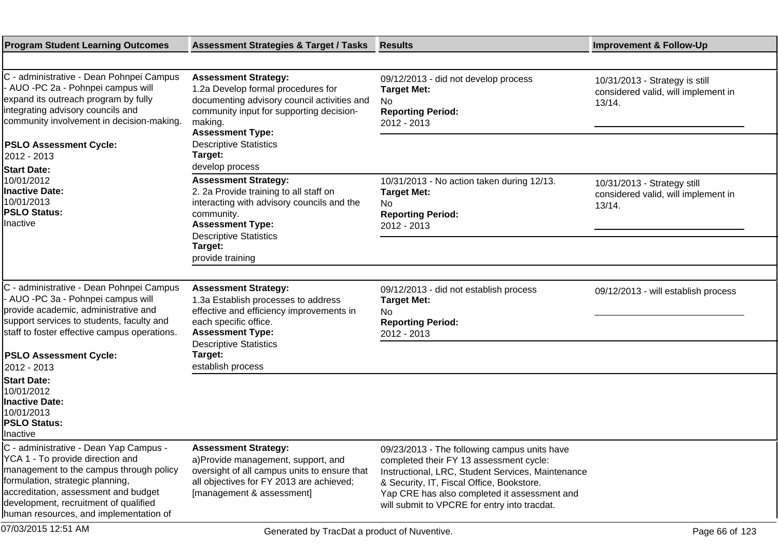| <b>Program Student Learning Outcomes</b>                                                                                                                                                                                                                                             | <b>Assessment Strategies &amp; Target / Tasks</b>                                                                                                                                                  | <b>Results</b>                                                                                                                                                                                                                                                                            | <b>Improvement &amp; Follow-Up</b>                                              |
|--------------------------------------------------------------------------------------------------------------------------------------------------------------------------------------------------------------------------------------------------------------------------------------|----------------------------------------------------------------------------------------------------------------------------------------------------------------------------------------------------|-------------------------------------------------------------------------------------------------------------------------------------------------------------------------------------------------------------------------------------------------------------------------------------------|---------------------------------------------------------------------------------|
|                                                                                                                                                                                                                                                                                      |                                                                                                                                                                                                    |                                                                                                                                                                                                                                                                                           |                                                                                 |
| C - administrative - Dean Pohnpei Campus<br>- AUO -PC 2a - Pohnpei campus will<br>expand its outreach program by fully<br>integrating advisory councils and<br>community involvement in decision-making.                                                                             | <b>Assessment Strategy:</b><br>1.2a Develop formal procedures for<br>documenting advisory council activities and<br>community input for supporting decision-<br>making.<br><b>Assessment Type:</b> | 09/12/2013 - did not develop process<br><b>Target Met:</b><br>No.<br><b>Reporting Period:</b><br>2012 - 2013                                                                                                                                                                              | 10/31/2013 - Strategy is still<br>considered valid, will implement in<br>13/14. |
| <b>PSLO Assessment Cycle:</b><br>2012 - 2013                                                                                                                                                                                                                                         | <b>Descriptive Statistics</b><br>Target:<br>develop process                                                                                                                                        |                                                                                                                                                                                                                                                                                           |                                                                                 |
| <b>Start Date:</b><br>10/01/2012<br><b>Inactive Date:</b><br>10/01/2013<br><b>PSLO Status:</b><br>Inactive                                                                                                                                                                           | <b>Assessment Strategy:</b><br>2. 2a Provide training to all staff on<br>interacting with advisory councils and the<br>community.<br><b>Assessment Type:</b><br><b>Descriptive Statistics</b>      | 10/31/2013 - No action taken during 12/13.<br><b>Target Met:</b><br>No<br><b>Reporting Period:</b><br>2012 - 2013                                                                                                                                                                         | 10/31/2013 - Strategy still<br>considered valid, will implement in<br>13/14.    |
|                                                                                                                                                                                                                                                                                      | Target:<br>provide training                                                                                                                                                                        |                                                                                                                                                                                                                                                                                           |                                                                                 |
|                                                                                                                                                                                                                                                                                      |                                                                                                                                                                                                    |                                                                                                                                                                                                                                                                                           |                                                                                 |
| C - administrative - Dean Pohnpei Campus<br>- AUO -PC 3a - Pohnpei campus will<br>provide academic, administrative and<br>support services to students, faculty and<br>staff to foster effective campus operations.                                                                  | <b>Assessment Strategy:</b><br>1.3a Establish processes to address<br>effective and efficiency improvements in<br>each specific office.<br><b>Assessment Type:</b>                                 | 09/12/2013 - did not establish process<br><b>Target Met:</b><br>No<br><b>Reporting Period:</b><br>2012 - 2013                                                                                                                                                                             | 09/12/2013 - will establish process                                             |
| <b>PSLO Assessment Cycle:</b><br>2012 - 2013                                                                                                                                                                                                                                         | <b>Descriptive Statistics</b><br>Target:<br>establish process                                                                                                                                      |                                                                                                                                                                                                                                                                                           |                                                                                 |
| <b>Start Date:</b><br>10/01/2012<br>Inactive Date:<br>10/01/2013<br><b>PSLO Status:</b><br><b>Inactive</b>                                                                                                                                                                           |                                                                                                                                                                                                    |                                                                                                                                                                                                                                                                                           |                                                                                 |
| C - administrative - Dean Yap Campus -<br>YCA 1 - To provide direction and<br>management to the campus through policy<br>formulation, strategic planning,<br>accreditation, assessment and budget<br>development, recruitment of qualified<br>human resources, and implementation of | <b>Assessment Strategy:</b><br>a) Provide management, support, and<br>oversight of all campus units to ensure that<br>all objectives for FY 2013 are achieved;<br>[management & assessment]        | 09/23/2013 - The following campus units have<br>completed their FY 13 assessment cycle:<br>Instructional, LRC, Student Services, Maintenance<br>& Security, IT, Fiscal Office, Bookstore.<br>Yap CRE has also completed it assessment and<br>will submit to VPCRE for entry into tracdat. |                                                                                 |
| 07/03/2015 12:51 AM                                                                                                                                                                                                                                                                  | Generated by TracDat a product of Nuventive.                                                                                                                                                       |                                                                                                                                                                                                                                                                                           | Page 66 of 123                                                                  |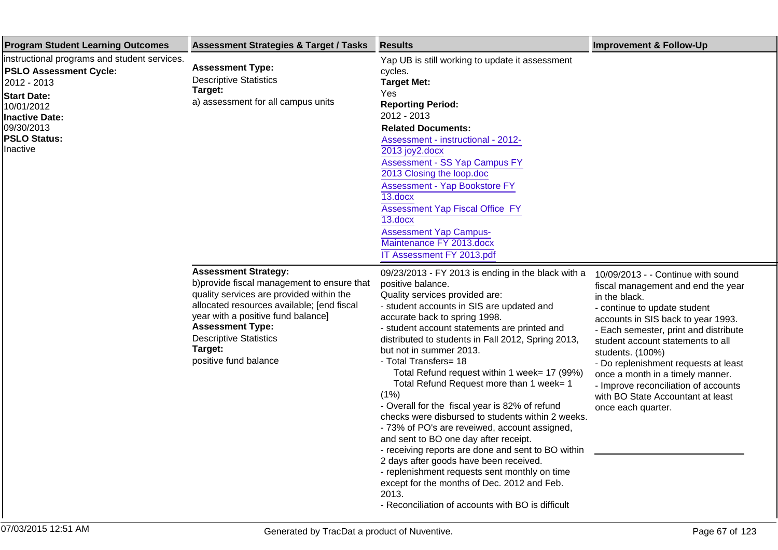| <b>Program Student Learning Outcomes</b>                                                                                                                                                                   | <b>Assessment Strategies &amp; Target / Tasks</b>                                                                                                                                                                                                                                                          | <b>Results</b>                                                                                                                                                                                                                                                                                                                                                                                                                                                                                                                                                                                                                                                                                                                                                                                                                                                                                                       | <b>Improvement &amp; Follow-Up</b>                                                                                                                                                                                                                                                                                                                                                                                                               |
|------------------------------------------------------------------------------------------------------------------------------------------------------------------------------------------------------------|------------------------------------------------------------------------------------------------------------------------------------------------------------------------------------------------------------------------------------------------------------------------------------------------------------|----------------------------------------------------------------------------------------------------------------------------------------------------------------------------------------------------------------------------------------------------------------------------------------------------------------------------------------------------------------------------------------------------------------------------------------------------------------------------------------------------------------------------------------------------------------------------------------------------------------------------------------------------------------------------------------------------------------------------------------------------------------------------------------------------------------------------------------------------------------------------------------------------------------------|--------------------------------------------------------------------------------------------------------------------------------------------------------------------------------------------------------------------------------------------------------------------------------------------------------------------------------------------------------------------------------------------------------------------------------------------------|
| instructional programs and student services.<br><b>PSLO Assessment Cycle:</b><br>2012 - 2013<br><b>Start Date:</b><br>10/01/2012<br><b>Inactive Date:</b><br>09/30/2013<br><b>PSLO Status:</b><br>Inactive | <b>Assessment Type:</b><br><b>Descriptive Statistics</b><br>Target:<br>a) assessment for all campus units                                                                                                                                                                                                  | Yap UB is still working to update it assessment<br>cycles.<br><b>Target Met:</b><br>Yes<br><b>Reporting Period:</b><br>2012 - 2013<br><b>Related Documents:</b><br>Assessment - instructional - 2012-<br>2013 joy2.docx<br>Assessment - SS Yap Campus FY<br>2013 Closing the loop.doc<br>Assessment - Yap Bookstore FY<br>13.docx<br><b>Assessment Yap Fiscal Office FY</b><br>13.docx<br><b>Assessment Yap Campus-</b><br>Maintenance FY 2013.docx<br>IT Assessment FY 2013.pdf                                                                                                                                                                                                                                                                                                                                                                                                                                     |                                                                                                                                                                                                                                                                                                                                                                                                                                                  |
|                                                                                                                                                                                                            | <b>Assessment Strategy:</b><br>b) provide fiscal management to ensure that<br>quality services are provided within the<br>allocated resources available; [end fiscal<br>year with a positive fund balance]<br><b>Assessment Type:</b><br><b>Descriptive Statistics</b><br>Target:<br>positive fund balance | 09/23/2013 - FY 2013 is ending in the black with a<br>positive balance.<br>Quality services provided are:<br>- student accounts in SIS are updated and<br>accurate back to spring 1998.<br>- student account statements are printed and<br>distributed to students in Fall 2012, Spring 2013,<br>but not in summer 2013.<br>- Total Transfers= 18<br>Total Refund request within 1 week= 17 (99%)<br>Total Refund Request more than 1 week= 1<br>(1%)<br>- Overall for the fiscal year is 82% of refund<br>checks were disbursed to students within 2 weeks.<br>- 73% of PO's are reveiwed, account assigned,<br>and sent to BO one day after receipt.<br>- receiving reports are done and sent to BO within<br>2 days after goods have been received.<br>- replenishment requests sent monthly on time<br>except for the months of Dec. 2012 and Feb.<br>2013.<br>- Reconciliation of accounts with BO is difficult | 10/09/2013 - - Continue with sound<br>fiscal management and end the year<br>in the black.<br>- continue to update student<br>accounts in SIS back to year 1993.<br>- Each semester, print and distribute<br>student account statements to all<br>students. (100%)<br>- Do replenishment requests at least<br>once a month in a timely manner.<br>- Improve reconciliation of accounts<br>with BO State Accountant at least<br>once each quarter. |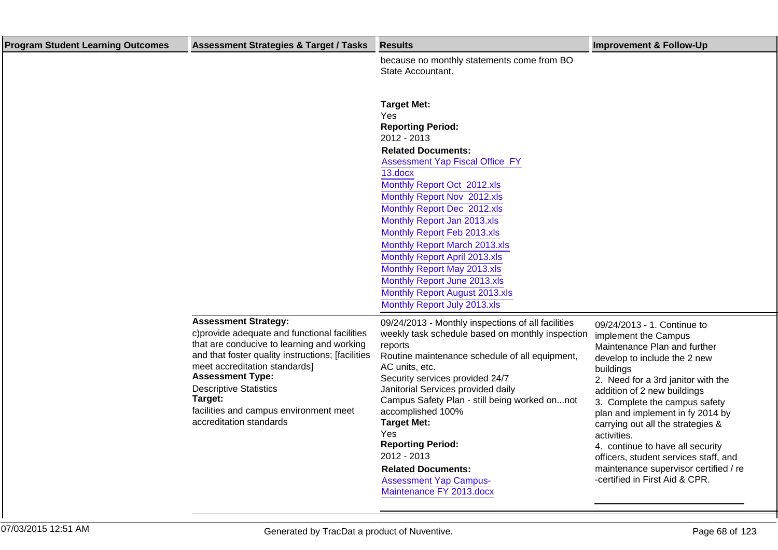| <b>Program Student Learning Outcomes</b> | <b>Assessment Strategies &amp; Target / Tasks</b>                                                                                                                                                                                                                                                                                                            | <b>Results</b>                                                                                                                                                                                                                                                                                                                                                                                                                                                                                                       | <b>Improvement &amp; Follow-Up</b>                                                                                                                                                                                                                                                                                                                                                                                                                                                     |
|------------------------------------------|--------------------------------------------------------------------------------------------------------------------------------------------------------------------------------------------------------------------------------------------------------------------------------------------------------------------------------------------------------------|----------------------------------------------------------------------------------------------------------------------------------------------------------------------------------------------------------------------------------------------------------------------------------------------------------------------------------------------------------------------------------------------------------------------------------------------------------------------------------------------------------------------|----------------------------------------------------------------------------------------------------------------------------------------------------------------------------------------------------------------------------------------------------------------------------------------------------------------------------------------------------------------------------------------------------------------------------------------------------------------------------------------|
|                                          |                                                                                                                                                                                                                                                                                                                                                              | because no monthly statements come from BO<br>State Accountant.                                                                                                                                                                                                                                                                                                                                                                                                                                                      |                                                                                                                                                                                                                                                                                                                                                                                                                                                                                        |
|                                          |                                                                                                                                                                                                                                                                                                                                                              | <b>Target Met:</b><br>Yes<br><b>Reporting Period:</b><br>2012 - 2013<br><b>Related Documents:</b><br><b>Assessment Yap Fiscal Office FY</b><br>13.docx<br>Monthly Report Oct 2012.xls<br>Monthly Report Nov 2012.xls<br>Monthly Report Dec 2012.xls<br>Monthly Report Jan 2013.xls<br>Monthly Report Feb 2013.xls<br>Monthly Report March 2013.xls<br>Monthly Report April 2013.xls<br>Monthly Report May 2013.xls<br>Monthly Report June 2013.xls<br>Monthly Report August 2013.xls<br>Monthly Report July 2013.xls |                                                                                                                                                                                                                                                                                                                                                                                                                                                                                        |
|                                          | <b>Assessment Strategy:</b><br>c) provide adequate and functional facilities<br>that are conducive to learning and working<br>and that foster quality instructions; [facilities<br>meet accreditation standards]<br><b>Assessment Type:</b><br><b>Descriptive Statistics</b><br>Target:<br>facilities and campus environment meet<br>accreditation standards | 09/24/2013 - Monthly inspections of all facilities<br>weekly task schedule based on monthly inspection<br>reports<br>Routine maintenance schedule of all equipment,<br>AC units, etc.<br>Security services provided 24/7<br>Janitorial Services provided daily<br>Campus Safety Plan - still being worked onnot<br>accomplished 100%<br><b>Target Met:</b><br>Yes<br><b>Reporting Period:</b><br>2012 - 2013<br><b>Related Documents:</b><br><b>Assessment Yap Campus-</b><br>Maintenance FY 2013.docx               | 09/24/2013 - 1. Continue to<br>implement the Campus<br>Maintenance Plan and further<br>develop to include the 2 new<br>buildings<br>2. Need for a 3rd janitor with the<br>addition of 2 new buildings<br>3. Complete the campus safety<br>plan and implement in fy 2014 by<br>carrying out all the strategies &<br>activities.<br>4. continue to have all security<br>officers, student services staff, and<br>maintenance supervisor certified / re<br>-certified in First Aid & CPR. |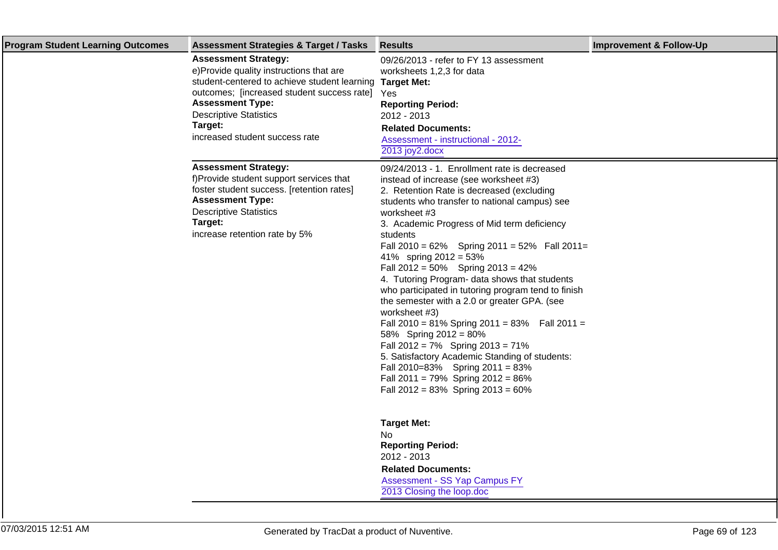| <b>Program Student Learning Outcomes</b> | <b>Assessment Strategies &amp; Target / Tasks</b>                                                                                                                                                                                                                                              | <b>Results</b>                                                                                                                                                                                                                                                                                                                                                                                                                                                                                                                                                                                                                                                                                                                                                                                                                                                       | <b>Improvement &amp; Follow-Up</b> |
|------------------------------------------|------------------------------------------------------------------------------------------------------------------------------------------------------------------------------------------------------------------------------------------------------------------------------------------------|----------------------------------------------------------------------------------------------------------------------------------------------------------------------------------------------------------------------------------------------------------------------------------------------------------------------------------------------------------------------------------------------------------------------------------------------------------------------------------------------------------------------------------------------------------------------------------------------------------------------------------------------------------------------------------------------------------------------------------------------------------------------------------------------------------------------------------------------------------------------|------------------------------------|
|                                          | <b>Assessment Strategy:</b><br>e) Provide quality instructions that are<br>student-centered to achieve student learning Target Met:<br>outcomes; [increased student success rate] Yes<br><b>Assessment Type:</b><br><b>Descriptive Statistics</b><br>Target:<br>increased student success rate | 09/26/2013 - refer to FY 13 assessment<br>worksheets 1,2,3 for data<br><b>Reporting Period:</b><br>2012 - 2013<br><b>Related Documents:</b><br>Assessment - instructional - 2012-<br>2013 joy2.docx                                                                                                                                                                                                                                                                                                                                                                                                                                                                                                                                                                                                                                                                  |                                    |
|                                          | <b>Assessment Strategy:</b><br>f) Provide student support services that<br>foster student success. [retention rates]<br><b>Assessment Type:</b><br><b>Descriptive Statistics</b><br>Target:<br>increase retention rate by 5%                                                                   | 09/24/2013 - 1. Enrollment rate is decreased<br>instead of increase (see worksheet #3)<br>2. Retention Rate is decreased (excluding<br>students who transfer to national campus) see<br>worksheet #3<br>3. Academic Progress of Mid term deficiency<br>students<br>Fall 2010 = $62\%$ Spring 2011 = $52\%$ Fall 2011 =<br>41% spring $2012 = 53%$<br>Fall $2012 = 50\%$ Spring $2013 = 42\%$<br>4. Tutoring Program- data shows that students<br>who participated in tutoring program tend to finish<br>the semester with a 2.0 or greater GPA. (see<br>worksheet #3)<br>Fall 2010 = 81% Spring 2011 = 83% Fall 2011 =<br>58% Spring 2012 = 80%<br>Fall $2012 = 7\%$ Spring $2013 = 71\%$<br>5. Satisfactory Academic Standing of students:<br>Fall 2010=83% Spring 2011 = 83%<br>Fall 2011 = $79\%$ Spring 2012 = $86\%$<br>Fall $2012 = 83\%$ Spring $2013 = 60\%$ |                                    |
|                                          |                                                                                                                                                                                                                                                                                                | <b>Target Met:</b><br>No<br><b>Reporting Period:</b><br>2012 - 2013<br><b>Related Documents:</b><br>Assessment - SS Yap Campus FY<br>2013 Closing the loop.doc                                                                                                                                                                                                                                                                                                                                                                                                                                                                                                                                                                                                                                                                                                       |                                    |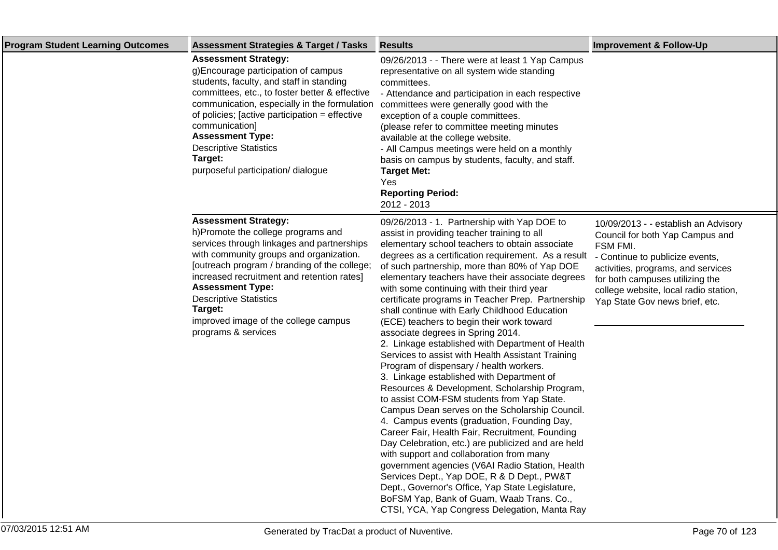| <b>Program Student Learning Outcomes</b> | <b>Assessment Strategies &amp; Target / Tasks</b>                                                                                                                                                                                                                                                                                                                                                 | <b>Results</b>                                                                                                                                                                                                                                                                                                                                                                                                                                                                                                                                                                                                                                                                                                                                                                                                                                                                                                                                                                                                                                                                                                                                                                                                                                                                                                                                          | <b>Improvement &amp; Follow-Up</b>                                                                                                                                                                                                                                         |
|------------------------------------------|---------------------------------------------------------------------------------------------------------------------------------------------------------------------------------------------------------------------------------------------------------------------------------------------------------------------------------------------------------------------------------------------------|---------------------------------------------------------------------------------------------------------------------------------------------------------------------------------------------------------------------------------------------------------------------------------------------------------------------------------------------------------------------------------------------------------------------------------------------------------------------------------------------------------------------------------------------------------------------------------------------------------------------------------------------------------------------------------------------------------------------------------------------------------------------------------------------------------------------------------------------------------------------------------------------------------------------------------------------------------------------------------------------------------------------------------------------------------------------------------------------------------------------------------------------------------------------------------------------------------------------------------------------------------------------------------------------------------------------------------------------------------|----------------------------------------------------------------------------------------------------------------------------------------------------------------------------------------------------------------------------------------------------------------------------|
|                                          | <b>Assessment Strategy:</b><br>g) Encourage participation of campus<br>students, faculty, and staff in standing<br>committees, etc., to foster better & effective<br>communication, especially in the formulation<br>of policies; [active participation = effective<br>communication]<br><b>Assessment Type:</b><br><b>Descriptive Statistics</b><br>Target:<br>purposeful participation/dialogue | 09/26/2013 - - There were at least 1 Yap Campus<br>representative on all system wide standing<br>committees.<br>- Attendance and participation in each respective<br>committees were generally good with the<br>exception of a couple committees.<br>(please refer to committee meeting minutes<br>available at the college website.<br>- All Campus meetings were held on a monthly<br>basis on campus by students, faculty, and staff.<br><b>Target Met:</b><br>Yes<br><b>Reporting Period:</b><br>2012 - 2013                                                                                                                                                                                                                                                                                                                                                                                                                                                                                                                                                                                                                                                                                                                                                                                                                                        |                                                                                                                                                                                                                                                                            |
|                                          | <b>Assessment Strategy:</b><br>h) Promote the college programs and<br>services through linkages and partnerships<br>with community groups and organization.<br>[outreach program / branding of the college;<br>increased recruitment and retention rates]<br><b>Assessment Type:</b><br><b>Descriptive Statistics</b><br>Target:<br>improved image of the college campus<br>programs & services   | 09/26/2013 - 1. Partnership with Yap DOE to<br>assist in providing teacher training to all<br>elementary school teachers to obtain associate<br>degrees as a certification requirement. As a result<br>of such partnership, more than 80% of Yap DOE<br>elementary teachers have their associate degrees<br>with some continuing with their third year<br>certificate programs in Teacher Prep. Partnership<br>shall continue with Early Childhood Education<br>(ECE) teachers to begin their work toward<br>associate degrees in Spring 2014.<br>2. Linkage established with Department of Health<br>Services to assist with Health Assistant Training<br>Program of dispensary / health workers.<br>3. Linkage established with Department of<br>Resources & Development, Scholarship Program,<br>to assist COM-FSM students from Yap State.<br>Campus Dean serves on the Scholarship Council.<br>4. Campus events (graduation, Founding Day,<br>Career Fair, Health Fair, Recruitment, Founding<br>Day Celebration, etc.) are publicized and are held<br>with support and collaboration from many<br>government agencies (V6AI Radio Station, Health<br>Services Dept., Yap DOE, R & D Dept., PW&T<br>Dept., Governor's Office, Yap State Legislature,<br>BoFSM Yap, Bank of Guam, Waab Trans. Co.,<br>CTSI, YCA, Yap Congress Delegation, Manta Ray | 10/09/2013 - - establish an Advisory<br>Council for both Yap Campus and<br>FSM FMI.<br>- Continue to publicize events,<br>activities, programs, and services<br>for both campuses utilizing the<br>college website, local radio station,<br>Yap State Gov news brief, etc. |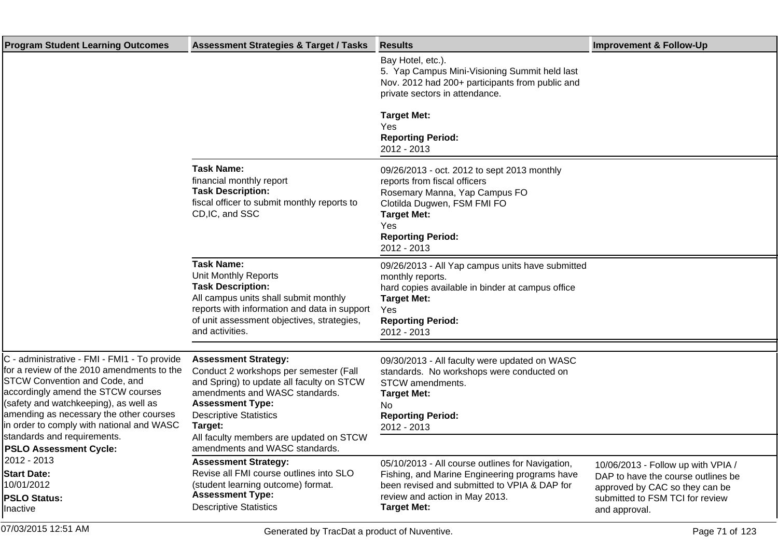| <b>Program Student Learning Outcomes</b>                                                                                                                                                                                                                                                                                                 | <b>Assessment Strategies &amp; Target / Tasks</b>                                                                                                                                                                                                                      | <b>Results</b>                                                                                                                                                                                                      | <b>Improvement &amp; Follow-Up</b>                                                                                                                             |
|------------------------------------------------------------------------------------------------------------------------------------------------------------------------------------------------------------------------------------------------------------------------------------------------------------------------------------------|------------------------------------------------------------------------------------------------------------------------------------------------------------------------------------------------------------------------------------------------------------------------|---------------------------------------------------------------------------------------------------------------------------------------------------------------------------------------------------------------------|----------------------------------------------------------------------------------------------------------------------------------------------------------------|
|                                                                                                                                                                                                                                                                                                                                          |                                                                                                                                                                                                                                                                        | Bay Hotel, etc.).<br>5. Yap Campus Mini-Visioning Summit held last<br>Nov. 2012 had 200+ participants from public and<br>private sectors in attendance.                                                             |                                                                                                                                                                |
|                                                                                                                                                                                                                                                                                                                                          |                                                                                                                                                                                                                                                                        | <b>Target Met:</b><br>Yes<br><b>Reporting Period:</b><br>2012 - 2013                                                                                                                                                |                                                                                                                                                                |
|                                                                                                                                                                                                                                                                                                                                          | <b>Task Name:</b><br>financial monthly report<br><b>Task Description:</b><br>fiscal officer to submit monthly reports to<br>CD, IC, and SSC                                                                                                                            | 09/26/2013 - oct. 2012 to sept 2013 monthly<br>reports from fiscal officers<br>Rosemary Manna, Yap Campus FO<br>Clotilda Dugwen, FSM FMI FO<br><b>Target Met:</b><br>Yes<br><b>Reporting Period:</b><br>2012 - 2013 |                                                                                                                                                                |
|                                                                                                                                                                                                                                                                                                                                          | <b>Task Name:</b><br>Unit Monthly Reports<br><b>Task Description:</b><br>All campus units shall submit monthly<br>reports with information and data in support<br>of unit assessment objectives, strategies,<br>and activities.                                        | 09/26/2013 - All Yap campus units have submitted<br>monthly reports.<br>hard copies available in binder at campus office<br><b>Target Met:</b><br>Yes<br><b>Reporting Period:</b><br>2012 - 2013                    |                                                                                                                                                                |
| C - administrative - FMI - FMI1 - To provide<br>for a review of the 2010 amendments to the<br><b>STCW Convention and Code, and</b><br>accordingly amend the STCW courses<br>(safety and watchkeeping), as well as<br>amending as necessary the other courses<br>in order to comply with national and WASC<br>standards and requirements. | <b>Assessment Strategy:</b><br>Conduct 2 workshops per semester (Fall<br>and Spring) to update all faculty on STCW<br>amendments and WASC standards.<br><b>Assessment Type:</b><br><b>Descriptive Statistics</b><br>Target:<br>All faculty members are updated on STCW | 09/30/2013 - All faculty were updated on WASC<br>standards. No workshops were conducted on<br>STCW amendments.<br><b>Target Met:</b><br>No.<br><b>Reporting Period:</b><br>2012 - 2013                              |                                                                                                                                                                |
| <b>PSLO Assessment Cycle:</b><br>2012 - 2013<br><b>Start Date:</b><br>10/01/2012<br><b>PSLO Status:</b><br>Inactive                                                                                                                                                                                                                      | amendments and WASC standards.<br><b>Assessment Strategy:</b><br>Revise all FMI course outlines into SLO<br>(student learning outcome) format.<br><b>Assessment Type:</b><br><b>Descriptive Statistics</b>                                                             | 05/10/2013 - All course outlines for Navigation,<br>Fishing, and Marine Engineering programs have<br>been revised and submitted to VPIA & DAP for<br>review and action in May 2013.<br><b>Target Met:</b>           | 10/06/2013 - Follow up with VPIA /<br>DAP to have the course outlines be<br>approved by CAC so they can be<br>submitted to FSM TCI for review<br>and approval. |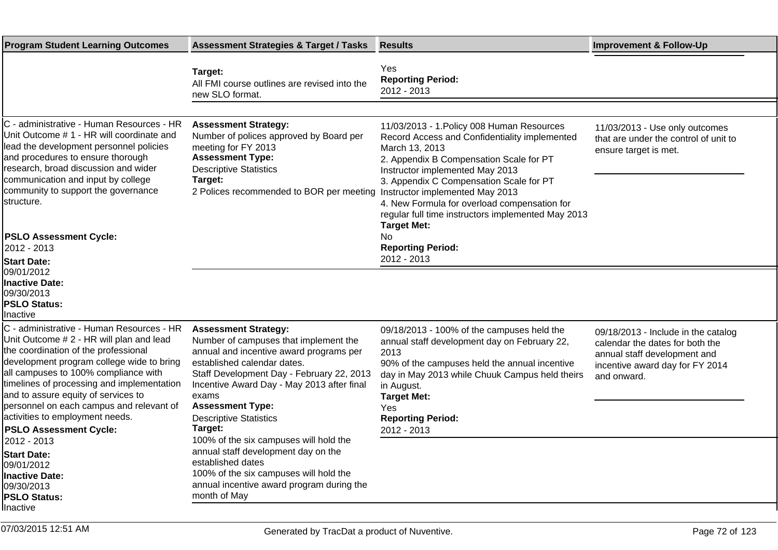| <b>Program Student Learning Outcomes</b>                                                                                                                                                                                                                                                                                                                                                                                | <b>Assessment Strategies &amp; Target / Tasks</b>                                                                                                                                                                                                                                                                         | <b>Results</b>                                                                                                                                                                                                                                                                                                                                                                                        | <b>Improvement &amp; Follow-Up</b>                                                                                                                       |
|-------------------------------------------------------------------------------------------------------------------------------------------------------------------------------------------------------------------------------------------------------------------------------------------------------------------------------------------------------------------------------------------------------------------------|---------------------------------------------------------------------------------------------------------------------------------------------------------------------------------------------------------------------------------------------------------------------------------------------------------------------------|-------------------------------------------------------------------------------------------------------------------------------------------------------------------------------------------------------------------------------------------------------------------------------------------------------------------------------------------------------------------------------------------------------|----------------------------------------------------------------------------------------------------------------------------------------------------------|
|                                                                                                                                                                                                                                                                                                                                                                                                                         | Target:<br>All FMI course outlines are revised into the<br>new SLO format.                                                                                                                                                                                                                                                | Yes<br><b>Reporting Period:</b><br>2012 - 2013                                                                                                                                                                                                                                                                                                                                                        |                                                                                                                                                          |
|                                                                                                                                                                                                                                                                                                                                                                                                                         |                                                                                                                                                                                                                                                                                                                           |                                                                                                                                                                                                                                                                                                                                                                                                       |                                                                                                                                                          |
| C - administrative - Human Resources - HR<br>Unit Outcome # 1 - HR will coordinate and<br>lead the development personnel policies<br>and procedures to ensure thorough<br>research, broad discussion and wider<br>communication and input by college<br>community to support the governance<br>lstructure.                                                                                                              | <b>Assessment Strategy:</b><br>Number of polices approved by Board per<br>meeting for FY 2013<br><b>Assessment Type:</b><br><b>Descriptive Statistics</b><br>Target:<br>2 Polices recommended to BOR per meeting                                                                                                          | 11/03/2013 - 1. Policy 008 Human Resources<br>Record Access and Confidentiality implemented<br>March 13, 2013<br>2. Appendix B Compensation Scale for PT<br>Instructor implemented May 2013<br>3. Appendix C Compensation Scale for PT<br>Instructor implemented May 2013<br>4. New Formula for overload compensation for<br>regular full time instructors implemented May 2013<br><b>Target Met:</b> | 11/03/2013 - Use only outcomes<br>that are under the control of unit to<br>ensure target is met.                                                         |
| <b>PSLO Assessment Cycle:</b>                                                                                                                                                                                                                                                                                                                                                                                           |                                                                                                                                                                                                                                                                                                                           | No                                                                                                                                                                                                                                                                                                                                                                                                    |                                                                                                                                                          |
| 2012 - 2013                                                                                                                                                                                                                                                                                                                                                                                                             |                                                                                                                                                                                                                                                                                                                           | <b>Reporting Period:</b><br>2012 - 2013                                                                                                                                                                                                                                                                                                                                                               |                                                                                                                                                          |
| <b>Start Date:</b><br>09/01/2012<br><b>Inactive Date:</b><br>09/30/2013<br><b>PSLO Status:</b><br>Inactive                                                                                                                                                                                                                                                                                                              |                                                                                                                                                                                                                                                                                                                           |                                                                                                                                                                                                                                                                                                                                                                                                       |                                                                                                                                                          |
| C - administrative - Human Resources - HR<br>Unit Outcome # 2 - HR will plan and lead<br>the coordination of the professional<br>development program college wide to bring<br>all campuses to 100% compliance with<br>timelines of processing and implementation<br>and to assure equity of services to<br>personnel on each campus and relevant of<br>activities to employment needs.<br><b>PSLO Assessment Cycle:</b> | <b>Assessment Strategy:</b><br>Number of campuses that implement the<br>annual and incentive award programs per<br>established calendar dates.<br>Staff Development Day - February 22, 2013<br>Incentive Award Day - May 2013 after final<br>exams<br><b>Assessment Type:</b><br><b>Descriptive Statistics</b><br>Target: | 09/18/2013 - 100% of the campuses held the<br>annual staff development day on February 22,<br>2013<br>90% of the campuses held the annual incentive<br>day in May 2013 while Chuuk Campus held theirs<br>in August.<br><b>Target Met:</b><br>Yes<br><b>Reporting Period:</b><br>2012 - 2013                                                                                                           | 09/18/2013 - Include in the catalog<br>calendar the dates for both the<br>annual staff development and<br>incentive award day for FY 2014<br>and onward. |
| 2012 - 2013<br><b>Start Date:</b><br>09/01/2012<br><b>Inactive Date:</b><br>09/30/2013<br><b>PSLO Status:</b><br>Inactive                                                                                                                                                                                                                                                                                               | 100% of the six campuses will hold the<br>annual staff development day on the<br>established dates<br>100% of the six campuses will hold the<br>annual incentive award program during the<br>month of May                                                                                                                 |                                                                                                                                                                                                                                                                                                                                                                                                       |                                                                                                                                                          |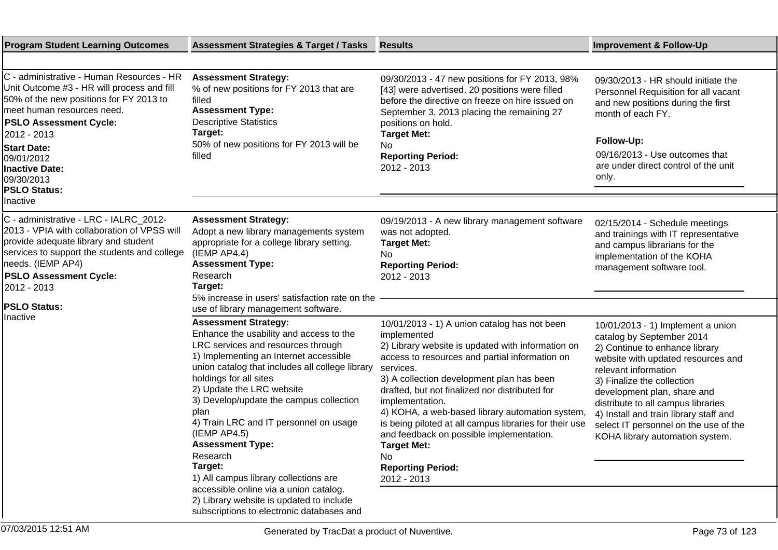| <b>Program Student Learning Outcomes</b>                                                                                                                                                                                                                                                                           | <b>Assessment Strategies &amp; Target / Tasks</b>                                                                                                                                                                                                                                                                                                                                                                                                                                                                                                                                                                                                        | <b>Results</b>                                                                                                                                                                                                                                                                                                                                                                                                                                                                                                                     | <b>Improvement &amp; Follow-Up</b>                                                                                                                                                                                                                                                                                                                                                      |
|--------------------------------------------------------------------------------------------------------------------------------------------------------------------------------------------------------------------------------------------------------------------------------------------------------------------|----------------------------------------------------------------------------------------------------------------------------------------------------------------------------------------------------------------------------------------------------------------------------------------------------------------------------------------------------------------------------------------------------------------------------------------------------------------------------------------------------------------------------------------------------------------------------------------------------------------------------------------------------------|------------------------------------------------------------------------------------------------------------------------------------------------------------------------------------------------------------------------------------------------------------------------------------------------------------------------------------------------------------------------------------------------------------------------------------------------------------------------------------------------------------------------------------|-----------------------------------------------------------------------------------------------------------------------------------------------------------------------------------------------------------------------------------------------------------------------------------------------------------------------------------------------------------------------------------------|
|                                                                                                                                                                                                                                                                                                                    |                                                                                                                                                                                                                                                                                                                                                                                                                                                                                                                                                                                                                                                          |                                                                                                                                                                                                                                                                                                                                                                                                                                                                                                                                    |                                                                                                                                                                                                                                                                                                                                                                                         |
| C - administrative - Human Resources - HR<br>Unit Outcome #3 - HR will process and fill<br>50% of the new positions for FY 2013 to<br>meet human resources need.<br><b>PSLO Assessment Cycle:</b><br>2012 - 2013<br><b>Start Date:</b><br>09/01/2012<br><b>Inactive Date:</b><br>09/30/2013<br><b>PSLO Status:</b> | <b>Assessment Strategy:</b><br>% of new positions for FY 2013 that are<br>filled<br><b>Assessment Type:</b><br><b>Descriptive Statistics</b><br>Target:<br>50% of new positions for FY 2013 will be<br>filled                                                                                                                                                                                                                                                                                                                                                                                                                                            | 09/30/2013 - 47 new positions for FY 2013, 98%<br>[43] were advertised, 20 positions were filled<br>before the directive on freeze on hire issued on<br>September 3, 2013 placing the remaining 27<br>positions on hold.<br><b>Target Met:</b><br>No.<br><b>Reporting Period:</b><br>2012 - 2013                                                                                                                                                                                                                                   | 09/30/2013 - HR should initiate the<br>Personnel Requisition for all vacant<br>and new positions during the first<br>month of each FY.<br>Follow-Up:<br>09/16/2013 - Use outcomes that<br>are under direct control of the unit<br>only.                                                                                                                                                 |
| Inactive                                                                                                                                                                                                                                                                                                           |                                                                                                                                                                                                                                                                                                                                                                                                                                                                                                                                                                                                                                                          |                                                                                                                                                                                                                                                                                                                                                                                                                                                                                                                                    |                                                                                                                                                                                                                                                                                                                                                                                         |
| C - administrative - LRC - IALRC_2012-<br>2013 - VPIA with collaboration of VPSS will<br>provide adequate library and student<br>services to support the students and college<br>needs. (IEMP AP4)<br><b>PSLO Assessment Cycle:</b><br>2012 - 2013<br><b>PSLO Status:</b>                                          | <b>Assessment Strategy:</b><br>Adopt a new library managements system<br>appropriate for a college library setting.<br>$($ IEMP AP4.4 $)$<br><b>Assessment Type:</b><br>Research<br>Target:<br>5% increase in users' satisfaction rate on the                                                                                                                                                                                                                                                                                                                                                                                                            | 09/19/2013 - A new library management software<br>was not adopted.<br><b>Target Met:</b><br>No<br><b>Reporting Period:</b><br>2012 - 2013                                                                                                                                                                                                                                                                                                                                                                                          | 02/15/2014 - Schedule meetings<br>and trainings with IT representative<br>and campus librarians for the<br>implementation of the KOHA<br>management software tool.                                                                                                                                                                                                                      |
| Inactive                                                                                                                                                                                                                                                                                                           | use of library management software.<br><b>Assessment Strategy:</b><br>Enhance the usability and access to the<br>LRC services and resources through<br>1) Implementing an Internet accessible<br>union catalog that includes all college library<br>holdings for all sites<br>2) Update the LRC website<br>3) Develop/update the campus collection<br>plan<br>4) Train LRC and IT personnel on usage<br>$($ IEMP AP4.5 $)$<br><b>Assessment Type:</b><br>Research<br>Target:<br>1) All campus library collections are<br>accessible online via a union catalog.<br>2) Library website is updated to include<br>subscriptions to electronic databases and | 10/01/2013 - 1) A union catalog has not been<br>implemented<br>2) Library website is updated with information on<br>access to resources and partial information on<br>services.<br>3) A collection development plan has been<br>drafted, but not finalized nor distributed for<br>implementation.<br>4) KOHA, a web-based library automation system,<br>is being piloted at all campus libraries for their use<br>and feedback on possible implementation.<br><b>Target Met:</b><br>No.<br><b>Reporting Period:</b><br>2012 - 2013 | 10/01/2013 - 1) Implement a union<br>catalog by September 2014<br>2) Continue to enhance library<br>website with updated resources and<br>relevant information<br>3) Finalize the collection<br>development plan, share and<br>distribute to all campus libraries<br>4) Install and train library staff and<br>select IT personnel on the use of the<br>KOHA library automation system. |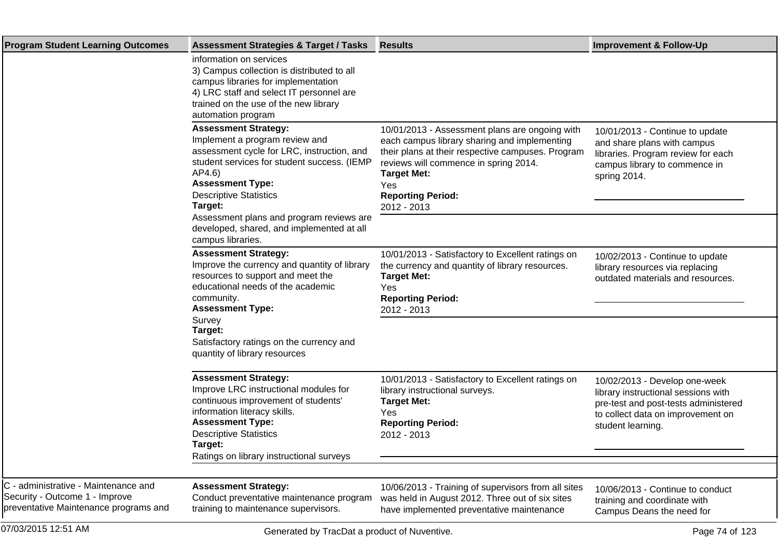| <b>Program Student Learning Outcomes</b>                                                                        | <b>Assessment Strategies &amp; Target / Tasks</b>                                                                                                                                                                                                                                       | <b>Results</b>                                                                                                                                                                                                                                                       | <b>Improvement &amp; Follow-Up</b>                                                                                                                                     |
|-----------------------------------------------------------------------------------------------------------------|-----------------------------------------------------------------------------------------------------------------------------------------------------------------------------------------------------------------------------------------------------------------------------------------|----------------------------------------------------------------------------------------------------------------------------------------------------------------------------------------------------------------------------------------------------------------------|------------------------------------------------------------------------------------------------------------------------------------------------------------------------|
|                                                                                                                 | information on services<br>3) Campus collection is distributed to all<br>campus libraries for implementation<br>4) LRC staff and select IT personnel are<br>trained on the use of the new library<br>automation program                                                                 |                                                                                                                                                                                                                                                                      |                                                                                                                                                                        |
|                                                                                                                 | <b>Assessment Strategy:</b><br>Implement a program review and<br>assessment cycle for LRC, instruction, and<br>student services for student success. (IEMP<br>AP4.6)<br><b>Assessment Type:</b><br><b>Descriptive Statistics</b><br>Target:<br>Assessment plans and program reviews are | 10/01/2013 - Assessment plans are ongoing with<br>each campus library sharing and implementing<br>their plans at their respective campuses. Program<br>reviews will commence in spring 2014.<br><b>Target Met:</b><br>Yes<br><b>Reporting Period:</b><br>2012 - 2013 | 10/01/2013 - Continue to update<br>and share plans with campus<br>libraries. Program review for each<br>campus library to commence in<br>spring 2014.                  |
|                                                                                                                 | developed, shared, and implemented at all<br>campus libraries.                                                                                                                                                                                                                          |                                                                                                                                                                                                                                                                      |                                                                                                                                                                        |
|                                                                                                                 | <b>Assessment Strategy:</b><br>Improve the currency and quantity of library<br>resources to support and meet the<br>educational needs of the academic<br>community.<br><b>Assessment Type:</b>                                                                                          | 10/01/2013 - Satisfactory to Excellent ratings on<br>the currency and quantity of library resources.<br><b>Target Met:</b><br>Yes<br><b>Reporting Period:</b><br>2012 - 2013                                                                                         | 10/02/2013 - Continue to update<br>library resources via replacing<br>outdated materials and resources.                                                                |
|                                                                                                                 | Survey<br>Target:<br>Satisfactory ratings on the currency and<br>quantity of library resources                                                                                                                                                                                          |                                                                                                                                                                                                                                                                      |                                                                                                                                                                        |
|                                                                                                                 | <b>Assessment Strategy:</b><br>Improve LRC instructional modules for<br>continuous improvement of students'<br>information literacy skills.<br><b>Assessment Type:</b><br><b>Descriptive Statistics</b><br>Target:<br>Ratings on library instructional surveys                          | 10/01/2013 - Satisfactory to Excellent ratings on<br>library instructional surveys.<br><b>Target Met:</b><br>Yes<br><b>Reporting Period:</b><br>2012 - 2013                                                                                                          | 10/02/2013 - Develop one-week<br>library instructional sessions with<br>pre-test and post-tests administered<br>to collect data on improvement on<br>student learning. |
|                                                                                                                 |                                                                                                                                                                                                                                                                                         |                                                                                                                                                                                                                                                                      |                                                                                                                                                                        |
| C - administrative - Maintenance and<br>Security - Outcome 1 - Improve<br>preventative Maintenance programs and | <b>Assessment Strategy:</b><br>Conduct preventative maintenance program<br>training to maintenance supervisors.                                                                                                                                                                         | 10/06/2013 - Training of supervisors from all sites<br>was held in August 2012. Three out of six sites<br>have implemented preventative maintenance                                                                                                                  | 10/06/2013 - Continue to conduct<br>training and coordinate with<br>Campus Deans the need for                                                                          |
| 07/03/2015 12:51 AM                                                                                             | Generated by TracDat a product of Nuventive.                                                                                                                                                                                                                                            |                                                                                                                                                                                                                                                                      | Page 74 of 123                                                                                                                                                         |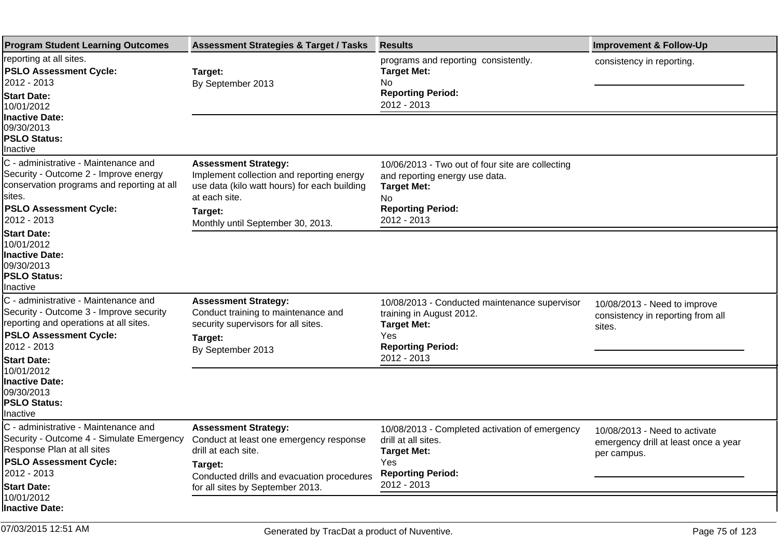| <b>Program Student Learning Outcomes</b>                                                                                                                                                        | <b>Assessment Strategies &amp; Target / Tasks</b>                                                                                                                                         | <b>Results</b>                                                                                                                                             | <b>Improvement &amp; Follow-Up</b>                                                   |
|-------------------------------------------------------------------------------------------------------------------------------------------------------------------------------------------------|-------------------------------------------------------------------------------------------------------------------------------------------------------------------------------------------|------------------------------------------------------------------------------------------------------------------------------------------------------------|--------------------------------------------------------------------------------------|
| reporting at all sites.<br><b>PSLO Assessment Cycle:</b><br>2012 - 2013<br><b>Start Date:</b><br>10/01/2012<br><b>Inactive Date:</b>                                                            | Target:<br>By September 2013                                                                                                                                                              | programs and reporting consistently.<br><b>Target Met:</b><br>No.<br><b>Reporting Period:</b><br>2012 - 2013                                               | consistency in reporting.                                                            |
| 09/30/2013<br><b>PSLO Status:</b><br>Inactive                                                                                                                                                   |                                                                                                                                                                                           |                                                                                                                                                            |                                                                                      |
| C - administrative - Maintenance and<br>Security - Outcome 2 - Improve energy<br>conservation programs and reporting at all<br>sites.<br><b>PSLO Assessment Cycle:</b><br>2012 - 2013           | <b>Assessment Strategy:</b><br>Implement collection and reporting energy<br>use data (kilo watt hours) for each building<br>at each site.<br>Target:<br>Monthly until September 30, 2013. | 10/06/2013 - Two out of four site are collecting<br>and reporting energy use data.<br><b>Target Met:</b><br>No.<br><b>Reporting Period:</b><br>2012 - 2013 |                                                                                      |
| <b>Start Date:</b><br>10/01/2012<br><b>Inactive Date:</b><br>09/30/2013<br><b>PSLO Status:</b><br>Inactive                                                                                      |                                                                                                                                                                                           |                                                                                                                                                            |                                                                                      |
| C - administrative - Maintenance and<br>Security - Outcome 3 - Improve security<br>reporting and operations at all sites.<br><b>PSLO Assessment Cycle:</b><br>2012 - 2013<br><b>Start Date:</b> | <b>Assessment Strategy:</b><br>Conduct training to maintenance and<br>security supervisors for all sites.<br>Target:<br>By September 2013                                                 | 10/08/2013 - Conducted maintenance supervisor<br>training in August 2012.<br><b>Target Met:</b><br>Yes<br><b>Reporting Period:</b><br>2012 - 2013          | 10/08/2013 - Need to improve<br>consistency in reporting from all<br>sites.          |
| 10/01/2012<br><b>Inactive Date:</b><br>09/30/2013<br><b>PSLO Status:</b><br>Inactive                                                                                                            |                                                                                                                                                                                           |                                                                                                                                                            |                                                                                      |
| C - administrative - Maintenance and<br>Security - Outcome 4 - Simulate Emergency<br>Response Plan at all sites                                                                                 | <b>Assessment Strategy:</b><br>Conduct at least one emergency response<br>drill at each site.                                                                                             | 10/08/2013 - Completed activation of emergency<br>drill at all sites.<br><b>Target Met:</b>                                                                | 10/08/2013 - Need to activate<br>emergency drill at least once a year<br>per campus. |
| <b>PSLO Assessment Cycle:</b><br>2012 - 2013<br><b>Start Date:</b>                                                                                                                              | Target:<br>Conducted drills and evacuation procedures<br>for all sites by September 2013.                                                                                                 | Yes<br><b>Reporting Period:</b><br>2012 - 2013                                                                                                             |                                                                                      |
| 10/01/2012<br><b>Inactive Date:</b>                                                                                                                                                             |                                                                                                                                                                                           |                                                                                                                                                            |                                                                                      |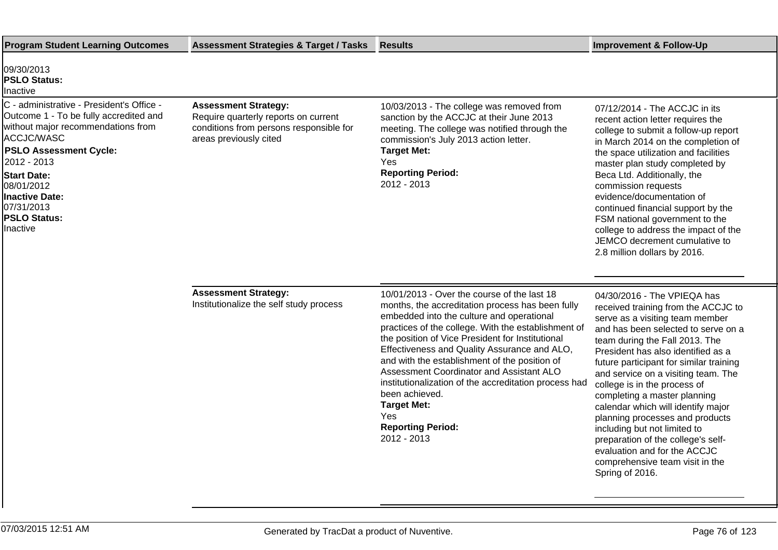| <b>Program Student Learning Outcomes</b>                                                                                                                                                                                                                                                              | <b>Assessment Strategies &amp; Target / Tasks</b>                                                                                        | Results                                                                                                                                                                                                                                                                                                                                                                                                                                                                                                                                                        | <b>Improvement &amp; Follow-Up</b>                                                                                                                                                                                                                                                                                                                                                                                                                                                                                                                                                                          |
|-------------------------------------------------------------------------------------------------------------------------------------------------------------------------------------------------------------------------------------------------------------------------------------------------------|------------------------------------------------------------------------------------------------------------------------------------------|----------------------------------------------------------------------------------------------------------------------------------------------------------------------------------------------------------------------------------------------------------------------------------------------------------------------------------------------------------------------------------------------------------------------------------------------------------------------------------------------------------------------------------------------------------------|-------------------------------------------------------------------------------------------------------------------------------------------------------------------------------------------------------------------------------------------------------------------------------------------------------------------------------------------------------------------------------------------------------------------------------------------------------------------------------------------------------------------------------------------------------------------------------------------------------------|
| 09/30/2013<br><b>PSLO Status:</b><br>Inactive                                                                                                                                                                                                                                                         |                                                                                                                                          |                                                                                                                                                                                                                                                                                                                                                                                                                                                                                                                                                                |                                                                                                                                                                                                                                                                                                                                                                                                                                                                                                                                                                                                             |
| C - administrative - President's Office -<br>Outcome 1 - To be fully accredited and<br>without major recommendations from<br>ACCJC/WASC<br><b>PSLO Assessment Cycle:</b><br>2012 - 2013<br><b>Start Date:</b><br>08/01/2012<br><b>Inactive Date:</b><br>07/31/2013<br><b>PSLO Status:</b><br>Inactive | <b>Assessment Strategy:</b><br>Require quarterly reports on current<br>conditions from persons responsible for<br>areas previously cited | 10/03/2013 - The college was removed from<br>sanction by the ACCJC at their June 2013<br>meeting. The college was notified through the<br>commission's July 2013 action letter.<br><b>Target Met:</b><br>Yes<br><b>Reporting Period:</b><br>2012 - 2013                                                                                                                                                                                                                                                                                                        | 07/12/2014 - The ACCJC in its<br>recent action letter requires the<br>college to submit a follow-up report<br>in March 2014 on the completion of<br>the space utilization and facilities<br>master plan study completed by<br>Beca Ltd. Additionally, the<br>commission requests<br>evidence/documentation of<br>continued financial support by the<br>FSM national government to the<br>college to address the impact of the<br>JEMCO decrement cumulative to<br>2.8 million dollars by 2016.                                                                                                              |
|                                                                                                                                                                                                                                                                                                       | <b>Assessment Strategy:</b><br>Institutionalize the self study process                                                                   | 10/01/2013 - Over the course of the last 18<br>months, the accreditation process has been fully<br>embedded into the culture and operational<br>practices of the college. With the establishment of<br>the position of Vice President for Institutional<br>Effectiveness and Quality Assurance and ALO,<br>and with the establishment of the position of<br>Assessment Coordinator and Assistant ALO<br>institutionalization of the accreditation process had<br>been achieved.<br><b>Target Met:</b><br><b>Yes</b><br><b>Reporting Period:</b><br>2012 - 2013 | 04/30/2016 - The VPIEQA has<br>received training from the ACCJC to<br>serve as a visiting team member<br>and has been selected to serve on a<br>team during the Fall 2013. The<br>President has also identified as a<br>future participant for similar training<br>and service on a visiting team. The<br>college is in the process of<br>completing a master planning<br>calendar which will identify major<br>planning processes and products<br>including but not limited to<br>preparation of the college's self-<br>evaluation and for the ACCJC<br>comprehensive team visit in the<br>Spring of 2016. |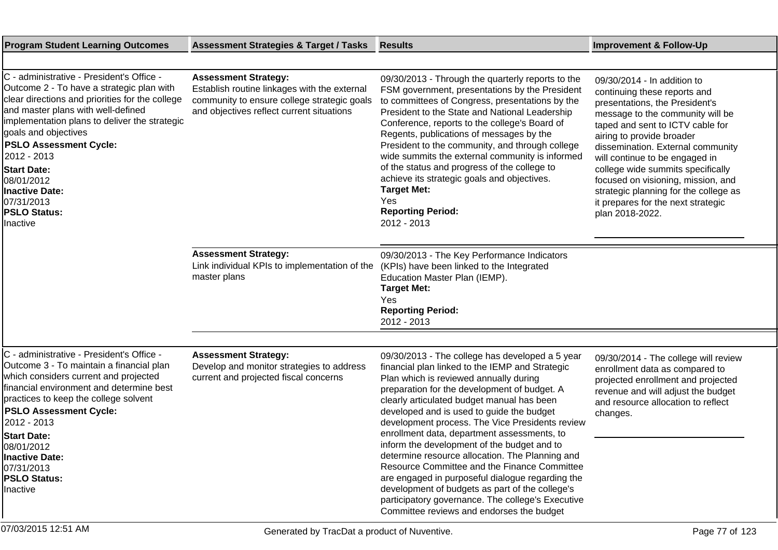| <b>Program Student Learning Outcomes</b>                                                                                                                                                                                                                                                                                                                                                                               | <b>Assessment Strategies &amp; Target / Tasks</b>                                                                                                                       | <b>Results</b>                                                                                                                                                                                                                                                                                                                                                                                                                                                                                                                                                                                                                                                                                                                                       | <b>Improvement &amp; Follow-Up</b>                                                                                                                                                                                                                                                                                                                                                                                                                     |
|------------------------------------------------------------------------------------------------------------------------------------------------------------------------------------------------------------------------------------------------------------------------------------------------------------------------------------------------------------------------------------------------------------------------|-------------------------------------------------------------------------------------------------------------------------------------------------------------------------|------------------------------------------------------------------------------------------------------------------------------------------------------------------------------------------------------------------------------------------------------------------------------------------------------------------------------------------------------------------------------------------------------------------------------------------------------------------------------------------------------------------------------------------------------------------------------------------------------------------------------------------------------------------------------------------------------------------------------------------------------|--------------------------------------------------------------------------------------------------------------------------------------------------------------------------------------------------------------------------------------------------------------------------------------------------------------------------------------------------------------------------------------------------------------------------------------------------------|
|                                                                                                                                                                                                                                                                                                                                                                                                                        |                                                                                                                                                                         |                                                                                                                                                                                                                                                                                                                                                                                                                                                                                                                                                                                                                                                                                                                                                      |                                                                                                                                                                                                                                                                                                                                                                                                                                                        |
| C - administrative - President's Office -<br>Outcome 2 - To have a strategic plan with<br>clear directions and priorities for the college<br>and master plans with well-defined<br>implementation plans to deliver the strategic<br>goals and objectives<br><b>PSLO Assessment Cycle:</b><br>2012 - 2013<br><b>Start Date:</b><br>08/01/2012<br><b>Inactive Date:</b><br>07/31/2013<br><b>PSLO Status:</b><br>Inactive | <b>Assessment Strategy:</b><br>Establish routine linkages with the external<br>community to ensure college strategic goals<br>and objectives reflect current situations | 09/30/2013 - Through the quarterly reports to the<br>FSM government, presentations by the President<br>to committees of Congress, presentations by the<br>President to the State and National Leadership<br>Conference, reports to the college's Board of<br>Regents, publications of messages by the<br>President to the community, and through college<br>wide summits the external community is informed<br>of the status and progress of the college to<br>achieve its strategic goals and objectives.<br><b>Target Met:</b><br>Yes<br><b>Reporting Period:</b><br>2012 - 2013                                                                                                                                                                   | 09/30/2014 - In addition to<br>continuing these reports and<br>presentations, the President's<br>message to the community will be<br>taped and sent to ICTV cable for<br>airing to provide broader<br>dissemination. External community<br>will continue to be engaged in<br>college wide summits specifically<br>focused on visioning, mission, and<br>strategic planning for the college as<br>it prepares for the next strategic<br>plan 2018-2022. |
|                                                                                                                                                                                                                                                                                                                                                                                                                        | <b>Assessment Strategy:</b><br>Link individual KPIs to implementation of the<br>master plans                                                                            | 09/30/2013 - The Key Performance Indicators<br>(KPIs) have been linked to the Integrated<br>Education Master Plan (IEMP).<br><b>Target Met:</b><br>Yes<br><b>Reporting Period:</b><br>2012 - 2013                                                                                                                                                                                                                                                                                                                                                                                                                                                                                                                                                    |                                                                                                                                                                                                                                                                                                                                                                                                                                                        |
|                                                                                                                                                                                                                                                                                                                                                                                                                        |                                                                                                                                                                         |                                                                                                                                                                                                                                                                                                                                                                                                                                                                                                                                                                                                                                                                                                                                                      |                                                                                                                                                                                                                                                                                                                                                                                                                                                        |
| C - administrative - President's Office -<br>Outcome 3 - To maintain a financial plan<br>which considers current and projected<br>financial environment and determine best<br>practices to keep the college solvent<br><b>PSLO Assessment Cycle:</b><br>2012 - 2013<br><b>Start Date:</b><br>08/01/2012<br>Inactive Date:<br>07/31/2013<br><b>PSLO Status:</b><br>Inactive                                             | <b>Assessment Strategy:</b><br>Develop and monitor strategies to address<br>current and projected fiscal concerns                                                       | 09/30/2013 - The college has developed a 5 year<br>financial plan linked to the IEMP and Strategic<br>Plan which is reviewed annually during<br>preparation for the development of budget. A<br>clearly articulated budget manual has been<br>developed and is used to guide the budget<br>development process. The Vice Presidents review<br>enrollment data, department assessments, to<br>inform the development of the budget and to<br>determine resource allocation. The Planning and<br>Resource Committee and the Finance Committee<br>are engaged in purposeful dialogue regarding the<br>development of budgets as part of the college's<br>participatory governance. The college's Executive<br>Committee reviews and endorses the budget | 09/30/2014 - The college will review<br>enrollment data as compared to<br>projected enrollment and projected<br>revenue and will adjust the budget<br>and resource allocation to reflect<br>changes.                                                                                                                                                                                                                                                   |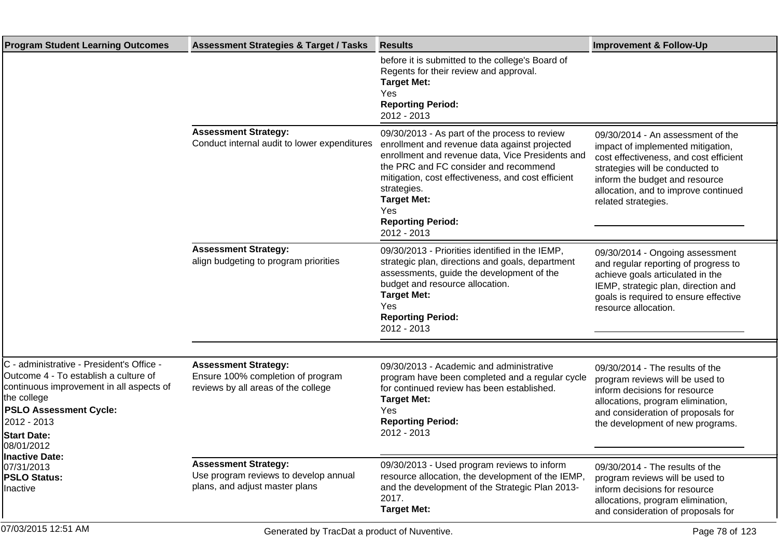| <b>Program Student Learning Outcomes</b>                                                                                                                                                                                                                                                                    | <b>Assessment Strategies &amp; Target / Tasks</b>                                                       | <b>Results</b>                                                                                                                                                                                                                                                                                                                           | <b>Improvement &amp; Follow-Up</b>                                                                                                                                                                                                                   |
|-------------------------------------------------------------------------------------------------------------------------------------------------------------------------------------------------------------------------------------------------------------------------------------------------------------|---------------------------------------------------------------------------------------------------------|------------------------------------------------------------------------------------------------------------------------------------------------------------------------------------------------------------------------------------------------------------------------------------------------------------------------------------------|------------------------------------------------------------------------------------------------------------------------------------------------------------------------------------------------------------------------------------------------------|
|                                                                                                                                                                                                                                                                                                             |                                                                                                         | before it is submitted to the college's Board of<br>Regents for their review and approval.<br><b>Target Met:</b><br>Yes<br><b>Reporting Period:</b><br>2012 - 2013                                                                                                                                                                       |                                                                                                                                                                                                                                                      |
|                                                                                                                                                                                                                                                                                                             | <b>Assessment Strategy:</b><br>Conduct internal audit to lower expenditures                             | 09/30/2013 - As part of the process to review<br>enrollment and revenue data against projected<br>enrollment and revenue data, Vice Presidents and<br>the PRC and FC consider and recommend<br>mitigation, cost effectiveness, and cost efficient<br>strategies.<br><b>Target Met:</b><br>Yes<br><b>Reporting Period:</b><br>2012 - 2013 | 09/30/2014 - An assessment of the<br>impact of implemented mitigation,<br>cost effectiveness, and cost efficient<br>strategies will be conducted to<br>inform the budget and resource<br>allocation, and to improve continued<br>related strategies. |
|                                                                                                                                                                                                                                                                                                             | <b>Assessment Strategy:</b><br>align budgeting to program priorities                                    | 09/30/2013 - Priorities identified in the IEMP,<br>strategic plan, directions and goals, department<br>assessments, guide the development of the<br>budget and resource allocation.<br><b>Target Met:</b><br>Yes<br><b>Reporting Period:</b><br>2012 - 2013                                                                              | 09/30/2014 - Ongoing assessment<br>and regular reporting of progress to<br>achieve goals articulated in the<br>IEMP, strategic plan, direction and<br>goals is required to ensure effective<br>resource allocation.                                  |
| C - administrative - President's Office -<br>Outcome 4 - To establish a culture of<br>continuous improvement in all aspects of<br>the college<br><b>PSLO Assessment Cycle:</b><br>2012 - 2013<br><b>Start Date:</b><br>08/01/2012<br><b>Inactive Date:</b><br>07/31/2013<br><b>PSLO Status:</b><br>Inactive | <b>Assessment Strategy:</b><br>Ensure 100% completion of program<br>reviews by all areas of the college | 09/30/2013 - Academic and administrative<br>program have been completed and a regular cycle<br>for continued review has been established.<br><b>Target Met:</b><br>Yes<br><b>Reporting Period:</b><br>2012 - 2013                                                                                                                        | 09/30/2014 - The results of the<br>program reviews will be used to<br>inform decisions for resource<br>allocations, program elimination,<br>and consideration of proposals for<br>the development of new programs.                                   |
|                                                                                                                                                                                                                                                                                                             | <b>Assessment Strategy:</b><br>Use program reviews to develop annual<br>plans, and adjust master plans  | 09/30/2013 - Used program reviews to inform<br>resource allocation, the development of the IEMP,<br>and the development of the Strategic Plan 2013-<br>2017.<br><b>Target Met:</b>                                                                                                                                                       | 09/30/2014 - The results of the<br>program reviews will be used to<br>inform decisions for resource<br>allocations, program elimination,<br>and consideration of proposals for                                                                       |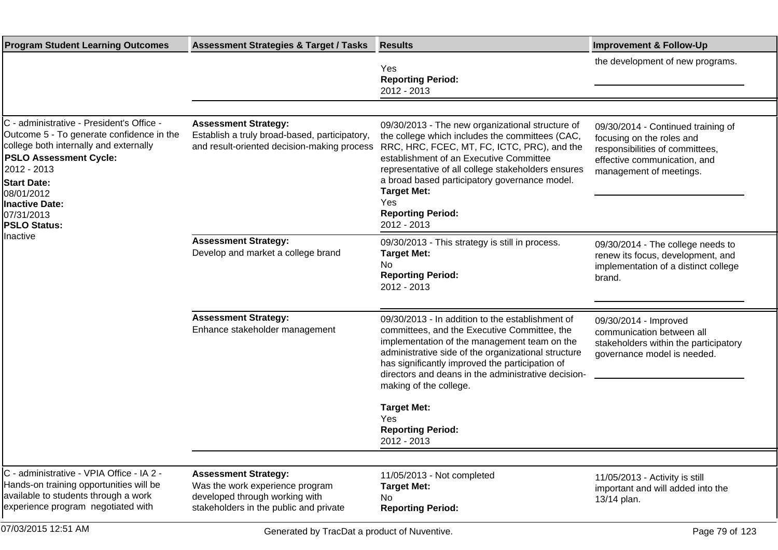| <b>Program Student Learning Outcomes</b>                                                                                                                                                                                                                                                | <b>Assessment Strategies &amp; Target / Tasks</b>                                                                                          | <b>Results</b>                                                                                                                                                                                                                                                                                                                                                                                       | <b>Improvement &amp; Follow-Up</b>                                                                                                                            |
|-----------------------------------------------------------------------------------------------------------------------------------------------------------------------------------------------------------------------------------------------------------------------------------------|--------------------------------------------------------------------------------------------------------------------------------------------|------------------------------------------------------------------------------------------------------------------------------------------------------------------------------------------------------------------------------------------------------------------------------------------------------------------------------------------------------------------------------------------------------|---------------------------------------------------------------------------------------------------------------------------------------------------------------|
|                                                                                                                                                                                                                                                                                         |                                                                                                                                            | Yes<br><b>Reporting Period:</b><br>2012 - 2013                                                                                                                                                                                                                                                                                                                                                       | the development of new programs.                                                                                                                              |
|                                                                                                                                                                                                                                                                                         |                                                                                                                                            |                                                                                                                                                                                                                                                                                                                                                                                                      |                                                                                                                                                               |
| C - administrative - President's Office -<br>Outcome 5 - To generate confidence in the<br>college both internally and externally<br><b>PSLO Assessment Cycle:</b><br>2012 - 2013<br><b>Start Date:</b><br>08/01/2012<br>Inactive Date:<br>07/31/2013<br><b>PSLO Status:</b><br>Inactive | <b>Assessment Strategy:</b><br>Establish a truly broad-based, participatory,<br>and result-oriented decision-making process                | 09/30/2013 - The new organizational structure of<br>the college which includes the committees (CAC,<br>RRC, HRC, FCEC, MT, FC, ICTC, PRC), and the<br>establishment of an Executive Committee<br>representative of all college stakeholders ensures<br>a broad based participatory governance model.<br><b>Target Met:</b><br>Yes<br><b>Reporting Period:</b><br>2012 - 2013                         | 09/30/2014 - Continued training of<br>focusing on the roles and<br>responsibilities of committees,<br>effective communication, and<br>management of meetings. |
|                                                                                                                                                                                                                                                                                         | <b>Assessment Strategy:</b><br>Develop and market a college brand                                                                          | 09/30/2013 - This strategy is still in process.<br><b>Target Met:</b><br>No<br><b>Reporting Period:</b><br>2012 - 2013                                                                                                                                                                                                                                                                               | 09/30/2014 - The college needs to<br>renew its focus, development, and<br>implementation of a distinct college<br>brand.                                      |
|                                                                                                                                                                                                                                                                                         | <b>Assessment Strategy:</b><br>Enhance stakeholder management                                                                              | 09/30/2013 - In addition to the establishment of<br>committees, and the Executive Committee, the<br>implementation of the management team on the<br>administrative side of the organizational structure<br>has significantly improved the participation of<br>directors and deans in the administrative decision-<br>making of the college.<br><b>Target Met:</b><br>Yes<br><b>Reporting Period:</b> | 09/30/2014 - Improved<br>communication between all<br>stakeholders within the participatory<br>governance model is needed.                                    |
|                                                                                                                                                                                                                                                                                         |                                                                                                                                            | 2012 - 2013                                                                                                                                                                                                                                                                                                                                                                                          |                                                                                                                                                               |
| C - administrative - VPIA Office - IA 2 -<br>Hands-on training opportunities will be<br>available to students through a work<br>experience program negotiated with                                                                                                                      | <b>Assessment Strategy:</b><br>Was the work experience program<br>developed through working with<br>stakeholders in the public and private | 11/05/2013 - Not completed<br><b>Target Met:</b><br><b>No</b><br><b>Reporting Period:</b>                                                                                                                                                                                                                                                                                                            | 11/05/2013 - Activity is still<br>important and will added into the<br>13/14 plan.                                                                            |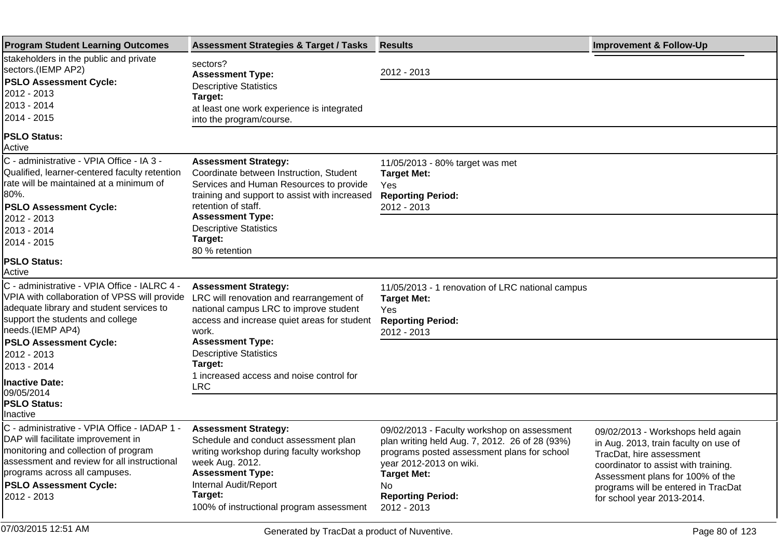| <b>Program Student Learning Outcomes</b>                                                                                   | <b>Assessment Strategies &amp; Target / Tasks</b>                                                               | <b>Results</b>                                                                                                                               | <b>Improvement &amp; Follow-Up</b>                                                                     |
|----------------------------------------------------------------------------------------------------------------------------|-----------------------------------------------------------------------------------------------------------------|----------------------------------------------------------------------------------------------------------------------------------------------|--------------------------------------------------------------------------------------------------------|
| stakeholders in the public and private<br>sectors.(IEMP AP2)<br><b>PSLO Assessment Cycle:</b>                              | sectors?<br><b>Assessment Type:</b>                                                                             | 2012 - 2013                                                                                                                                  |                                                                                                        |
| 2012 - 2013                                                                                                                | <b>Descriptive Statistics</b><br>Target:                                                                        |                                                                                                                                              |                                                                                                        |
| 2013 - 2014                                                                                                                | at least one work experience is integrated                                                                      |                                                                                                                                              |                                                                                                        |
| 2014 - 2015                                                                                                                | into the program/course.                                                                                        |                                                                                                                                              |                                                                                                        |
| <b>PSLO Status:</b><br>Active                                                                                              |                                                                                                                 |                                                                                                                                              |                                                                                                        |
| C - administrative - VPIA Office - IA 3 -                                                                                  | <b>Assessment Strategy:</b>                                                                                     | 11/05/2013 - 80% target was met                                                                                                              |                                                                                                        |
| Qualified, learner-centered faculty retention<br>rate will be maintained at a minimum of                                   | Coordinate between Instruction, Student<br>Services and Human Resources to provide                              | <b>Target Met:</b><br>Yes                                                                                                                    |                                                                                                        |
| 80%.                                                                                                                       | training and support to assist with increased                                                                   | <b>Reporting Period:</b>                                                                                                                     |                                                                                                        |
| <b>PSLO Assessment Cycle:</b>                                                                                              | retention of staff.                                                                                             | 2012 - 2013                                                                                                                                  |                                                                                                        |
| 2012 - 2013                                                                                                                | <b>Assessment Type:</b>                                                                                         |                                                                                                                                              |                                                                                                        |
| 2013 - 2014<br>2014 - 2015                                                                                                 | <b>Descriptive Statistics</b><br>Target:                                                                        |                                                                                                                                              |                                                                                                        |
|                                                                                                                            | 80 % retention                                                                                                  |                                                                                                                                              |                                                                                                        |
| <b>PSLO Status:</b><br>Active                                                                                              |                                                                                                                 |                                                                                                                                              |                                                                                                        |
| C - administrative - VPIA Office - IALRC 4 -<br>VPIA with collaboration of VPSS will provide                               | <b>Assessment Strategy:</b>                                                                                     | 11/05/2013 - 1 renovation of LRC national campus                                                                                             |                                                                                                        |
| adequate library and student services to                                                                                   | LRC will renovation and rearrangement of<br>national campus LRC to improve student                              | <b>Target Met:</b><br>Yes.                                                                                                                   |                                                                                                        |
| support the students and college                                                                                           | access and increase quiet areas for student                                                                     | <b>Reporting Period:</b>                                                                                                                     |                                                                                                        |
| needs.(IEMP AP4)                                                                                                           | work.                                                                                                           | 2012 - 2013                                                                                                                                  |                                                                                                        |
| <b>PSLO Assessment Cycle:</b><br>2012 - 2013                                                                               | <b>Assessment Type:</b><br><b>Descriptive Statistics</b>                                                        |                                                                                                                                              |                                                                                                        |
| 2013 - 2014                                                                                                                | Target:                                                                                                         |                                                                                                                                              |                                                                                                        |
| <b>Inactive Date:</b>                                                                                                      | 1 increased access and noise control for                                                                        |                                                                                                                                              |                                                                                                        |
| 09/05/2014                                                                                                                 | <b>LRC</b>                                                                                                      |                                                                                                                                              |                                                                                                        |
| <b>PSLO Status:</b><br>Inactive                                                                                            |                                                                                                                 |                                                                                                                                              |                                                                                                        |
| C - administrative - VPIA Office - IADAP 1 -<br>DAP will facilitate improvement in<br>monitoring and collection of program | <b>Assessment Strategy:</b><br>Schedule and conduct assessment plan<br>writing workshop during faculty workshop | 09/02/2013 - Faculty workshop on assessment<br>plan writing held Aug. 7, 2012. 26 of 28 (93%)<br>programs posted assessment plans for school | 09/02/2013 - Workshops held again<br>in Aug. 2013, train faculty on use of<br>TracDat, hire assessment |
| assessment and review for all instructional<br>programs across all campuses.                                               | week Aug. 2012.<br><b>Assessment Type:</b>                                                                      | year 2012-2013 on wiki.<br><b>Target Met:</b>                                                                                                | coordinator to assist with training.                                                                   |
| <b>PSLO Assessment Cycle:</b>                                                                                              | Internal Audit/Report                                                                                           | No.                                                                                                                                          | Assessment plans for 100% of the<br>programs will be entered in TracDat                                |
| 2012 - 2013                                                                                                                | Target:                                                                                                         | <b>Reporting Period:</b>                                                                                                                     | for school year 2013-2014.                                                                             |
|                                                                                                                            | 100% of instructional program assessment                                                                        | 2012 - 2013                                                                                                                                  |                                                                                                        |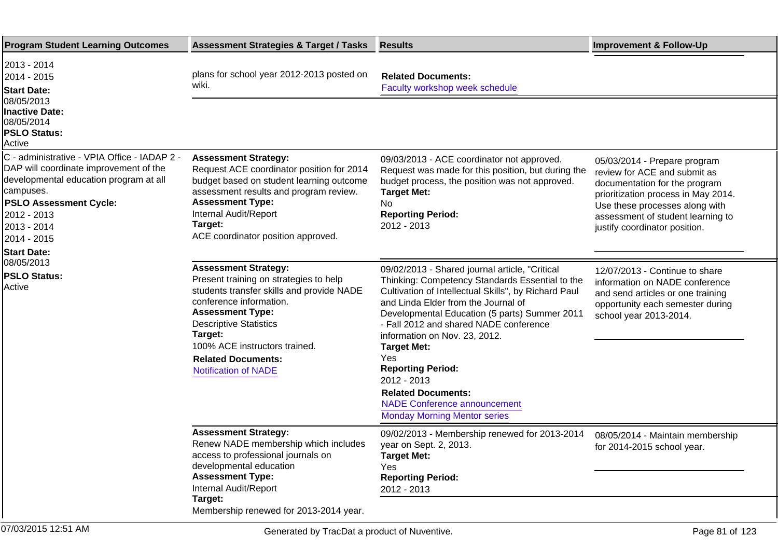| <b>Program Student Learning Outcomes</b>                                                                                                                                                                                                                                                         | <b>Assessment Strategies &amp; Target / Tasks</b>                                                                                                                                                                                                                                                                 | <b>Results</b>                                                                                                                                                                                                                                                                                                                                                                                                                                                                                                  | <b>Improvement &amp; Follow-Up</b>                                                                                                                                                                                                           |
|--------------------------------------------------------------------------------------------------------------------------------------------------------------------------------------------------------------------------------------------------------------------------------------------------|-------------------------------------------------------------------------------------------------------------------------------------------------------------------------------------------------------------------------------------------------------------------------------------------------------------------|-----------------------------------------------------------------------------------------------------------------------------------------------------------------------------------------------------------------------------------------------------------------------------------------------------------------------------------------------------------------------------------------------------------------------------------------------------------------------------------------------------------------|----------------------------------------------------------------------------------------------------------------------------------------------------------------------------------------------------------------------------------------------|
| 2013 - 2014<br>2014 - 2015<br><b>Start Date:</b><br>08/05/2013<br><b>Inactive Date:</b><br>08/05/2014<br><b>PSLO Status:</b><br>Active                                                                                                                                                           | plans for school year 2012-2013 posted on<br>wiki.                                                                                                                                                                                                                                                                | <b>Related Documents:</b><br>Faculty workshop week schedule                                                                                                                                                                                                                                                                                                                                                                                                                                                     |                                                                                                                                                                                                                                              |
|                                                                                                                                                                                                                                                                                                  |                                                                                                                                                                                                                                                                                                                   |                                                                                                                                                                                                                                                                                                                                                                                                                                                                                                                 |                                                                                                                                                                                                                                              |
| C - administrative - VPIA Office - IADAP 2 -<br>DAP will coordinate improvement of the<br>developmental education program at all<br>campuses.<br><b>PSLO Assessment Cycle:</b><br>2012 - 2013<br>2013 - 2014<br>2014 - 2015<br><b>Start Date:</b><br>08/05/2013<br><b>PSLO Status:</b><br>Active | <b>Assessment Strategy:</b><br>Request ACE coordinator position for 2014<br>budget based on student learning outcome<br>assessment results and program review.<br><b>Assessment Type:</b><br>Internal Audit/Report<br>Target:<br>ACE coordinator position approved.                                               | 09/03/2013 - ACE coordinator not approved.<br>Request was made for this position, but during the<br>budget process, the position was not approved.<br><b>Target Met:</b><br>No.<br><b>Reporting Period:</b><br>2012 - 2013                                                                                                                                                                                                                                                                                      | 05/03/2014 - Prepare program<br>review for ACE and submit as<br>documentation for the program<br>prioritization process in May 2014.<br>Use these processes along with<br>assessment of student learning to<br>justify coordinator position. |
|                                                                                                                                                                                                                                                                                                  | <b>Assessment Strategy:</b><br>Present training on strategies to help<br>students transfer skills and provide NADE<br>conference information.<br><b>Assessment Type:</b><br><b>Descriptive Statistics</b><br>Target:<br>100% ACE instructors trained.<br><b>Related Documents:</b><br><b>Notification of NADE</b> | 09/02/2013 - Shared journal article, "Critical<br>Thinking: Competency Standards Essential to the<br>Cultivation of Intellectual Skills", by Richard Paul<br>and Linda Elder from the Journal of<br>Developmental Education (5 parts) Summer 2011<br>- Fall 2012 and shared NADE conference<br>information on Nov. 23, 2012.<br><b>Target Met:</b><br>Yes<br><b>Reporting Period:</b><br>2012 - 2013<br><b>Related Documents:</b><br><b>NADE Conference announcement</b><br><b>Monday Morning Mentor series</b> | 12/07/2013 - Continue to share<br>information on NADE conference<br>and send articles or one training<br>opportunity each semester during<br>school year 2013-2014.                                                                          |
|                                                                                                                                                                                                                                                                                                  | <b>Assessment Strategy:</b><br>Renew NADE membership which includes<br>access to professional journals on<br>developmental education<br><b>Assessment Type:</b><br>Internal Audit/Report<br>Target:<br>Membership renewed for 2013-2014 year.                                                                     | 09/02/2013 - Membership renewed for 2013-2014<br>year on Sept. 2, 2013.<br><b>Target Met:</b><br>Yes<br><b>Reporting Period:</b><br>2012 - 2013                                                                                                                                                                                                                                                                                                                                                                 | 08/05/2014 - Maintain membership<br>for 2014-2015 school year.                                                                                                                                                                               |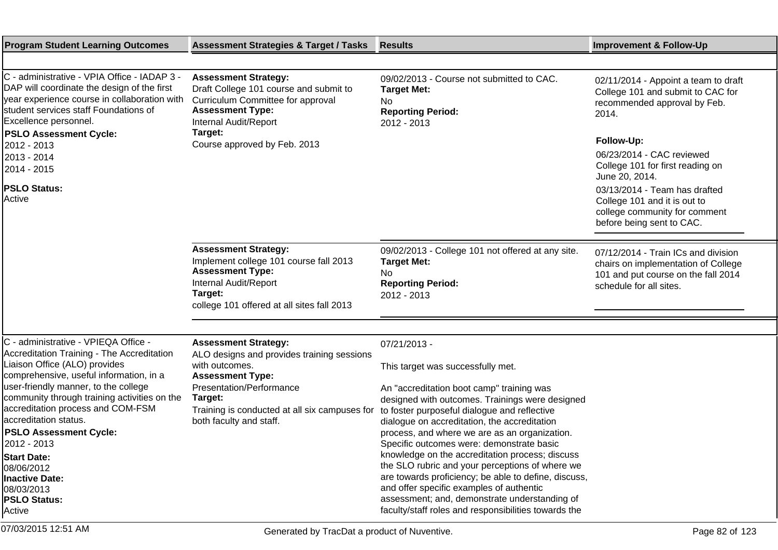| <b>Program Student Learning Outcomes</b>                                                                                                                                                                                                                                                                  | <b>Assessment Strategies &amp; Target / Tasks</b>                                                                                                                                  | <b>Results</b>                                                                                                                                                                                                                                                                                                                                                                                                                                                                                                                                                                                                | <b>Improvement &amp; Follow-Up</b>                                                                                                           |
|-----------------------------------------------------------------------------------------------------------------------------------------------------------------------------------------------------------------------------------------------------------------------------------------------------------|------------------------------------------------------------------------------------------------------------------------------------------------------------------------------------|---------------------------------------------------------------------------------------------------------------------------------------------------------------------------------------------------------------------------------------------------------------------------------------------------------------------------------------------------------------------------------------------------------------------------------------------------------------------------------------------------------------------------------------------------------------------------------------------------------------|----------------------------------------------------------------------------------------------------------------------------------------------|
|                                                                                                                                                                                                                                                                                                           |                                                                                                                                                                                    |                                                                                                                                                                                                                                                                                                                                                                                                                                                                                                                                                                                                               |                                                                                                                                              |
| C - administrative - VPIA Office - IADAP 3 -<br>DAP will coordinate the design of the first<br>year experience course in collaboration with<br>student services staff Foundations of<br>Excellence personnel.                                                                                             | <b>Assessment Strategy:</b><br>Draft College 101 course and submit to<br>Curriculum Committee for approval<br><b>Assessment Type:</b><br>Internal Audit/Report<br>Target:          | 09/02/2013 - Course not submitted to CAC.<br><b>Target Met:</b><br>No<br><b>Reporting Period:</b><br>2012 - 2013                                                                                                                                                                                                                                                                                                                                                                                                                                                                                              | 02/11/2014 - Appoint a team to draft<br>College 101 and submit to CAC for<br>recommended approval by Feb.<br>2014.                           |
| <b>PSLO Assessment Cycle:</b><br>2012 - 2013                                                                                                                                                                                                                                                              | Course approved by Feb. 2013                                                                                                                                                       |                                                                                                                                                                                                                                                                                                                                                                                                                                                                                                                                                                                                               | Follow-Up:                                                                                                                                   |
| 2013 - 2014<br>2014 - 2015                                                                                                                                                                                                                                                                                |                                                                                                                                                                                    |                                                                                                                                                                                                                                                                                                                                                                                                                                                                                                                                                                                                               | 06/23/2014 - CAC reviewed<br>College 101 for first reading on<br>June 20, 2014.                                                              |
| <b>PSLO Status:</b><br>Active                                                                                                                                                                                                                                                                             |                                                                                                                                                                                    |                                                                                                                                                                                                                                                                                                                                                                                                                                                                                                                                                                                                               | 03/13/2014 - Team has drafted<br>College 101 and it is out to<br>college community for comment<br>before being sent to CAC.                  |
|                                                                                                                                                                                                                                                                                                           | <b>Assessment Strategy:</b><br>Implement college 101 course fall 2013<br><b>Assessment Type:</b><br>Internal Audit/Report<br>Target:<br>college 101 offered at all sites fall 2013 | 09/02/2013 - College 101 not offered at any site.<br><b>Target Met:</b><br>No.<br><b>Reporting Period:</b><br>2012 - 2013                                                                                                                                                                                                                                                                                                                                                                                                                                                                                     | 07/12/2014 - Train ICs and division<br>chairs on implementation of College<br>101 and put course on the fall 2014<br>schedule for all sites. |
|                                                                                                                                                                                                                                                                                                           |                                                                                                                                                                                    |                                                                                                                                                                                                                                                                                                                                                                                                                                                                                                                                                                                                               |                                                                                                                                              |
| C - administrative - VPIEQA Office -<br>Accreditation Training - The Accreditation<br>Liaison Office (ALO) provides<br>comprehensive, useful information, in a                                                                                                                                            | <b>Assessment Strategy:</b><br>ALO designs and provides training sessions<br>with outcomes.<br><b>Assessment Type:</b>                                                             | 07/21/2013 -<br>This target was successfully met.                                                                                                                                                                                                                                                                                                                                                                                                                                                                                                                                                             |                                                                                                                                              |
| user-friendly manner, to the college<br>community through training activities on the<br>accreditation process and COM-FSM<br>laccreditation status.<br><b>PSLO Assessment Cycle:</b><br>2012 - 2013 <br><b>Start Date:</b><br>08/06/2012<br>Inactive Date:<br>08/03/2013<br><b>PSLO Status:</b><br>Active | Presentation/Performance<br>Target:<br>Training is conducted at all six campuses for<br>both faculty and staff.                                                                    | An "accreditation boot camp" training was<br>designed with outcomes. Trainings were designed<br>to foster purposeful dialogue and reflective<br>dialogue on accreditation, the accreditation<br>process, and where we are as an organization.<br>Specific outcomes were: demonstrate basic<br>knowledge on the accreditation process; discuss<br>the SLO rubric and your perceptions of where we<br>are towards proficiency; be able to define, discuss,<br>and offer specific examples of authentic<br>assessment; and, demonstrate understanding of<br>faculty/staff roles and responsibilities towards the |                                                                                                                                              |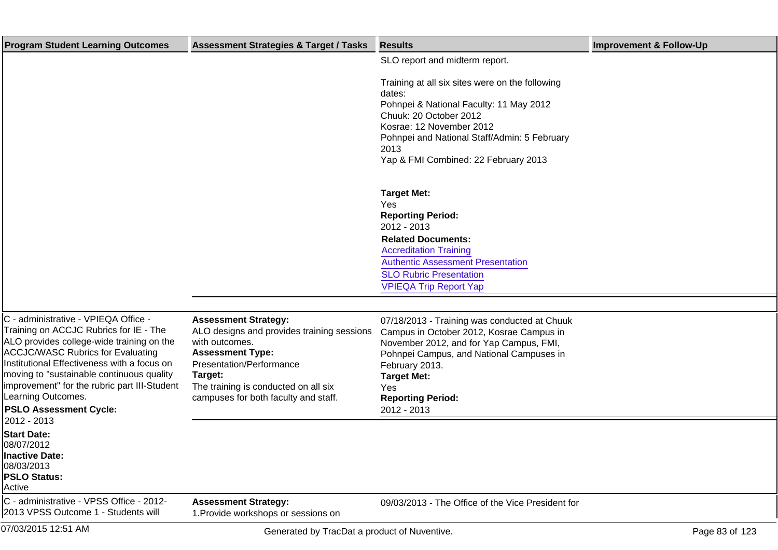| <b>Program Student Learning Outcomes</b>                                                                                                                                                                                                                                                                                                                                                   | <b>Assessment Strategies &amp; Target / Tasks</b>                                                                                                                                                                                             | <b>Results</b>                                                                                                                                                                                                                                                            | <b>Improvement &amp; Follow-Up</b> |
|--------------------------------------------------------------------------------------------------------------------------------------------------------------------------------------------------------------------------------------------------------------------------------------------------------------------------------------------------------------------------------------------|-----------------------------------------------------------------------------------------------------------------------------------------------------------------------------------------------------------------------------------------------|---------------------------------------------------------------------------------------------------------------------------------------------------------------------------------------------------------------------------------------------------------------------------|------------------------------------|
|                                                                                                                                                                                                                                                                                                                                                                                            |                                                                                                                                                                                                                                               | SLO report and midterm report.                                                                                                                                                                                                                                            |                                    |
|                                                                                                                                                                                                                                                                                                                                                                                            |                                                                                                                                                                                                                                               | Training at all six sites were on the following<br>dates:<br>Pohnpei & National Faculty: 11 May 2012<br>Chuuk: 20 October 2012<br>Kosrae: 12 November 2012<br>Pohnpei and National Staff/Admin: 5 February<br>2013<br>Yap & FMI Combined: 22 February 2013                |                                    |
|                                                                                                                                                                                                                                                                                                                                                                                            |                                                                                                                                                                                                                                               | <b>Target Met:</b><br>Yes<br><b>Reporting Period:</b><br>2012 - 2013<br><b>Related Documents:</b><br><b>Accreditation Training</b><br><b>Authentic Assessment Presentation</b><br><b>SLO Rubric Presentation</b><br><b>VPIEQA Trip Report Yap</b>                         |                                    |
|                                                                                                                                                                                                                                                                                                                                                                                            |                                                                                                                                                                                                                                               |                                                                                                                                                                                                                                                                           |                                    |
| C - administrative - VPIEQA Office -<br>Training on ACCJC Rubrics for IE - The<br>ALO provides college-wide training on the<br><b>ACCJC/WASC Rubrics for Evaluating</b><br>Institutional Effectiveness with a focus on<br>moving to "sustainable continuous quality<br>limprovement" for the rubric part III-Student<br>Learning Outcomes.<br><b>PSLO Assessment Cycle:</b><br>2012 - 2013 | <b>Assessment Strategy:</b><br>ALO designs and provides training sessions<br>with outcomes.<br><b>Assessment Type:</b><br>Presentation/Performance<br>Target:<br>The training is conducted on all six<br>campuses for both faculty and staff. | 07/18/2013 - Training was conducted at Chuuk<br>Campus in October 2012, Kosrae Campus in<br>November 2012, and for Yap Campus, FMI,<br>Pohnpei Campus, and National Campuses in<br>February 2013.<br><b>Target Met:</b><br>Yes<br><b>Reporting Period:</b><br>2012 - 2013 |                                    |
| <b>Start Date:</b><br>08/07/2012<br>Inactive Date:<br>08/03/2013<br><b>PSLO Status:</b><br>Active                                                                                                                                                                                                                                                                                          |                                                                                                                                                                                                                                               |                                                                                                                                                                                                                                                                           |                                    |
| C - administrative - VPSS Office - 2012-<br>2013 VPSS Outcome 1 - Students will                                                                                                                                                                                                                                                                                                            | <b>Assessment Strategy:</b><br>1. Provide workshops or sessions on                                                                                                                                                                            | 09/03/2013 - The Office of the Vice President for                                                                                                                                                                                                                         |                                    |
| 07/03/2015 12:51 AM                                                                                                                                                                                                                                                                                                                                                                        | Generated by TracDat a product of Nuventive.                                                                                                                                                                                                  |                                                                                                                                                                                                                                                                           | Page 83 of 123                     |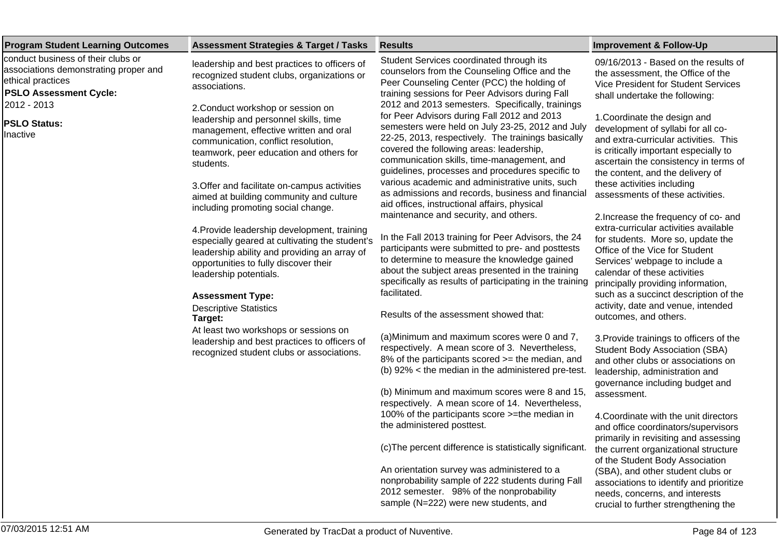| <b>Program Student Learning Outcomes</b>                                                                                          | <b>Assessment Strategies &amp; Target / Tasks</b>                                                                                                                                                                   | <b>Results</b>                                                                                                                                                                                                                                                                                                                                          | <b>Improvement &amp; Follow-Up</b>                                                                                                                                                                                                |
|-----------------------------------------------------------------------------------------------------------------------------------|---------------------------------------------------------------------------------------------------------------------------------------------------------------------------------------------------------------------|---------------------------------------------------------------------------------------------------------------------------------------------------------------------------------------------------------------------------------------------------------------------------------------------------------------------------------------------------------|-----------------------------------------------------------------------------------------------------------------------------------------------------------------------------------------------------------------------------------|
| conduct business of their clubs or<br>associations demonstrating proper and<br>ethical practices<br><b>PSLO Assessment Cycle:</b> | leadership and best practices to officers of<br>recognized student clubs, organizations or<br>associations.                                                                                                         | Student Services coordinated through its<br>counselors from the Counseling Office and the<br>Peer Counseling Center (PCC) the holding of<br>training sessions for Peer Advisors during Fall                                                                                                                                                             | 09/16/2013 - Based on the results of<br>the assessment, the Office of the<br><b>Vice President for Student Services</b><br>shall undertake the following:                                                                         |
| 2012 - 2013<br><b>PSLO Status:</b><br>Inactive                                                                                    | 2. Conduct workshop or session on<br>leadership and personnel skills, time<br>management, effective written and oral<br>communication, conflict resolution,<br>teamwork, peer education and others for<br>students. | 2012 and 2013 semesters. Specifically, trainings<br>for Peer Advisors during Fall 2012 and 2013<br>semesters were held on July 23-25, 2012 and July<br>22-25, 2013, respectively. The trainings basically<br>covered the following areas: leadership,<br>communication skills, time-management, and<br>guidelines, processes and procedures specific to | 1. Coordinate the design and<br>development of syllabi for all co-<br>and extra-curricular activities. This<br>is critically important especially to<br>ascertain the consistency in terms of<br>the content, and the delivery of |
|                                                                                                                                   | 3. Offer and facilitate on-campus activities<br>aimed at building community and culture<br>including promoting social change.                                                                                       | various academic and administrative units, such<br>as admissions and records, business and financial<br>aid offices, instructional affairs, physical<br>maintenance and security, and others.                                                                                                                                                           | these activities including<br>assessments of these activities.<br>2. Increase the frequency of co- and                                                                                                                            |
|                                                                                                                                   | 4. Provide leadership development, training<br>especially geared at cultivating the student's<br>leadership ability and providing an array of<br>opportunities to fully discover their<br>leadership potentials.    | In the Fall 2013 training for Peer Advisors, the 24<br>participants were submitted to pre- and posttests<br>to determine to measure the knowledge gained<br>about the subject areas presented in the training<br>specifically as results of participating in the training                                                                               | extra-curricular activities available<br>for students. More so, update the<br>Office of the Vice for Student<br>Services' webpage to include a<br>calendar of these activities<br>principally providing information,              |
|                                                                                                                                   | <b>Assessment Type:</b><br><b>Descriptive Statistics</b><br>Target:                                                                                                                                                 | facilitated.<br>Results of the assessment showed that:                                                                                                                                                                                                                                                                                                  | such as a succinct description of the<br>activity, date and venue, intended<br>outcomes, and others.                                                                                                                              |
|                                                                                                                                   | At least two workshops or sessions on<br>leadership and best practices to officers of<br>recognized student clubs or associations.                                                                                  | (a) Minimum and maximum scores were 0 and 7,<br>respectively. A mean score of 3. Nevertheless,<br>8% of the participants scored >= the median, and<br>(b) 92% < the median in the administered pre-test.                                                                                                                                                | 3. Provide trainings to officers of the<br><b>Student Body Association (SBA)</b><br>and other clubs or associations on<br>leadership, administration and                                                                          |
|                                                                                                                                   |                                                                                                                                                                                                                     | (b) Minimum and maximum scores were 8 and 15,<br>respectively. A mean score of 14. Nevertheless,                                                                                                                                                                                                                                                        | governance including budget and<br>assessment.                                                                                                                                                                                    |
|                                                                                                                                   |                                                                                                                                                                                                                     | 100% of the participants score >=the median in<br>the administered posttest.                                                                                                                                                                                                                                                                            | 4. Coordinate with the unit directors<br>and office coordinators/supervisors<br>primarily in revisiting and assessing                                                                                                             |
|                                                                                                                                   |                                                                                                                                                                                                                     | (c) The percent difference is statistically significant.                                                                                                                                                                                                                                                                                                | the current organizational structure<br>of the Student Body Association                                                                                                                                                           |
|                                                                                                                                   |                                                                                                                                                                                                                     | An orientation survey was administered to a<br>nonprobability sample of 222 students during Fall<br>2012 semester. 98% of the nonprobability<br>sample (N=222) were new students, and                                                                                                                                                                   | (SBA), and other student clubs or<br>associations to identify and prioritize<br>needs, concerns, and interests<br>crucial to further strengthening the                                                                            |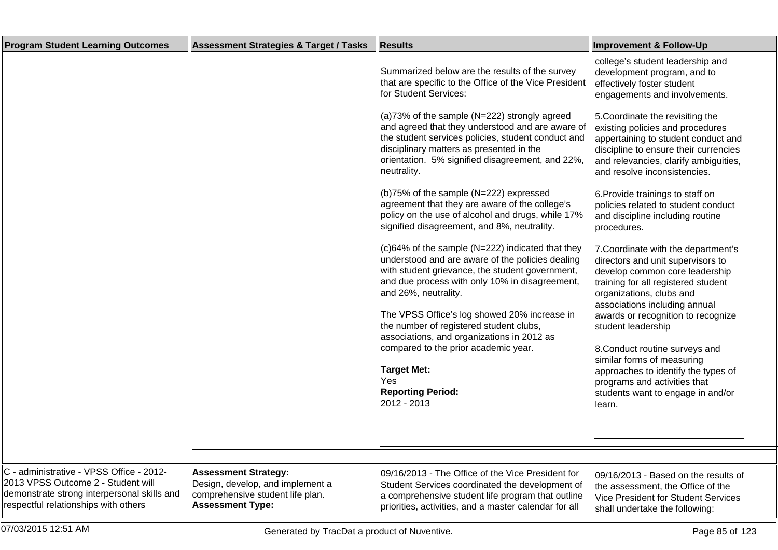| <b>Program Student Learning Outcomes</b> | <b>Assessment Strategies &amp; Target / Tasks</b> | <b>Results</b>                                                                                                                                                                                                                                                         | <b>Improvement &amp; Follow-Up</b>                                                                                                                                                                                            |
|------------------------------------------|---------------------------------------------------|------------------------------------------------------------------------------------------------------------------------------------------------------------------------------------------------------------------------------------------------------------------------|-------------------------------------------------------------------------------------------------------------------------------------------------------------------------------------------------------------------------------|
|                                          |                                                   | Summarized below are the results of the survey<br>that are specific to the Office of the Vice President<br>for Student Services:                                                                                                                                       | college's student leadership and<br>development program, and to<br>effectively foster student<br>engagements and involvements.                                                                                                |
|                                          |                                                   | (a) 73% of the sample (N=222) strongly agreed<br>and agreed that they understood and are aware of<br>the student services policies, student conduct and<br>disciplinary matters as presented in the<br>orientation. 5% signified disagreement, and 22%,<br>neutrality. | 5. Coordinate the revisiting the<br>existing policies and procedures<br>appertaining to student conduct and<br>discipline to ensure their currencies<br>and relevancies, clarify ambiguities,<br>and resolve inconsistencies. |
|                                          |                                                   | (b) 75% of the sample (N=222) expressed<br>agreement that they are aware of the college's<br>policy on the use of alcohol and drugs, while 17%<br>signified disagreement, and 8%, neutrality.                                                                          | 6. Provide trainings to staff on<br>policies related to student conduct<br>and discipline including routine<br>procedures.                                                                                                    |
|                                          |                                                   | (c) 64% of the sample (N=222) indicated that they<br>understood and are aware of the policies dealing<br>with student grievance, the student government,<br>and due process with only 10% in disagreement,<br>and 26%, neutrality.                                     | 7. Coordinate with the department's<br>directors and unit supervisors to<br>develop common core leadership<br>training for all registered student<br>organizations, clubs and<br>associations including annual                |
|                                          |                                                   | The VPSS Office's log showed 20% increase in<br>the number of registered student clubs,<br>associations, and organizations in 2012 as                                                                                                                                  | awards or recognition to recognize<br>student leadership                                                                                                                                                                      |
|                                          |                                                   | compared to the prior academic year.                                                                                                                                                                                                                                   | 8. Conduct routine surveys and<br>similar forms of measuring                                                                                                                                                                  |
|                                          |                                                   | <b>Target Met:</b><br><b>Yes</b>                                                                                                                                                                                                                                       | approaches to identify the types of                                                                                                                                                                                           |
|                                          |                                                   | <b>Reporting Period:</b><br>2012 - 2013                                                                                                                                                                                                                                | programs and activities that<br>students want to engage in and/or<br>learn.                                                                                                                                                   |
|                                          |                                                   |                                                                                                                                                                                                                                                                        |                                                                                                                                                                                                                               |

C - administrative - VPSS Office - 2012- 2013 VPSS Outcome 2 - Student will demonstrate strong interpersonal skills and respectful relationships with others

## **Assessment Strategy:**

Design, develop, and implement a comprehensive student life plan. **Assessment Type:**

09/16/2013 - The Office of the Vice President for Student Services coordinated the development of a comprehensive student life program that outline priorities, activities, and a master calendar for all

09/16/2013 - Based on the results of the assessment, the Office of the Vice President for Student Services shall undertake the following: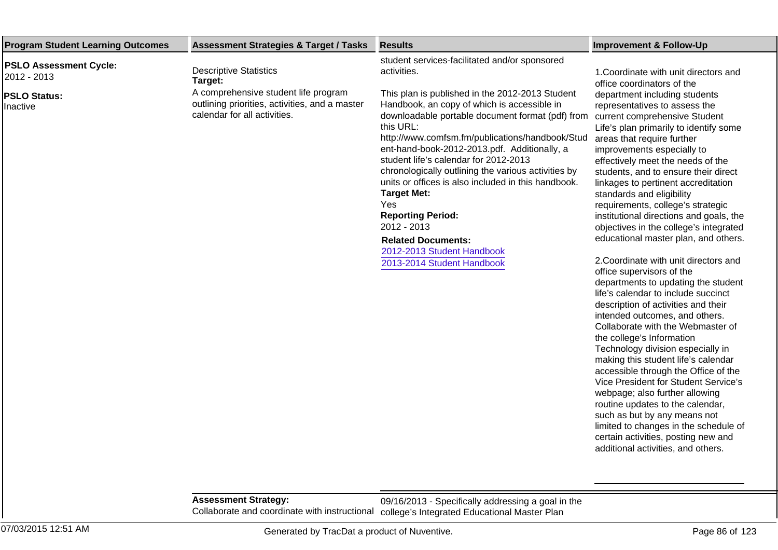| <b>Program Student Learning Outcomes</b>                                         | <b>Assessment Strategies &amp; Target / Tasks</b>                                                                                                                  | <b>Results</b>                                                                                                                                                                                                                                                                                                                                                                                                                                                                                                                                                                                                                                             | <b>Improvement &amp; Follow-Up</b>                                                                                                                                                                                                                                                                                                                                                                                                                                                                                                                                                                                                                                                                                                                                                                                                                                                                                                                                                                                 |
|----------------------------------------------------------------------------------|--------------------------------------------------------------------------------------------------------------------------------------------------------------------|------------------------------------------------------------------------------------------------------------------------------------------------------------------------------------------------------------------------------------------------------------------------------------------------------------------------------------------------------------------------------------------------------------------------------------------------------------------------------------------------------------------------------------------------------------------------------------------------------------------------------------------------------------|--------------------------------------------------------------------------------------------------------------------------------------------------------------------------------------------------------------------------------------------------------------------------------------------------------------------------------------------------------------------------------------------------------------------------------------------------------------------------------------------------------------------------------------------------------------------------------------------------------------------------------------------------------------------------------------------------------------------------------------------------------------------------------------------------------------------------------------------------------------------------------------------------------------------------------------------------------------------------------------------------------------------|
| <b>PSLO Assessment Cycle:</b><br>2012 - 2013 <br><b>PSLO Status:</b><br>Inactive | <b>Descriptive Statistics</b><br>Target:<br>A comprehensive student life program<br>outlining priorities, activities, and a master<br>calendar for all activities. | student services-facilitated and/or sponsored<br>activities.<br>This plan is published in the 2012-2013 Student<br>Handbook, an copy of which is accessible in<br>downloadable portable document format (pdf) from<br>this URL:<br>http://www.comfsm.fm/publications/handbook/Stud<br>ent-hand-book-2012-2013.pdf. Additionally, a<br>student life's calendar for 2012-2013<br>chronologically outlining the various activities by<br>units or offices is also included in this handbook.<br><b>Target Met:</b><br>Yes<br><b>Reporting Period:</b><br>2012 - 2013<br><b>Related Documents:</b><br>2012-2013 Student Handbook<br>2013-2014 Student Handbook | 1. Coordinate with unit directors and<br>office coordinators of the<br>department including students<br>representatives to assess the<br>current comprehensive Student<br>Life's plan primarily to identify some<br>areas that require further<br>improvements especially to<br>effectively meet the needs of the<br>students, and to ensure their direct<br>linkages to pertinent accreditation<br>standards and eligibility<br>requirements, college's strategic<br>institutional directions and goals, the<br>objectives in the college's integrated<br>educational master plan, and others.<br>2. Coordinate with unit directors and<br>office supervisors of the<br>departments to updating the student<br>life's calendar to include succinct<br>description of activities and their<br>intended outcomes, and others.<br>Collaborate with the Webmaster of<br>the college's Information<br>Technology division especially in<br>making this student life's calendar<br>accessible through the Office of the |

**Assessment Strategy:** Collaborate and coordinate with instructional college's Integrated Educational Master Plan 09/16/2013 - Specifically addressing a goal in the

such as but by any means not limited to changes in the schedule of certain activities, posting new and additional activities, and others.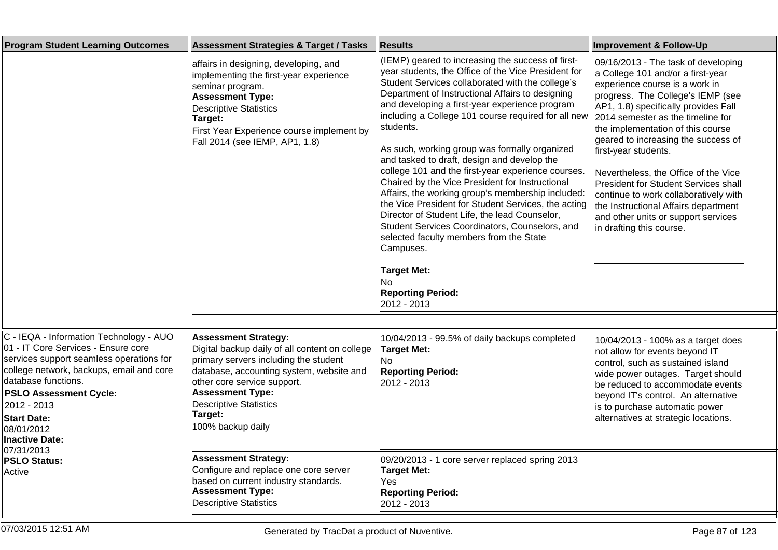| <b>Program Student Learning Outcomes</b>                                                                                                                                                                                                                                                                   | <b>Assessment Strategies &amp; Target / Tasks</b>                                                                                                                                                                                                                                             | <b>Results</b>                                                                                                                                                                                                                                                                                                                                                                                                                                                                                                                                                                                                                                                                                                                                                                                                                                                                                            | <b>Improvement &amp; Follow-Up</b>                                                                                                                                                                                                                                                                                                                                                                                                                                                                                                                                   |
|------------------------------------------------------------------------------------------------------------------------------------------------------------------------------------------------------------------------------------------------------------------------------------------------------------|-----------------------------------------------------------------------------------------------------------------------------------------------------------------------------------------------------------------------------------------------------------------------------------------------|-----------------------------------------------------------------------------------------------------------------------------------------------------------------------------------------------------------------------------------------------------------------------------------------------------------------------------------------------------------------------------------------------------------------------------------------------------------------------------------------------------------------------------------------------------------------------------------------------------------------------------------------------------------------------------------------------------------------------------------------------------------------------------------------------------------------------------------------------------------------------------------------------------------|----------------------------------------------------------------------------------------------------------------------------------------------------------------------------------------------------------------------------------------------------------------------------------------------------------------------------------------------------------------------------------------------------------------------------------------------------------------------------------------------------------------------------------------------------------------------|
|                                                                                                                                                                                                                                                                                                            | affairs in designing, developing, and<br>implementing the first-year experience<br>seminar program.<br><b>Assessment Type:</b><br><b>Descriptive Statistics</b><br>Target:<br>First Year Experience course implement by<br>Fall 2014 (see IEMP, AP1, 1.8)                                     | (IEMP) geared to increasing the success of first-<br>year students, the Office of the Vice President for<br>Student Services collaborated with the college's<br>Department of Instructional Affairs to designing<br>and developing a first-year experience program<br>including a College 101 course required for all new<br>students.<br>As such, working group was formally organized<br>and tasked to draft, design and develop the<br>college 101 and the first-year experience courses.<br>Chaired by the Vice President for Instructional<br>Affairs, the working group's membership included:<br>the Vice President for Student Services, the acting<br>Director of Student Life, the lead Counselor,<br>Student Services Coordinators, Counselors, and<br>selected faculty members from the State<br>Campuses.<br><b>Target Met:</b><br>N <sub>o</sub><br><b>Reporting Period:</b><br>2012 - 2013 | 09/16/2013 - The task of developing<br>a College 101 and/or a first-year<br>experience course is a work in<br>progress. The College's IEMP (see<br>AP1, 1.8) specifically provides Fall<br>2014 semester as the timeline for<br>the implementation of this course<br>geared to increasing the success of<br>first-year students.<br>Nevertheless, the Office of the Vice<br>President for Student Services shall<br>continue to work collaboratively with<br>the Instructional Affairs department<br>and other units or support services<br>in drafting this course. |
|                                                                                                                                                                                                                                                                                                            |                                                                                                                                                                                                                                                                                               |                                                                                                                                                                                                                                                                                                                                                                                                                                                                                                                                                                                                                                                                                                                                                                                                                                                                                                           |                                                                                                                                                                                                                                                                                                                                                                                                                                                                                                                                                                      |
| C - IEQA - Information Technology - AUO<br>01 - IT Core Services - Ensure core<br>services support seamless operations for<br>college network, backups, email and core<br>database functions.<br><b>PSLO Assessment Cycle:</b><br>2012 - 2013<br><b>Start Date:</b><br>08/01/2012<br><b>Inactive Date:</b> | <b>Assessment Strategy:</b><br>Digital backup daily of all content on college<br>primary servers including the student<br>database, accounting system, website and<br>other core service support.<br><b>Assessment Type:</b><br><b>Descriptive Statistics</b><br>Target:<br>100% backup daily | 10/04/2013 - 99.5% of daily backups completed<br><b>Target Met:</b><br>N <sub>o</sub><br><b>Reporting Period:</b><br>2012 - 2013                                                                                                                                                                                                                                                                                                                                                                                                                                                                                                                                                                                                                                                                                                                                                                          | 10/04/2013 - 100% as a target does<br>not allow for events beyond IT<br>control, such as sustained island<br>wide power outages. Target should<br>be reduced to accommodate events<br>beyond IT's control. An alternative<br>is to purchase automatic power<br>alternatives at strategic locations.                                                                                                                                                                                                                                                                  |
| 07/31/2013<br><b>PSLO Status:</b>                                                                                                                                                                                                                                                                          | <b>Assessment Strategy:</b>                                                                                                                                                                                                                                                                   | 09/20/2013 - 1 core server replaced spring 2013                                                                                                                                                                                                                                                                                                                                                                                                                                                                                                                                                                                                                                                                                                                                                                                                                                                           |                                                                                                                                                                                                                                                                                                                                                                                                                                                                                                                                                                      |
| Active                                                                                                                                                                                                                                                                                                     | Configure and replace one core server<br>based on current industry standards.<br><b>Assessment Type:</b><br><b>Descriptive Statistics</b>                                                                                                                                                     | <b>Target Met:</b><br>Yes<br><b>Reporting Period:</b><br>2012 - 2013                                                                                                                                                                                                                                                                                                                                                                                                                                                                                                                                                                                                                                                                                                                                                                                                                                      |                                                                                                                                                                                                                                                                                                                                                                                                                                                                                                                                                                      |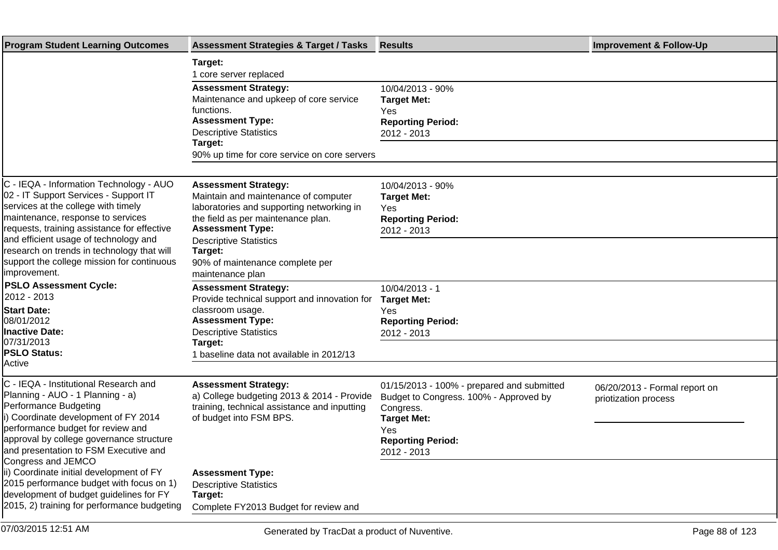| <b>Program Student Learning Outcomes</b>                                                                                                                                                                                                                                                                                                                         | <b>Assessment Strategies &amp; Target / Tasks</b>                                                                                                                                                                                                                                    | <b>Results</b>                                                                                                                                                            | <b>Improvement &amp; Follow-Up</b>                    |
|------------------------------------------------------------------------------------------------------------------------------------------------------------------------------------------------------------------------------------------------------------------------------------------------------------------------------------------------------------------|--------------------------------------------------------------------------------------------------------------------------------------------------------------------------------------------------------------------------------------------------------------------------------------|---------------------------------------------------------------------------------------------------------------------------------------------------------------------------|-------------------------------------------------------|
|                                                                                                                                                                                                                                                                                                                                                                  | Target:<br>1 core server replaced                                                                                                                                                                                                                                                    |                                                                                                                                                                           |                                                       |
|                                                                                                                                                                                                                                                                                                                                                                  | <b>Assessment Strategy:</b><br>Maintenance and upkeep of core service<br>functions.<br><b>Assessment Type:</b><br><b>Descriptive Statistics</b><br>Target:                                                                                                                           | 10/04/2013 - 90%<br><b>Target Met:</b><br>Yes<br><b>Reporting Period:</b><br>2012 - 2013                                                                                  |                                                       |
|                                                                                                                                                                                                                                                                                                                                                                  | 90% up time for core service on core servers                                                                                                                                                                                                                                         |                                                                                                                                                                           |                                                       |
| C - IEQA - Information Technology - AUO<br>02 - IT Support Services - Support IT<br>services at the college with timely<br>maintenance, response to services<br>requests, training assistance for effective<br>and efficient usage of technology and<br>research on trends in technology that will<br>support the college mission for continuous<br>improvement. | <b>Assessment Strategy:</b><br>Maintain and maintenance of computer<br>laboratories and supporting networking in<br>the field as per maintenance plan.<br><b>Assessment Type:</b><br><b>Descriptive Statistics</b><br>Target:<br>90% of maintenance complete per<br>maintenance plan | 10/04/2013 - 90%<br><b>Target Met:</b><br>Yes<br><b>Reporting Period:</b><br>2012 - 2013                                                                                  |                                                       |
| <b>PSLO Assessment Cycle:</b><br>2012 - 2013<br><b>Start Date:</b><br>08/01/2012<br><b>Inactive Date:</b><br>07/31/2013<br><b>PSLO Status:</b><br>Active                                                                                                                                                                                                         | <b>Assessment Strategy:</b><br>Provide technical support and innovation for<br>classroom usage.<br><b>Assessment Type:</b><br><b>Descriptive Statistics</b><br>Target:<br>1 baseline data not available in 2012/13                                                                   | 10/04/2013 - 1<br><b>Target Met:</b><br>Yes<br><b>Reporting Period:</b><br>2012 - 2013                                                                                    |                                                       |
| C - IEQA - Institutional Research and<br>Planning - AUO - 1 Planning - a)<br>Performance Budgeting<br>i) Coordinate development of FY 2014<br>performance budget for review and<br>approval by college governance structure<br>and presentation to FSM Executive and<br>Congress and JEMCO                                                                       | <b>Assessment Strategy:</b><br>a) College budgeting 2013 & 2014 - Provide<br>training, technical assistance and inputting<br>of budget into FSM BPS.                                                                                                                                 | 01/15/2013 - 100% - prepared and submitted<br>Budget to Congress. 100% - Approved by<br>Congress.<br><b>Target Met:</b><br>Yes<br><b>Reporting Period:</b><br>2012 - 2013 | 06/20/2013 - Formal report on<br>priotization process |
| ii) Coordinate initial development of FY<br>2015 performance budget with focus on 1)<br>development of budget guidelines for FY<br>2015, 2) training for performance budgeting                                                                                                                                                                                   | <b>Assessment Type:</b><br><b>Descriptive Statistics</b><br>Target:<br>Complete FY2013 Budget for review and                                                                                                                                                                         |                                                                                                                                                                           |                                                       |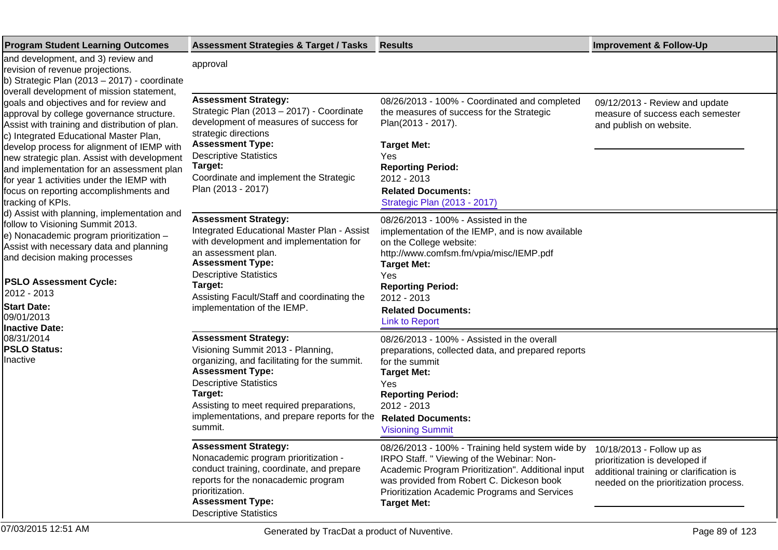| <b>Program Student Learning Outcomes</b>                                                                                                                                                                                                                                                                                                                                                                                                                                                                                                                                                                                                                                                                                                                                                                                                                    | <b>Assessment Strategies &amp; Target / Tasks</b>                                                                                                                                                                                                                                                 | <b>Results</b>                                                                                                                                                                                                                                                                                     | <b>Improvement &amp; Follow-Up</b>                                                                                 |
|-------------------------------------------------------------------------------------------------------------------------------------------------------------------------------------------------------------------------------------------------------------------------------------------------------------------------------------------------------------------------------------------------------------------------------------------------------------------------------------------------------------------------------------------------------------------------------------------------------------------------------------------------------------------------------------------------------------------------------------------------------------------------------------------------------------------------------------------------------------|---------------------------------------------------------------------------------------------------------------------------------------------------------------------------------------------------------------------------------------------------------------------------------------------------|----------------------------------------------------------------------------------------------------------------------------------------------------------------------------------------------------------------------------------------------------------------------------------------------------|--------------------------------------------------------------------------------------------------------------------|
| and development, and 3) review and<br>revision of revenue projections.<br>b) Strategic Plan (2013 - 2017) - coordinate                                                                                                                                                                                                                                                                                                                                                                                                                                                                                                                                                                                                                                                                                                                                      | approval                                                                                                                                                                                                                                                                                          |                                                                                                                                                                                                                                                                                                    |                                                                                                                    |
| overall development of mission statement,<br>goals and objectives and for review and<br>approval by college governance structure.<br>Assist with training and distribution of plan.<br>c) Integrated Educational Master Plan,<br>develop process for alignment of IEMP with<br>new strategic plan. Assist with development<br>and implementation for an assessment plan<br>for year 1 activities under the IEMP with<br>focus on reporting accomplishments and<br>tracking of KPIs.<br>d) Assist with planning, implementation and<br>follow to Visioning Summit 2013.<br>e) Nonacademic program prioritization -<br>Assist with necessary data and planning<br>and decision making processes<br><b>PSLO Assessment Cycle:</b><br>2012 - 2013<br><b>Start Date:</b><br>09/01/2013<br><b>Inactive Date:</b><br>08/31/2014<br><b>PSLO Status:</b><br>Inactive | <b>Assessment Strategy:</b><br>Strategic Plan (2013 - 2017) - Coordinate<br>development of measures of success for<br>strategic directions<br><b>Assessment Type:</b><br><b>Descriptive Statistics</b><br>Target:<br>Coordinate and implement the Strategic<br>Plan (2013 - 2017)                 | 08/26/2013 - 100% - Coordinated and completed<br>the measures of success for the Strategic<br>Plan(2013 - 2017).<br><b>Target Met:</b><br>Yes<br><b>Reporting Period:</b><br>2012 - 2013<br><b>Related Documents:</b><br>Strategic Plan (2013 - 2017)                                              | 09/12/2013 - Review and update<br>measure of success each semester<br>and publish on website.                      |
|                                                                                                                                                                                                                                                                                                                                                                                                                                                                                                                                                                                                                                                                                                                                                                                                                                                             | <b>Assessment Strategy:</b><br>Integrated Educational Master Plan - Assist<br>with development and implementation for<br>an assessment plan.<br><b>Assessment Type:</b><br><b>Descriptive Statistics</b><br>Target:<br>Assisting Facult/Staff and coordinating the<br>implementation of the IEMP. | 08/26/2013 - 100% - Assisted in the<br>implementation of the IEMP, and is now available<br>on the College website:<br>http://www.comfsm.fm/vpia/misc/IEMP.pdf<br><b>Target Met:</b><br>Yes<br><b>Reporting Period:</b><br>2012 - 2013<br><b>Related Documents:</b><br><b>Link to Report</b>        |                                                                                                                    |
|                                                                                                                                                                                                                                                                                                                                                                                                                                                                                                                                                                                                                                                                                                                                                                                                                                                             | <b>Assessment Strategy:</b><br>Visioning Summit 2013 - Planning,<br>organizing, and facilitating for the summit.<br><b>Assessment Type:</b><br><b>Descriptive Statistics</b><br>Target:<br>Assisting to meet required preparations,<br>implementations, and prepare reports for the<br>summit.    | 08/26/2013 - 100% - Assisted in the overall<br>preparations, collected data, and prepared reports<br>for the summit<br><b>Target Met:</b><br>Yes<br><b>Reporting Period:</b><br>2012 - 2013<br><b>Related Documents:</b><br><b>Visioning Summit</b>                                                |                                                                                                                    |
|                                                                                                                                                                                                                                                                                                                                                                                                                                                                                                                                                                                                                                                                                                                                                                                                                                                             | <b>Assessment Strategy:</b><br>Nonacademic program prioritization -<br>conduct training, coordinate, and prepare<br>reports for the nonacademic program<br>prioritization.<br><b>Assessment Type:</b><br><b>Descriptive Statistics</b>                                                            | 08/26/2013 - 100% - Training held system wide by 10/18/2013 - Follow up as<br>IRPO Staff. " Viewing of the Webinar: Non-<br>Academic Program Prioritization". Additional input<br>was provided from Robert C. Dickeson book<br>Prioritization Academic Programs and Services<br><b>Target Met:</b> | prioritization is developed if<br>additional training or clarification is<br>needed on the prioritization process. |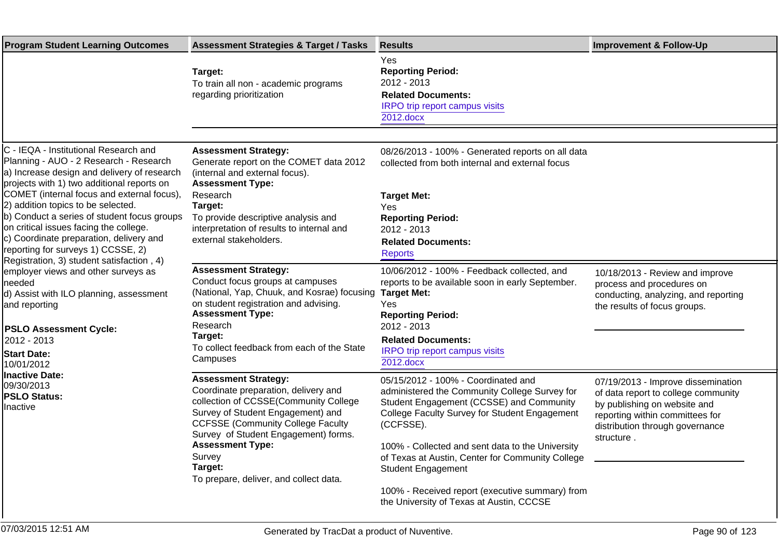| <b>Program Student Learning Outcomes</b>                                                                                                                                                                                                                                                                                                                                                                                                                                                                                                                                             | <b>Assessment Strategies &amp; Target / Tasks</b>                                                                                                                                                                                                                                                                               | <b>Results</b>                                                                                                                                                                                                                                                                                                                                                                                                                     | <b>Improvement &amp; Follow-Up</b>                                                                                                                                                            |
|--------------------------------------------------------------------------------------------------------------------------------------------------------------------------------------------------------------------------------------------------------------------------------------------------------------------------------------------------------------------------------------------------------------------------------------------------------------------------------------------------------------------------------------------------------------------------------------|---------------------------------------------------------------------------------------------------------------------------------------------------------------------------------------------------------------------------------------------------------------------------------------------------------------------------------|------------------------------------------------------------------------------------------------------------------------------------------------------------------------------------------------------------------------------------------------------------------------------------------------------------------------------------------------------------------------------------------------------------------------------------|-----------------------------------------------------------------------------------------------------------------------------------------------------------------------------------------------|
|                                                                                                                                                                                                                                                                                                                                                                                                                                                                                                                                                                                      | Target:<br>To train all non - academic programs<br>regarding prioritization                                                                                                                                                                                                                                                     | Yes<br><b>Reporting Period:</b><br>2012 - 2013<br><b>Related Documents:</b><br><b>IRPO</b> trip report campus visits<br>2012.docx                                                                                                                                                                                                                                                                                                  |                                                                                                                                                                                               |
|                                                                                                                                                                                                                                                                                                                                                                                                                                                                                                                                                                                      |                                                                                                                                                                                                                                                                                                                                 |                                                                                                                                                                                                                                                                                                                                                                                                                                    |                                                                                                                                                                                               |
| C - IEQA - Institutional Research and<br>Planning - AUO - 2 Research - Research<br>a) Increase design and delivery of research<br>projects with 1) two additional reports on                                                                                                                                                                                                                                                                                                                                                                                                         | <b>Assessment Strategy:</b><br>Generate report on the COMET data 2012<br>(internal and external focus).<br><b>Assessment Type:</b>                                                                                                                                                                                              | 08/26/2013 - 100% - Generated reports on all data<br>collected from both internal and external focus                                                                                                                                                                                                                                                                                                                               |                                                                                                                                                                                               |
| COMET (internal focus and external focus),<br>(2) addition topics to be selected.<br>b) Conduct a series of student focus groups<br>on critical issues facing the college.<br>c) Coordinate preparation, delivery and<br>reporting for surveys 1) CCSSE, 2)<br>Registration, 3) student satisfaction, 4)<br>employer views and other surveys as<br>Ineeded<br>d) Assist with ILO planning, assessment<br>and reporting<br><b>PSLO Assessment Cycle:</b><br>2012 - 2013<br><b>Start Date:</b><br>10/01/2012<br><b>Inactive Date:</b><br>09/30/2013<br><b>PSLO Status:</b><br>Inactive | Research<br>Target:<br>To provide descriptive analysis and<br>interpretation of results to internal and<br>external stakeholders.                                                                                                                                                                                               | <b>Target Met:</b><br>Yes<br><b>Reporting Period:</b><br>2012 - 2013<br><b>Related Documents:</b><br><b>Reports</b>                                                                                                                                                                                                                                                                                                                |                                                                                                                                                                                               |
|                                                                                                                                                                                                                                                                                                                                                                                                                                                                                                                                                                                      | <b>Assessment Strategy:</b><br>Conduct focus groups at campuses<br>(National, Yap, Chuuk, and Kosrae) focusing<br>on student registration and advising.<br><b>Assessment Type:</b><br>Research<br>Target:<br>To collect feedback from each of the State<br>Campuses                                                             | 10/06/2012 - 100% - Feedback collected, and<br>reports to be available soon in early September.<br><b>Target Met:</b><br>Yes<br><b>Reporting Period:</b><br>2012 - 2013<br><b>Related Documents:</b><br>IRPO trip report campus visits<br>2012.docx                                                                                                                                                                                | 10/18/2013 - Review and improve<br>process and procedures on<br>conducting, analyzing, and reporting<br>the results of focus groups.                                                          |
|                                                                                                                                                                                                                                                                                                                                                                                                                                                                                                                                                                                      | <b>Assessment Strategy:</b><br>Coordinate preparation, delivery and<br>collection of CCSSE(Community College<br>Survey of Student Engagement) and<br><b>CCFSSE (Community College Faculty</b><br>Survey of Student Engagement) forms.<br><b>Assessment Type:</b><br>Survey<br>Target:<br>To prepare, deliver, and collect data. | 05/15/2012 - 100% - Coordinated and<br>administered the Community College Survey for<br>Student Engagement (CCSSE) and Community<br>College Faculty Survey for Student Engagement<br>(CCFSSE).<br>100% - Collected and sent data to the University<br>of Texas at Austin, Center for Community College<br><b>Student Engagement</b><br>100% - Received report (executive summary) from<br>the University of Texas at Austin, CCCSE | 07/19/2013 - Improve dissemination<br>of data report to college community<br>by publishing on website and<br>reporting within committees for<br>distribution through governance<br>structure. |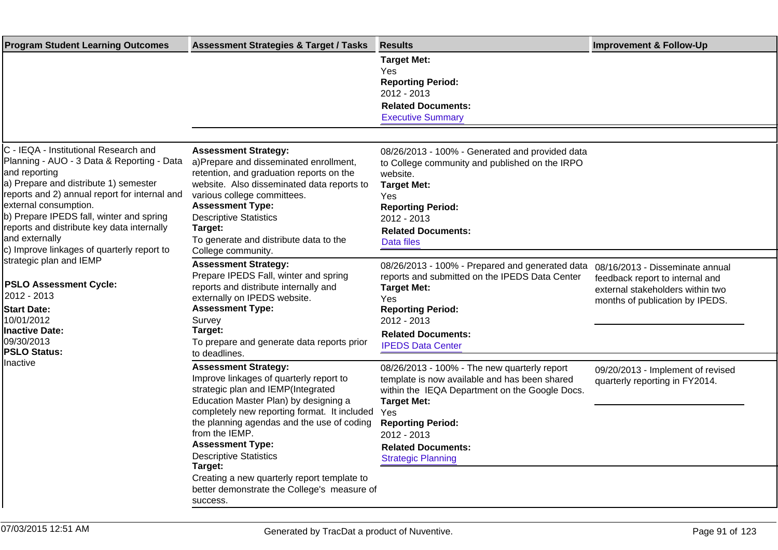| <b>Program Student Learning Outcomes</b>                                                                                                                                                                                                                                                                                                                                          | <b>Assessment Strategies &amp; Target / Tasks</b>                                                                                                                                                                                                                                                                                                                                                                                                      | <b>Results</b>                                                                                                                                                                                                                                                                    | <b>Improvement &amp; Follow-Up</b>                                                                     |
|-----------------------------------------------------------------------------------------------------------------------------------------------------------------------------------------------------------------------------------------------------------------------------------------------------------------------------------------------------------------------------------|--------------------------------------------------------------------------------------------------------------------------------------------------------------------------------------------------------------------------------------------------------------------------------------------------------------------------------------------------------------------------------------------------------------------------------------------------------|-----------------------------------------------------------------------------------------------------------------------------------------------------------------------------------------------------------------------------------------------------------------------------------|--------------------------------------------------------------------------------------------------------|
|                                                                                                                                                                                                                                                                                                                                                                                   |                                                                                                                                                                                                                                                                                                                                                                                                                                                        | <b>Target Met:</b><br>Yes<br><b>Reporting Period:</b><br>2012 - 2013<br><b>Related Documents:</b><br><b>Executive Summary</b>                                                                                                                                                     |                                                                                                        |
|                                                                                                                                                                                                                                                                                                                                                                                   |                                                                                                                                                                                                                                                                                                                                                                                                                                                        |                                                                                                                                                                                                                                                                                   |                                                                                                        |
| C - IEQA - Institutional Research and<br>Planning - AUO - 3 Data & Reporting - Data<br>and reporting<br>a) Prepare and distribute 1) semester<br>reports and 2) annual report for internal and<br>external consumption.<br>b) Prepare IPEDS fall, winter and spring<br>reports and distribute key data internally<br>and externally<br>c) Improve linkages of quarterly report to | <b>Assessment Strategy:</b><br>a)Prepare and disseminated enrollment,<br>retention, and graduation reports on the<br>website. Also disseminated data reports to<br>various college committees.<br><b>Assessment Type:</b><br><b>Descriptive Statistics</b><br>Target:<br>To generate and distribute data to the<br>College community.                                                                                                                  | 08/26/2013 - 100% - Generated and provided data<br>to College community and published on the IRPO<br>website.<br><b>Target Met:</b><br>Yes<br><b>Reporting Period:</b><br>2012 - 2013<br><b>Related Documents:</b><br>Data files                                                  |                                                                                                        |
| strategic plan and IEMP                                                                                                                                                                                                                                                                                                                                                           | <b>Assessment Strategy:</b>                                                                                                                                                                                                                                                                                                                                                                                                                            | 08/26/2013 - 100% - Prepared and generated data                                                                                                                                                                                                                                   | 08/16/2013 - Disseminate annual                                                                        |
| <b>PSLO Assessment Cycle:</b><br>2012 - 2013<br><b>Start Date:</b><br>10/01/2012<br>Inactive Date:<br>09/30/2013<br><b>PSLO Status:</b><br>Inactive                                                                                                                                                                                                                               | Prepare IPEDS Fall, winter and spring<br>reports and distribute internally and<br>externally on IPEDS website.<br><b>Assessment Type:</b><br>Survey<br>Target:<br>To prepare and generate data reports prior<br>to deadlines.                                                                                                                                                                                                                          | reports and submitted on the IPEDS Data Center<br><b>Target Met:</b><br>Yes<br><b>Reporting Period:</b><br>2012 - 2013<br><b>Related Documents:</b><br><b>IPEDS Data Center</b>                                                                                                   | feedback report to internal and<br>external stakeholders within two<br>months of publication by IPEDS. |
|                                                                                                                                                                                                                                                                                                                                                                                   | <b>Assessment Strategy:</b><br>Improve linkages of quarterly report to<br>strategic plan and IEMP(Integrated<br>Education Master Plan) by designing a<br>completely new reporting format. It included<br>the planning agendas and the use of coding<br>from the IEMP.<br><b>Assessment Type:</b><br><b>Descriptive Statistics</b><br>Target:<br>Creating a new quarterly report template to<br>better demonstrate the College's measure of<br>success. | 08/26/2013 - 100% - The new quarterly report<br>template is now available and has been shared<br>within the IEQA Department on the Google Docs.<br><b>Target Met:</b><br>Yes<br><b>Reporting Period:</b><br>2012 - 2013<br><b>Related Documents:</b><br><b>Strategic Planning</b> | 09/20/2013 - Implement of revised<br>quarterly reporting in FY2014.                                    |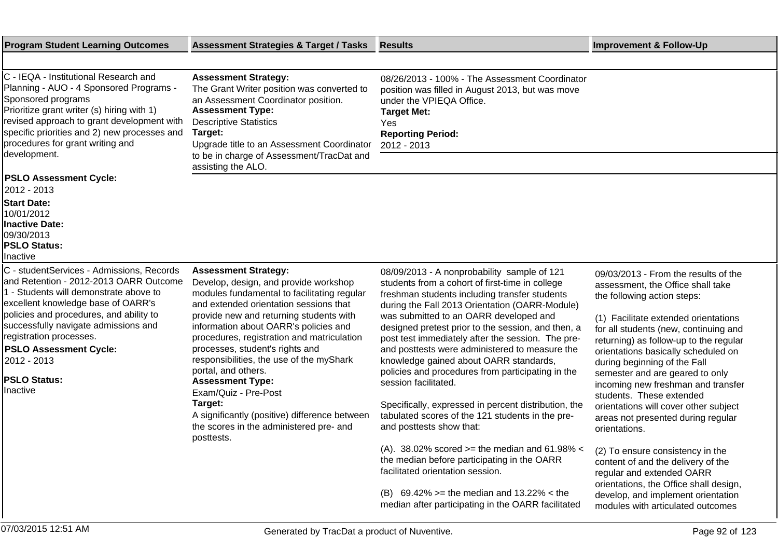| <b>Program Student Learning Outcomes</b>                                                                                                                                                                                                                                                                                                                             | <b>Assessment Strategies &amp; Target / Tasks</b>                                                                                                                                                                                                                                                                                                                                                                                                                                                                                                                             | <b>Results</b>                                                                                                                                                                                                                                                                                                                                                                                                                                                                                                                                                                                                                                                                                                                                                                                                                                                                                                     | <b>Improvement &amp; Follow-Up</b>                                                                                                                                                                                                                                                                                                                                                                                                                                                                                                                                                                                                                                                                                                          |
|----------------------------------------------------------------------------------------------------------------------------------------------------------------------------------------------------------------------------------------------------------------------------------------------------------------------------------------------------------------------|-------------------------------------------------------------------------------------------------------------------------------------------------------------------------------------------------------------------------------------------------------------------------------------------------------------------------------------------------------------------------------------------------------------------------------------------------------------------------------------------------------------------------------------------------------------------------------|--------------------------------------------------------------------------------------------------------------------------------------------------------------------------------------------------------------------------------------------------------------------------------------------------------------------------------------------------------------------------------------------------------------------------------------------------------------------------------------------------------------------------------------------------------------------------------------------------------------------------------------------------------------------------------------------------------------------------------------------------------------------------------------------------------------------------------------------------------------------------------------------------------------------|---------------------------------------------------------------------------------------------------------------------------------------------------------------------------------------------------------------------------------------------------------------------------------------------------------------------------------------------------------------------------------------------------------------------------------------------------------------------------------------------------------------------------------------------------------------------------------------------------------------------------------------------------------------------------------------------------------------------------------------------|
|                                                                                                                                                                                                                                                                                                                                                                      |                                                                                                                                                                                                                                                                                                                                                                                                                                                                                                                                                                               |                                                                                                                                                                                                                                                                                                                                                                                                                                                                                                                                                                                                                                                                                                                                                                                                                                                                                                                    |                                                                                                                                                                                                                                                                                                                                                                                                                                                                                                                                                                                                                                                                                                                                             |
| C - IEQA - Institutional Research and<br>Planning - AUO - 4 Sponsored Programs -<br>Sponsored programs<br>Prioritize grant writer (s) hiring with 1)<br>revised approach to grant development with<br>specific priorities and 2) new processes and<br>procedures for grant writing and<br>development.                                                               | <b>Assessment Strategy:</b><br>The Grant Writer position was converted to<br>an Assessment Coordinator position.<br><b>Assessment Type:</b><br><b>Descriptive Statistics</b><br>Target:<br>Upgrade title to an Assessment Coordinator<br>to be in charge of Assessment/TracDat and<br>assisting the ALO.                                                                                                                                                                                                                                                                      | 08/26/2013 - 100% - The Assessment Coordinator<br>position was filled in August 2013, but was move<br>under the VPIEQA Office.<br><b>Target Met:</b><br>Yes<br><b>Reporting Period:</b><br>2012 - 2013                                                                                                                                                                                                                                                                                                                                                                                                                                                                                                                                                                                                                                                                                                             |                                                                                                                                                                                                                                                                                                                                                                                                                                                                                                                                                                                                                                                                                                                                             |
| <b>PSLO Assessment Cycle:</b><br>2012 - 2013                                                                                                                                                                                                                                                                                                                         |                                                                                                                                                                                                                                                                                                                                                                                                                                                                                                                                                                               |                                                                                                                                                                                                                                                                                                                                                                                                                                                                                                                                                                                                                                                                                                                                                                                                                                                                                                                    |                                                                                                                                                                                                                                                                                                                                                                                                                                                                                                                                                                                                                                                                                                                                             |
| <b>Start Date:</b><br>10/01/2012<br><b>Inactive Date:</b><br>09/30/2013<br><b>PSLO Status:</b><br>Inactive                                                                                                                                                                                                                                                           |                                                                                                                                                                                                                                                                                                                                                                                                                                                                                                                                                                               |                                                                                                                                                                                                                                                                                                                                                                                                                                                                                                                                                                                                                                                                                                                                                                                                                                                                                                                    |                                                                                                                                                                                                                                                                                                                                                                                                                                                                                                                                                                                                                                                                                                                                             |
| C - studentServices - Admissions, Records<br>and Retention - 2012-2013 OARR Outcome<br>1 - Students will demonstrate above to<br>excellent knowledge base of OARR's<br>policies and procedures, and ability to<br>successfully navigate admissions and<br>registration processes.<br><b>PSLO Assessment Cycle:</b><br>2012 - 2013<br><b>PSLO Status:</b><br>Inactive | <b>Assessment Strategy:</b><br>Develop, design, and provide workshop<br>modules fundamental to facilitating regular<br>and extended orientation sessions that<br>provide new and returning students with<br>information about OARR's policies and<br>procedures, registration and matriculation<br>processes, student's rights and<br>responsibilities, the use of the myShark<br>portal, and others.<br><b>Assessment Type:</b><br>Exam/Quiz - Pre-Post<br>Target:<br>A significantly (positive) difference between<br>the scores in the administered pre- and<br>posttests. | 08/09/2013 - A nonprobability sample of 121<br>students from a cohort of first-time in college<br>freshman students including transfer students<br>during the Fall 2013 Orientation (OARR-Module)<br>was submitted to an OARR developed and<br>designed pretest prior to the session, and then, a<br>post test immediately after the session. The pre-<br>and posttests were administered to measure the<br>knowledge gained about OARR standards,<br>policies and procedures from participating in the<br>session facilitated.<br>Specifically, expressed in percent distribution, the<br>tabulated scores of the 121 students in the pre-<br>and posttests show that:<br>(A). 38.02% scored $>=$ the median and 61.98% <<br>the median before participating in the OARR<br>facilitated orientation session.<br>(B) $69.42\% =$ the median and 13.22% < the<br>median after participating in the OARR facilitated | 09/03/2013 - From the results of the<br>assessment, the Office shall take<br>the following action steps:<br>(1) Facilitate extended orientations<br>for all students (new, continuing and<br>returning) as follow-up to the regular<br>orientations basically scheduled on<br>during beginning of the Fall<br>semester and are geared to only<br>incoming new freshman and transfer<br>students. These extended<br>orientations will cover other subject<br>areas not presented during regular<br>orientations.<br>(2) To ensure consistency in the<br>content of and the delivery of the<br>regular and extended OARR<br>orientations, the Office shall design,<br>develop, and implement orientation<br>modules with articulated outcomes |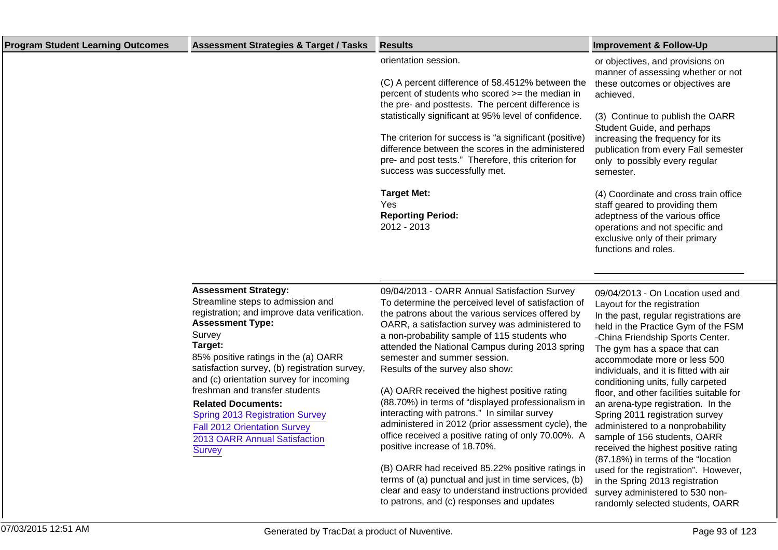| <b>Program Student Learning Outcomes</b> | <b>Assessment Strategies &amp; Target / Tasks</b>                                                                                                                                                                                                                                                                                                                                                                                                                                                      | <b>Results</b>                                                                                                                                                                                                                                                                                                                                                                                                                                                                                                                                                                                                                                                                                                                             | <b>Improvement &amp; Follow-Up</b>                                                                                                                                                                                                                                                                                                                                                                                                                                                                                                                                                                                                                   |
|------------------------------------------|--------------------------------------------------------------------------------------------------------------------------------------------------------------------------------------------------------------------------------------------------------------------------------------------------------------------------------------------------------------------------------------------------------------------------------------------------------------------------------------------------------|--------------------------------------------------------------------------------------------------------------------------------------------------------------------------------------------------------------------------------------------------------------------------------------------------------------------------------------------------------------------------------------------------------------------------------------------------------------------------------------------------------------------------------------------------------------------------------------------------------------------------------------------------------------------------------------------------------------------------------------------|------------------------------------------------------------------------------------------------------------------------------------------------------------------------------------------------------------------------------------------------------------------------------------------------------------------------------------------------------------------------------------------------------------------------------------------------------------------------------------------------------------------------------------------------------------------------------------------------------------------------------------------------------|
|                                          |                                                                                                                                                                                                                                                                                                                                                                                                                                                                                                        | orientation session.<br>(C) A percent difference of 58.4512% between the<br>percent of students who scored >= the median in<br>the pre- and posttests. The percent difference is<br>statistically significant at 95% level of confidence.<br>The criterion for success is "a significant (positive)<br>difference between the scores in the administered<br>pre- and post tests." Therefore, this criterion for<br>success was successfully met.<br><b>Target Met:</b><br>Yes<br><b>Reporting Period:</b><br>2012 - 2013                                                                                                                                                                                                                   | or objectives, and provisions on<br>manner of assessing whether or not<br>these outcomes or objectives are<br>achieved.<br>(3) Continue to publish the OARR<br>Student Guide, and perhaps<br>increasing the frequency for its<br>publication from every Fall semester<br>only to possibly every regular<br>semester.<br>(4) Coordinate and cross train office<br>staff geared to providing them<br>adeptness of the various office<br>operations and not specific and<br>exclusive only of their primary<br>functions and roles.                                                                                                                     |
|                                          |                                                                                                                                                                                                                                                                                                                                                                                                                                                                                                        |                                                                                                                                                                                                                                                                                                                                                                                                                                                                                                                                                                                                                                                                                                                                            |                                                                                                                                                                                                                                                                                                                                                                                                                                                                                                                                                                                                                                                      |
|                                          | <b>Assessment Strategy:</b><br>Streamline steps to admission and<br>registration; and improve data verification.<br><b>Assessment Type:</b><br>Survey<br>Target:<br>85% positive ratings in the (a) OARR<br>satisfaction survey, (b) registration survey,<br>and (c) orientation survey for incoming<br>freshman and transfer students<br><b>Related Documents:</b><br><b>Spring 2013 Registration Survey</b><br><b>Fall 2012 Orientation Survey</b><br>2013 OARR Annual Satisfaction<br><b>Survey</b> | 09/04/2013 - OARR Annual Satisfaction Survey<br>To determine the perceived level of satisfaction of<br>the patrons about the various services offered by<br>OARR, a satisfaction survey was administered to<br>a non-probability sample of 115 students who<br>attended the National Campus during 2013 spring<br>semester and summer session.<br>Results of the survey also show:<br>(A) OARR received the highest positive rating<br>(88.70%) in terms of "displayed professionalism in<br>interacting with patrons." In similar survey<br>administered in 2012 (prior assessment cycle), the<br>office received a positive rating of only 70.00%. A<br>positive increase of 18.70%.<br>(B) OARR had received 85.22% positive ratings in | 09/04/2013 - On Location used and<br>Layout for the registration<br>In the past, regular registrations are<br>held in the Practice Gym of the FSM<br>-China Friendship Sports Center.<br>The gym has a space that can<br>accommodate more or less 500<br>individuals, and it is fitted with air<br>conditioning units, fully carpeted<br>floor, and other facilities suitable for<br>an arena-type registration. In the<br>Spring 2011 registration survey<br>administered to a nonprobability<br>sample of 156 students, OARR<br>received the highest positive rating<br>(87.18%) in terms of the "location<br>used for the registration". However, |
|                                          |                                                                                                                                                                                                                                                                                                                                                                                                                                                                                                        | terms of (a) punctual and just in time services, (b)<br>clear and easy to understand instructions provided                                                                                                                                                                                                                                                                                                                                                                                                                                                                                                                                                                                                                                 | in the Spring 2013 registration<br>survey administered to 530 non-                                                                                                                                                                                                                                                                                                                                                                                                                                                                                                                                                                                   |

to patrons, and (c) responses and updates

randomly selected students, OARR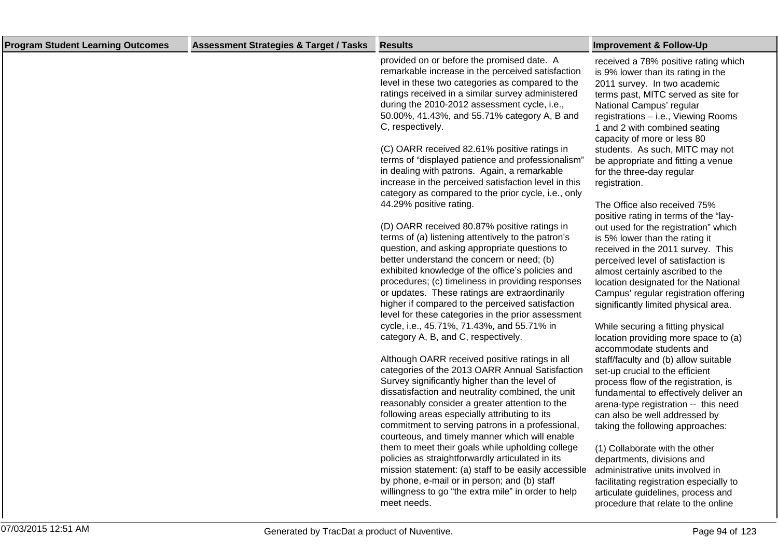| <b>Program Student Learning Outcomes</b> | <b>Assessment Strategies &amp; Target / Tasks</b> | <b>Results</b>                                                                                                                                                                                                                                                                                                                                                                                                                                                                                                                                                                                                                                                                                                                                                                                                                                                                                                                                                                                                                                                                                                                                                                                                                                                                                                                                                                                                                                                                                                                                                                                                                                                                                                                                                                                                                                                                                      | <b>Improvement &amp; Follow-Up</b>                                                                                                                                                                                                                                                                                                                                                                                                                                                                                                                                                                                                                                                                                                                                                                                                                                                                                                                                                                                                                                                                                                                                                                                                                                                                                                                                                                                   |
|------------------------------------------|---------------------------------------------------|-----------------------------------------------------------------------------------------------------------------------------------------------------------------------------------------------------------------------------------------------------------------------------------------------------------------------------------------------------------------------------------------------------------------------------------------------------------------------------------------------------------------------------------------------------------------------------------------------------------------------------------------------------------------------------------------------------------------------------------------------------------------------------------------------------------------------------------------------------------------------------------------------------------------------------------------------------------------------------------------------------------------------------------------------------------------------------------------------------------------------------------------------------------------------------------------------------------------------------------------------------------------------------------------------------------------------------------------------------------------------------------------------------------------------------------------------------------------------------------------------------------------------------------------------------------------------------------------------------------------------------------------------------------------------------------------------------------------------------------------------------------------------------------------------------------------------------------------------------------------------------------------------------|----------------------------------------------------------------------------------------------------------------------------------------------------------------------------------------------------------------------------------------------------------------------------------------------------------------------------------------------------------------------------------------------------------------------------------------------------------------------------------------------------------------------------------------------------------------------------------------------------------------------------------------------------------------------------------------------------------------------------------------------------------------------------------------------------------------------------------------------------------------------------------------------------------------------------------------------------------------------------------------------------------------------------------------------------------------------------------------------------------------------------------------------------------------------------------------------------------------------------------------------------------------------------------------------------------------------------------------------------------------------------------------------------------------------|
|                                          |                                                   | provided on or before the promised date. A<br>remarkable increase in the perceived satisfaction<br>level in these two categories as compared to the<br>ratings received in a similar survey administered<br>during the 2010-2012 assessment cycle, i.e.,<br>50.00%, 41.43%, and 55.71% category A, B and<br>C, respectively.<br>(C) OARR received 82.61% positive ratings in<br>terms of "displayed patience and professionalism"<br>in dealing with patrons. Again, a remarkable<br>increase in the perceived satisfaction level in this<br>category as compared to the prior cycle, i.e., only<br>44.29% positive rating.<br>(D) OARR received 80.87% positive ratings in<br>terms of (a) listening attentively to the patron's<br>question, and asking appropriate questions to<br>better understand the concern or need; (b)<br>exhibited knowledge of the office's policies and<br>procedures; (c) timeliness in providing responses<br>or updates. These ratings are extraordinarily<br>higher if compared to the perceived satisfaction<br>level for these categories in the prior assessment<br>cycle, i.e., 45.71%, 71.43%, and 55.71% in<br>category A, B, and C, respectively.<br>Although OARR received positive ratings in all<br>categories of the 2013 OARR Annual Satisfaction<br>Survey significantly higher than the level of<br>dissatisfaction and neutrality combined, the unit<br>reasonably consider a greater attention to the<br>following areas especially attributing to its<br>commitment to serving patrons in a professional,<br>courteous, and timely manner which will enable<br>them to meet their goals while upholding college<br>policies as straightforwardly articulated in its<br>mission statement: (a) staff to be easily accessible<br>by phone, e-mail or in person; and (b) staff<br>willingness to go "the extra mile" in order to help<br>meet needs. | received a 78% positive rating which<br>is 9% lower than its rating in the<br>2011 survey. In two academic<br>terms past, MITC served as site for<br>National Campus' regular<br>registrations - i.e., Viewing Rooms<br>1 and 2 with combined seating<br>capacity of more or less 80<br>students. As such, MITC may not<br>be appropriate and fitting a venue<br>for the three-day regular<br>registration.<br>The Office also received 75%<br>positive rating in terms of the "lay-<br>out used for the registration" which<br>is 5% lower than the rating it<br>received in the 2011 survey. This<br>perceived level of satisfaction is<br>almost certainly ascribed to the<br>location designated for the National<br>Campus' regular registration offering<br>significantly limited physical area.<br>While securing a fitting physical<br>location providing more space to (a)<br>accommodate students and<br>staff/faculty and (b) allow suitable<br>set-up crucial to the efficient<br>process flow of the registration, is<br>fundamental to effectively deliver an<br>arena-type registration -- this need<br>can also be well addressed by<br>taking the following approaches:<br>(1) Collaborate with the other<br>departments, divisions and<br>administrative units involved in<br>facilitating registration especially to<br>articulate guidelines, process and<br>procedure that relate to the online |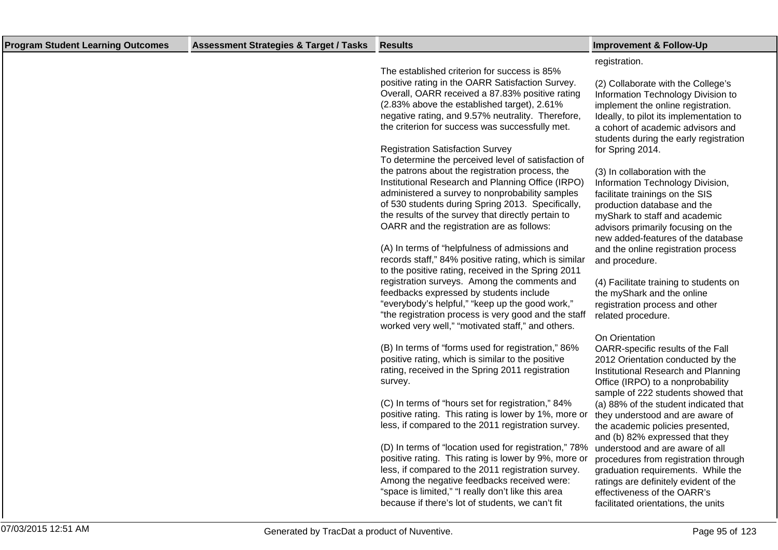| <b>Program Student Learning Outcomes</b> | <b>Assessment Strategies &amp; Target / Tasks</b> | <b>Results</b>                                                                                                                                                                                                                                                                                                               | <b>Improvement &amp; Follow-Up</b>                                                                                                                                                                                                       |
|------------------------------------------|---------------------------------------------------|------------------------------------------------------------------------------------------------------------------------------------------------------------------------------------------------------------------------------------------------------------------------------------------------------------------------------|------------------------------------------------------------------------------------------------------------------------------------------------------------------------------------------------------------------------------------------|
|                                          |                                                   | The established criterion for success is 85%                                                                                                                                                                                                                                                                                 | registration.                                                                                                                                                                                                                            |
|                                          |                                                   | positive rating in the OARR Satisfaction Survey.<br>Overall, OARR received a 87.83% positive rating<br>(2.83% above the established target), 2.61%<br>negative rating, and 9.57% neutrality. Therefore,<br>the criterion for success was successfully met.                                                                   | (2) Collaborate with the College's<br>Information Technology Division to<br>implement the online registration.<br>Ideally, to pilot its implementation to<br>a cohort of academic advisors and<br>students during the early registration |
|                                          |                                                   | <b>Registration Satisfaction Survey</b><br>To determine the perceived level of satisfaction of                                                                                                                                                                                                                               | for Spring 2014.                                                                                                                                                                                                                         |
|                                          |                                                   | the patrons about the registration process, the<br>Institutional Research and Planning Office (IRPO)<br>administered a survey to nonprobability samples<br>of 530 students during Spring 2013. Specifically,<br>the results of the survey that directly pertain to<br>OARR and the registration are as follows:              | (3) In collaboration with the<br>Information Technology Division,<br>facilitate trainings on the SIS<br>production database and the<br>myShark to staff and academic<br>advisors primarily focusing on the                               |
|                                          |                                                   | (A) In terms of "helpfulness of admissions and<br>records staff," 84% positive rating, which is similar<br>to the positive rating, received in the Spring 2011                                                                                                                                                               | new added-features of the database<br>and the online registration process<br>and procedure.                                                                                                                                              |
|                                          |                                                   | registration surveys. Among the comments and<br>feedbacks expressed by students include<br>"everybody's helpful," "keep up the good work,"<br>"the registration process is very good and the staff<br>worked very well," "motivated staff," and others.                                                                      | (4) Facilitate training to students on<br>the myShark and the online<br>registration process and other<br>related procedure.                                                                                                             |
|                                          |                                                   | (B) In terms of "forms used for registration," 86%<br>positive rating, which is similar to the positive<br>rating, received in the Spring 2011 registration<br>survey.                                                                                                                                                       | On Orientation<br>OARR-specific results of the Fall<br>2012 Orientation conducted by the<br>Institutional Research and Planning<br>Office (IRPO) to a nonprobability<br>sample of 222 students showed that                               |
|                                          |                                                   | (C) In terms of "hours set for registration," 84%<br>positive rating. This rating is lower by 1%, more or<br>less, if compared to the 2011 registration survey.                                                                                                                                                              | (a) 88% of the student indicated that<br>they understood and are aware of<br>the academic policies presented,<br>and (b) 82% expressed that they                                                                                         |
|                                          |                                                   | (D) In terms of "location used for registration," 78%<br>positive rating. This rating is lower by 9%, more or<br>less, if compared to the 2011 registration survey.<br>Among the negative feedbacks received were:<br>"space is limited," "I really don't like this area<br>because if there's lot of students, we can't fit | understood and are aware of all<br>procedures from registration through<br>graduation requirements. While the<br>ratings are definitely evident of the<br>effectiveness of the OARR's<br>facilitated orientations, the units             |
|                                          |                                                   |                                                                                                                                                                                                                                                                                                                              |                                                                                                                                                                                                                                          |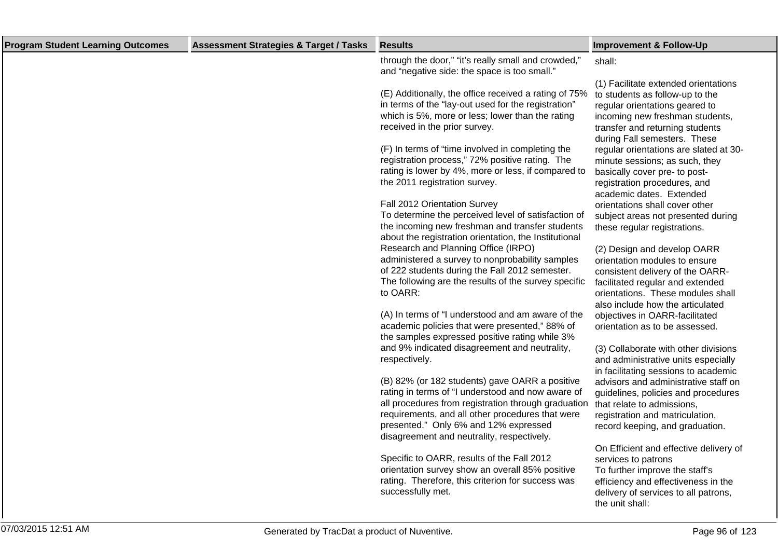| <b>Program Student Learning Outcomes</b> | <b>Assessment Strategies &amp; Target / Tasks</b> | <b>Results</b>                                                                                                                                                                                                                                                                                        | <b>Improvement &amp; Follow-Up</b>                                                                                                                                                                              |
|------------------------------------------|---------------------------------------------------|-------------------------------------------------------------------------------------------------------------------------------------------------------------------------------------------------------------------------------------------------------------------------------------------------------|-----------------------------------------------------------------------------------------------------------------------------------------------------------------------------------------------------------------|
|                                          |                                                   | through the door," "it's really small and crowded,"<br>and "negative side: the space is too small."                                                                                                                                                                                                   | shall:                                                                                                                                                                                                          |
|                                          |                                                   | (E) Additionally, the office received a rating of 75%<br>in terms of the "lay-out used for the registration"<br>which is 5%, more or less; lower than the rating<br>received in the prior survey.                                                                                                     | (1) Facilitate extended orientations<br>to students as follow-up to the<br>regular orientations geared to<br>incoming new freshman students,<br>transfer and returning students<br>during Fall semesters. These |
|                                          |                                                   | (F) In terms of "time involved in completing the<br>registration process," 72% positive rating. The<br>rating is lower by 4%, more or less, if compared to<br>the 2011 registration survey.                                                                                                           | regular orientations are slated at 30-<br>minute sessions; as such, they<br>basically cover pre- to post-<br>registration procedures, and<br>academic dates. Extended                                           |
|                                          |                                                   | Fall 2012 Orientation Survey<br>To determine the perceived level of satisfaction of<br>the incoming new freshman and transfer students<br>about the registration orientation, the Institutional                                                                                                       | orientations shall cover other<br>subject areas not presented during<br>these regular registrations.                                                                                                            |
|                                          |                                                   | Research and Planning Office (IRPO)<br>administered a survey to nonprobability samples<br>of 222 students during the Fall 2012 semester.<br>The following are the results of the survey specific                                                                                                      | (2) Design and develop OARR<br>orientation modules to ensure<br>consistent delivery of the OARR-<br>facilitated regular and extended                                                                            |
|                                          |                                                   | to OARR:<br>(A) In terms of "I understood and am aware of the                                                                                                                                                                                                                                         | orientations. These modules shall<br>also include how the articulated<br>objectives in OARR-facilitated                                                                                                         |
|                                          |                                                   | academic policies that were presented," 88% of<br>the samples expressed positive rating while 3%                                                                                                                                                                                                      | orientation as to be assessed.                                                                                                                                                                                  |
|                                          |                                                   | and 9% indicated disagreement and neutrality,<br>respectively.                                                                                                                                                                                                                                        | (3) Collaborate with other divisions<br>and administrative units especially<br>in facilitating sessions to academic                                                                                             |
|                                          |                                                   | (B) 82% (or 182 students) gave OARR a positive<br>rating in terms of "I understood and now aware of<br>all procedures from registration through graduation<br>requirements, and all other procedures that were<br>presented." Only 6% and 12% expressed<br>disagreement and neutrality, respectively. | advisors and administrative staff on<br>guidelines, policies and procedures<br>that relate to admissions,<br>registration and matriculation,<br>record keeping, and graduation.                                 |
|                                          |                                                   | Specific to OARR, results of the Fall 2012<br>orientation survey show an overall 85% positive<br>rating. Therefore, this criterion for success was<br>successfully met.                                                                                                                               | On Efficient and effective delivery of<br>services to patrons<br>To further improve the staff's<br>efficiency and effectiveness in the<br>delivery of services to all patrons,<br>the unit shall:               |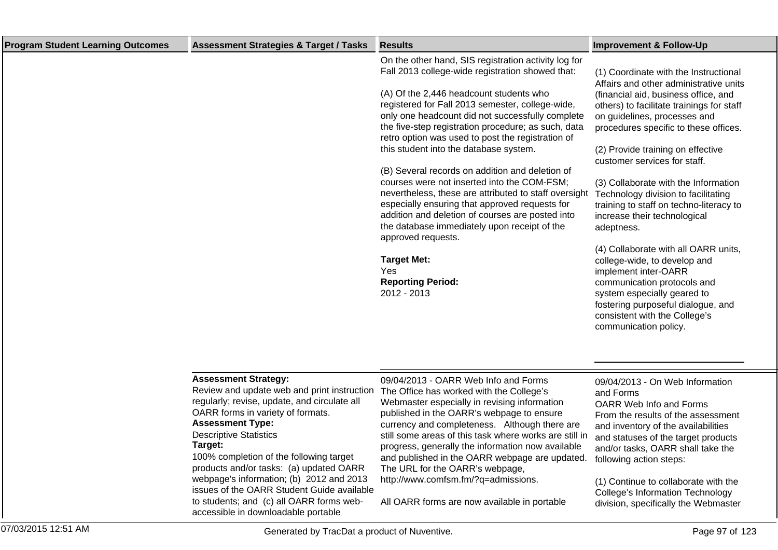| <b>Program Student Learning Outcomes</b> | <b>Assessment Strategies &amp; Target / Tasks</b>                                                                                                                                                                                                                                                                                                                                                                                                                                                         | <b>Results</b>                                                                                                                                                                                                                                                                                                                                                                                                                                                                                                                                                                                                                                                                                                                                                                                                                   | <b>Improvement &amp; Follow-Up</b>                                                                                                                                                                                                                                                                                                                                                                                                                                                                                                                                                                                                                                                                                                                       |
|------------------------------------------|-----------------------------------------------------------------------------------------------------------------------------------------------------------------------------------------------------------------------------------------------------------------------------------------------------------------------------------------------------------------------------------------------------------------------------------------------------------------------------------------------------------|----------------------------------------------------------------------------------------------------------------------------------------------------------------------------------------------------------------------------------------------------------------------------------------------------------------------------------------------------------------------------------------------------------------------------------------------------------------------------------------------------------------------------------------------------------------------------------------------------------------------------------------------------------------------------------------------------------------------------------------------------------------------------------------------------------------------------------|----------------------------------------------------------------------------------------------------------------------------------------------------------------------------------------------------------------------------------------------------------------------------------------------------------------------------------------------------------------------------------------------------------------------------------------------------------------------------------------------------------------------------------------------------------------------------------------------------------------------------------------------------------------------------------------------------------------------------------------------------------|
|                                          |                                                                                                                                                                                                                                                                                                                                                                                                                                                                                                           | On the other hand, SIS registration activity log for<br>Fall 2013 college-wide registration showed that:<br>(A) Of the 2,446 headcount students who<br>registered for Fall 2013 semester, college-wide,<br>only one headcount did not successfully complete<br>the five-step registration procedure; as such, data<br>retro option was used to post the registration of<br>this student into the database system.<br>(B) Several records on addition and deletion of<br>courses were not inserted into the COM-FSM;<br>nevertheless, these are attributed to staff oversight<br>especially ensuring that approved requests for<br>addition and deletion of courses are posted into<br>the database immediately upon receipt of the<br>approved requests.<br><b>Target Met:</b><br>Yes<br><b>Reporting Period:</b><br>2012 - 2013 | (1) Coordinate with the Instructional<br>Affairs and other administrative units<br>(financial aid, business office, and<br>others) to facilitate trainings for staff<br>on guidelines, processes and<br>procedures specific to these offices.<br>(2) Provide training on effective<br>customer services for staff.<br>(3) Collaborate with the Information<br>Technology division to facilitating<br>training to staff on techno-literacy to<br>increase their technological<br>adeptness.<br>(4) Collaborate with all OARR units,<br>college-wide, to develop and<br>implement inter-OARR<br>communication protocols and<br>system especially geared to<br>fostering purposeful dialogue, and<br>consistent with the College's<br>communication policy. |
|                                          | <b>Assessment Strategy:</b><br>Review and update web and print instruction<br>regularly; revise, update, and circulate all<br>OARR forms in variety of formats.<br><b>Assessment Type:</b><br><b>Descriptive Statistics</b><br>Target:<br>100% completion of the following target<br>products and/or tasks: (a) updated OARR<br>webpage's information; (b) 2012 and 2013<br>issues of the OARR Student Guide available<br>to students; and (c) all OARR forms web-<br>accessible in downloadable portable | 09/04/2013 - OARR Web Info and Forms<br>The Office has worked with the College's<br>Webmaster especially in revising information<br>published in the OARR's webpage to ensure<br>currency and completeness. Although there are<br>still some areas of this task where works are still in<br>progress, generally the information now available<br>and published in the OARR webpage are updated.<br>The URL for the OARR's webpage,<br>http://www.comfsm.fm/?q=admissions.<br>All OARR forms are now available in portable                                                                                                                                                                                                                                                                                                        | 09/04/2013 - On Web Information<br>and Forms<br>OARR Web Info and Forms<br>From the results of the assessment<br>and inventory of the availabilities<br>and statuses of the target products<br>and/or tasks, OARR shall take the<br>following action steps:<br>(1) Continue to collaborate with the<br><b>College's Information Technology</b><br>division, specifically the Webmaster                                                                                                                                                                                                                                                                                                                                                                   |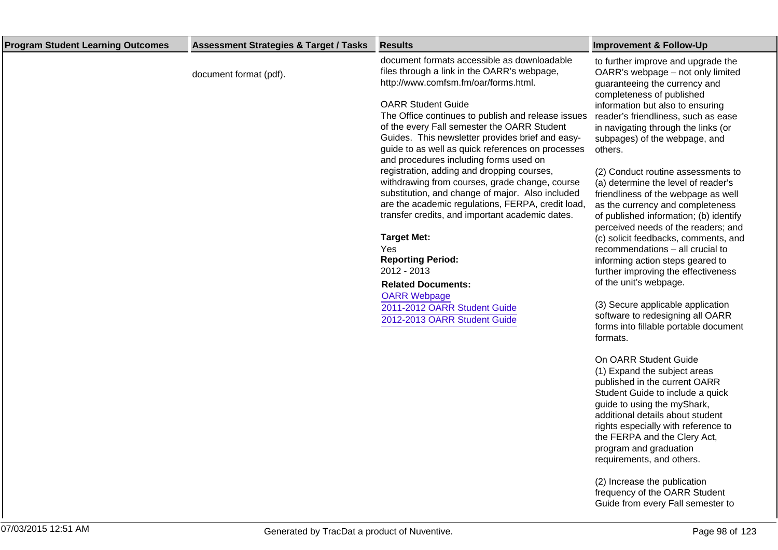| <b>Program Student Learning Outcomes</b> | <b>Assessment Strategies &amp; Target / Tasks</b> | <b>Results</b>                                                                                                                                                                                                                                                                    | <b>Improvement &amp; Follow-Up</b>                                                                                                                                                                                                                                                                                          |
|------------------------------------------|---------------------------------------------------|-----------------------------------------------------------------------------------------------------------------------------------------------------------------------------------------------------------------------------------------------------------------------------------|-----------------------------------------------------------------------------------------------------------------------------------------------------------------------------------------------------------------------------------------------------------------------------------------------------------------------------|
|                                          | document format (pdf).                            | document formats accessible as downloadable<br>files through a link in the OARR's webpage,<br>http://www.comfsm.fm/oar/forms.html.                                                                                                                                                | to further improve and upgrade the<br>OARR's webpage - not only limited<br>guaranteeing the currency and                                                                                                                                                                                                                    |
|                                          |                                                   | <b>OARR Student Guide</b><br>The Office continues to publish and release issues<br>of the every Fall semester the OARR Student<br>Guides. This newsletter provides brief and easy-<br>guide to as well as quick references on processes<br>and procedures including forms used on | completeness of published<br>information but also to ensuring<br>reader's friendliness, such as ease<br>in navigating through the links (or<br>subpages) of the webpage, and<br>others.                                                                                                                                     |
|                                          |                                                   | registration, adding and dropping courses,<br>withdrawing from courses, grade change, course<br>substitution, and change of major. Also included<br>are the academic regulations, FERPA, credit load,<br>transfer credits, and important academic dates.                          | (2) Conduct routine assessments to<br>(a) determine the level of reader's<br>friendliness of the webpage as well<br>as the currency and completeness<br>of published information; (b) identify                                                                                                                              |
|                                          |                                                   | <b>Target Met:</b><br>Yes<br><b>Reporting Period:</b><br>2012 - 2013<br><b>Related Documents:</b>                                                                                                                                                                                 | perceived needs of the readers; and<br>(c) solicit feedbacks, comments, and<br>recommendations - all crucial to<br>informing action steps geared to<br>further improving the effectiveness<br>of the unit's webpage.                                                                                                        |
|                                          |                                                   | <b>OARR Webpage</b><br>2011-2012 OARR Student Guide<br>2012-2013 OARR Student Guide                                                                                                                                                                                               | (3) Secure applicable application<br>software to redesigning all OARR<br>forms into fillable portable document<br>formats.                                                                                                                                                                                                  |
|                                          |                                                   |                                                                                                                                                                                                                                                                                   | On OARR Student Guide<br>(1) Expand the subject areas<br>published in the current OARR<br>Student Guide to include a quick<br>guide to using the myShark,<br>additional details about student<br>rights especially with reference to<br>the FERPA and the Clery Act,<br>program and graduation<br>requirements, and others. |
|                                          |                                                   |                                                                                                                                                                                                                                                                                   | $(2)$ Increase the publication                                                                                                                                                                                                                                                                                              |

(2) Increase the publication frequency of the OARR Student Guide from every Fall semester to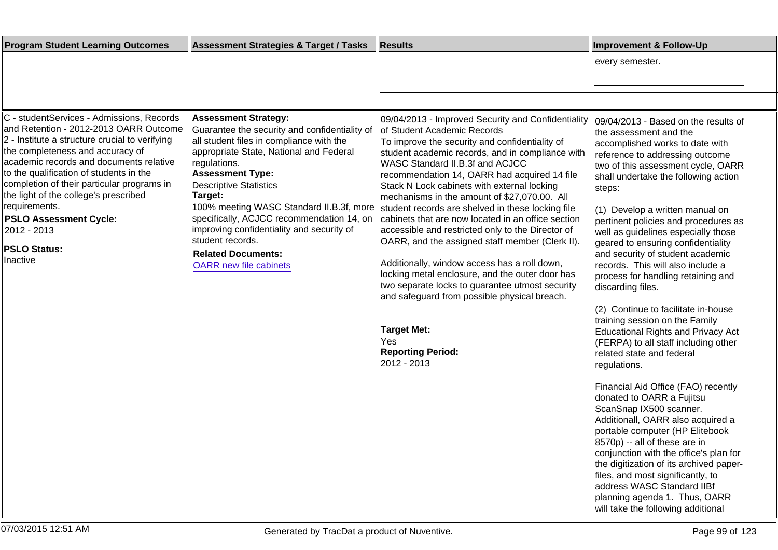07/03/2015 12:51 AM Page 99 of 123

**Target Met:**

**Reporting Period:** 2012 - 2013

Yes

**Program Student Learning Outcomes Assessment Strategies & Target / Tasks Results Improvement & Follow-Up**

every semester.

C - studentServices - Admissions, Records and Retention - 2012-2013 OARR Outcome 2 - Institute a structure crucial to verifying the completeness and accuracy of academic records and documents relative to the qualification of students in the completion of their particular programs in the light of the college's prescribed requirements.

**PSLO Assessment Cycle:** 2012 - 2013

**PSLO Status:**

Inactive

**Assessment Strategy:**

Guarantee the security and confidentiality of all student files in compliance with the appropriate State, National and Federal regulations.

# **Assessment Type:**

Descriptive Statistics **Target:**

100% meeting WASC Standard II.B.3f, more specifically, ACJCC recommendation 14, on improving confidentiality and security of student records.

**Related Documents:**

[OARR new file cabinets](https://comfsm.tracdat.com:443/tracdat/viewDocument?y=ZC4FSY739bqS)

09/04/2013 - Improved Security and Confidentiality 09/04/2013 - Based on the results of of Student Academic Records

To improve the security and confidentiality of student academic records, and in compliance with WASC Standard II.B.3f and ACJCC recommendation 14, OARR had acquired 14 file Stack N Lock cabinets with external locking mechanisms in the amount of \$27,070.00. All student records are shelved in these locking file cabinets that are now located in an office section accessible and restricted only to the Director of OARR, and the assigned staff member (Clerk II).

Additionally, window access has a roll down, locking metal enclosure, and the outer door has two separate locks to guarantee utmost security and safeguard from possible physical breach.

the assessment and the accomplished works to date with reference to addressing outcome two of this assessment cycle, OARR shall undertake the following action steps:

(1) Develop a written manual on pertinent policies and procedures as well as guidelines especially those geared to ensuring confidentiality and security of student academic records. This will also include a process for handling retaining and discarding files.

(2) Continue to facilitate in-house training session on the Family Educational Rights and Privacy Act (FERPA) to all staff including other related state and federal regulations.

Financial Aid Office (FAO) recently donated to OARR a Fujitsu ScanSnap IX500 scanner. Additionall, OARR also acquired a portable computer (HP Elitebook 8570p) -- all of these are in conjunction with the office's plan for the digitization of its archived paperfiles, and most significantly, to address WASC Standard IIBf planning agenda 1. Thus, OARR will take the following additional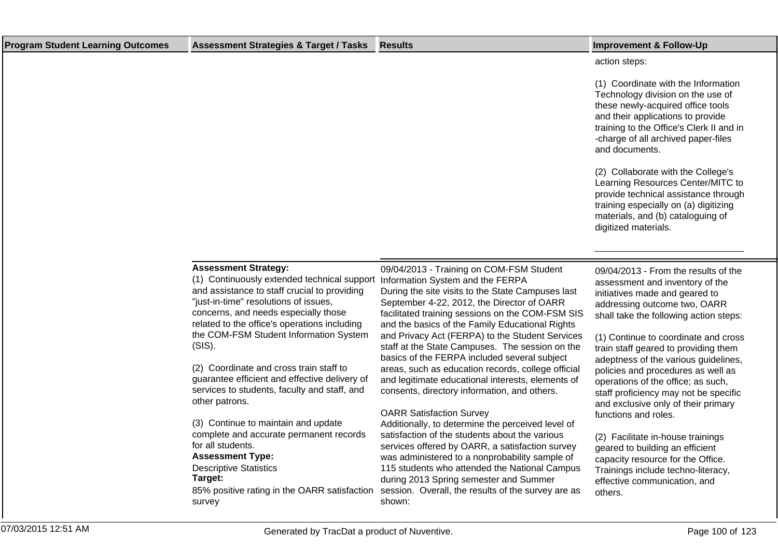| <b>Program Student Learning Outcomes</b> | Assessment Strategies & Target / Tasks Results | <b>Improvement &amp; Follow-Up</b>                                                                                                                                                                                                                      |
|------------------------------------------|------------------------------------------------|---------------------------------------------------------------------------------------------------------------------------------------------------------------------------------------------------------------------------------------------------------|
|                                          |                                                | action steps:                                                                                                                                                                                                                                           |
|                                          |                                                | (1) Coordinate with the Information<br>Technology division on the use of<br>these newly-acquired office tools<br>and their applications to provide<br>training to the Office's Clerk II and in<br>-charge of all archived paper-files<br>and documents. |
|                                          |                                                | (2) Collaborate with the College's<br>Learning Resources Center/MITC to<br>provide technical assistance through<br>training especially on (a) digitizing<br>materials, and (b) cataloguing of<br>digitized materials.                                   |

### **Assessment Strategy:**

(1) Continuously extended technical support and assistance to staff crucial to providing "just-in-time" resolutions of issues, concerns, and needs especially those related to the office's operations including the COM-FSM Student Information System (SIS).

(2) Coordinate and cross train staff to guarantee efficient and effective delivery of services to students, faculty and staff, and other patrons.

(3) Continue to maintain and update complete and accurate permanent records for all students.

#### **Assessment Type:**

Descriptive Statistics **Target:**

85% positive rating in the OARR satisfaction survey

09/04/2013 - Training on COM-FSM Student Information System and the FERPA During the site visits to the State Campuses last September 4-22, 2012, the Director of OARR facilitated training sessions on the COM-FSM SIS and the basics of the Family Educational Rights and Privacy Act (FERPA) to the Student Services staff at the State Campuses. The session on the basics of the FERPA included several subject areas, such as education records, college official and legitimate educational interests, elements of consents, directory information, and others.

### OARR Satisfaction Survey

Additionally, to determine the perceived level of satisfaction of the students about the various services offered by OARR, a satisfaction survey was administered to a nonprobability sample of 115 students who attended the National Campus during 2013 Spring semester and Summer session. Overall, the results of the survey are as shown:

09/04/2013 - From the results of the assessment and inventory of the initiatives made and geared to addressing outcome two, OARR shall take the following action steps:

(1) Continue to coordinate and cross train staff geared to providing them adeptness of the various guidelines, policies and procedures as well as operations of the office; as such, staff proficiency may not be specific and exclusive only of their primary functions and roles.

(2) Facilitate in-house trainings geared to building an efficient capacity resource for the Office. Trainings include techno-literacy, effective communication, and others.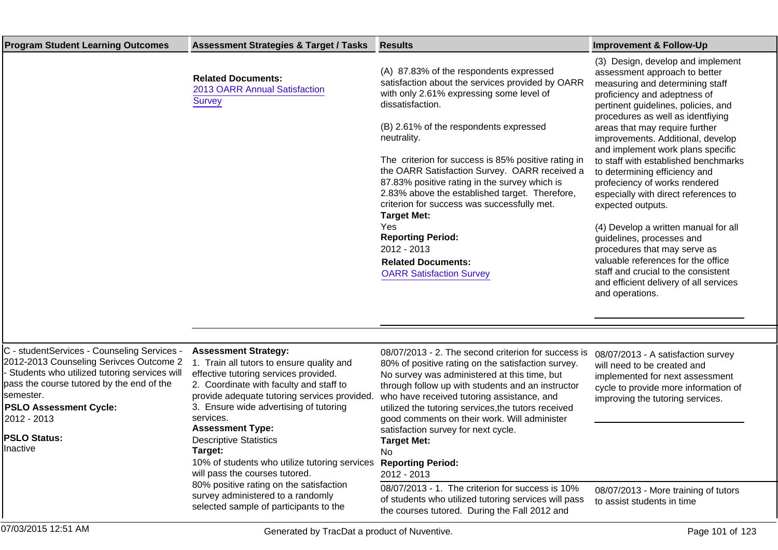| <b>Program Student Learning Outcomes</b>                                                                                                                                                                                                                                            | <b>Assessment Strategies &amp; Target / Tasks</b>                                                                                                                                                                                                                                                                                                                                                                                                                                                                                                       | <b>Results</b>                                                                                                                                                                                                                                                                                                                                                                                                                                                                                                                                                                                                                                 | <b>Improvement &amp; Follow-Up</b>                                                                                                                                                                                                                                                                                                                                                                                                                                                                                                                                                                                                                                                                                                                  |
|-------------------------------------------------------------------------------------------------------------------------------------------------------------------------------------------------------------------------------------------------------------------------------------|---------------------------------------------------------------------------------------------------------------------------------------------------------------------------------------------------------------------------------------------------------------------------------------------------------------------------------------------------------------------------------------------------------------------------------------------------------------------------------------------------------------------------------------------------------|------------------------------------------------------------------------------------------------------------------------------------------------------------------------------------------------------------------------------------------------------------------------------------------------------------------------------------------------------------------------------------------------------------------------------------------------------------------------------------------------------------------------------------------------------------------------------------------------------------------------------------------------|-----------------------------------------------------------------------------------------------------------------------------------------------------------------------------------------------------------------------------------------------------------------------------------------------------------------------------------------------------------------------------------------------------------------------------------------------------------------------------------------------------------------------------------------------------------------------------------------------------------------------------------------------------------------------------------------------------------------------------------------------------|
|                                                                                                                                                                                                                                                                                     | <b>Related Documents:</b><br>2013 OARR Annual Satisfaction<br><b>Survey</b>                                                                                                                                                                                                                                                                                                                                                                                                                                                                             | (A) 87.83% of the respondents expressed<br>satisfaction about the services provided by OARR<br>with only 2.61% expressing some level of<br>dissatisfaction.<br>(B) 2.61% of the respondents expressed<br>neutrality.<br>The criterion for success is 85% positive rating in<br>the OARR Satisfaction Survey. OARR received a<br>87.83% positive rating in the survey which is<br>2.83% above the established target. Therefore,<br>criterion for success was successfully met.<br><b>Target Met:</b><br>Yes<br><b>Reporting Period:</b><br>2012 - 2013<br><b>Related Documents:</b><br><b>OARR Satisfaction Survey</b>                         | (3) Design, develop and implement<br>assessment approach to better<br>measuring and determining staff<br>proficiency and adeptness of<br>pertinent guidelines, policies, and<br>procedures as well as identfiying<br>areas that may require further<br>improvements. Additional, develop<br>and implement work plans specific<br>to staff with established benchmarks<br>to determining efficiency and<br>profeciency of works rendered<br>especially with direct references to<br>expected outputs.<br>(4) Develop a written manual for all<br>guidelines, processes and<br>procedures that may serve as<br>valuable references for the office<br>staff and crucial to the consistent<br>and efficient delivery of all services<br>and operations. |
| C - studentServices - Counseling Services -<br>2012-2013 Counseling Serivces Outcome 2<br>Students who utilized tutoring services will<br>pass the course tutored by the end of the<br>lsemester.<br><b>PSLO Assessment Cycle:</b><br>2012 - 2013<br><b>PSLO Status:</b><br>nactive | <b>Assessment Strategy:</b><br>1. Train all tutors to ensure quality and<br>effective tutoring services provided.<br>2. Coordinate with faculty and staff to<br>provide adequate tutoring services provided.<br>3. Ensure wide advertising of tutoring<br>services.<br><b>Assessment Type:</b><br><b>Descriptive Statistics</b><br>Target:<br>10% of students who utilize tutoring services<br>will pass the courses tutored.<br>80% positive rating on the satisfaction<br>survey administered to a randomly<br>selected sample of participants to the | 08/07/2013 - 2. The second criterion for success is<br>80% of positive rating on the satisfaction survey.<br>No survey was administered at this time, but<br>through follow up with students and an instructor<br>who have received tutoring assistance, and<br>utilized the tutoring services, the tutors received<br>good comments on their work. Will administer<br>satisfaction survey for next cycle.<br><b>Target Met:</b><br>No<br><b>Reporting Period:</b><br>2012 - 2013<br>08/07/2013 - 1. The criterion for success is 10%<br>of students who utilized tutoring services will pass<br>the courses tutored. During the Fall 2012 and | 08/07/2013 - A satisfaction survey<br>will need to be created and<br>implemented for next assessment<br>cycle to provide more information of<br>improving the tutoring services.<br>08/07/2013 - More training of tutors<br>to assist students in time                                                                                                                                                                                                                                                                                                                                                                                                                                                                                              |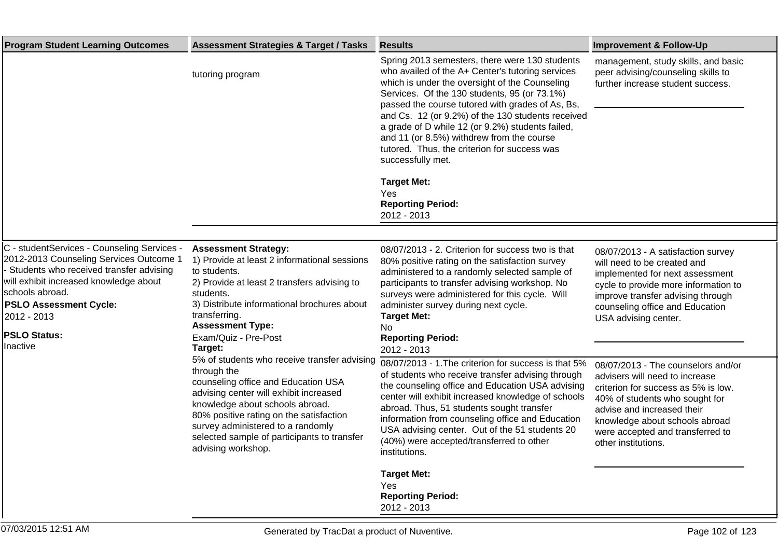| <b>Program Student Learning Outcomes</b>                                                                                                                                                                                                                                          | <b>Assessment Strategies &amp; Target / Tasks</b>                                                                                                                                                                                                                                                                                    | <b>Results</b>                                                                                                                                                                                                                                                                                                                                                                                                                                                                                                                               | <b>Improvement &amp; Follow-Up</b>                                                                                                                                                                                                                                       |
|-----------------------------------------------------------------------------------------------------------------------------------------------------------------------------------------------------------------------------------------------------------------------------------|--------------------------------------------------------------------------------------------------------------------------------------------------------------------------------------------------------------------------------------------------------------------------------------------------------------------------------------|----------------------------------------------------------------------------------------------------------------------------------------------------------------------------------------------------------------------------------------------------------------------------------------------------------------------------------------------------------------------------------------------------------------------------------------------------------------------------------------------------------------------------------------------|--------------------------------------------------------------------------------------------------------------------------------------------------------------------------------------------------------------------------------------------------------------------------|
|                                                                                                                                                                                                                                                                                   | tutoring program                                                                                                                                                                                                                                                                                                                     | Spring 2013 semesters, there were 130 students<br>who availed of the A+ Center's tutoring services<br>which is under the oversight of the Counseling<br>Services. Of the 130 students, 95 (or 73.1%)<br>passed the course tutored with grades of As, Bs,<br>and Cs. 12 (or 9.2%) of the 130 students received<br>a grade of D while 12 (or 9.2%) students failed,<br>and 11 (or 8.5%) withdrew from the course<br>tutored. Thus, the criterion for success was<br>successfully met.<br><b>Target Met:</b><br>Yes<br><b>Reporting Period:</b> | management, study skills, and basic<br>peer advising/counseling skills to<br>further increase student success.                                                                                                                                                           |
|                                                                                                                                                                                                                                                                                   |                                                                                                                                                                                                                                                                                                                                      | 2012 - 2013                                                                                                                                                                                                                                                                                                                                                                                                                                                                                                                                  |                                                                                                                                                                                                                                                                          |
|                                                                                                                                                                                                                                                                                   |                                                                                                                                                                                                                                                                                                                                      |                                                                                                                                                                                                                                                                                                                                                                                                                                                                                                                                              |                                                                                                                                                                                                                                                                          |
| C - studentServices - Counseling Services -<br>2012-2013 Counseling Services Outcome 1<br>Students who received transfer advising<br>will exhibit increased knowledge about<br>schools abroad.<br><b>PSLO Assessment Cycle:</b><br>2012 - 2013<br><b>PSLO Status:</b><br>Inactive | <b>Assessment Strategy:</b><br>1) Provide at least 2 informational sessions<br>to students.<br>2) Provide at least 2 transfers advising to<br>students.<br>3) Distribute informational brochures about<br>transferring.<br><b>Assessment Type:</b><br>Exam/Quiz - Pre-Post<br>Target:                                                | 08/07/2013 - 2. Criterion for success two is that<br>80% positive rating on the satisfaction survey<br>administered to a randomly selected sample of<br>participants to transfer advising workshop. No<br>surveys were administered for this cycle. Will<br>administer survey during next cycle.<br><b>Target Met:</b><br>No<br><b>Reporting Period:</b><br>2012 - 2013                                                                                                                                                                      | 08/07/2013 - A satisfaction survey<br>will need to be created and<br>implemented for next assessment<br>cycle to provide more information to<br>improve transfer advising through<br>counseling office and Education<br>USA advising center.                             |
|                                                                                                                                                                                                                                                                                   | 5% of students who receive transfer advising<br>through the<br>counseling office and Education USA<br>advising center will exhibit increased<br>knowledge about schools abroad.<br>80% positive rating on the satisfaction<br>survey administered to a randomly<br>selected sample of participants to transfer<br>advising workshop. | 08/07/2013 - 1. The criterion for success is that 5%<br>of students who receive transfer advising through<br>the counseling office and Education USA advising<br>center will exhibit increased knowledge of schools<br>abroad. Thus, 51 students sought transfer<br>information from counseling office and Education<br>USA advising center. Out of the 51 students 20<br>(40%) were accepted/transferred to other<br>institutions.                                                                                                          | 08/07/2013 - The counselors and/or<br>advisers will need to increase<br>criterion for success as 5% is low.<br>40% of students who sought for<br>advise and increased their<br>knowledge about schools abroad<br>were accepted and transferred to<br>other institutions. |
|                                                                                                                                                                                                                                                                                   |                                                                                                                                                                                                                                                                                                                                      | <b>Target Met:</b><br>Yes<br><b>Reporting Period:</b><br>2012 - 2013                                                                                                                                                                                                                                                                                                                                                                                                                                                                         |                                                                                                                                                                                                                                                                          |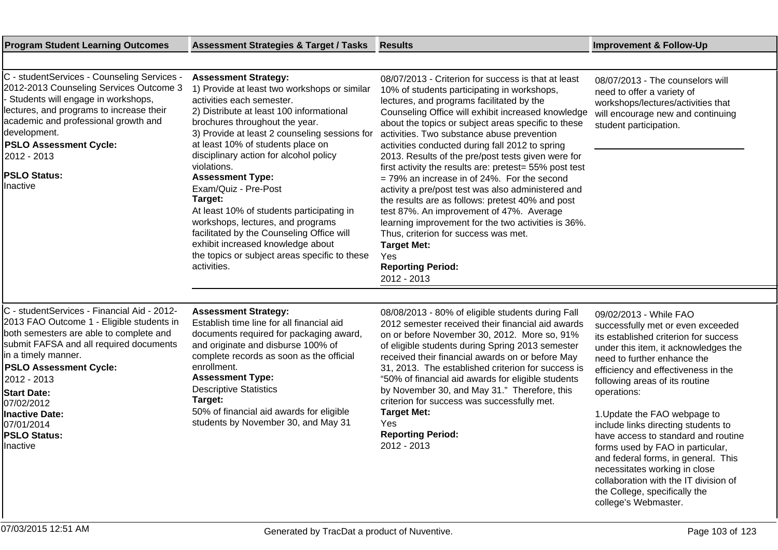| C - studentServices - Counseling Services -<br>2012-2013 Counseling Services Outcome 3<br>Students will engage in workshops,<br>lectures, and programs to increase their<br>academic and professional growth and<br>development.<br><b>PSLO Assessment Cycle:</b><br>2012 - 2013<br><b>PSLO Status:</b><br>Inactive                                          | <b>Assessment Strategy:</b><br>1) Provide at least two workshops or similar<br>activities each semester.<br>2) Distribute at least 100 informational<br>brochures throughout the year.<br>3) Provide at least 2 counseling sessions for<br>at least 10% of students place on<br>disciplinary action for alcohol policy<br>violations.<br><b>Assessment Type:</b><br>Exam/Quiz - Pre-Post<br>Target:<br>At least 10% of students participating in<br>workshops, lectures, and programs<br>facilitated by the Counseling Office will<br>exhibit increased knowledge about<br>the topics or subject areas specific to these<br>activities. | 08/07/2013 - Criterion for success is that at least<br>10% of students participating in workshops,<br>lectures, and programs facilitated by the<br>Counseling Office will exhibit increased knowledge<br>about the topics or subject areas specific to these<br>activities. Two substance abuse prevention<br>activities conducted during fall 2012 to spring<br>2013. Results of the pre/post tests given were for<br>first activity the results are: pretest= 55% post test<br>$= 79\%$ an increase in of 24%. For the second<br>activity a pre/post test was also administered and<br>the results are as follows: pretest 40% and post<br>test 87%. An improvement of 47%. Average<br>learning improvement for the two activities is 36%.<br>Thus, criterion for success was met.<br><b>Target Met:</b><br>Yes<br><b>Reporting Period:</b><br>2012 - 2013 | 08/07/2013 - The counselors will<br>need to offer a variety of<br>workshops/lectures/activities that<br>will encourage new and continuing<br>student participation.                                                                                                                                                                                                                                                                                                                           |
|--------------------------------------------------------------------------------------------------------------------------------------------------------------------------------------------------------------------------------------------------------------------------------------------------------------------------------------------------------------|-----------------------------------------------------------------------------------------------------------------------------------------------------------------------------------------------------------------------------------------------------------------------------------------------------------------------------------------------------------------------------------------------------------------------------------------------------------------------------------------------------------------------------------------------------------------------------------------------------------------------------------------|--------------------------------------------------------------------------------------------------------------------------------------------------------------------------------------------------------------------------------------------------------------------------------------------------------------------------------------------------------------------------------------------------------------------------------------------------------------------------------------------------------------------------------------------------------------------------------------------------------------------------------------------------------------------------------------------------------------------------------------------------------------------------------------------------------------------------------------------------------------|-----------------------------------------------------------------------------------------------------------------------------------------------------------------------------------------------------------------------------------------------------------------------------------------------------------------------------------------------------------------------------------------------------------------------------------------------------------------------------------------------|
| C - studentServices - Financial Aid - 2012-<br>2013 FAO Outcome 1 - Eligible students in<br>both semesters are able to complete and<br>submit FAFSA and all required documents<br>in a timely manner.<br><b>PSLO Assessment Cycle:</b><br>2012 - 2013<br><b>Start Date:</b><br>07/02/2012<br>Inactive Date:<br>07/01/2014<br><b>PSLO Status:</b><br>Inactive | <b>Assessment Strategy:</b><br>Establish time line for all financial aid<br>documents required for packaging award,<br>and originate and disburse 100% of<br>complete records as soon as the official<br>enrollment.<br><b>Assessment Type:</b><br><b>Descriptive Statistics</b><br>Target:<br>50% of financial aid awards for eligible<br>students by November 30, and May 31                                                                                                                                                                                                                                                          | 08/08/2013 - 80% of eligible students during Fall<br>2012 semester received their financial aid awards<br>on or before November 30, 2012. More so, 91%<br>of eligible students during Spring 2013 semester<br>received their financial awards on or before May<br>31, 2013. The established criterion for success is<br>"50% of financial aid awards for eligible students<br>by November 30, and May 31." Therefore, this<br>criterion for success was successfully met.<br><b>Target Met:</b><br>Yes<br><b>Reporting Period:</b><br>2012 - 2013                                                                                                                                                                                                                                                                                                            | 09/02/2013 - While FAO<br>successfully met or even exceeded<br>its established criterion for success<br>under this item, it acknowledges the<br>need to further enhance the<br>efficiency and effectiveness in the<br>following areas of its routine<br>operations:<br>1. Update the FAO webpage to<br>include links directing students to<br>have access to standard and routine<br>forms used by FAO in particular,<br>and federal forms, in general. This<br>necessitates working in close |

collaboration with the IT division of

the College, specifically the college's Webmaster.

**Program Student Learning Outcomes Assessment Strategies & Target / Tasks Results Improvement & Follow-Up**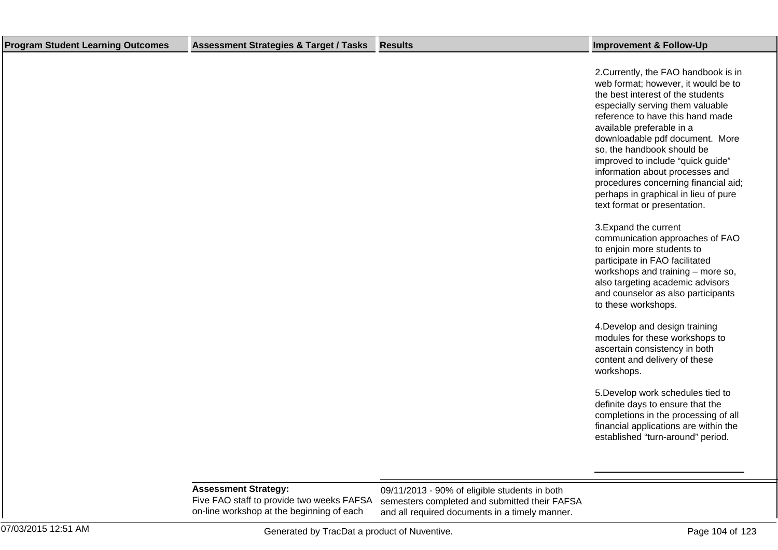| <b>Program Student Learning Outcomes</b> | <b>Assessment Strategies &amp; Target / Tasks</b>                        | <b>Results</b>                                                                                 | <b>Improvement &amp; Follow-Up</b>                                                                                                                                                                                                                                                                                                                                                                                                                                                                                                                                       |
|------------------------------------------|--------------------------------------------------------------------------|------------------------------------------------------------------------------------------------|--------------------------------------------------------------------------------------------------------------------------------------------------------------------------------------------------------------------------------------------------------------------------------------------------------------------------------------------------------------------------------------------------------------------------------------------------------------------------------------------------------------------------------------------------------------------------|
|                                          |                                                                          |                                                                                                | 2. Currently, the FAO handbook is in<br>web format; however, it would be to<br>the best interest of the students<br>especially serving them valuable<br>reference to have this hand made<br>available preferable in a<br>downloadable pdf document. More<br>so, the handbook should be<br>improved to include "quick guide"<br>information about processes and<br>procedures concerning financial aid;<br>perhaps in graphical in lieu of pure<br>text format or presentation.<br>3. Expand the current<br>communication approaches of FAO<br>to enjoin more students to |
|                                          |                                                                          |                                                                                                | participate in FAO facilitated<br>workshops and training - more so,<br>also targeting academic advisors<br>and counselor as also participants<br>to these workshops.                                                                                                                                                                                                                                                                                                                                                                                                     |
|                                          |                                                                          |                                                                                                | 4. Develop and design training<br>modules for these workshops to<br>ascertain consistency in both<br>content and delivery of these<br>workshops.                                                                                                                                                                                                                                                                                                                                                                                                                         |
|                                          |                                                                          |                                                                                                | 5. Develop work schedules tied to<br>definite days to ensure that the<br>completions in the processing of all<br>financial applications are within the<br>established "turn-around" period.                                                                                                                                                                                                                                                                                                                                                                              |
|                                          | <b>Assessment Strategy:</b><br>Five FAO staff to provide two weeks FAFSA | 09/11/2013 - 90% of eligible students in both<br>semesters completed and submitted their FAFSA |                                                                                                                                                                                                                                                                                                                                                                                                                                                                                                                                                                          |

07/03/2015 12:51 AM Generated by TracDat a product of Nuventive. Page 104 of 123

and all required documents in a timely manner.

on-line workshop at the beginning of each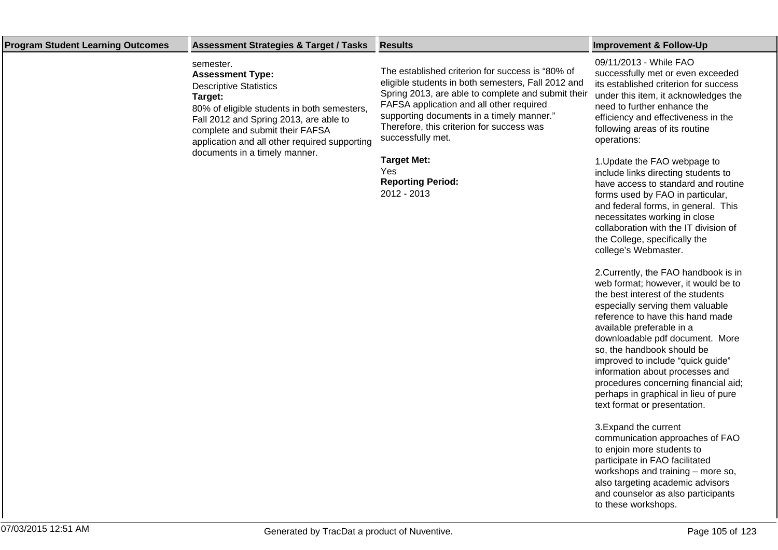| <b>Program Student Learning Outcomes</b> | <b>Assessment Strategies &amp; Target / Tasks</b>                                                                                                                                                                                                             | <b>Results</b>                                                                                                                                                                                                                                                                                                          | <b>Improvement &amp; Follow-Up</b>                                                                                                                                                                                                                                                               |
|------------------------------------------|---------------------------------------------------------------------------------------------------------------------------------------------------------------------------------------------------------------------------------------------------------------|-------------------------------------------------------------------------------------------------------------------------------------------------------------------------------------------------------------------------------------------------------------------------------------------------------------------------|--------------------------------------------------------------------------------------------------------------------------------------------------------------------------------------------------------------------------------------------------------------------------------------------------|
|                                          | semester.<br><b>Assessment Type:</b><br><b>Descriptive Statistics</b><br>Target:<br>80% of eligible students in both semesters,<br>Fall 2012 and Spring 2013, are able to<br>complete and submit their FAFSA<br>application and all other required supporting | The established criterion for success is "80% of<br>eligible students in both semesters, Fall 2012 and<br>Spring 2013, are able to complete and submit their<br>FAFSA application and all other required<br>supporting documents in a timely manner."<br>Therefore, this criterion for success was<br>successfully met. | 09/11/2013 - While FAO<br>successfully met or even exceeded<br>its established criterion for success<br>under this item, it acknowledges the<br>need to further enhance the<br>efficiency and effectiveness in the<br>following areas of its routine<br>operations:                              |
|                                          | documents in a timely manner.                                                                                                                                                                                                                                 | <b>Target Met:</b><br>Yes.<br><b>Reporting Period:</b><br>2012 - 2013                                                                                                                                                                                                                                                   | 1. Update the FAO webpage to<br>include links directing students to<br>have access to standard and routine<br>forms used by FAO in particular,<br>and federal forms, in general. This<br>necessitates working in close<br>collaboration with the IT division of<br>the College, specifically the |

2. Currently, the FAO handbook is in web format; however, it would be to the best interest of the students especially serving them valuable reference to have this hand made available preferable in a downloadable pdf document. More so, the handbook should be improved to include "quick guide" information about processes and procedures concerning financial aid; perhaps in graphical in lieu of pure text format or presentation.

college's Webmaster.

3. Expand the current communication approaches of FAO to enjoin more students to participate in FAO facilitated workshops and training – more so, also targeting academic advisors and counselor as also participants to these workshops.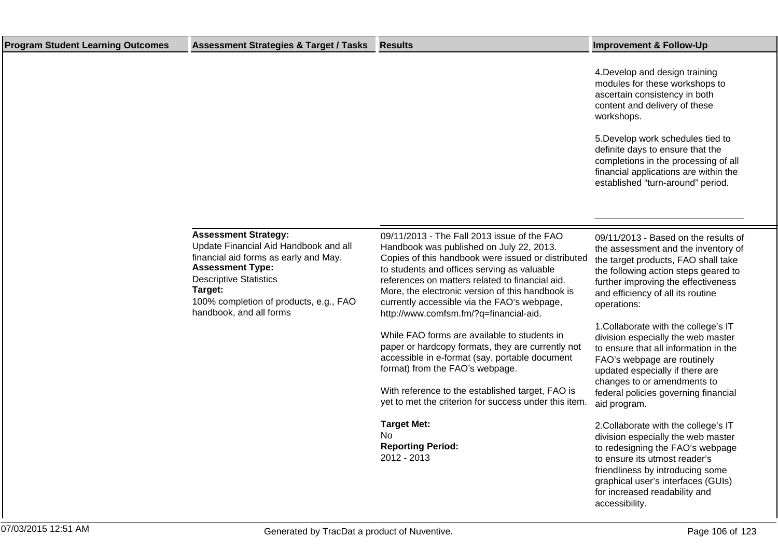| <b>Program Student Learning Outcomes</b> | <b>Assessment Strategies &amp; Target / Tasks</b>                                                                                                                                                                                                         | <b>Results</b>                                                                                                                                                                                                                                                                                                                                                                               | <b>Improvement &amp; Follow-Up</b>                                                                                                                                                                                                                         |
|------------------------------------------|-----------------------------------------------------------------------------------------------------------------------------------------------------------------------------------------------------------------------------------------------------------|----------------------------------------------------------------------------------------------------------------------------------------------------------------------------------------------------------------------------------------------------------------------------------------------------------------------------------------------------------------------------------------------|------------------------------------------------------------------------------------------------------------------------------------------------------------------------------------------------------------------------------------------------------------|
|                                          |                                                                                                                                                                                                                                                           |                                                                                                                                                                                                                                                                                                                                                                                              | 4. Develop and design training<br>modules for these workshops to<br>ascertain consistency in both<br>content and delivery of these<br>workshops.                                                                                                           |
|                                          |                                                                                                                                                                                                                                                           |                                                                                                                                                                                                                                                                                                                                                                                              | 5. Develop work schedules tied to<br>definite days to ensure that the<br>completions in the processing of all<br>financial applications are within the<br>established "turn-around" period.                                                                |
|                                          |                                                                                                                                                                                                                                                           |                                                                                                                                                                                                                                                                                                                                                                                              |                                                                                                                                                                                                                                                            |
|                                          | <b>Assessment Strategy:</b><br>Update Financial Aid Handbook and all<br>financial aid forms as early and May.<br><b>Assessment Type:</b><br><b>Descriptive Statistics</b><br>Target:<br>100% completion of products, e.g., FAO<br>handbook, and all forms | 09/11/2013 - The Fall 2013 issue of the FAO<br>Handbook was published on July 22, 2013.<br>Copies of this handbook were issued or distributed<br>to students and offices serving as valuable<br>references on matters related to financial aid.<br>More, the electronic version of this handbook is<br>currently accessible via the FAO's webpage,<br>http://www.comfsm.fm/?q=financial-aid. | 09/11/2013 - Based on the results of<br>the assessment and the inventory of<br>the target products, FAO shall take<br>the following action steps geared to<br>further improving the effectiveness<br>and efficiency of all its routine<br>operations:      |
|                                          |                                                                                                                                                                                                                                                           | While FAO forms are available to students in<br>paper or hardcopy formats, they are currently not<br>accessible in e-format (say, portable document<br>format) from the FAO's webpage.                                                                                                                                                                                                       | 1. Collaborate with the college's IT<br>division especially the web master<br>to ensure that all information in the<br>FAO's webpage are routinely<br>updated especially if there are<br>changes to or amendments to                                       |
|                                          |                                                                                                                                                                                                                                                           | With reference to the established target, FAO is<br>yet to met the criterion for success under this item.                                                                                                                                                                                                                                                                                    | federal policies governing financial<br>aid program.                                                                                                                                                                                                       |
|                                          |                                                                                                                                                                                                                                                           | <b>Target Met:</b><br>No<br><b>Reporting Period:</b><br>2012 - 2013                                                                                                                                                                                                                                                                                                                          | 2. Collaborate with the college's IT<br>division especially the web master<br>to redesigning the FAO's webpage<br>to ensure its utmost reader's<br>friendliness by introducing some<br>graphical user's interfaces (GUIs)<br>for increased readability and |

accessibility.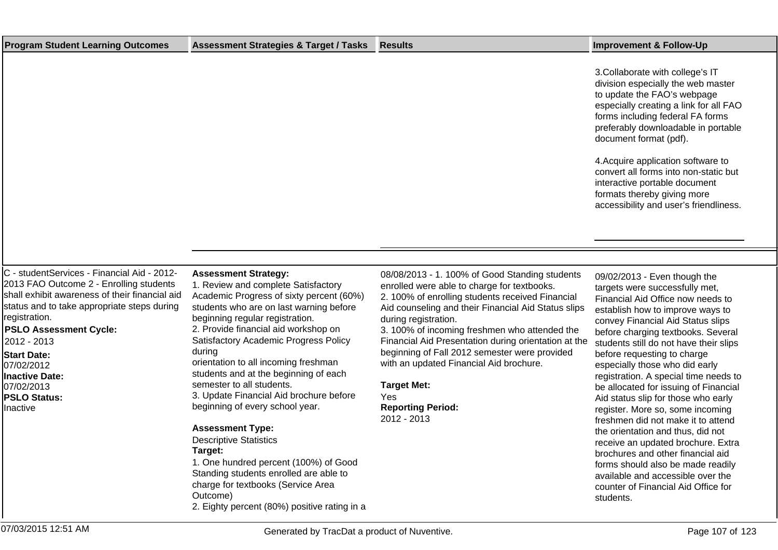| <b>Program Student Learning Outcomes</b>                                                                                                                                                                                                                                                                                                                        | <b>Assessment Strategies &amp; Target / Tasks</b>                                                                                                                                                                                                                                                                                                                                                                                                                                                                                                                                                                                                                                                                                               | <b>Results</b>                                                                                                                                                                                                                                                                                                                                                                                                                                                                                                | <b>Improvement &amp; Follow-Up</b>                                                                                                                                                                                                                                                                                                                                                                                                                                                                                                                                                                                                                                                                                                                                             |
|-----------------------------------------------------------------------------------------------------------------------------------------------------------------------------------------------------------------------------------------------------------------------------------------------------------------------------------------------------------------|-------------------------------------------------------------------------------------------------------------------------------------------------------------------------------------------------------------------------------------------------------------------------------------------------------------------------------------------------------------------------------------------------------------------------------------------------------------------------------------------------------------------------------------------------------------------------------------------------------------------------------------------------------------------------------------------------------------------------------------------------|---------------------------------------------------------------------------------------------------------------------------------------------------------------------------------------------------------------------------------------------------------------------------------------------------------------------------------------------------------------------------------------------------------------------------------------------------------------------------------------------------------------|--------------------------------------------------------------------------------------------------------------------------------------------------------------------------------------------------------------------------------------------------------------------------------------------------------------------------------------------------------------------------------------------------------------------------------------------------------------------------------------------------------------------------------------------------------------------------------------------------------------------------------------------------------------------------------------------------------------------------------------------------------------------------------|
|                                                                                                                                                                                                                                                                                                                                                                 |                                                                                                                                                                                                                                                                                                                                                                                                                                                                                                                                                                                                                                                                                                                                                 |                                                                                                                                                                                                                                                                                                                                                                                                                                                                                                               | 3. Collaborate with college's IT<br>division especially the web master<br>to update the FAO's webpage<br>especially creating a link for all FAO<br>forms including federal FA forms<br>preferably downloadable in portable<br>document format (pdf).                                                                                                                                                                                                                                                                                                                                                                                                                                                                                                                           |
|                                                                                                                                                                                                                                                                                                                                                                 |                                                                                                                                                                                                                                                                                                                                                                                                                                                                                                                                                                                                                                                                                                                                                 |                                                                                                                                                                                                                                                                                                                                                                                                                                                                                                               | 4. Acquire application software to<br>convert all forms into non-static but<br>interactive portable document<br>formats thereby giving more<br>accessibility and user's friendliness.                                                                                                                                                                                                                                                                                                                                                                                                                                                                                                                                                                                          |
|                                                                                                                                                                                                                                                                                                                                                                 |                                                                                                                                                                                                                                                                                                                                                                                                                                                                                                                                                                                                                                                                                                                                                 |                                                                                                                                                                                                                                                                                                                                                                                                                                                                                                               |                                                                                                                                                                                                                                                                                                                                                                                                                                                                                                                                                                                                                                                                                                                                                                                |
|                                                                                                                                                                                                                                                                                                                                                                 |                                                                                                                                                                                                                                                                                                                                                                                                                                                                                                                                                                                                                                                                                                                                                 |                                                                                                                                                                                                                                                                                                                                                                                                                                                                                                               |                                                                                                                                                                                                                                                                                                                                                                                                                                                                                                                                                                                                                                                                                                                                                                                |
| C - studentServices - Financial Aid - 2012-<br>2013 FAO Outcome 2 - Enrolling students<br>shall exhibit awareness of their financial aid<br>status and to take appropriate steps during<br>registration.<br><b>PSLO Assessment Cycle:</b><br>2012 - 2013<br><b>Start Date:</b><br>07/02/2012<br>Inactive Date:<br>07/02/2013<br><b>PSLO Status:</b><br>Inactive | <b>Assessment Strategy:</b><br>1. Review and complete Satisfactory<br>Academic Progress of sixty percent (60%)<br>students who are on last warning before<br>beginning regular registration.<br>2. Provide financial aid workshop on<br>Satisfactory Academic Progress Policy<br>during<br>orientation to all incoming freshman<br>students and at the beginning of each<br>semester to all students.<br>3. Update Financial Aid brochure before<br>beginning of every school year.<br><b>Assessment Type:</b><br><b>Descriptive Statistics</b><br>Target:<br>1. One hundred percent (100%) of Good<br>Standing students enrolled are able to<br>charge for textbooks (Service Area<br>Outcome)<br>2. Eighty percent (80%) positive rating in a | 08/08/2013 - 1. 100% of Good Standing students<br>enrolled were able to charge for textbooks.<br>2. 100% of enrolling students received Financial<br>Aid counseling and their Financial Aid Status slips<br>during registration.<br>3. 100% of incoming freshmen who attended the<br>Financial Aid Presentation during orientation at the<br>beginning of Fall 2012 semester were provided<br>with an updated Financial Aid brochure.<br><b>Target Met:</b><br>Yes<br><b>Reporting Period:</b><br>2012 - 2013 | 09/02/2013 - Even though the<br>targets were successfully met,<br>Financial Aid Office now needs to<br>establish how to improve ways to<br>convey Financial Aid Status slips<br>before charging textbooks. Several<br>students still do not have their slips<br>before requesting to charge<br>especially those who did early<br>registration. A special time needs to<br>be allocated for issuing of Financial<br>Aid status slip for those who early<br>register. More so, some incoming<br>freshmen did not make it to attend<br>the orientation and thus, did not<br>receive an updated brochure. Extra<br>brochures and other financial aid<br>forms should also be made readily<br>available and accessible over the<br>counter of Financial Aid Office for<br>students. |
| 07/03/2015 12:51 AM                                                                                                                                                                                                                                                                                                                                             | Generated by TracDat a product of Nuventive.                                                                                                                                                                                                                                                                                                                                                                                                                                                                                                                                                                                                                                                                                                    |                                                                                                                                                                                                                                                                                                                                                                                                                                                                                                               | Page 107 of 123                                                                                                                                                                                                                                                                                                                                                                                                                                                                                                                                                                                                                                                                                                                                                                |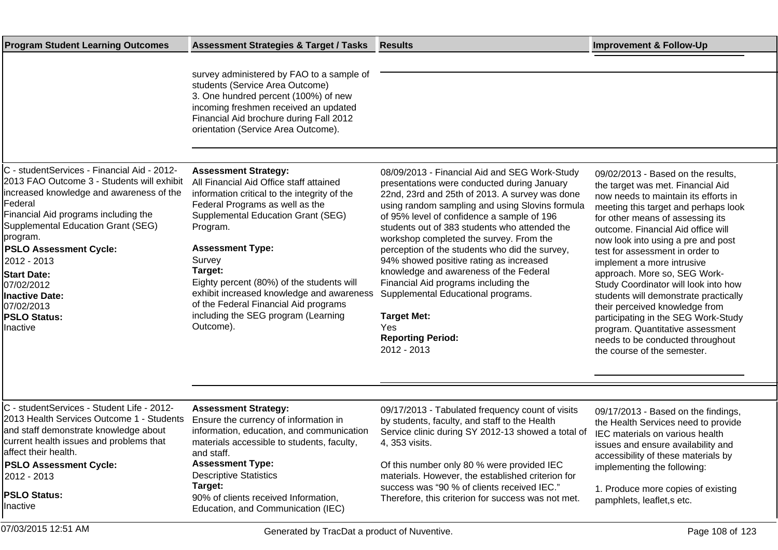| <b>Program Student Learning Outcomes</b>                                                                                                                                                                                                                                                                                                                                                                 | <b>Assessment Strategies &amp; Target / Tasks</b>                                                                                                                                                                                                                                                                                                                                                                                                  | <b>Results</b>                                                                                                                                                                                                                                                                                                                                                                                                                                                                                                                                                                                                                           | <b>Improvement &amp; Follow-Up</b>                                                                                                                                                                                                                                                                                                                                                                                                                                                                                                                                                                                                        |
|----------------------------------------------------------------------------------------------------------------------------------------------------------------------------------------------------------------------------------------------------------------------------------------------------------------------------------------------------------------------------------------------------------|----------------------------------------------------------------------------------------------------------------------------------------------------------------------------------------------------------------------------------------------------------------------------------------------------------------------------------------------------------------------------------------------------------------------------------------------------|------------------------------------------------------------------------------------------------------------------------------------------------------------------------------------------------------------------------------------------------------------------------------------------------------------------------------------------------------------------------------------------------------------------------------------------------------------------------------------------------------------------------------------------------------------------------------------------------------------------------------------------|-------------------------------------------------------------------------------------------------------------------------------------------------------------------------------------------------------------------------------------------------------------------------------------------------------------------------------------------------------------------------------------------------------------------------------------------------------------------------------------------------------------------------------------------------------------------------------------------------------------------------------------------|
|                                                                                                                                                                                                                                                                                                                                                                                                          | survey administered by FAO to a sample of<br>students (Service Area Outcome)<br>3. One hundred percent (100%) of new<br>incoming freshmen received an updated<br>Financial Aid brochure during Fall 2012<br>orientation (Service Area Outcome).                                                                                                                                                                                                    |                                                                                                                                                                                                                                                                                                                                                                                                                                                                                                                                                                                                                                          |                                                                                                                                                                                                                                                                                                                                                                                                                                                                                                                                                                                                                                           |
| C - studentServices - Financial Aid - 2012-<br>2013 FAO Outcome 3 - Students will exhibit<br>increased knowledge and awareness of the<br>Federal<br>Financial Aid programs including the<br>Supplemental Education Grant (SEG)<br>program.<br><b>PSLO Assessment Cycle:</b><br>2012 - 2013<br><b>Start Date:</b><br>07/02/2012<br><b>Inactive Date:</b><br>07/02/2013<br><b>PSLO Status:</b><br>Inactive | <b>Assessment Strategy:</b><br>All Financial Aid Office staff attained<br>information critical to the integrity of the<br>Federal Programs as well as the<br>Supplemental Education Grant (SEG)<br>Program.<br><b>Assessment Type:</b><br>Survey<br>Target:<br>Eighty percent (80%) of the students will<br>exhibit increased knowledge and awareness<br>of the Federal Financial Aid programs<br>including the SEG program (Learning<br>Outcome). | 08/09/2013 - Financial Aid and SEG Work-Study<br>presentations were conducted during January<br>22nd, 23rd and 25th of 2013. A survey was done<br>using random sampling and using Slovins formula<br>of 95% level of confidence a sample of 196<br>students out of 383 students who attended the<br>workshop completed the survey. From the<br>perception of the students who did the survey,<br>94% showed positive rating as increased<br>knowledge and awareness of the Federal<br>Financial Aid programs including the<br>Supplemental Educational programs.<br><b>Target Met:</b><br>Yes<br><b>Reporting Period:</b><br>2012 - 2013 | 09/02/2013 - Based on the results,<br>the target was met. Financial Aid<br>now needs to maintain its efforts in<br>meeting this target and perhaps look<br>for other means of assessing its<br>outcome. Financial Aid office will<br>now look into using a pre and post<br>test for assessment in order to<br>implement a more intrusive<br>approach. More so, SEG Work-<br>Study Coordinator will look into how<br>students will demonstrate practically<br>their perceived knowledge from<br>participating in the SEG Work-Study<br>program. Quantitative assessment<br>needs to be conducted throughout<br>the course of the semester. |
| C - studentServices - Student Life - 2012-<br>2013 Health Services Outcome 1 - Students<br>and staff demonstrate knowledge about<br>current health issues and problems that<br>affect their health.<br><b>PSLO Assessment Cycle:</b><br>2012 - 2013<br><b>PSLO Status:</b><br>Inactive                                                                                                                   | <b>Assessment Strategy:</b><br>Ensure the currency of information in<br>information, education, and communication<br>materials accessible to students, faculty,<br>and staff.<br><b>Assessment Type:</b><br><b>Descriptive Statistics</b><br>Target:<br>90% of clients received Information,<br>Education, and Communication (IEC)                                                                                                                 | 09/17/2013 - Tabulated frequency count of visits<br>by students, faculty, and staff to the Health<br>Service clinic during SY 2012-13 showed a total of<br>4, 353 visits.<br>Of this number only 80 % were provided IEC<br>materials. However, the established criterion for<br>success was "90 % of clients received IEC."<br>Therefore, this criterion for success was not met.                                                                                                                                                                                                                                                        | 09/17/2013 - Based on the findings,<br>the Health Services need to provide<br>IEC materials on various health<br>issues and ensure availability and<br>accessibility of these materials by<br>implementing the following:<br>1. Produce more copies of existing<br>pamphlets, leaflet, s etc.                                                                                                                                                                                                                                                                                                                                             |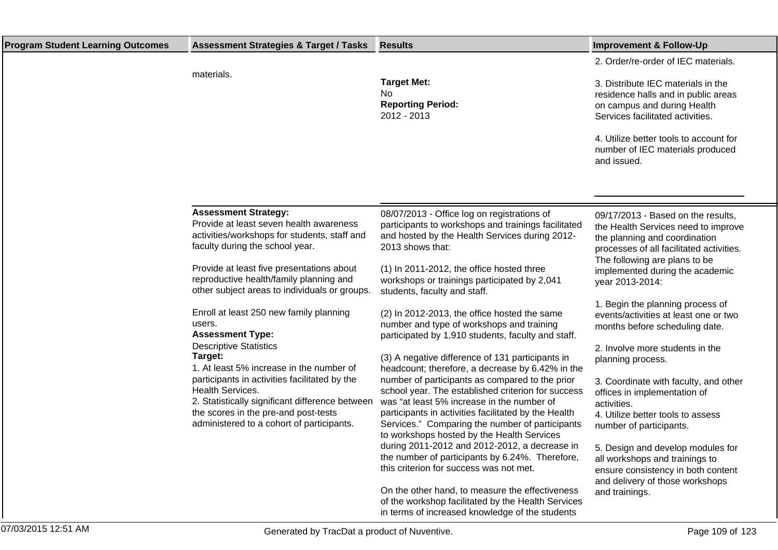| <b>Program Student Learning Outcomes</b> | <b>Assessment Strategies &amp; Target / Tasks</b>                                                                                                         | <b>Results</b>                                                                                                                                                           | <b>Improvement &amp; Follow-Up</b>                                                                                                                     |
|------------------------------------------|-----------------------------------------------------------------------------------------------------------------------------------------------------------|--------------------------------------------------------------------------------------------------------------------------------------------------------------------------|--------------------------------------------------------------------------------------------------------------------------------------------------------|
|                                          |                                                                                                                                                           |                                                                                                                                                                          | 2. Order/re-order of IEC materials.                                                                                                                    |
|                                          | materials.                                                                                                                                                | <b>Target Met:</b><br>No.<br><b>Reporting Period:</b><br>2012 - 2013                                                                                                     | 3. Distribute IEC materials in the<br>residence halls and in public areas<br>on campus and during Health<br>Services facilitated activities.           |
|                                          |                                                                                                                                                           |                                                                                                                                                                          | 4. Utilize better tools to account for<br>number of IEC materials produced<br>and issued.                                                              |
|                                          |                                                                                                                                                           |                                                                                                                                                                          |                                                                                                                                                        |
|                                          | <b>Assessment Strategy:</b><br>Provide at least seven health awareness<br>activities/workshops for students, staff and<br>faculty during the school year. | 08/07/2013 - Office log on registrations of<br>participants to workshops and trainings facilitated<br>and hosted by the Health Services during 2012-<br>2013 shows that: | 09/17/2013 - Based on the results,<br>the Health Services need to improve<br>the planning and coordination<br>processes of all facilitated activities. |
|                                          | Provide at least five presentations about<br>reproductive health/family planning and<br>other subject areas to individuals or groups.                     | (1) In 2011-2012, the office hosted three<br>workshops or trainings participated by 2,041<br>students, faculty and staff.                                                | The following are plans to be<br>implemented during the academic<br>year 2013-2014:                                                                    |
|                                          | Enroll at least 250 new family planning<br>users.<br><b>Assessment Type:</b>                                                                              | (2) In 2012-2013, the office hosted the same<br>number and type of workshops and training<br>participated by 1,910 students, faculty and staff.                          | 1. Begin the planning process of<br>events/activities at least one or two<br>months before scheduling date.                                            |
|                                          | <b>Descriptive Statistics</b><br>Target:<br>1. At least 5% increase in the number of                                                                      | (3) A negative difference of 131 participants in<br>headcount; therefore, a decrease by 6.42% in the                                                                     | 2. Involve more students in the<br>planning process.                                                                                                   |
|                                          | participants in activities facilitated by the<br>Health Services.<br>2. Statistically significant difference between                                      | number of participants as compared to the prior<br>school year. The established criterion for success<br>was "at least 5% increase in the number of                      | 3. Coordinate with faculty, and other<br>offices in implementation of<br>activities.                                                                   |
|                                          | the scores in the pre-and post-tests<br>administered to a cohort of participants.                                                                         | participants in activities facilitated by the Health<br>Services." Comparing the number of participants<br>to workshops hosted by the Health Services                    | 4. Utilize better tools to assess<br>number of participants.                                                                                           |
|                                          |                                                                                                                                                           | during 2011-2012 and 2012-2012, a decrease in<br>the number of participants by 6.24%. Therefore,<br>this criterion for success was not met.                              | 5. Design and develop modules for<br>all workshops and trainings to<br>ensure consistency in both content<br>and delivery of those workshops           |
|                                          |                                                                                                                                                           | On the other hand, to measure the effectiveness<br>of the workshop facilitated by the Health Services<br>in terms of increased knowledge of the students                 | and trainings.                                                                                                                                         |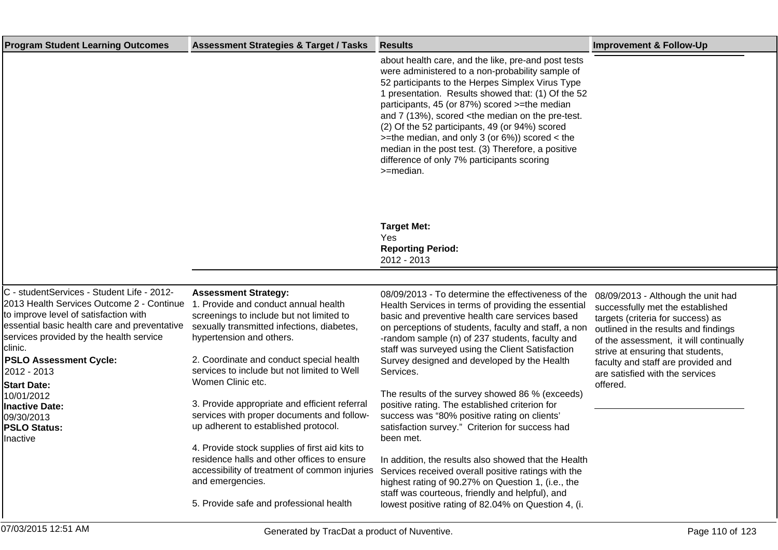| <b>Program Student Learning Outcomes</b>                                                                                                                                                                                                                                                                                                                                                             | <b>Assessment Strategies &amp; Target / Tasks</b>                                                                                                                                                                                                                                                                                                                                                                                                                                                                                                                                                                      | <b>Results</b>                                                                                                                                                                                                                                                                                                                                                                                                                                                                                                                                                                                                                                                                                                                                                                    | <b>Improvement &amp; Follow-Up</b>                                                                                                                                                                                                                                                                                      |
|------------------------------------------------------------------------------------------------------------------------------------------------------------------------------------------------------------------------------------------------------------------------------------------------------------------------------------------------------------------------------------------------------|------------------------------------------------------------------------------------------------------------------------------------------------------------------------------------------------------------------------------------------------------------------------------------------------------------------------------------------------------------------------------------------------------------------------------------------------------------------------------------------------------------------------------------------------------------------------------------------------------------------------|-----------------------------------------------------------------------------------------------------------------------------------------------------------------------------------------------------------------------------------------------------------------------------------------------------------------------------------------------------------------------------------------------------------------------------------------------------------------------------------------------------------------------------------------------------------------------------------------------------------------------------------------------------------------------------------------------------------------------------------------------------------------------------------|-------------------------------------------------------------------------------------------------------------------------------------------------------------------------------------------------------------------------------------------------------------------------------------------------------------------------|
|                                                                                                                                                                                                                                                                                                                                                                                                      |                                                                                                                                                                                                                                                                                                                                                                                                                                                                                                                                                                                                                        | about health care, and the like, pre-and post tests<br>were administered to a non-probability sample of<br>52 participants to the Herpes Simplex Virus Type<br>1 presentation. Results showed that: (1) Of the 52<br>participants, 45 (or 87%) scored >=the median<br>and 7 (13%), scored <the median="" on="" pre-test.<br="" the="">(2) Of the 52 participants, 49 (or 94%) scored<br/><math>&gt;=</math>the median, and only 3 (or 6%)) scored &lt; the<br/>median in the post test. (3) Therefore, a positive<br/>difference of only 7% participants scoring<br/>&gt;=median.</the>                                                                                                                                                                                           |                                                                                                                                                                                                                                                                                                                         |
|                                                                                                                                                                                                                                                                                                                                                                                                      |                                                                                                                                                                                                                                                                                                                                                                                                                                                                                                                                                                                                                        | <b>Target Met:</b><br>Yes<br><b>Reporting Period:</b><br>2012 - 2013                                                                                                                                                                                                                                                                                                                                                                                                                                                                                                                                                                                                                                                                                                              |                                                                                                                                                                                                                                                                                                                         |
|                                                                                                                                                                                                                                                                                                                                                                                                      |                                                                                                                                                                                                                                                                                                                                                                                                                                                                                                                                                                                                                        |                                                                                                                                                                                                                                                                                                                                                                                                                                                                                                                                                                                                                                                                                                                                                                                   |                                                                                                                                                                                                                                                                                                                         |
| C - studentServices - Student Life - 2012-<br>2013 Health Services Outcome 2 - Continue<br>to improve level of satisfaction with<br>essential basic health care and preventative<br>services provided by the health service<br>clinic.<br><b>PSLO Assessment Cycle:</b><br>2012 - 2013<br><b>Start Date:</b><br>10/01/2012<br><b>Inactive Date:</b><br>09/30/2013<br><b>PSLO Status:</b><br>Inactive | <b>Assessment Strategy:</b><br>1. Provide and conduct annual health<br>screenings to include but not limited to<br>sexually transmitted infections, diabetes,<br>hypertension and others.<br>2. Coordinate and conduct special health<br>services to include but not limited to Well<br>Women Clinic etc.<br>3. Provide appropriate and efficient referral<br>services with proper documents and follow-<br>up adherent to established protocol.<br>4. Provide stock supplies of first aid kits to<br>residence halls and other offices to ensure<br>accessibility of treatment of common injuries<br>and emergencies. | 08/09/2013 - To determine the effectiveness of the<br>Health Services in terms of providing the essential<br>basic and preventive health care services based<br>on perceptions of students, faculty and staff, a non<br>-random sample (n) of 237 students, faculty and<br>staff was surveyed using the Client Satisfaction<br>Survey designed and developed by the Health<br>Services.<br>The results of the survey showed 86 % (exceeds)<br>positive rating. The established criterion for<br>success was "80% positive rating on clients"<br>satisfaction survey." Criterion for success had<br>been met.<br>In addition, the results also showed that the Health<br>Services received overall positive ratings with the<br>highest rating of 90.27% on Question 1, (i.e., the | 08/09/2013 - Although the unit had<br>successfully met the established<br>targets (criteria for success) as<br>outlined in the results and findings<br>of the assessment, it will continually<br>strive at ensuring that students,<br>faculty and staff are provided and<br>are satisfied with the services<br>offered. |
|                                                                                                                                                                                                                                                                                                                                                                                                      | 5. Provide safe and professional health                                                                                                                                                                                                                                                                                                                                                                                                                                                                                                                                                                                | staff was courteous, friendly and helpful), and<br>lowest positive rating of 82.04% on Question 4, (i.                                                                                                                                                                                                                                                                                                                                                                                                                                                                                                                                                                                                                                                                            |                                                                                                                                                                                                                                                                                                                         |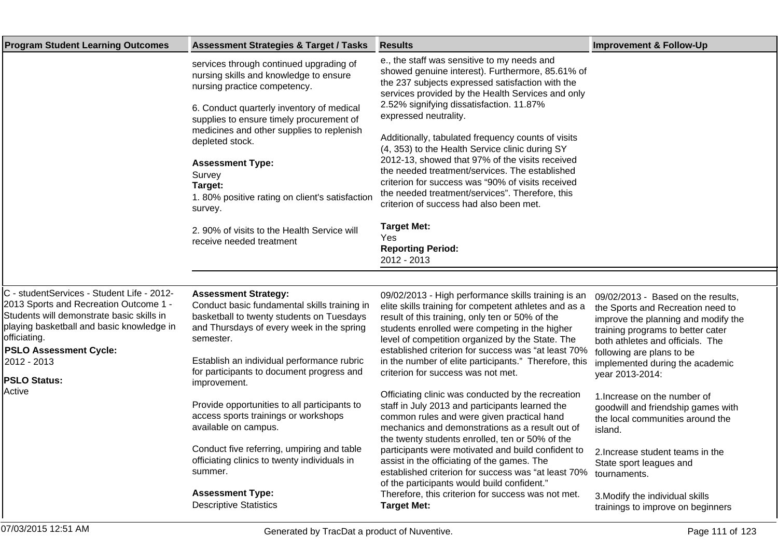| <b>Program Student Learning Outcomes</b>                                                                                                                                                                                                                                        | <b>Assessment Strategies &amp; Target / Tasks</b>                                                                                                                                                                                                                                                                                                                                                                                                                  | <b>Results</b>                                                                                                                                                                                                                                                                                                                                                                                                                                                                                                                                                                                                                                                                                                         | <b>Improvement &amp; Follow-Up</b>                                                                                                                                                                                                                                         |
|---------------------------------------------------------------------------------------------------------------------------------------------------------------------------------------------------------------------------------------------------------------------------------|--------------------------------------------------------------------------------------------------------------------------------------------------------------------------------------------------------------------------------------------------------------------------------------------------------------------------------------------------------------------------------------------------------------------------------------------------------------------|------------------------------------------------------------------------------------------------------------------------------------------------------------------------------------------------------------------------------------------------------------------------------------------------------------------------------------------------------------------------------------------------------------------------------------------------------------------------------------------------------------------------------------------------------------------------------------------------------------------------------------------------------------------------------------------------------------------------|----------------------------------------------------------------------------------------------------------------------------------------------------------------------------------------------------------------------------------------------------------------------------|
|                                                                                                                                                                                                                                                                                 | services through continued upgrading of<br>nursing skills and knowledge to ensure<br>nursing practice competency.<br>6. Conduct quarterly inventory of medical<br>supplies to ensure timely procurement of<br>medicines and other supplies to replenish<br>depleted stock.<br><b>Assessment Type:</b><br>Survey<br>Target:<br>1.80% positive rating on client's satisfaction<br>survey.<br>2. 90% of visits to the Health Service will<br>receive needed treatment | e., the staff was sensitive to my needs and<br>showed genuine interest). Furthermore, 85.61% of<br>the 237 subjects expressed satisfaction with the<br>services provided by the Health Services and only<br>2.52% signifying dissatisfaction. 11.87%<br>expressed neutrality.<br>Additionally, tabulated frequency counts of visits<br>(4, 353) to the Health Service clinic during SY<br>2012-13, showed that 97% of the visits received<br>the needed treatment/services. The established<br>criterion for success was "90% of visits received<br>the needed treatment/services". Therefore, this<br>criterion of success had also been met.<br><b>Target Met:</b><br>Yes<br><b>Reporting Period:</b><br>2012 - 2013 |                                                                                                                                                                                                                                                                            |
|                                                                                                                                                                                                                                                                                 |                                                                                                                                                                                                                                                                                                                                                                                                                                                                    |                                                                                                                                                                                                                                                                                                                                                                                                                                                                                                                                                                                                                                                                                                                        |                                                                                                                                                                                                                                                                            |
| C - studentServices - Student Life - 2012-<br>2013 Sports and Recreation Outcome 1 -<br>Students will demonstrate basic skills in<br>playing basketball and basic knowledge in<br>officiating.<br><b>PSLO Assessment Cycle:</b><br>2012 - 2013<br><b>PSLO Status:</b><br>Active | <b>Assessment Strategy:</b><br>Conduct basic fundamental skills training in<br>basketball to twenty students on Tuesdays<br>and Thursdays of every week in the spring<br>semester.<br>Establish an individual performance rubric<br>for participants to document progress and<br>improvement.                                                                                                                                                                      | 09/02/2013 - High performance skills training is an<br>elite skills training for competent athletes and as a<br>result of this training, only ten or 50% of the<br>students enrolled were competing in the higher<br>level of competition organized by the State. The<br>established criterion for success was "at least 70%<br>in the number of elite participants." Therefore, this<br>criterion for success was not met.                                                                                                                                                                                                                                                                                            | 09/02/2013 - Based on the results,<br>the Sports and Recreation need to<br>improve the planning and modify the<br>training programs to better cater<br>both athletes and officials. The<br>following are plans to be<br>implemented during the academic<br>year 2013-2014: |
|                                                                                                                                                                                                                                                                                 | Provide opportunities to all participants to<br>access sports trainings or workshops<br>available on campus.                                                                                                                                                                                                                                                                                                                                                       | Officiating clinic was conducted by the recreation<br>staff in July 2013 and participants learned the<br>common rules and were given practical hand<br>mechanics and demonstrations as a result out of<br>the twenty students enrolled, ten or 50% of the                                                                                                                                                                                                                                                                                                                                                                                                                                                              | 1. Increase on the number of<br>goodwill and friendship games with<br>the local communities around the<br>island.                                                                                                                                                          |
|                                                                                                                                                                                                                                                                                 | Conduct five referring, umpiring and table<br>officiating clinics to twenty individuals in<br>summer.                                                                                                                                                                                                                                                                                                                                                              | participants were motivated and build confident to<br>assist in the officiating of the games. The<br>established criterion for success was "at least 70%<br>of the participants would build confident."                                                                                                                                                                                                                                                                                                                                                                                                                                                                                                                | 2. Increase student teams in the<br>State sport leagues and<br>tournaments.                                                                                                                                                                                                |
|                                                                                                                                                                                                                                                                                 | <b>Assessment Type:</b><br><b>Descriptive Statistics</b>                                                                                                                                                                                                                                                                                                                                                                                                           | Therefore, this criterion for success was not met.<br><b>Target Met:</b>                                                                                                                                                                                                                                                                                                                                                                                                                                                                                                                                                                                                                                               | 3. Modify the individual skills<br>trainings to improve on beginners                                                                                                                                                                                                       |
| 07/03/2015 12:51 AM                                                                                                                                                                                                                                                             | Generated by TracDat a product of Nuventive.                                                                                                                                                                                                                                                                                                                                                                                                                       |                                                                                                                                                                                                                                                                                                                                                                                                                                                                                                                                                                                                                                                                                                                        | Page 111 of 123                                                                                                                                                                                                                                                            |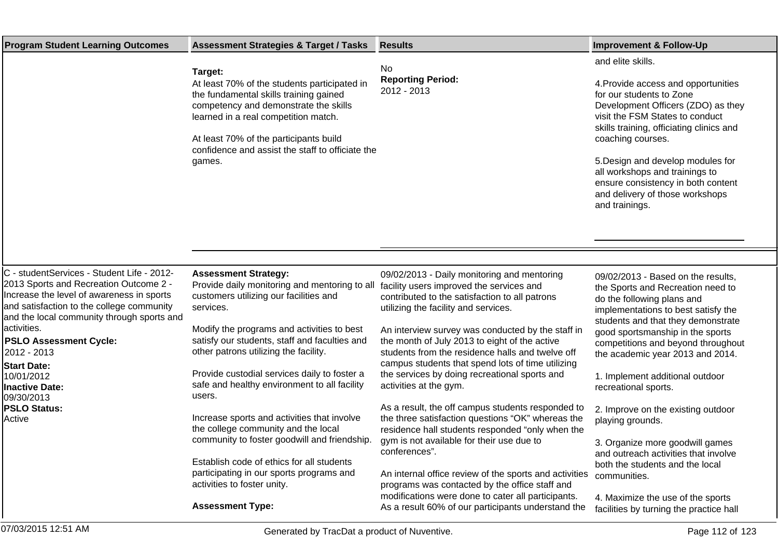| <b>Program Student Learning Outcomes</b>                                                                                                                                                                                                                                                                                                                                                                | <b>Assessment Strategies &amp; Target / Tasks</b>                                                                                                                                                                                                                                                                                                                                                                                                                                                                                                                                                                                                                                                                       | <b>Results</b>                                                                                                                                                                                                                                                                                                                                                                                                                                                                                                                                                                                                                                                                                                                                                                                                                                                                      | <b>Improvement &amp; Follow-Up</b>                                                                                                                                                                                                                                                                                                                                                                                                                                                                                                                                                                                                  |
|---------------------------------------------------------------------------------------------------------------------------------------------------------------------------------------------------------------------------------------------------------------------------------------------------------------------------------------------------------------------------------------------------------|-------------------------------------------------------------------------------------------------------------------------------------------------------------------------------------------------------------------------------------------------------------------------------------------------------------------------------------------------------------------------------------------------------------------------------------------------------------------------------------------------------------------------------------------------------------------------------------------------------------------------------------------------------------------------------------------------------------------------|-------------------------------------------------------------------------------------------------------------------------------------------------------------------------------------------------------------------------------------------------------------------------------------------------------------------------------------------------------------------------------------------------------------------------------------------------------------------------------------------------------------------------------------------------------------------------------------------------------------------------------------------------------------------------------------------------------------------------------------------------------------------------------------------------------------------------------------------------------------------------------------|-------------------------------------------------------------------------------------------------------------------------------------------------------------------------------------------------------------------------------------------------------------------------------------------------------------------------------------------------------------------------------------------------------------------------------------------------------------------------------------------------------------------------------------------------------------------------------------------------------------------------------------|
|                                                                                                                                                                                                                                                                                                                                                                                                         | Target:<br>At least 70% of the students participated in<br>the fundamental skills training gained<br>competency and demonstrate the skills<br>learned in a real competition match.<br>At least 70% of the participants build<br>confidence and assist the staff to officiate the<br>games.                                                                                                                                                                                                                                                                                                                                                                                                                              | No<br><b>Reporting Period:</b><br>2012 - 2013                                                                                                                                                                                                                                                                                                                                                                                                                                                                                                                                                                                                                                                                                                                                                                                                                                       | and elite skills.<br>4. Provide access and opportunities<br>for our students to Zone<br>Development Officers (ZDO) as they<br>visit the FSM States to conduct<br>skills training, officiating clinics and<br>coaching courses.<br>5. Design and develop modules for<br>all workshops and trainings to<br>ensure consistency in both content<br>and delivery of those workshops<br>and trainings.                                                                                                                                                                                                                                    |
|                                                                                                                                                                                                                                                                                                                                                                                                         |                                                                                                                                                                                                                                                                                                                                                                                                                                                                                                                                                                                                                                                                                                                         |                                                                                                                                                                                                                                                                                                                                                                                                                                                                                                                                                                                                                                                                                                                                                                                                                                                                                     |                                                                                                                                                                                                                                                                                                                                                                                                                                                                                                                                                                                                                                     |
| C - studentServices - Student Life - 2012-<br>2013 Sports and Recreation Outcome 2 -<br>Increase the level of awareness in sports<br>and satisfaction to the college community<br>and the local community through sports and<br>activities.<br><b>PSLO Assessment Cycle:</b><br>2012 - 2013<br><b>Start Date:</b><br>10/01/2012<br><b>Inactive Date:</b><br>09/30/2013<br><b>PSLO Status:</b><br>Active | <b>Assessment Strategy:</b><br>Provide daily monitoring and mentoring to all facility users improved the services and<br>customers utilizing our facilities and<br>services.<br>Modify the programs and activities to best<br>satisfy our students, staff and faculties and<br>other patrons utilizing the facility.<br>Provide custodial services daily to foster a<br>safe and healthy environment to all facility<br>users.<br>Increase sports and activities that involve<br>the college community and the local<br>community to foster goodwill and friendship.<br>Establish code of ethics for all students<br>participating in our sports programs and<br>activities to foster unity.<br><b>Assessment Type:</b> | 09/02/2013 - Daily monitoring and mentoring<br>contributed to the satisfaction to all patrons<br>utilizing the facility and services.<br>An interview survey was conducted by the staff in<br>the month of July 2013 to eight of the active<br>students from the residence halls and twelve off<br>campus students that spend lots of time utilizing<br>the services by doing recreational sports and<br>activities at the gym.<br>As a result, the off campus students responded to<br>the three satisfaction questions "OK" whereas the<br>residence hall students responded "only when the<br>gym is not available for their use due to<br>conferences".<br>An internal office review of the sports and activities<br>programs was contacted by the office staff and<br>modifications were done to cater all participants.<br>As a result 60% of our participants understand the | 09/02/2013 - Based on the results,<br>the Sports and Recreation need to<br>do the following plans and<br>implementations to best satisfy the<br>students and that they demonstrate<br>good sportsmanship in the sports<br>competitions and beyond throughout<br>the academic year 2013 and 2014.<br>1. Implement additional outdoor<br>recreational sports.<br>2. Improve on the existing outdoor<br>playing grounds.<br>3. Organize more goodwill games<br>and outreach activities that involve<br>both the students and the local<br>communities.<br>4. Maximize the use of the sports<br>facilities by turning the practice hall |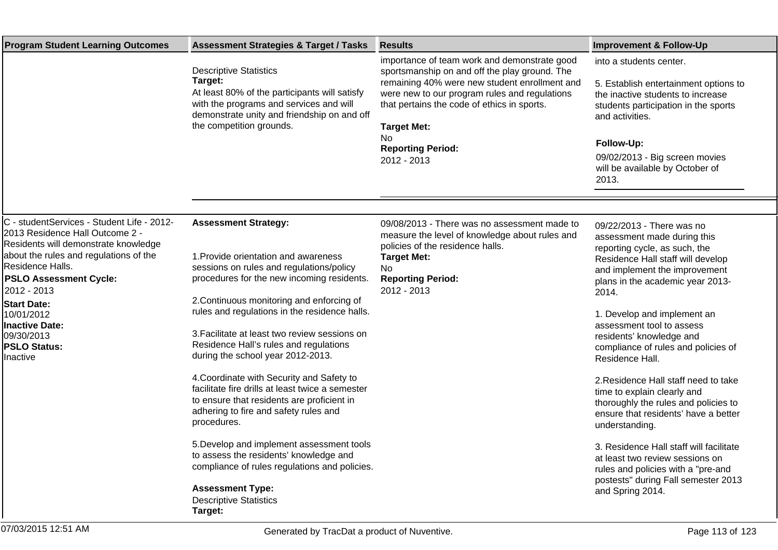| <b>Program Student Learning Outcomes</b>                                                                                                                                                                                                                                                                                                   | <b>Assessment Strategies &amp; Target / Tasks</b>                                                                                                                                                                                                                                                                                                                                                                                                                                                                                                                                                                                                                                         | <b>Results</b>                                                                                                                                                                                                                                                                                                        | <b>Improvement &amp; Follow-Up</b>                                                                                                                                                                                                                                                                                                                                                                                                                                                                                                                                                                                    |
|--------------------------------------------------------------------------------------------------------------------------------------------------------------------------------------------------------------------------------------------------------------------------------------------------------------------------------------------|-------------------------------------------------------------------------------------------------------------------------------------------------------------------------------------------------------------------------------------------------------------------------------------------------------------------------------------------------------------------------------------------------------------------------------------------------------------------------------------------------------------------------------------------------------------------------------------------------------------------------------------------------------------------------------------------|-----------------------------------------------------------------------------------------------------------------------------------------------------------------------------------------------------------------------------------------------------------------------------------------------------------------------|-----------------------------------------------------------------------------------------------------------------------------------------------------------------------------------------------------------------------------------------------------------------------------------------------------------------------------------------------------------------------------------------------------------------------------------------------------------------------------------------------------------------------------------------------------------------------------------------------------------------------|
|                                                                                                                                                                                                                                                                                                                                            | <b>Descriptive Statistics</b><br>Target:<br>At least 80% of the participants will satisfy<br>with the programs and services and will<br>demonstrate unity and friendship on and off<br>the competition grounds.                                                                                                                                                                                                                                                                                                                                                                                                                                                                           | importance of team work and demonstrate good<br>sportsmanship on and off the play ground. The<br>remaining 40% were new student enrollment and<br>were new to our program rules and regulations<br>that pertains the code of ethics in sports.<br><b>Target Met:</b><br>No<br><b>Reporting Period:</b><br>2012 - 2013 | into a students center.<br>5. Establish entertainment options to<br>the inactive students to increase<br>students participation in the sports<br>and activities.<br>Follow-Up:<br>09/02/2013 - Big screen movies<br>will be available by October of<br>2013.                                                                                                                                                                                                                                                                                                                                                          |
|                                                                                                                                                                                                                                                                                                                                            |                                                                                                                                                                                                                                                                                                                                                                                                                                                                                                                                                                                                                                                                                           |                                                                                                                                                                                                                                                                                                                       |                                                                                                                                                                                                                                                                                                                                                                                                                                                                                                                                                                                                                       |
| C - studentServices - Student Life - 2012-<br>2013 Residence Hall Outcome 2 -<br>Residents will demonstrate knowledge<br>about the rules and regulations of the<br>Residence Halls.<br><b>PSLO Assessment Cycle:</b><br>2012 - 2013<br><b>Start Date:</b><br>10/01/2012<br>Inactive Date:<br>09/30/2013<br><b>PSLO Status:</b><br>Inactive | <b>Assessment Strategy:</b><br>1. Provide orientation and awareness<br>sessions on rules and regulations/policy<br>procedures for the new incoming residents.<br>2. Continuous monitoring and enforcing of<br>rules and regulations in the residence halls.<br>3. Facilitate at least two review sessions on<br>Residence Hall's rules and regulations<br>during the school year 2012-2013.<br>4. Coordinate with Security and Safety to<br>facilitate fire drills at least twice a semester<br>to ensure that residents are proficient in<br>adhering to fire and safety rules and<br>procedures.<br>5. Develop and implement assessment tools<br>to assess the residents' knowledge and | 09/08/2013 - There was no assessment made to<br>measure the level of knowledge about rules and<br>policies of the residence halls.<br><b>Target Met:</b><br>No<br><b>Reporting Period:</b><br>2012 - 2013                                                                                                             | 09/22/2013 - There was no<br>assessment made during this<br>reporting cycle, as such, the<br>Residence Hall staff will develop<br>and implement the improvement<br>plans in the academic year 2013-<br>2014.<br>1. Develop and implement an<br>assessment tool to assess<br>residents' knowledge and<br>compliance of rules and policies of<br>Residence Hall.<br>2. Residence Hall staff need to take<br>time to explain clearly and<br>thoroughly the rules and policies to<br>ensure that residents' have a better<br>understanding.<br>3. Residence Hall staff will facilitate<br>at least two review sessions on |
|                                                                                                                                                                                                                                                                                                                                            | compliance of rules regulations and policies.<br><b>Assessment Type:</b><br><b>Descriptive Statistics</b><br>Target:                                                                                                                                                                                                                                                                                                                                                                                                                                                                                                                                                                      |                                                                                                                                                                                                                                                                                                                       | rules and policies with a "pre-and<br>postests" during Fall semester 2013<br>and Spring 2014.                                                                                                                                                                                                                                                                                                                                                                                                                                                                                                                         |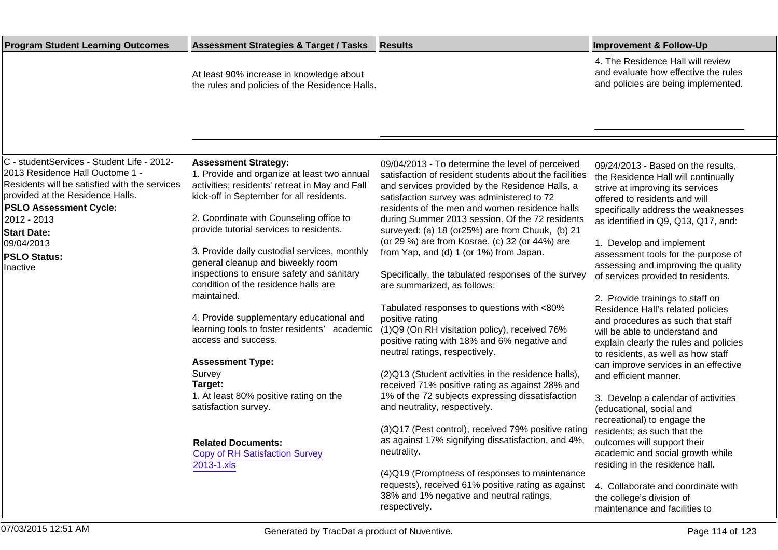| <b>Program Student Learning Outcomes</b>                                                                                                                                                                                                                                                  | <b>Assessment Strategies &amp; Target / Tasks</b>                                                                                                                                                                                                                                                                                                                                                                                        | <b>Results</b>                                                                                                                                                                                                                                                                                                                                                                                                                                                                                                                                         | <b>Improvement &amp; Follow-Up</b>                                                                                                                                                                                                                                                                                                                                           |
|-------------------------------------------------------------------------------------------------------------------------------------------------------------------------------------------------------------------------------------------------------------------------------------------|------------------------------------------------------------------------------------------------------------------------------------------------------------------------------------------------------------------------------------------------------------------------------------------------------------------------------------------------------------------------------------------------------------------------------------------|--------------------------------------------------------------------------------------------------------------------------------------------------------------------------------------------------------------------------------------------------------------------------------------------------------------------------------------------------------------------------------------------------------------------------------------------------------------------------------------------------------------------------------------------------------|------------------------------------------------------------------------------------------------------------------------------------------------------------------------------------------------------------------------------------------------------------------------------------------------------------------------------------------------------------------------------|
|                                                                                                                                                                                                                                                                                           | At least 90% increase in knowledge about<br>the rules and policies of the Residence Halls.                                                                                                                                                                                                                                                                                                                                               |                                                                                                                                                                                                                                                                                                                                                                                                                                                                                                                                                        | 4. The Residence Hall will review<br>and evaluate how effective the rules<br>and policies are being implemented.                                                                                                                                                                                                                                                             |
|                                                                                                                                                                                                                                                                                           |                                                                                                                                                                                                                                                                                                                                                                                                                                          |                                                                                                                                                                                                                                                                                                                                                                                                                                                                                                                                                        |                                                                                                                                                                                                                                                                                                                                                                              |
| C - studentServices - Student Life - 2012-<br>2013 Residence Hall Ouctome 1 -<br>Residents will be satisfied with the services<br>provided at the Residence Halls.<br><b>PSLO Assessment Cycle:</b><br>2012 - 2013<br><b>Start Date:</b><br>09/04/2013<br><b>PSLO Status:</b><br>Inactive | <b>Assessment Strategy:</b><br>1. Provide and organize at least two annual<br>activities; residents' retreat in May and Fall<br>kick-off in September for all residents.<br>2. Coordinate with Counseling office to<br>provide tutorial services to residents.<br>3. Provide daily custodial services, monthly<br>general cleanup and biweekly room<br>inspections to ensure safety and sanitary<br>condition of the residence halls are | 09/04/2013 - To determine the level of perceived<br>satisfaction of resident students about the facilities<br>and services provided by the Residence Halls, a<br>satisfaction survey was administered to 72<br>residents of the men and women residence halls<br>during Summer 2013 session. Of the 72 residents<br>surveyed: (a) 18 (or25%) are from Chuuk, (b) 21<br>(or 29 %) are from Kosrae, (c) 32 (or 44%) are<br>from Yap, and (d) 1 (or 1%) from Japan.<br>Specifically, the tabulated responses of the survey<br>are summarized, as follows: | 09/24/2013 - Based on the results,<br>the Residence Hall will continually<br>strive at improving its services<br>offered to residents and will<br>specifically address the weaknesses<br>as identified in Q9, Q13, Q17, and:<br>1. Develop and implement<br>assessment tools for the purpose of<br>assessing and improving the quality<br>of services provided to residents. |
|                                                                                                                                                                                                                                                                                           | maintained.<br>4. Provide supplementary educational and<br>learning tools to foster residents' academic<br>access and success.<br><b>Assessment Type:</b><br>Survey<br>Target:                                                                                                                                                                                                                                                           | Tabulated responses to questions with <80%<br>positive rating<br>(1) Q9 (On RH visitation policy), received 76%<br>positive rating with 18% and 6% negative and<br>neutral ratings, respectively.<br>(2) Q13 (Student activities in the residence halls)<br>received 71% positive rating as against 28% and                                                                                                                                                                                                                                            | 2. Provide trainings to staff on<br>Residence Hall's related policies<br>and procedures as such that staff<br>will be able to understand and<br>explain clearly the rules and policies<br>to residents, as well as how staff<br>can improve services in an effective<br>and efficient manner.                                                                                |
|                                                                                                                                                                                                                                                                                           | 1. At least 80% positive rating on the<br>satisfaction survey.<br><b>Related Documents:</b><br><b>Copy of RH Satisfaction Survey</b><br>2013-1.xls                                                                                                                                                                                                                                                                                       | 1% of the 72 subjects expressing dissatisfaction<br>and neutrality, respectively.<br>(3) Q17 (Pest control), received 79% positive rating<br>as against 17% signifying dissatisfaction, and 4%,<br>neutrality.<br>(4) Q19 (Promptness of responses to maintenance<br>requests), received 61% positive rating as against<br>38% and 1% negative and neutral ratings,<br>respectively.                                                                                                                                                                   | 3. Develop a calendar of activities<br>(educational, social and<br>recreational) to engage the<br>residents; as such that the<br>outcomes will support their<br>academic and social growth while<br>residing in the residence hall.<br>4. Collaborate and coordinate with<br>the college's division of<br>maintenance and facilities to                                      |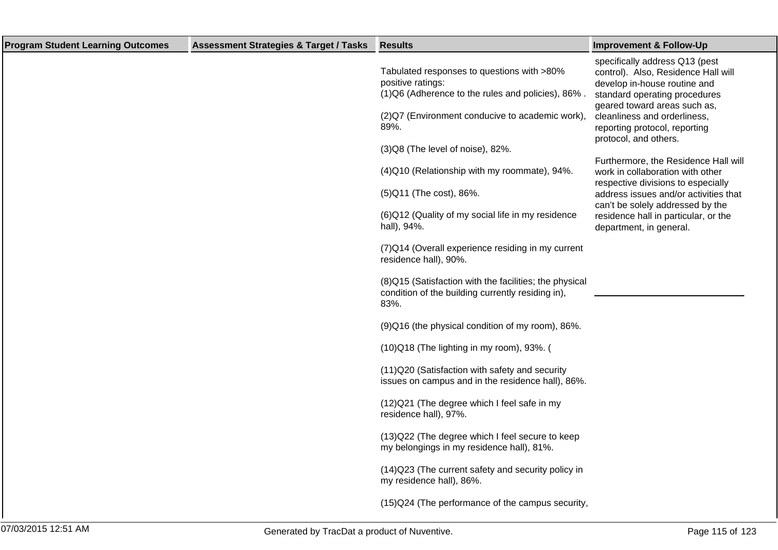| <b>Program Student Learning Outcomes</b> | <b>Assessment Strategies &amp; Target / Tasks</b> | <b>Results</b>                                                                                                        | <b>Improvement &amp; Follow-Up</b>                                                                                                                                     |
|------------------------------------------|---------------------------------------------------|-----------------------------------------------------------------------------------------------------------------------|------------------------------------------------------------------------------------------------------------------------------------------------------------------------|
|                                          |                                                   | Tabulated responses to questions with >80%<br>positive ratings:<br>(1) Q6 (Adherence to the rules and policies), 86%. | specifically address Q13 (pest<br>control). Also, Residence Hall will<br>develop in-house routine and<br>standard operating procedures<br>geared toward areas such as, |
|                                          |                                                   | (2) Q7 (Environment conducive to academic work),<br>89%.                                                              | cleanliness and orderliness,<br>reporting protocol, reporting<br>protocol, and others.                                                                                 |
|                                          |                                                   | (3) Q8 (The level of noise), 82%.                                                                                     |                                                                                                                                                                        |
|                                          |                                                   | (4) Q10 (Relationship with my roommate), 94%.                                                                         | Furthermore, the Residence Hall will<br>work in collaboration with other<br>respective divisions to especially                                                         |
|                                          |                                                   | (5) Q11 (The cost), 86%.                                                                                              | address issues and/or activities that                                                                                                                                  |
|                                          |                                                   | (6) Q12 (Quality of my social life in my residence<br>hall), 94%.                                                     | can't be solely addressed by the<br>residence hall in particular, or the<br>department, in general.                                                                    |
|                                          |                                                   | (7) Q14 (Overall experience residing in my current<br>residence hall), 90%.                                           |                                                                                                                                                                        |
|                                          |                                                   | (8) Q15 (Satisfaction with the facilities; the physical<br>condition of the building currently residing in),<br>83%.  |                                                                                                                                                                        |
|                                          |                                                   | (9) Q16 (the physical condition of my room), 86%.                                                                     |                                                                                                                                                                        |
|                                          |                                                   | (10) Q18 (The lighting in my room), 93%. (                                                                            |                                                                                                                                                                        |
|                                          |                                                   | (11) Q20 (Satisfaction with safety and security<br>issues on campus and in the residence hall), 86%.                  |                                                                                                                                                                        |
|                                          |                                                   | (12) Q21 (The degree which I feel safe in my<br>residence hall), 97%.                                                 |                                                                                                                                                                        |
|                                          |                                                   | (13) Q22 (The degree which I feel secure to keep<br>my belongings in my residence hall), 81%.                         |                                                                                                                                                                        |
|                                          |                                                   | (14) Q23 (The current safety and security policy in<br>my residence hall), 86%.                                       |                                                                                                                                                                        |
|                                          |                                                   | (15) Q24 (The performance of the campus security,                                                                     |                                                                                                                                                                        |
|                                          |                                                   |                                                                                                                       |                                                                                                                                                                        |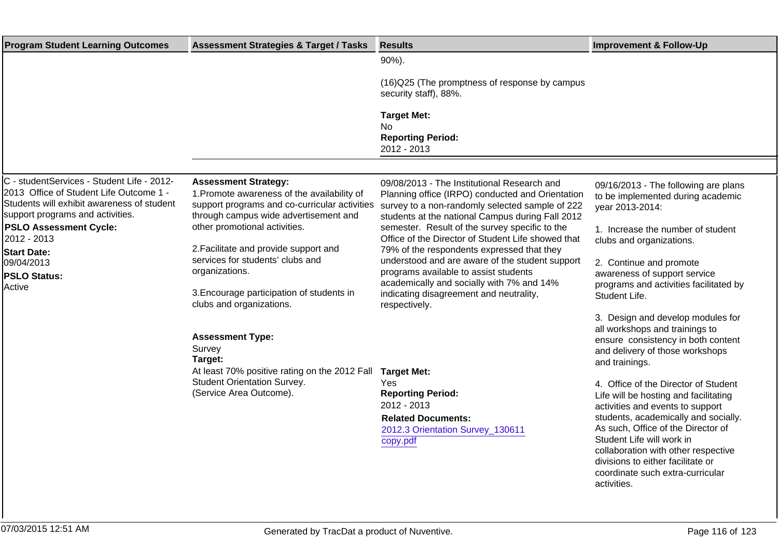| <b>Program Student Learning Outcomes</b>                                                                                                                                | <b>Assessment Strategies &amp; Target / Tasks</b>                                                                                                                    | <b>Results</b>                                                                                                                                                                                         | <b>Improvement &amp; Follow-Up</b>                                                                                                                             |
|-------------------------------------------------------------------------------------------------------------------------------------------------------------------------|----------------------------------------------------------------------------------------------------------------------------------------------------------------------|--------------------------------------------------------------------------------------------------------------------------------------------------------------------------------------------------------|----------------------------------------------------------------------------------------------------------------------------------------------------------------|
|                                                                                                                                                                         |                                                                                                                                                                      | 90%).                                                                                                                                                                                                  |                                                                                                                                                                |
|                                                                                                                                                                         |                                                                                                                                                                      | (16) Q25 (The promptness of response by campus<br>security staff), 88%.                                                                                                                                |                                                                                                                                                                |
|                                                                                                                                                                         |                                                                                                                                                                      | <b>Target Met:</b><br><b>No</b>                                                                                                                                                                        |                                                                                                                                                                |
|                                                                                                                                                                         |                                                                                                                                                                      | <b>Reporting Period:</b><br>2012 - 2013                                                                                                                                                                |                                                                                                                                                                |
|                                                                                                                                                                         |                                                                                                                                                                      |                                                                                                                                                                                                        |                                                                                                                                                                |
| C - studentServices - Student Life - 2012-<br>2013 Office of Student Life Outcome 1 -<br>Students will exhibit awareness of student<br>support programs and activities. | <b>Assessment Strategy:</b><br>1. Promote awareness of the availability of<br>support programs and co-curricular activities<br>through campus wide advertisement and | 09/08/2013 - The Institutional Research and<br>Planning office (IRPO) conducted and Orientation<br>survey to a non-randomly selected sample of 222<br>students at the national Campus during Fall 2012 | 09/16/2013 - The following are plans<br>to be implemented during academic<br>year 2013-2014:                                                                   |
| <b>PSLO Assessment Cycle:</b><br>2012 - 2013                                                                                                                            | other promotional activities.                                                                                                                                        | semester. Result of the survey specific to the<br>Office of the Director of Student Life showed that                                                                                                   | 1. Increase the number of student<br>clubs and organizations.                                                                                                  |
| <b>Start Date:</b><br>09/04/2013<br><b>PSLO Status:</b><br>Active                                                                                                       | 2. Facilitate and provide support and<br>services for students' clubs and<br>organizations.                                                                          | 79% of the respondents expressed that they<br>understood and are aware of the student support<br>programs available to assist students<br>academically and socially with 7% and 14%                    | 2. Continue and promote<br>awareness of support service<br>programs and activities facilitated by                                                              |
|                                                                                                                                                                         | 3. Encourage participation of students in<br>clubs and organizations.                                                                                                | indicating disagreement and neutrality,<br>respectively.                                                                                                                                               | Student Life.                                                                                                                                                  |
|                                                                                                                                                                         | <b>Assessment Type:</b><br>Survey<br>Target:                                                                                                                         |                                                                                                                                                                                                        | 3. Design and develop modules for<br>all workshops and trainings to<br>ensure consistency in both content<br>and delivery of those workshops<br>and trainings. |
|                                                                                                                                                                         | At least 70% positive rating on the 2012 Fall                                                                                                                        | <b>Target Met:</b>                                                                                                                                                                                     |                                                                                                                                                                |
|                                                                                                                                                                         | <b>Student Orientation Survey.</b><br>(Service Area Outcome).                                                                                                        | Yes<br><b>Reporting Period:</b><br>2012 - 2013                                                                                                                                                         | 4. Office of the Director of Student<br>Life will be hosting and facilitating<br>activities and events to support                                              |
|                                                                                                                                                                         |                                                                                                                                                                      | <b>Related Documents:</b><br>2012.3 Orientation Survey_130611<br>copy.pdf                                                                                                                              | students, academically and socially.<br>As such, Office of the Director of<br>Student Life will work in                                                        |
|                                                                                                                                                                         |                                                                                                                                                                      |                                                                                                                                                                                                        | collaboration with other respective<br>divisions to either facilitate or<br>coordinate such extra-curricular<br>activities.                                    |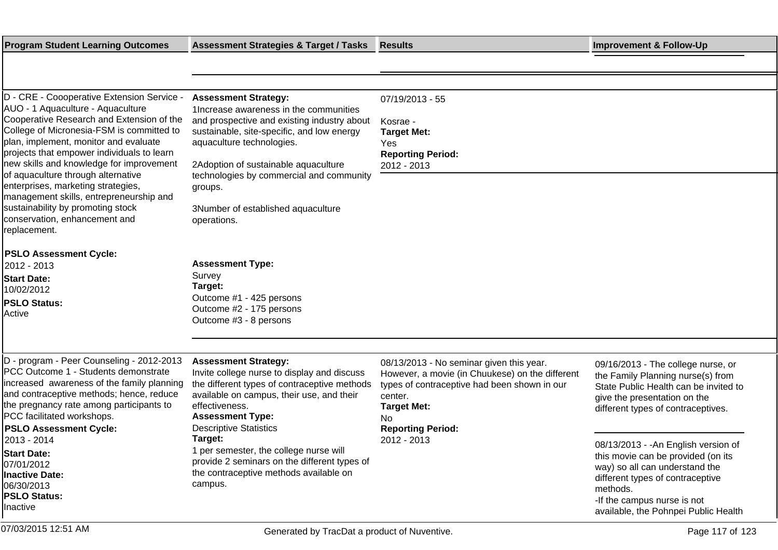| <b>Program Student Learning Outcomes</b>                                                                                                                                                                                                                                                                                                           | <b>Assessment Strategies &amp; Target / Tasks Results</b>                                                                                                                                                                                                                             |                                                                                                                                                                                                                | <b>Improvement &amp; Follow-Up</b>                                                                                                                                                                                                  |
|----------------------------------------------------------------------------------------------------------------------------------------------------------------------------------------------------------------------------------------------------------------------------------------------------------------------------------------------------|---------------------------------------------------------------------------------------------------------------------------------------------------------------------------------------------------------------------------------------------------------------------------------------|----------------------------------------------------------------------------------------------------------------------------------------------------------------------------------------------------------------|-------------------------------------------------------------------------------------------------------------------------------------------------------------------------------------------------------------------------------------|
|                                                                                                                                                                                                                                                                                                                                                    |                                                                                                                                                                                                                                                                                       |                                                                                                                                                                                                                |                                                                                                                                                                                                                                     |
|                                                                                                                                                                                                                                                                                                                                                    |                                                                                                                                                                                                                                                                                       |                                                                                                                                                                                                                |                                                                                                                                                                                                                                     |
| D - CRE - Coooperative Extension Service -<br>AUO - 1 Aquaculture - Aquaculture<br>Cooperative Research and Extension of the<br>College of Micronesia-FSM is committed to<br>plan, implement, monitor and evaluate<br>projects that empower individuals to learn<br>new skills and knowledge for improvement<br>of aquaculture through alternative | <b>Assessment Strategy:</b><br>1 Increase awareness in the communities<br>and prospective and existing industry about<br>sustainable, site-specific, and low energy<br>aquaculture technologies.<br>2 Adoption of sustainable aquaculture<br>technologies by commercial and community | 07/19/2013 - 55<br>Kosrae -<br><b>Target Met:</b><br>Yes<br><b>Reporting Period:</b><br>2012 - 2013                                                                                                            |                                                                                                                                                                                                                                     |
| enterprises, marketing strategies,<br>management skills, entrepreneurship and<br>sustainability by promoting stock<br>conservation, enhancement and<br>replacement.                                                                                                                                                                                | groups.<br>3 Number of established aquaculture<br>operations.                                                                                                                                                                                                                         |                                                                                                                                                                                                                |                                                                                                                                                                                                                                     |
| <b>PSLO Assessment Cycle:</b><br>2012 - 2013                                                                                                                                                                                                                                                                                                       | <b>Assessment Type:</b>                                                                                                                                                                                                                                                               |                                                                                                                                                                                                                |                                                                                                                                                                                                                                     |
| <b>Start Date:</b><br>10/02/2012<br><b>PSLO Status:</b><br>Active                                                                                                                                                                                                                                                                                  | Survey<br>Target:<br>Outcome #1 - 425 persons<br>Outcome #2 - 175 persons<br>Outcome #3 - 8 persons                                                                                                                                                                                   |                                                                                                                                                                                                                |                                                                                                                                                                                                                                     |
|                                                                                                                                                                                                                                                                                                                                                    |                                                                                                                                                                                                                                                                                       |                                                                                                                                                                                                                |                                                                                                                                                                                                                                     |
| D - program - Peer Counseling - 2012-2013<br>PCC Outcome 1 - Students demonstrate<br>increased awareness of the family planning<br>and contraceptive methods; hence, reduce<br>the pregnancy rate among participants to<br>PCC facilitated workshops.<br><b>PSLO Assessment Cycle:</b>                                                             | <b>Assessment Strategy:</b><br>Invite college nurse to display and discuss<br>the different types of contraceptive methods<br>available on campus, their use, and their<br>effectiveness.<br><b>Assessment Type:</b><br><b>Descriptive Statistics</b>                                 | 08/13/2013 - No seminar given this year.<br>However, a movie (in Chuukese) on the different<br>types of contraceptive had been shown in our<br>center.<br><b>Target Met:</b><br>No<br><b>Reporting Period:</b> | 09/16/2013 - The college nurse, or<br>the Family Planning nurse(s) from<br>State Public Health can be invited to<br>give the presentation on the<br>different types of contraceptives.                                              |
| 2013 - 2014<br><b>Start Date:</b><br>07/01/2012<br><b>Inactive Date:</b><br>06/30/2013<br><b>PSLO Status:</b><br>Inactive                                                                                                                                                                                                                          | Target:<br>1 per semester, the college nurse will<br>provide 2 seminars on the different types of<br>the contraceptive methods available on<br>campus.                                                                                                                                | 2012 - 2013                                                                                                                                                                                                    | 08/13/2013 - - An English version of<br>this movie can be provided (on its<br>way) so all can understand the<br>different types of contraceptive<br>methods.<br>-If the campus nurse is not<br>available, the Pohnpei Public Health |
| 07/03/2015 12:51 AM                                                                                                                                                                                                                                                                                                                                | Generated by TracDat a product of Nuventive.                                                                                                                                                                                                                                          |                                                                                                                                                                                                                | Page 117 of 123                                                                                                                                                                                                                     |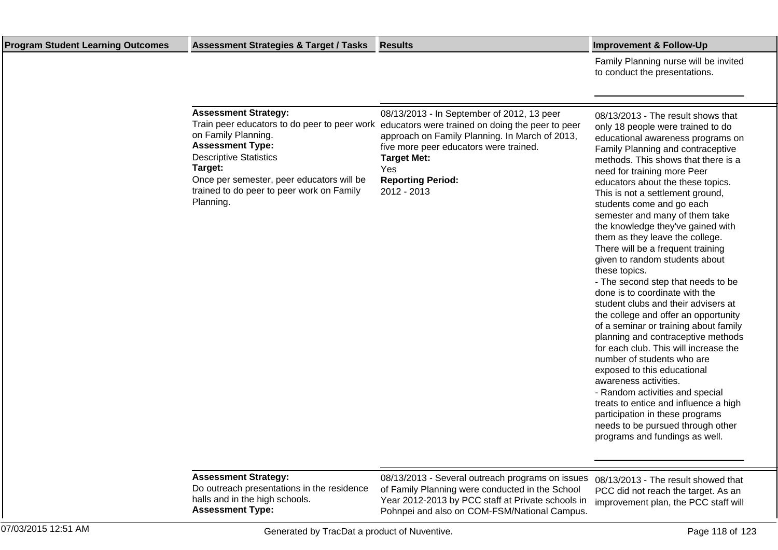Family Planning nurse will be invited to conduct the presentations.

| <b>Assessment Strategy:</b>                                                     | 08/13/2013 - In September of 2012, 13 peer                                                                                                                                                                      | 08/13/2013 -                                                         |
|---------------------------------------------------------------------------------|-----------------------------------------------------------------------------------------------------------------------------------------------------------------------------------------------------------------|----------------------------------------------------------------------|
| on Family Planning.<br><b>Assessment Type:</b><br><b>Descriptive Statistics</b> | Train peer educators to do peer to peer work educators were trained on doing the peer to peer<br>approach on Family Planning. In March of 2013,<br>five more peer educators were trained.<br><b>Target Met:</b> | only 18 peop<br>educational a<br><b>Family Plann</b><br>methods. Thi |
| Target:                                                                         | Yes                                                                                                                                                                                                             | need for train                                                       |
| Once per semester, peer educators will be                                       | <b>Reporting Period:</b>                                                                                                                                                                                        | educators ab                                                         |
| trained to do peer to peer work on Family<br>Planning.                          | 2012 - 2013                                                                                                                                                                                                     | This is not a<br>students com                                        |

The result shows that le were trained to do awareness programs on ing and contraceptive is shows that there is a ning more Peer out the these topics. settlement ground, students come and go each semester and many of them take the knowledge they've gained with them as they leave the college. There will be a frequent training given to random students about these topics.

- The second step that needs to be done is to coordinate with the student clubs and their advisers at the college and offer an opportunity of a seminar or training about family planning and contraceptive methods for each club. This will increase the number of students who are exposed to this educational awareness activities.

- Random activities and special treats to entice and influence a high participation in these programs needs to be pursued through other programs and fundings as well.

## **Assessment Strategy:**

Do outreach presentations in the residence halls and in the high schools. **Assessment Type:**

08/13/2013 - Several outreach programs on issues 08/13/2013 - The result showed that of Family Planning were conducted in the School Year 2012-2013 by PCC staff at Private schools in Pohnpei and also on COM-FSM/National Campus.

PCC did not reach the target. As an improvement plan, the PCC staff will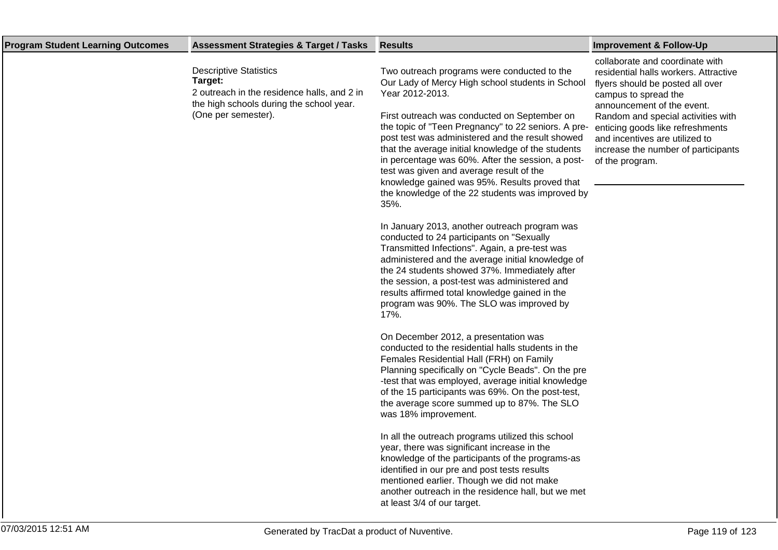| <b>Program Student Learning Outcomes</b> | <b>Assessment Strategies &amp; Target / Tasks</b>                                                                                                          | <b>Results</b>                                                                                                                                                                                                                                                                                                                                                                                                                                                                                                                                                                                                                                                                                                                                                                                                                                                                                                                                                                                                                                                                                                                                                                                                                                                                                                                                                                                                                                                                                                                                                                                                                                                                             | <b>Improvement &amp; Follow-Up</b>                                                                                                                                                                                                                                                                                                       |
|------------------------------------------|------------------------------------------------------------------------------------------------------------------------------------------------------------|--------------------------------------------------------------------------------------------------------------------------------------------------------------------------------------------------------------------------------------------------------------------------------------------------------------------------------------------------------------------------------------------------------------------------------------------------------------------------------------------------------------------------------------------------------------------------------------------------------------------------------------------------------------------------------------------------------------------------------------------------------------------------------------------------------------------------------------------------------------------------------------------------------------------------------------------------------------------------------------------------------------------------------------------------------------------------------------------------------------------------------------------------------------------------------------------------------------------------------------------------------------------------------------------------------------------------------------------------------------------------------------------------------------------------------------------------------------------------------------------------------------------------------------------------------------------------------------------------------------------------------------------------------------------------------------------|------------------------------------------------------------------------------------------------------------------------------------------------------------------------------------------------------------------------------------------------------------------------------------------------------------------------------------------|
|                                          | <b>Descriptive Statistics</b><br>Target:<br>2 outreach in the residence halls, and 2 in<br>the high schools during the school year.<br>(One per semester). | Two outreach programs were conducted to the<br>Our Lady of Mercy High school students in School<br>Year 2012-2013.<br>First outreach was conducted on September on<br>the topic of "Teen Pregnancy" to 22 seniors. A pre-<br>post test was administered and the result showed<br>that the average initial knowledge of the students<br>in percentage was 60%. After the session, a post-<br>test was given and average result of the<br>knowledge gained was 95%. Results proved that<br>the knowledge of the 22 students was improved by<br>35%.<br>In January 2013, another outreach program was<br>conducted to 24 participants on "Sexually<br>Transmitted Infections". Again, a pre-test was<br>administered and the average initial knowledge of<br>the 24 students showed 37%. Immediately after<br>the session, a post-test was administered and<br>results affirmed total knowledge gained in the<br>program was 90%. The SLO was improved by<br>17%.<br>On December 2012, a presentation was<br>conducted to the residential halls students in the<br>Females Residential Hall (FRH) on Family<br>Planning specifically on "Cycle Beads". On the pre<br>-test that was employed, average initial knowledge<br>of the 15 participants was 69%. On the post-test,<br>the average score summed up to 87%. The SLO<br>was 18% improvement.<br>In all the outreach programs utilized this school<br>year, there was significant increase in the<br>knowledge of the participants of the programs-as<br>identified in our pre and post tests results<br>mentioned earlier. Though we did not make<br>another outreach in the residence hall, but we met<br>at least 3/4 of our target. | collaborate and coordinate with<br>residential halls workers. Attractive<br>flyers should be posted all over<br>campus to spread the<br>announcement of the event.<br>Random and special activities with<br>enticing goods like refreshments<br>and incentives are utilized to<br>increase the number of participants<br>of the program. |
|                                          |                                                                                                                                                            |                                                                                                                                                                                                                                                                                                                                                                                                                                                                                                                                                                                                                                                                                                                                                                                                                                                                                                                                                                                                                                                                                                                                                                                                                                                                                                                                                                                                                                                                                                                                                                                                                                                                                            |                                                                                                                                                                                                                                                                                                                                          |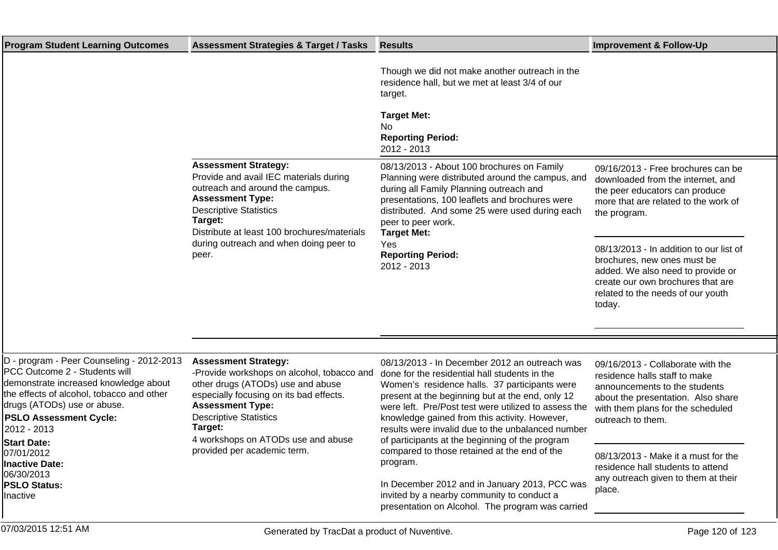| <b>Program Student Learning Outcomes</b>                                                                                                                                                                                                                                                                                                                             | <b>Assessment Strategies &amp; Target / Tasks</b>                                                                                                                                                                                                                                                     | <b>Results</b>                                                                                                                                                                                                                                                                                                                                                                                                                                                                                                                                                                                                                      | <b>Improvement &amp; Follow-Up</b>                                                                                                                                                                                                                                                                                                                                   |
|----------------------------------------------------------------------------------------------------------------------------------------------------------------------------------------------------------------------------------------------------------------------------------------------------------------------------------------------------------------------|-------------------------------------------------------------------------------------------------------------------------------------------------------------------------------------------------------------------------------------------------------------------------------------------------------|-------------------------------------------------------------------------------------------------------------------------------------------------------------------------------------------------------------------------------------------------------------------------------------------------------------------------------------------------------------------------------------------------------------------------------------------------------------------------------------------------------------------------------------------------------------------------------------------------------------------------------------|----------------------------------------------------------------------------------------------------------------------------------------------------------------------------------------------------------------------------------------------------------------------------------------------------------------------------------------------------------------------|
|                                                                                                                                                                                                                                                                                                                                                                      |                                                                                                                                                                                                                                                                                                       | Though we did not make another outreach in the<br>residence hall, but we met at least 3/4 of our<br>target.<br><b>Target Met:</b><br>No<br><b>Reporting Period:</b><br>2012 - 2013                                                                                                                                                                                                                                                                                                                                                                                                                                                  |                                                                                                                                                                                                                                                                                                                                                                      |
|                                                                                                                                                                                                                                                                                                                                                                      | <b>Assessment Strategy:</b><br>Provide and avail IEC materials during<br>outreach and around the campus.<br><b>Assessment Type:</b><br><b>Descriptive Statistics</b><br>Target:<br>Distribute at least 100 brochures/materials<br>during outreach and when doing peer to<br>peer.                     | 08/13/2013 - About 100 brochures on Family<br>Planning were distributed around the campus, and<br>during all Family Planning outreach and<br>presentations, 100 leaflets and brochures were<br>distributed. And some 25 were used during each<br>peer to peer work.<br><b>Target Met:</b><br>Yes<br><b>Reporting Period:</b><br>2012 - 2013                                                                                                                                                                                                                                                                                         | 09/16/2013 - Free brochures can be<br>downloaded from the internet, and<br>the peer educators can produce<br>more that are related to the work of<br>the program.<br>08/13/2013 - In addition to our list of<br>brochures, new ones must be<br>added. We also need to provide or<br>create our own brochures that are<br>related to the needs of our youth<br>today. |
|                                                                                                                                                                                                                                                                                                                                                                      |                                                                                                                                                                                                                                                                                                       |                                                                                                                                                                                                                                                                                                                                                                                                                                                                                                                                                                                                                                     |                                                                                                                                                                                                                                                                                                                                                                      |
| D - program - Peer Counseling - 2012-2013<br><b>PCC Outcome 2 - Students will</b><br>demonstrate increased knowledge about<br>the effects of alcohol, tobacco and other<br>drugs (ATODs) use or abuse.<br><b>PSLO Assessment Cycle:</b><br>2012 - 2013<br><b>Start Date:</b><br>07/01/2012<br><b>Inactive Date:</b><br>06/30/2013<br><b>PSLO Status:</b><br>Inactive | <b>Assessment Strategy:</b><br>-Provide workshops on alcohol, tobacco and<br>other drugs (ATODs) use and abuse<br>especially focusing on its bad effects.<br><b>Assessment Type:</b><br><b>Descriptive Statistics</b><br>Target:<br>4 workshops on ATODs use and abuse<br>provided per academic term. | 08/13/2013 - In December 2012 an outreach was<br>done for the residential hall students in the<br>Women's residence halls. 37 participants were<br>present at the beginning but at the end, only 12<br>were left. Pre/Post test were utilized to assess the<br>knowledge gained from this activity. However,<br>results were invalid due to the unbalanced number<br>of participants at the beginning of the program<br>compared to those retained at the end of the<br>program.<br>In December 2012 and in January 2013, PCC was<br>invited by a nearby community to conduct a<br>presentation on Alcohol. The program was carried | 09/16/2013 - Collaborate with the<br>residence halls staff to make<br>announcements to the students<br>about the presentation. Also share<br>with them plans for the scheduled<br>outreach to them.<br>08/13/2013 - Make it a must for the<br>residence hall students to attend<br>any outreach given to them at their<br>place.                                     |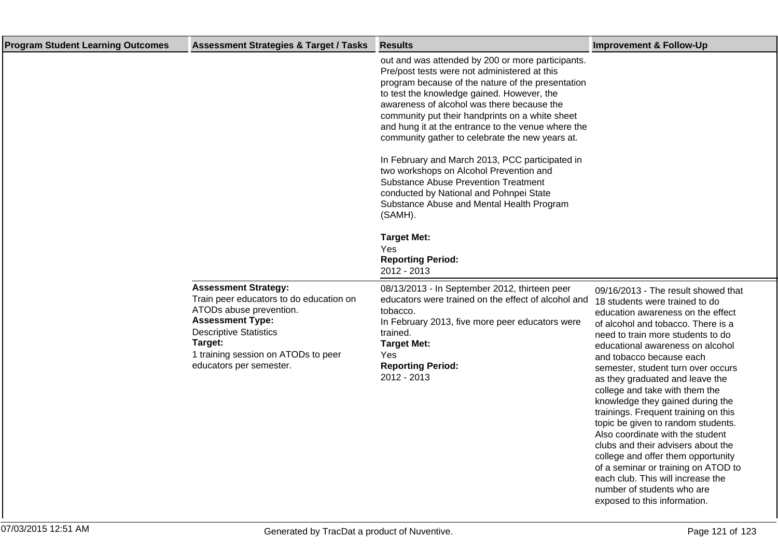| <b>Program Student Learning Outcomes</b> | <b>Assessment Strategies &amp; Target / Tasks</b>                                                                                                                                                                                          | <b>Results</b>                                                                                                                                                                                                                                                                                                                                                                                                                                                                                                                                                                                                                                                 | <b>Improvement &amp; Follow-Up</b>                                                                                                                                                                                                                                                                                                                                                                                                                                                                                                                                                                                                                                                                                                           |
|------------------------------------------|--------------------------------------------------------------------------------------------------------------------------------------------------------------------------------------------------------------------------------------------|----------------------------------------------------------------------------------------------------------------------------------------------------------------------------------------------------------------------------------------------------------------------------------------------------------------------------------------------------------------------------------------------------------------------------------------------------------------------------------------------------------------------------------------------------------------------------------------------------------------------------------------------------------------|----------------------------------------------------------------------------------------------------------------------------------------------------------------------------------------------------------------------------------------------------------------------------------------------------------------------------------------------------------------------------------------------------------------------------------------------------------------------------------------------------------------------------------------------------------------------------------------------------------------------------------------------------------------------------------------------------------------------------------------------|
|                                          |                                                                                                                                                                                                                                            | out and was attended by 200 or more participants.<br>Pre/post tests were not administered at this<br>program because of the nature of the presentation<br>to test the knowledge gained. However, the<br>awareness of alcohol was there because the<br>community put their handprints on a white sheet<br>and hung it at the entrance to the venue where the<br>community gather to celebrate the new years at.<br>In February and March 2013, PCC participated in<br>two workshops on Alcohol Prevention and<br><b>Substance Abuse Prevention Treatment</b><br>conducted by National and Pohnpei State<br>Substance Abuse and Mental Health Program<br>(SAMH). |                                                                                                                                                                                                                                                                                                                                                                                                                                                                                                                                                                                                                                                                                                                                              |
|                                          |                                                                                                                                                                                                                                            | <b>Target Met:</b><br>Yes<br><b>Reporting Period:</b><br>2012 - 2013                                                                                                                                                                                                                                                                                                                                                                                                                                                                                                                                                                                           |                                                                                                                                                                                                                                                                                                                                                                                                                                                                                                                                                                                                                                                                                                                                              |
|                                          | <b>Assessment Strategy:</b><br>Train peer educators to do education on<br>ATODs abuse prevention.<br><b>Assessment Type:</b><br><b>Descriptive Statistics</b><br>Target:<br>1 training session on ATODs to peer<br>educators per semester. | 08/13/2013 - In September 2012, thirteen peer<br>educators were trained on the effect of alcohol and<br>tobacco.<br>In February 2013, five more peer educators were<br>trained.<br><b>Target Met:</b><br>Yes<br><b>Reporting Period:</b><br>2012 - 2013                                                                                                                                                                                                                                                                                                                                                                                                        | 09/16/2013 - The result showed that<br>18 students were trained to do<br>education awareness on the effect<br>of alcohol and tobacco. There is a<br>need to train more students to do<br>educational awareness on alcohol<br>and tobacco because each<br>semester, student turn over occurs<br>as they graduated and leave the<br>college and take with them the<br>knowledge they gained during the<br>trainings. Frequent training on this<br>topic be given to random students.<br>Also coordinate with the student<br>clubs and their advisers about the<br>college and offer them opportunity<br>of a seminar or training on ATOD to<br>each club. This will increase the<br>number of students who are<br>exposed to this information. |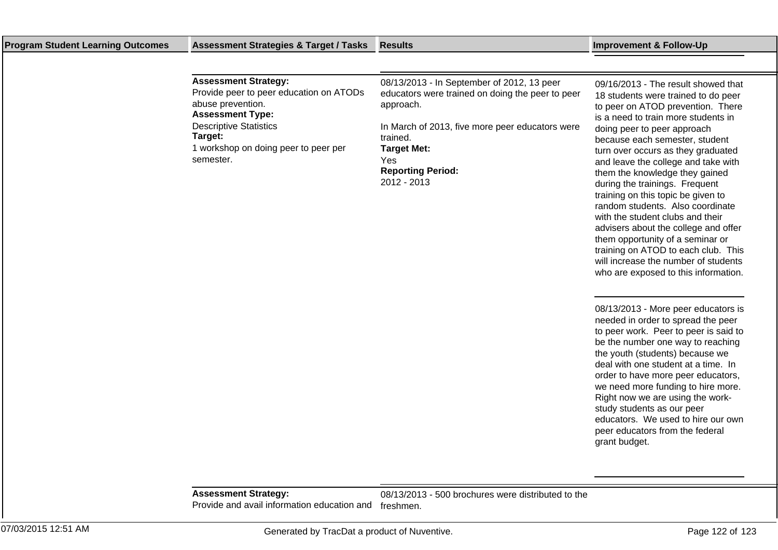## **Program Student Learning Outcomes Assessment Strategies & Target / Tasks Results Improvement & Follow-Up**

| <b>Assessment Strategy:</b><br>Provide peer to peer education on ATODs<br>abuse prevention.<br><b>Assessment Type:</b> | 08/13/2013 - In September of 2012, 13 peer<br>educators were trained on doing the peer to peer<br>approach.                         | 09/16/2013 - The result showed that<br>18 students were trained to do peer<br>to peer on ATOD prevention. There<br>is a need to train more students in                                                                                               |
|------------------------------------------------------------------------------------------------------------------------|-------------------------------------------------------------------------------------------------------------------------------------|------------------------------------------------------------------------------------------------------------------------------------------------------------------------------------------------------------------------------------------------------|
| <b>Descriptive Statistics</b><br>Target:<br>1 workshop on doing peer to peer per<br>semester.                          | In March of 2013, five more peer educators were<br>trained.<br><b>Target Met:</b><br>Yes<br><b>Reporting Period:</b><br>2012 - 2013 | doing peer to peer approach<br>because each semester, student<br>turn over occurs as they graduated<br>and leave the college and take with<br>them the knowledge they gained<br>during the trainings. Frequent<br>training on this topic be given to |

08/13/2013 - More peer educators is needed in order to spread the peer to peer work. Peer to peer is said to be the number one way to reaching the youth (students) because we deal with one student at a time. In order to have more peer educators, we need more funding to hire more. Right now we are using the workstudy students as our peer educators. We used to hire our own peer educators from the federal grant budget.

random students. Also coordinate with the student clubs and their advisers about the college and offer them opportunity of a seminar or training on ATOD to each club. This will increase the number of students who are exposed to this information.

**Assessment Strategy:** Provide and avail information education and freshmen.

08/13/2013 - 500 brochures were distributed to the